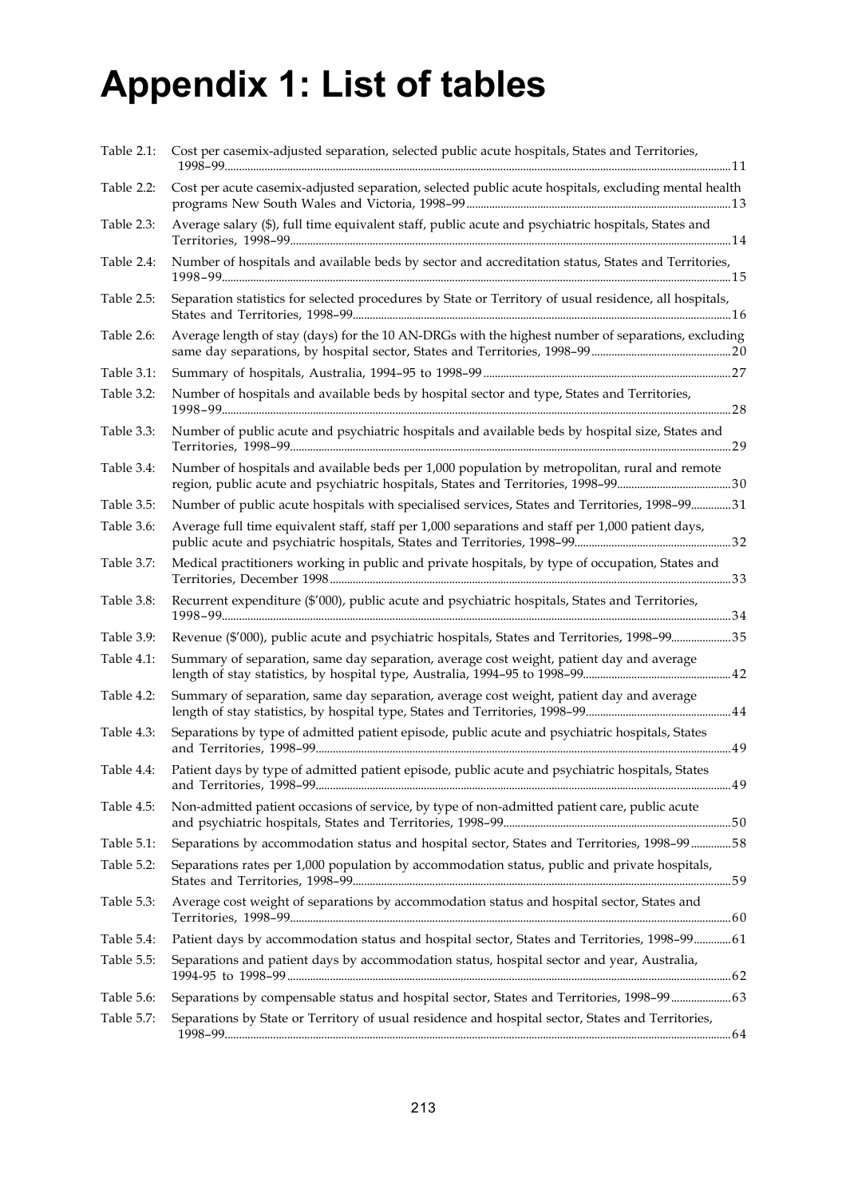# **Appendix 1: List of tables**

| Table 2.1: | Cost per casemix-adjusted separation, selected public acute hospitals, States and Territories,<br>11 يون بين المستخدمات المستخدمات المستخدمات المستخدمات المستخدمات المستخدمات المستخدمات المستخدمات المستخدمات المستخدمات |
|------------|----------------------------------------------------------------------------------------------------------------------------------------------------------------------------------------------------------------------------|
| Table 2.2: | Cost per acute casemix-adjusted separation, selected public acute hospitals, excluding mental health                                                                                                                       |
| Table 2.3: | Average salary (\$), full time equivalent staff, public acute and psychiatric hospitals, States and                                                                                                                        |
| Table 2.4: | Number of hospitals and available beds by sector and accreditation status, States and Territories,                                                                                                                         |
| Table 2.5: | Separation statistics for selected procedures by State or Territory of usual residence, all hospitals,                                                                                                                     |
| Table 2.6: | Average length of stay (days) for the 10 AN-DRGs with the highest number of separations, excluding                                                                                                                         |
| Table 3.1: |                                                                                                                                                                                                                            |
| Table 3.2: | Number of hospitals and available beds by hospital sector and type, States and Territories,                                                                                                                                |
| Table 3.3: | Number of public acute and psychiatric hospitals and available beds by hospital size, States and                                                                                                                           |
| Table 3.4: | Number of hospitals and available beds per 1,000 population by metropolitan, rural and remote                                                                                                                              |
| Table 3.5: | Number of public acute hospitals with specialised services, States and Territories, 1998-9931                                                                                                                              |
| Table 3.6: | Average full time equivalent staff, staff per 1,000 separations and staff per 1,000 patient days,                                                                                                                          |
| Table 3.7: | Medical practitioners working in public and private hospitals, by type of occupation, States and                                                                                                                           |
| Table 3.8: | Recurrent expenditure (\$'000), public acute and psychiatric hospitals, States and Territories,                                                                                                                            |
| Table 3.9: | Revenue (\$'000), public acute and psychiatric hospitals, States and Territories, 1998-9935                                                                                                                                |
| Table 4.1: | Summary of separation, same day separation, average cost weight, patient day and average                                                                                                                                   |
| Table 4.2: | Summary of separation, same day separation, average cost weight, patient day and average                                                                                                                                   |
| Table 4.3: | Separations by type of admitted patient episode, public acute and psychiatric hospitals, States                                                                                                                            |
| Table 4.4: | Patient days by type of admitted patient episode, public acute and psychiatric hospitals, States                                                                                                                           |
| Table 4.5: | Non-admitted patient occasions of service, by type of non-admitted patient care, public acute                                                                                                                              |
| Table 5.1: | Separations by accommodation status and hospital sector, States and Territories, 1998-99 58                                                                                                                                |
| Table 5.2: | Separations rates per 1,000 population by accommodation status, public and private hospitals,                                                                                                                              |
| Table 5.3: | Average cost weight of separations by accommodation status and hospital sector, States and                                                                                                                                 |
| Table 5.4: | Patient days by accommodation status and hospital sector, States and Territories, 1998-99 61                                                                                                                               |
| Table 5.5: | Separations and patient days by accommodation status, hospital sector and year, Australia,                                                                                                                                 |
| Table 5.6: |                                                                                                                                                                                                                            |
| Table 5.7: | Separations by State or Territory of usual residence and hospital sector, States and Territories,                                                                                                                          |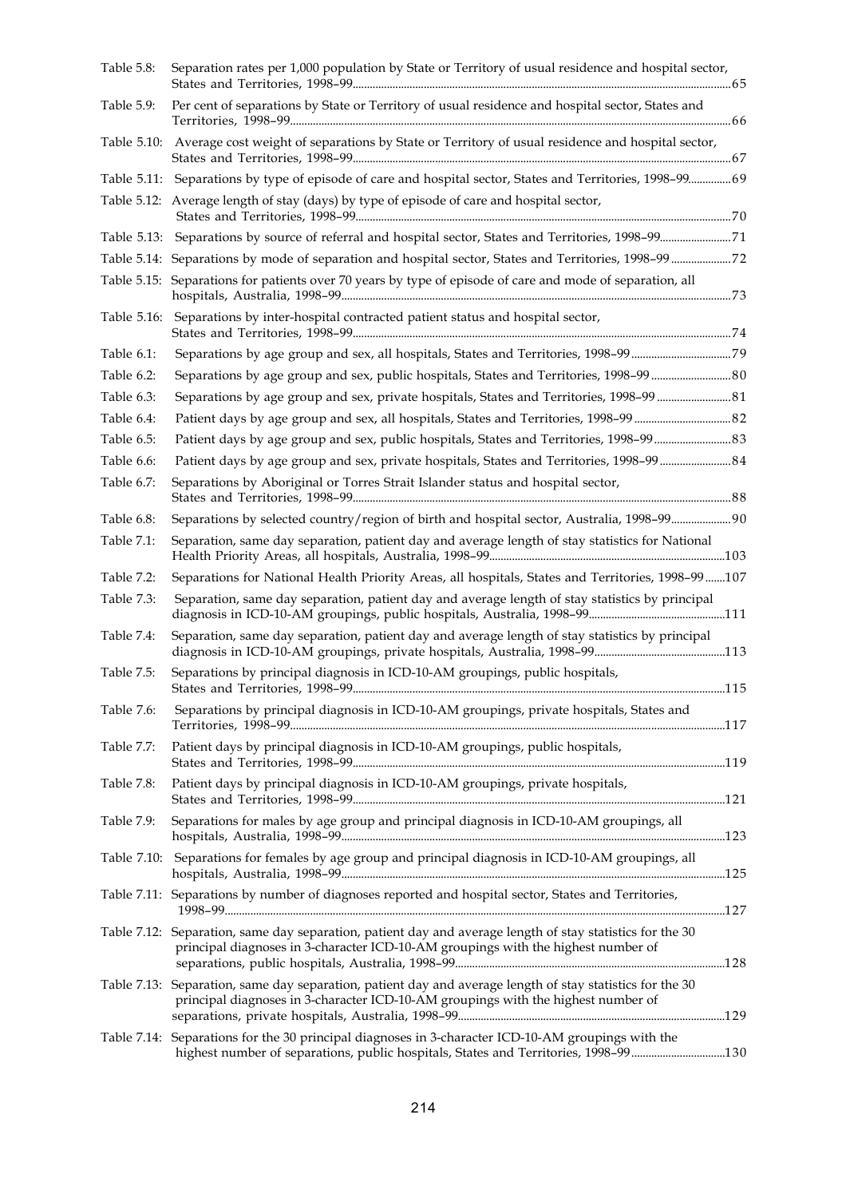| Table 5.8:  | Separation rates per 1,000 population by State or Territory of usual residence and hospital sector,                                                                                            |  |
|-------------|------------------------------------------------------------------------------------------------------------------------------------------------------------------------------------------------|--|
| Table 5.9:  | Per cent of separations by State or Territory of usual residence and hospital sector, States and                                                                                               |  |
| Table 5.10: | Average cost weight of separations by State or Territory of usual residence and hospital sector,                                                                                               |  |
|             | Table 5.11: Separations by type of episode of care and hospital sector, States and Territories, 1998-99 69                                                                                     |  |
|             | Table 5.12: Average length of stay (days) by type of episode of care and hospital sector,                                                                                                      |  |
|             |                                                                                                                                                                                                |  |
|             |                                                                                                                                                                                                |  |
|             | Table 5.15: Separations for patients over 70 years by type of episode of care and mode of separation, all                                                                                      |  |
| Table 5.16: | Separations by inter-hospital contracted patient status and hospital sector,                                                                                                                   |  |
| Table 6.1:  |                                                                                                                                                                                                |  |
| Table 6.2:  |                                                                                                                                                                                                |  |
| Table 6.3:  | Separations by age group and sex, private hospitals, States and Territories, 1998-99 81                                                                                                        |  |
| Table 6.4:  |                                                                                                                                                                                                |  |
| Table 6.5:  | Patient days by age group and sex, public hospitals, States and Territories, 1998-99 83                                                                                                        |  |
| Table 6.6:  | Patient days by age group and sex, private hospitals, States and Territories, 1998-99  84                                                                                                      |  |
| Table 6.7:  | Separations by Aboriginal or Torres Strait Islander status and hospital sector,                                                                                                                |  |
| Table 6.8:  | Separations by selected country/region of birth and hospital sector, Australia, 1998-99 90                                                                                                     |  |
| Table 7.1:  | Separation, same day separation, patient day and average length of stay statistics for National                                                                                                |  |
| Table 7.2:  | Separations for National Health Priority Areas, all hospitals, States and Territories, 1998-99 107                                                                                             |  |
| Table 7.3:  | Separation, same day separation, patient day and average length of stay statistics by principal                                                                                                |  |
| Table 7.4:  | Separation, same day separation, patient day and average length of stay statistics by principal                                                                                                |  |
| Table 7.5:  | Separations by principal diagnosis in ICD-10-AM groupings, public hospitals,                                                                                                                   |  |
| Table 7.6:  | Separations by principal diagnosis in ICD-10-AM groupings, private hospitals, States and                                                                                                       |  |
| Table 7.7:  | Patient days by principal diagnosis in ICD-10-AM groupings, public hospitals,                                                                                                                  |  |
| Table 7.8:  | Patient days by principal diagnosis in ICD-10-AM groupings, private hospitals,                                                                                                                 |  |
| Table 7.9:  | Separations for males by age group and principal diagnosis in ICD-10-AM groupings, all                                                                                                         |  |
|             | Table 7.10: Separations for females by age group and principal diagnosis in ICD-10-AM groupings, all                                                                                           |  |
|             | Table 7.11: Separations by number of diagnoses reported and hospital sector, States and Territories,                                                                                           |  |
|             | Table 7.12: Separation, same day separation, patient day and average length of stay statistics for the 30<br>principal diagnoses in 3-character ICD-10-AM groupings with the highest number of |  |
|             | Table 7.13: Separation, same day separation, patient day and average length of stay statistics for the 30<br>principal diagnoses in 3-character ICD-10-AM groupings with the highest number of |  |
|             | Table 7.14: Separations for the 30 principal diagnoses in 3-character ICD-10-AM groupings with the                                                                                             |  |
|             | highest number of separations, public hospitals, States and Territories, 1998-99130                                                                                                            |  |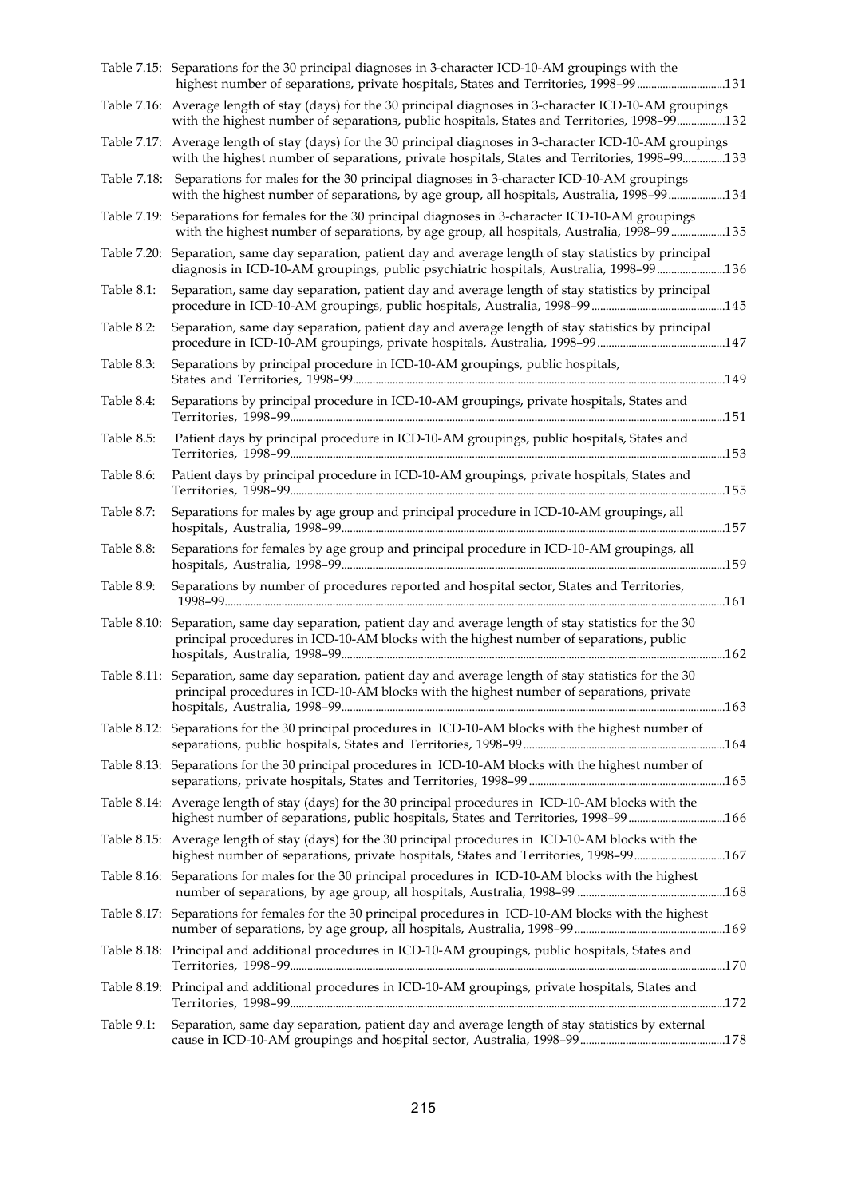|            | Table 7.15: Separations for the 30 principal diagnoses in 3-character ICD-10-AM groupings with the<br>highest number of separations, private hospitals, States and Territories, 1998-99131                   |
|------------|--------------------------------------------------------------------------------------------------------------------------------------------------------------------------------------------------------------|
|            | Table 7.16: Average length of stay (days) for the 30 principal diagnoses in 3-character ICD-10-AM groupings<br>with the highest number of separations, public hospitals, States and Territories, 1998-99132  |
|            | Table 7.17: Average length of stay (days) for the 30 principal diagnoses in 3-character ICD-10-AM groupings<br>with the highest number of separations, private hospitals, States and Territories, 1998-99133 |
|            | Table 7.18: Separations for males for the 30 principal diagnoses in 3-character ICD-10-AM groupings<br>with the highest number of separations, by age group, all hospitals, Australia, 1998-99134            |
|            | Table 7.19: Separations for females for the 30 principal diagnoses in 3-character ICD-10-AM groupings<br>with the highest number of separations, by age group, all hospitals, Australia, 1998-99 135         |
|            | Table 7.20: Separation, same day separation, patient day and average length of stay statistics by principal<br>diagnosis in ICD-10-AM groupings, public psychiatric hospitals, Australia, 1998-99 136        |
| Table 8.1: | Separation, same day separation, patient day and average length of stay statistics by principal                                                                                                              |
| Table 8.2: | Separation, same day separation, patient day and average length of stay statistics by principal                                                                                                              |
| Table 8.3: | Separations by principal procedure in ICD-10-AM groupings, public hospitals,                                                                                                                                 |
| Table 8.4: | Separations by principal procedure in ICD-10-AM groupings, private hospitals, States and                                                                                                                     |
| Table 8.5: | Patient days by principal procedure in ICD-10-AM groupings, public hospitals, States and                                                                                                                     |
| Table 8.6: | Patient days by principal procedure in ICD-10-AM groupings, private hospitals, States and                                                                                                                    |
| Table 8.7: | Separations for males by age group and principal procedure in ICD-10-AM groupings, all                                                                                                                       |
| Table 8.8: | Separations for females by age group and principal procedure in ICD-10-AM groupings, all                                                                                                                     |
| Table 8.9: | Separations by number of procedures reported and hospital sector, States and Territories,                                                                                                                    |
|            | Table 8.10: Separation, same day separation, patient day and average length of stay statistics for the 30<br>principal procedures in ICD-10-AM blocks with the highest number of separations, public         |
|            | Table 8.11: Separation, same day separation, patient day and average length of stay statistics for the 30<br>principal procedures in ICD-10-AM blocks with the highest number of separations, private        |
|            | Table 8.12: Separations for the 30 principal procedures in ICD-10-AM blocks with the highest number of                                                                                                       |
|            | Table 8.13: Separations for the 30 principal procedures in ICD-10-AM blocks with the highest number of                                                                                                       |
|            | Table 8.14: Average length of stay (days) for the 30 principal procedures in ICD-10-AM blocks with the<br>highest number of separations, public hospitals, States and Territories, 1998-99 166               |
|            | Table 8.15: Average length of stay (days) for the 30 principal procedures in ICD-10-AM blocks with the<br>highest number of separations, private hospitals, States and Territories, 1998-99167               |
|            | Table 8.16: Separations for males for the 30 principal procedures in ICD-10-AM blocks with the highest                                                                                                       |
|            | Table 8.17: Separations for females for the 30 principal procedures in ICD-10-AM blocks with the highest                                                                                                     |
|            | Table 8.18: Principal and additional procedures in ICD-10-AM groupings, public hospitals, States and                                                                                                         |
|            | Table 8.19: Principal and additional procedures in ICD-10-AM groupings, private hospitals, States and                                                                                                        |
| Table 9.1: | Separation, same day separation, patient day and average length of stay statistics by external                                                                                                               |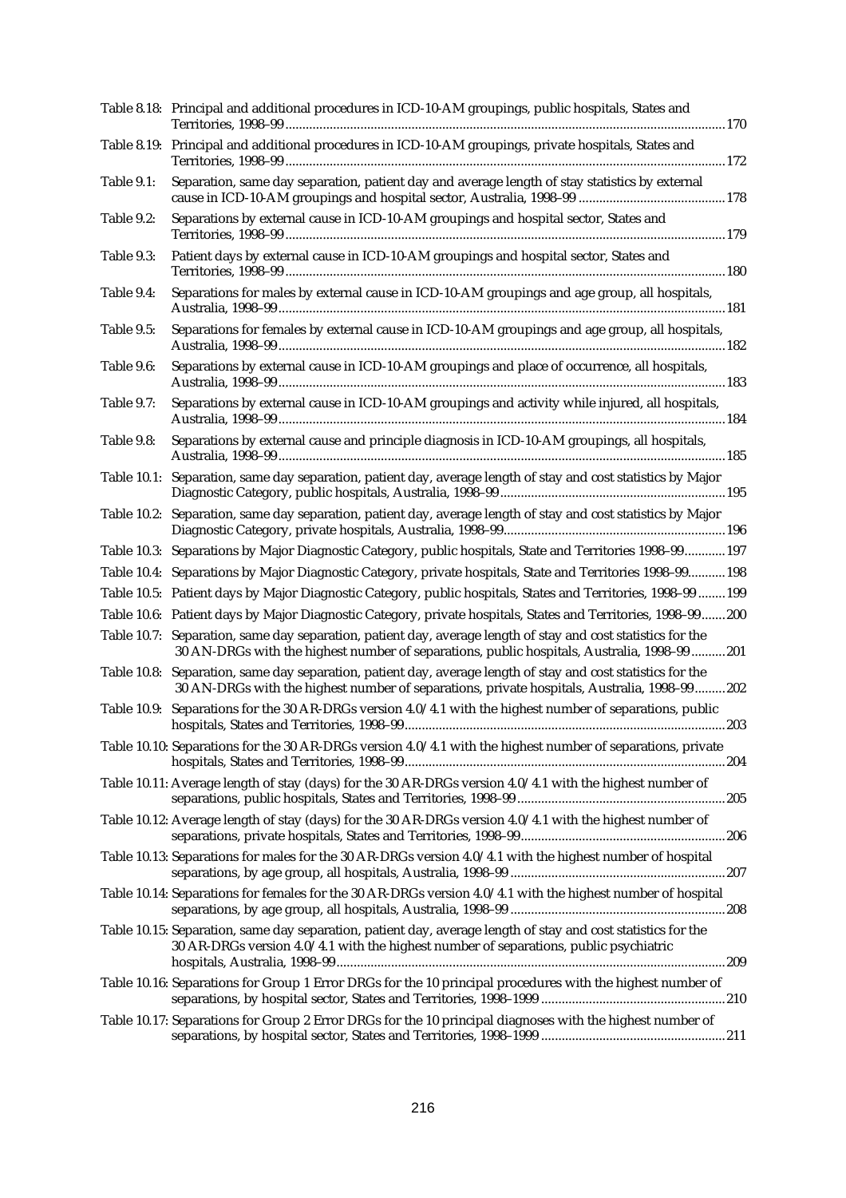|                   | Table 8.18: Principal and additional procedures in ICD-10-AM groupings, public hospitals, States and                                                                                                         |
|-------------------|--------------------------------------------------------------------------------------------------------------------------------------------------------------------------------------------------------------|
|                   | Table 8.19: Principal and additional procedures in ICD-10-AM groupings, private hospitals, States and                                                                                                        |
| Table 9.1:        | Separation, same day separation, patient day and average length of stay statistics by external                                                                                                               |
| Table 9.2:        | Separations by external cause in ICD-10-AM groupings and hospital sector, States and                                                                                                                         |
| Table 9.3:        | Patient days by external cause in ICD-10-AM groupings and hospital sector, States and                                                                                                                        |
| Table 9.4:        | Separations for males by external cause in ICD-10-AM groupings and age group, all hospitals,                                                                                                                 |
| Table 9.5:        | Separations for females by external cause in ICD-10-AM groupings and age group, all hospitals,                                                                                                               |
| Table 9.6:        | Separations by external cause in ICD-10-AM groupings and place of occurrence, all hospitals,                                                                                                                 |
| <b>Table 9.7:</b> | Separations by external cause in ICD-10-AM groupings and activity while injured, all hospitals,                                                                                                              |
| Table 9.8:        | Separations by external cause and principle diagnosis in ICD-10-AM groupings, all hospitals,                                                                                                                 |
|                   | Table 10.1: Separation, same day separation, patient day, average length of stay and cost statistics by Major                                                                                                |
|                   | Table 10.2: Separation, same day separation, patient day, average length of stay and cost statistics by Major                                                                                                |
|                   | Table 10.3: Separations by Major Diagnostic Category, public hospitals, State and Territories 1998-99197                                                                                                     |
|                   | Table 10.4: Separations by Major Diagnostic Category, private hospitals, State and Territories 1998-99198                                                                                                    |
|                   | Table 10.5: Patient days by Major Diagnostic Category, public hospitals, States and Territories, 1998-99 199                                                                                                 |
|                   | Table 10.6: Patient days by Major Diagnostic Category, private hospitals, States and Territories, 1998-99200                                                                                                 |
|                   | Table 10.7: Separation, same day separation, patient day, average length of stay and cost statistics for the<br>30 AN-DRGs with the highest number of separations, public hospitals, Australia, 1998-99  201 |
|                   | Table 10.8: Separation, same day separation, patient day, average length of stay and cost statistics for the<br>30 AN-DRGs with the highest number of separations, private hospitals, Australia, 1998-99202  |
|                   | Table 10.9: Separations for the 30 AR-DRGs version 4.0/4.1 with the highest number of separations, public                                                                                                    |
|                   | Table 10.10: Separations for the 30 AR-DRGs version 4.0/4.1 with the highest number of separations, private                                                                                                  |
|                   | Table 10.11: Average length of stay (days) for the 30 AR-DRGs version 4.0/4.1 with the highest number of                                                                                                     |
|                   | Table 10.12: Average length of stay (days) for the 30 AR-DRGs version 4.0/4.1 with the highest number of                                                                                                     |
|                   | Table 10.13: Separations for males for the 30 AR-DRGs version 4.0/4.1 with the highest number of hospital                                                                                                    |
|                   | Table 10.14: Separations for females for the 30 AR-DRGs version 4.0/4.1 with the highest number of hospital                                                                                                  |
|                   | Table 10.15: Separation, same day separation, patient day, average length of stay and cost statistics for the<br>30 AR-DRGs version 4.0/4.1 with the highest number of separations, public psychiatric       |
|                   | Table 10.16: Separations for Group 1 Error DRGs for the 10 principal procedures with the highest number of                                                                                                   |
|                   | Table 10.17: Separations for Group 2 Error DRGs for the 10 principal diagnoses with the highest number of                                                                                                    |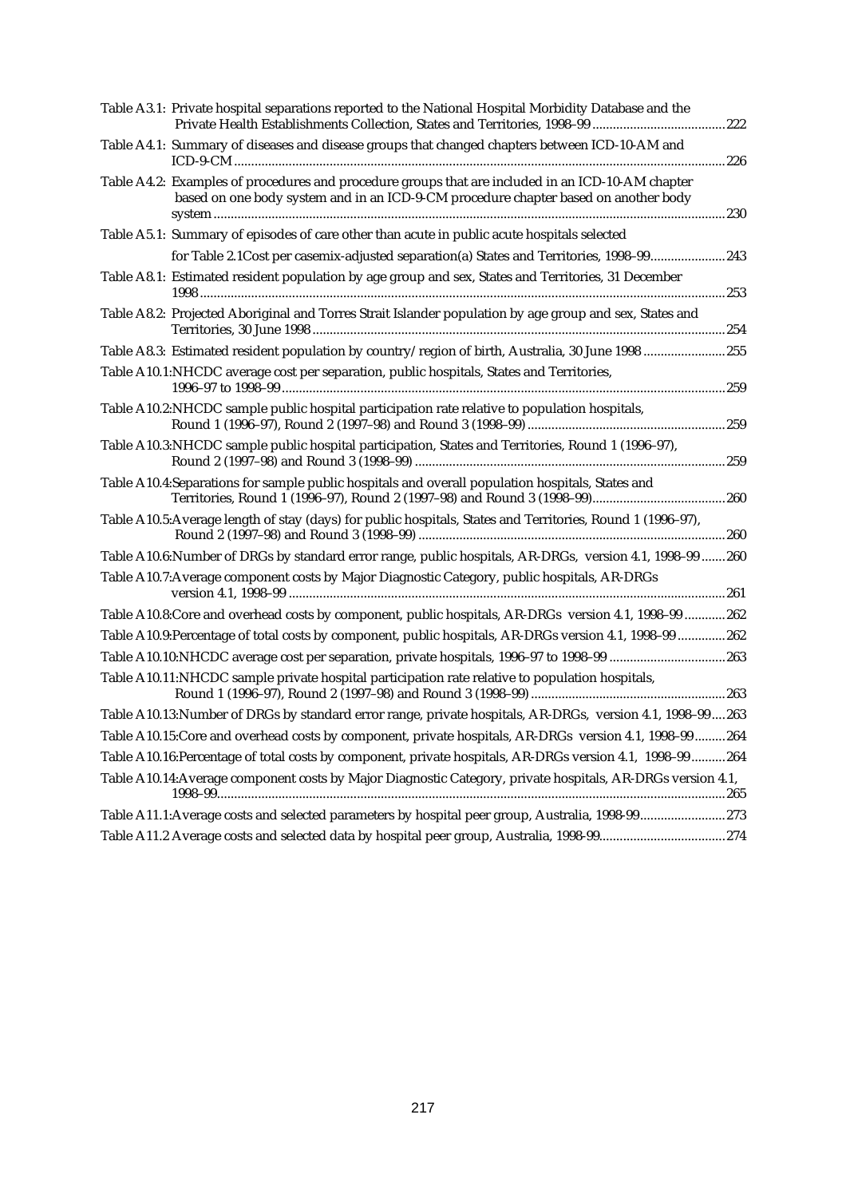| Table A3.1: Private hospital separations reported to the National Hospital Morbidity Database and the                                                                                    |  |
|------------------------------------------------------------------------------------------------------------------------------------------------------------------------------------------|--|
| Table A4.1: Summary of diseases and disease groups that changed chapters between ICD-10-AM and                                                                                           |  |
| Table A4.2: Examples of procedures and procedure groups that are included in an ICD-10-AM chapter<br>based on one body system and in an ICD-9-CM procedure chapter based on another body |  |
| Table A5.1: Summary of episodes of care other than acute in public acute hospitals selected                                                                                              |  |
| for Table 2.1Cost per casemix-adjusted separation(a) States and Territories, 1998-99243                                                                                                  |  |
| Table A8.1: Estimated resident population by age group and sex, States and Territories, 31 December                                                                                      |  |
| Table A8.2: Projected Aboriginal and Torres Strait Islander population by age group and sex, States and                                                                                  |  |
| Table A8.3: Estimated resident population by country/region of birth, Australia, 30 June 1998 255                                                                                        |  |
| Table A10.1:NHCDC average cost per separation, public hospitals, States and Territories,                                                                                                 |  |
| Table A10.2:NHCDC sample public hospital participation rate relative to population hospitals,                                                                                            |  |
| Table A10.3:NHCDC sample public hospital participation, States and Territories, Round 1 (1996-97),                                                                                       |  |
| Table A10.4:Separations for sample public hospitals and overall population hospitals, States and                                                                                         |  |
| Table A10.5: Average length of stay (days) for public hospitals, States and Territories, Round 1 (1996-97),                                                                              |  |
| Table A10.6:Number of DRGs by standard error range, public hospitals, AR-DRGs, version 4.1, 1998-99 260                                                                                  |  |
| Table A10.7: Average component costs by Major Diagnostic Category, public hospitals, AR-DRGs                                                                                             |  |
| Table A10.8: Core and overhead costs by component, public hospitals, AR-DRGs version 4.1, 1998-99  262                                                                                   |  |
| Table A10.9:Percentage of total costs by component, public hospitals, AR-DRGs version 4.1, 1998-99 262                                                                                   |  |
| Table A10.10:NHCDC average cost per separation, private hospitals, 1996-97 to 1998-99 263                                                                                                |  |
| Table A10.11:NHCDC sample private hospital participation rate relative to population hospitals,                                                                                          |  |
| Table A10.13:Number of DRGs by standard error range, private hospitals, AR-DRGs, version 4.1, 1998-99263                                                                                 |  |
| Table A10.15:Core and overhead costs by component, private hospitals, AR-DRGs version 4.1, 1998-99264                                                                                    |  |
| Table A10.16:Percentage of total costs by component, private hospitals, AR-DRGs version 4.1, 1998-99264                                                                                  |  |
| Table A10.14: Average component costs by Major Diagnostic Category, private hospitals, AR-DRGs version 4.1,                                                                              |  |
| Table A11.1: Average costs and selected parameters by hospital peer group, Australia, 1998-99273                                                                                         |  |
|                                                                                                                                                                                          |  |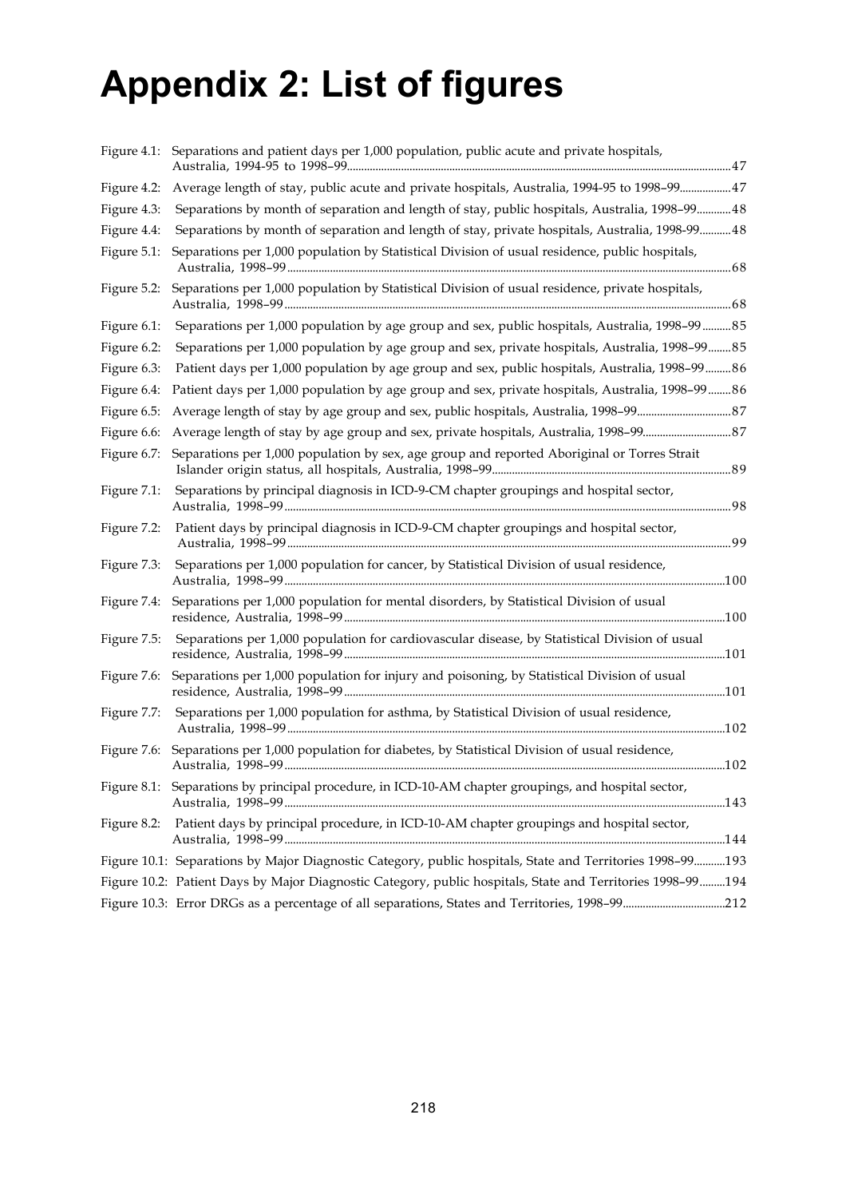# **Appendix 2: List of figures**

| Figure 4.1: | Separations and patient days per 1,000 population, public acute and private hospitals,                     |  |
|-------------|------------------------------------------------------------------------------------------------------------|--|
| Figure 4.2: | Average length of stay, public acute and private hospitals, Australia, 1994-95 to 1998-99 47               |  |
| Figure 4.3: | Separations by month of separation and length of stay, public hospitals, Australia, 1998-99 48             |  |
| Figure 4.4: | Separations by month of separation and length of stay, private hospitals, Australia, 1998-99 48            |  |
| Figure 5.1: | Separations per 1,000 population by Statistical Division of usual residence, public hospitals,             |  |
| Figure 5.2: | Separations per 1,000 population by Statistical Division of usual residence, private hospitals,            |  |
| Figure 6.1: | Separations per 1,000 population by age group and sex, public hospitals, Australia, 1998-99 85             |  |
| Figure 6.2: | Separations per 1,000 population by age group and sex, private hospitals, Australia, 1998-9985             |  |
| Figure 6.3: | Patient days per 1,000 population by age group and sex, public hospitals, Australia, 1998-99  86           |  |
| Figure 6.4: | Patient days per 1,000 population by age group and sex, private hospitals, Australia, 1998-9986            |  |
| Figure 6.5: |                                                                                                            |  |
| Figure 6.6: |                                                                                                            |  |
| Figure 6.7: | Separations per 1,000 population by sex, age group and reported Aboriginal or Torres Strait                |  |
| Figure 7.1: | Separations by principal diagnosis in ICD-9-CM chapter groupings and hospital sector,                      |  |
| Figure 7.2: | Patient days by principal diagnosis in ICD-9-CM chapter groupings and hospital sector,                     |  |
| Figure 7.3: | Separations per 1,000 population for cancer, by Statistical Division of usual residence,                   |  |
| Figure 7.4: | Separations per 1,000 population for mental disorders, by Statistical Division of usual                    |  |
| Figure 7.5: | Separations per 1,000 population for cardiovascular disease, by Statistical Division of usual              |  |
| Figure 7.6: | Separations per 1,000 population for injury and poisoning, by Statistical Division of usual                |  |
| Figure 7.7: | Separations per 1,000 population for asthma, by Statistical Division of usual residence,                   |  |
| Figure 7.6: | Separations per 1,000 population for diabetes, by Statistical Division of usual residence,                 |  |
|             | Figure 8.1: Separations by principal procedure, in ICD-10-AM chapter groupings, and hospital sector,       |  |
| Figure 8.2: | Patient days by principal procedure, in ICD-10-AM chapter groupings and hospital sector,                   |  |
|             | Figure 10.1: Separations by Major Diagnostic Category, public hospitals, State and Territories 1998-99193  |  |
|             | Figure 10.2: Patient Days by Major Diagnostic Category, public hospitals, State and Territories 1998-99194 |  |
|             |                                                                                                            |  |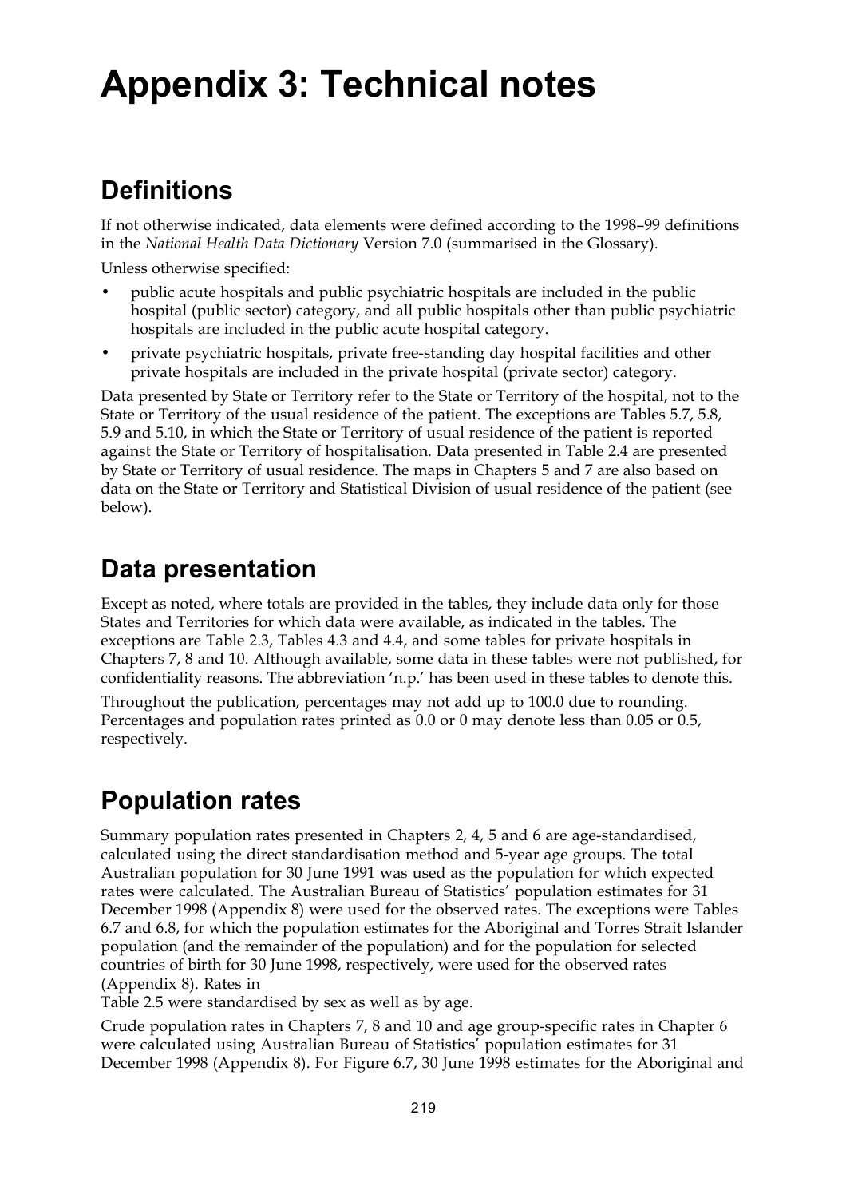## **Appendix 3: Technical notes**

## **Definitions**

If not otherwise indicated, data elements were defined according to the 1998–99 definitions in the *National Health Data Dictionary* Version 7.0 (summarised in the Glossary).

Unless otherwise specified:

- public acute hospitals and public psychiatric hospitals are included in the public hospital (public sector) category, and all public hospitals other than public psychiatric hospitals are included in the public acute hospital category.
- private psychiatric hospitals, private free-standing day hospital facilities and other private hospitals are included in the private hospital (private sector) category.

Data presented by State or Territory refer to the State or Territory of the hospital, not to the State or Territory of the usual residence of the patient. The exceptions are Tables 5.7, 5.8, 5.9 and 5.10, in which the State or Territory of usual residence of the patient is reported against the State or Territory of hospitalisation. Data presented in Table 2.4 are presented by State or Territory of usual residence. The maps in Chapters 5 and 7 are also based on data on the State or Territory and Statistical Division of usual residence of the patient (see below).

## **Data presentation**

Except as noted, where totals are provided in the tables, they include data only for those States and Territories for which data were available, as indicated in the tables. The exceptions are Table 2.3, Tables 4.3 and 4.4, and some tables for private hospitals in Chapters 7, 8 and 10. Although available, some data in these tables were not published, for confidentiality reasons. The abbreviation 'n.p.' has been used in these tables to denote this.

Throughout the publication, percentages may not add up to 100.0 due to rounding. Percentages and population rates printed as 0.0 or 0 may denote less than 0.05 or 0.5, respectively.

## **Population rates**

Summary population rates presented in Chapters 2, 4, 5 and 6 are age-standardised, calculated using the direct standardisation method and 5-year age groups. The total Australian population for 30 June 1991 was used as the population for which expected rates were calculated. The Australian Bureau of Statistics' population estimates for 31 December 1998 (Appendix 8) were used for the observed rates. The exceptions were Tables 6.7 and 6.8, for which the population estimates for the Aboriginal and Torres Strait Islander population (and the remainder of the population) and for the population for selected countries of birth for 30 June 1998, respectively, were used for the observed rates (Appendix 8). Rates in

Table 2.5 were standardised by sex as well as by age.

Crude population rates in Chapters 7, 8 and 10 and age group-specific rates in Chapter 6 were calculated using Australian Bureau of Statistics' population estimates for 31 December 1998 (Appendix 8). For Figure 6.7, 30 June 1998 estimates for the Aboriginal and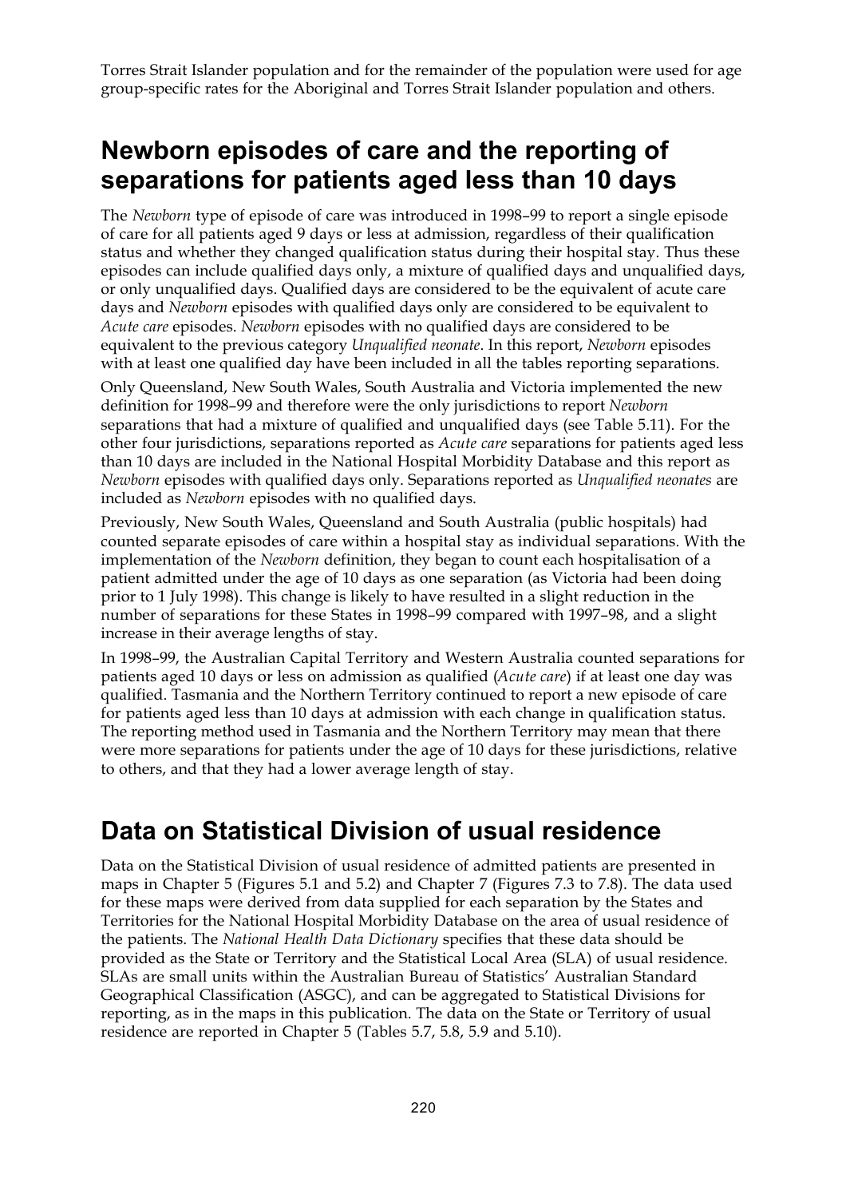Torres Strait Islander population and for the remainder of the population were used for age group-specific rates for the Aboriginal and Torres Strait Islander population and others.

## **Newborn episodes of care and the reporting of separations for patients aged less than 10 days**

The *Newborn* type of episode of care was introduced in 1998–99 to report a single episode of care for all patients aged 9 days or less at admission, regardless of their qualification status and whether they changed qualification status during their hospital stay. Thus these episodes can include qualified days only, a mixture of qualified days and unqualified days, or only unqualified days. Qualified days are considered to be the equivalent of acute care days and *Newborn* episodes with qualified days only are considered to be equivalent to *Acute care* episodes. *Newborn* episodes with no qualified days are considered to be equivalent to the previous category *Unqualified neonate*. In this report, *Newborn* episodes with at least one qualified day have been included in all the tables reporting separations.

Only Queensland, New South Wales, South Australia and Victoria implemented the new definition for 1998–99 and therefore were the only jurisdictions to report *Newborn* separations that had a mixture of qualified and unqualified days (see Table 5.11). For the other four jurisdictions, separations reported as *Acute care* separations for patients aged less than 10 days are included in the National Hospital Morbidity Database and this report as *Newborn* episodes with qualified days only. Separations reported as *Unqualified neonates* are included as *Newborn* episodes with no qualified days.

Previously, New South Wales, Queensland and South Australia (public hospitals) had counted separate episodes of care within a hospital stay as individual separations. With the implementation of the *Newborn* definition, they began to count each hospitalisation of a patient admitted under the age of 10 days as one separation (as Victoria had been doing prior to 1 July 1998). This change is likely to have resulted in a slight reduction in the number of separations for these States in 1998–99 compared with 1997–98, and a slight increase in their average lengths of stay.

In 1998–99, the Australian Capital Territory and Western Australia counted separations for patients aged 10 days or less on admission as qualified (*Acute care*) if at least one day was qualified. Tasmania and the Northern Territory continued to report a new episode of care for patients aged less than 10 days at admission with each change in qualification status. The reporting method used in Tasmania and the Northern Territory may mean that there were more separations for patients under the age of 10 days for these jurisdictions, relative to others, and that they had a lower average length of stay.

## **Data on Statistical Division of usual residence**

Data on the Statistical Division of usual residence of admitted patients are presented in maps in Chapter 5 (Figures 5.1 and 5.2) and Chapter 7 (Figures 7.3 to 7.8). The data used for these maps were derived from data supplied for each separation by the States and Territories for the National Hospital Morbidity Database on the area of usual residence of the patients. The *National Health Data Dictionary* specifies that these data should be provided as the State or Territory and the Statistical Local Area (SLA) of usual residence. SLAs are small units within the Australian Bureau of Statistics' Australian Standard Geographical Classification (ASGC), and can be aggregated to Statistical Divisions for reporting, as in the maps in this publication. The data on the State or Territory of usual residence are reported in Chapter 5 (Tables 5.7, 5.8, 5.9 and 5.10).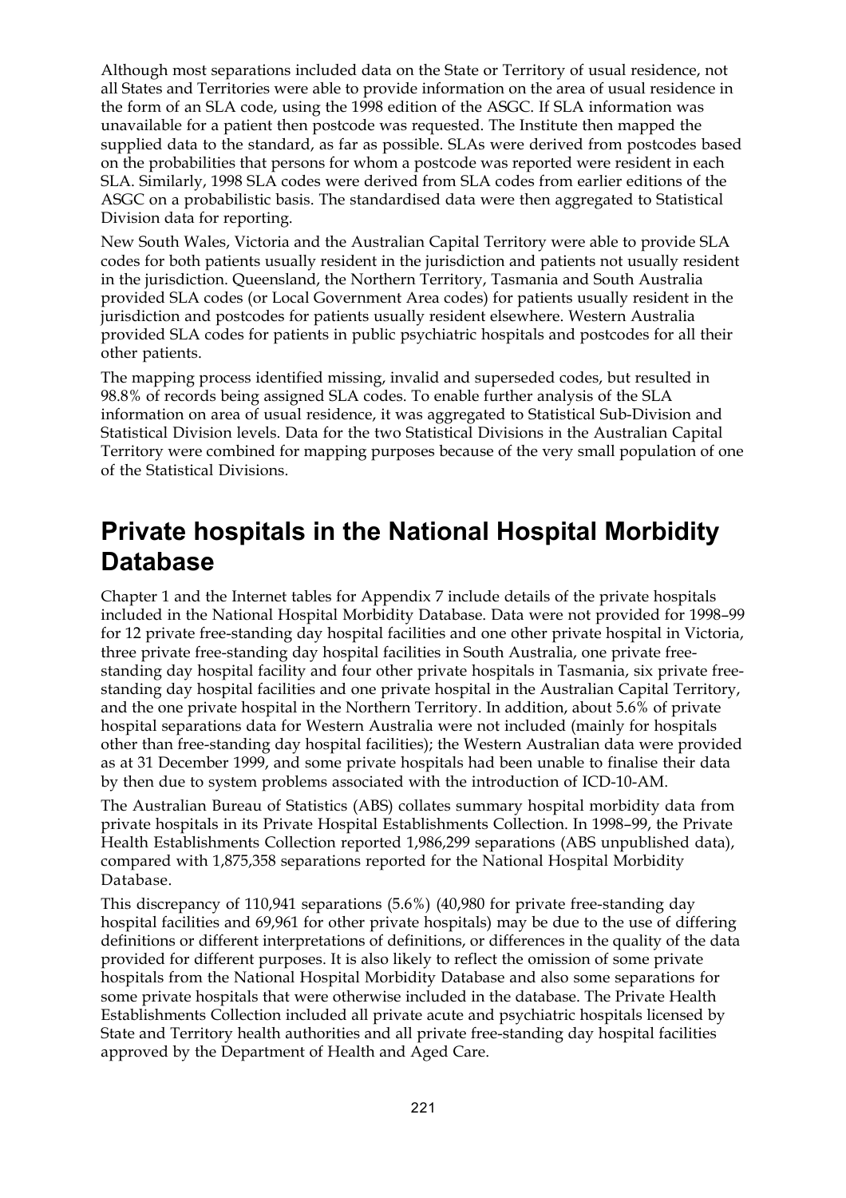Although most separations included data on the State or Territory of usual residence, not all States and Territories were able to provide information on the area of usual residence in the form of an SLA code, using the 1998 edition of the ASGC. If SLA information was unavailable for a patient then postcode was requested. The Institute then mapped the supplied data to the standard, as far as possible. SLAs were derived from postcodes based on the probabilities that persons for whom a postcode was reported were resident in each SLA. Similarly, 1998 SLA codes were derived from SLA codes from earlier editions of the ASGC on a probabilistic basis. The standardised data were then aggregated to Statistical Division data for reporting.

New South Wales, Victoria and the Australian Capital Territory were able to provide SLA codes for both patients usually resident in the jurisdiction and patients not usually resident in the jurisdiction. Queensland, the Northern Territory, Tasmania and South Australia provided SLA codes (or Local Government Area codes) for patients usually resident in the jurisdiction and postcodes for patients usually resident elsewhere. Western Australia provided SLA codes for patients in public psychiatric hospitals and postcodes for all their other patients.

The mapping process identified missing, invalid and superseded codes, but resulted in 98.8% of records being assigned SLA codes. To enable further analysis of the SLA information on area of usual residence, it was aggregated to Statistical Sub-Division and Statistical Division levels. Data for the two Statistical Divisions in the Australian Capital Territory were combined for mapping purposes because of the very small population of one of the Statistical Divisions.

## **Private hospitals in the National Hospital Morbidity Database**

Chapter 1 and the Internet tables for Appendix 7 include details of the private hospitals included in the National Hospital Morbidity Database. Data were not provided for 1998–99 for 12 private free-standing day hospital facilities and one other private hospital in Victoria, three private free-standing day hospital facilities in South Australia, one private freestanding day hospital facility and four other private hospitals in Tasmania, six private freestanding day hospital facilities and one private hospital in the Australian Capital Territory, and the one private hospital in the Northern Territory. In addition, about 5.6% of private hospital separations data for Western Australia were not included (mainly for hospitals other than free-standing day hospital facilities); the Western Australian data were provided as at 31 December 1999, and some private hospitals had been unable to finalise their data by then due to system problems associated with the introduction of ICD-10-AM.

The Australian Bureau of Statistics (ABS) collates summary hospital morbidity data from private hospitals in its Private Hospital Establishments Collection. In 1998–99, the Private Health Establishments Collection reported 1,986,299 separations (ABS unpublished data), compared with 1,875,358 separations reported for the National Hospital Morbidity Database.

This discrepancy of 110,941 separations (5.6%) (40,980 for private free-standing day hospital facilities and 69,961 for other private hospitals) may be due to the use of differing definitions or different interpretations of definitions, or differences in the quality of the data provided for different purposes. It is also likely to reflect the omission of some private hospitals from the National Hospital Morbidity Database and also some separations for some private hospitals that were otherwise included in the database. The Private Health Establishments Collection included all private acute and psychiatric hospitals licensed by State and Territory health authorities and all private free-standing day hospital facilities approved by the Department of Health and Aged Care.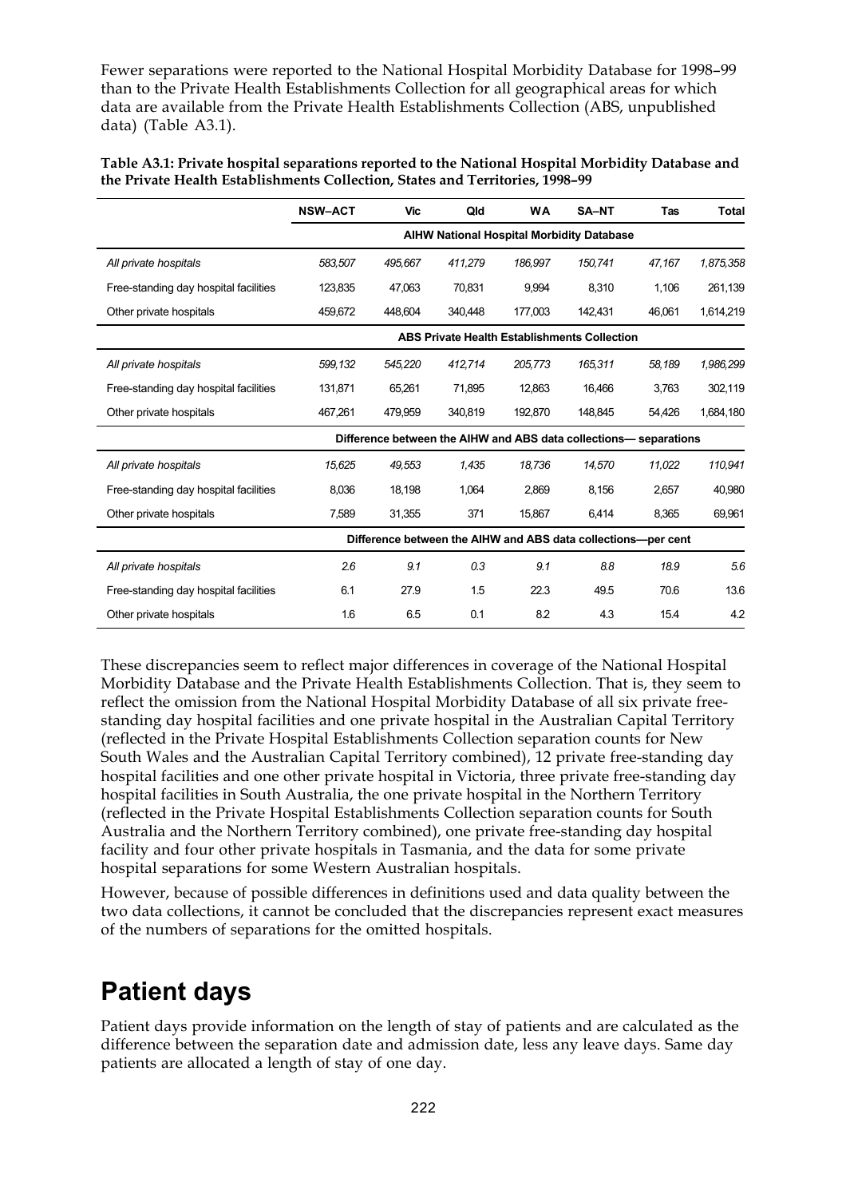Fewer separations were reported to the National Hospital Morbidity Database for 1998–99 than to the Private Health Establishments Collection for all geographical areas for which data are available from the Private Health Establishments Collection (ABS, unpublished data) (Table A3.1).

| Table A3.1: Private hospital separations reported to the National Hospital Morbidity Database and |
|---------------------------------------------------------------------------------------------------|
| the Private Health Establishments Collection, States and Territories, 1998–99                     |

|                                       | <b>NSW-ACT</b>                                                    | <b>Vic</b> | Qld     | <b>WA</b>                                           | SA-NT   | <b>Tas</b> | <b>Total</b> |
|---------------------------------------|-------------------------------------------------------------------|------------|---------|-----------------------------------------------------|---------|------------|--------------|
|                                       |                                                                   |            |         | AIHW National Hospital Morbidity Database           |         |            |              |
| All private hospitals                 | 583.507                                                           | 495,667    | 411,279 | 186.997                                             | 150.741 | 47,167     | 1,875,358    |
| Free-standing day hospital facilities | 123,835                                                           | 47,063     | 70,831  | 9,994                                               | 8,310   | 1,106      | 261,139      |
| Other private hospitals               | 459,672                                                           | 448,604    | 340,448 | 177,003                                             | 142,431 | 46,061     | 1,614,219    |
|                                       |                                                                   |            |         | <b>ABS Private Health Establishments Collection</b> |         |            |              |
| All private hospitals                 | 599,132                                                           | 545,220    | 412,714 | 205,773                                             | 165,311 | 58,189     | 1,986,299    |
| Free-standing day hospital facilities | 131,871                                                           | 65,261     | 71,895  | 12,863                                              | 16,466  | 3,763      | 302,119      |
| Other private hospitals               | 467,261                                                           | 479,959    | 340,819 | 192,870                                             | 148,845 | 54,426     | 1,684,180    |
|                                       | Difference between the AIHW and ABS data collections- separations |            |         |                                                     |         |            |              |
| All private hospitals                 | 15,625                                                            | 49,553     | 1.435   | 18.736                                              | 14,570  | 11,022     | 110,941      |
| Free-standing day hospital facilities | 8.036                                                             | 18,198     | 1.064   | 2.869                                               | 8.156   | 2.657      | 40.980       |
| Other private hospitals               | 7,589                                                             | 31,355     | 371     | 15,867                                              | 6.414   | 8,365      | 69,961       |
|                                       | Difference between the AIHW and ABS data collections-per cent     |            |         |                                                     |         |            |              |
| All private hospitals                 | 2.6                                                               | 9.1        | 0.3     | 9.1                                                 | 8.8     | 18.9       | 5.6          |
| Free-standing day hospital facilities | 6.1                                                               | 27.9       | 1.5     | 22.3                                                | 49.5    | 70.6       | 13.6         |
| Other private hospitals               | 1.6                                                               | 6.5        | 0.1     | 8.2                                                 | 4.3     | 15.4       | 4.2          |

These discrepancies seem to reflect major differences in coverage of the National Hospital Morbidity Database and the Private Health Establishments Collection. That is, they seem to reflect the omission from the National Hospital Morbidity Database of all six private freestanding day hospital facilities and one private hospital in the Australian Capital Territory (reflected in the Private Hospital Establishments Collection separation counts for New South Wales and the Australian Capital Territory combined), 12 private free-standing day hospital facilities and one other private hospital in Victoria, three private free-standing day hospital facilities in South Australia, the one private hospital in the Northern Territory (reflected in the Private Hospital Establishments Collection separation counts for South Australia and the Northern Territory combined), one private free-standing day hospital facility and four other private hospitals in Tasmania, and the data for some private hospital separations for some Western Australian hospitals.

However, because of possible differences in definitions used and data quality between the two data collections, it cannot be concluded that the discrepancies represent exact measures of the numbers of separations for the omitted hospitals.

## **Patient days**

Patient days provide information on the length of stay of patients and are calculated as the difference between the separation date and admission date, less any leave days. Same day patients are allocated a length of stay of one day.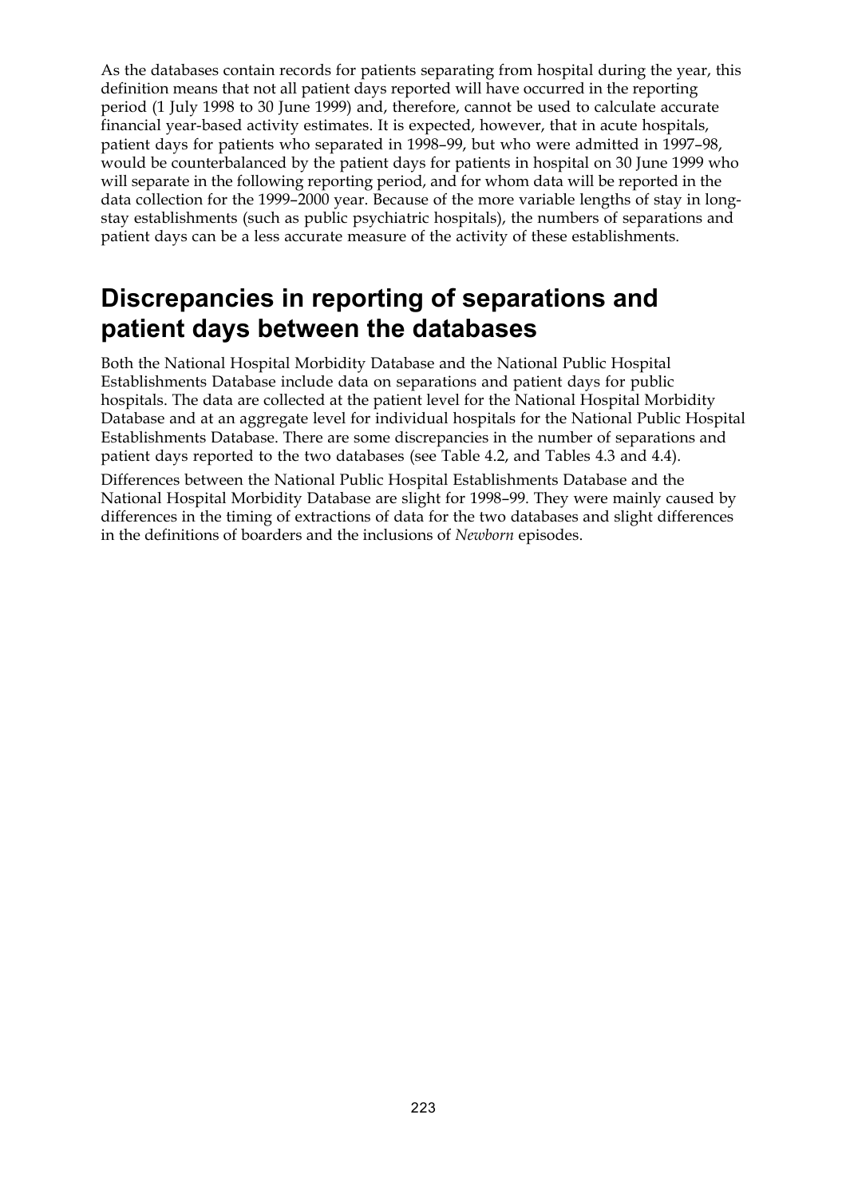As the databases contain records for patients separating from hospital during the year, this definition means that not all patient days reported will have occurred in the reporting period (1 July 1998 to 30 June 1999) and, therefore, cannot be used to calculate accurate financial year-based activity estimates. It is expected, however, that in acute hospitals, patient days for patients who separated in 1998–99, but who were admitted in 1997–98, would be counterbalanced by the patient days for patients in hospital on 30 June 1999 who will separate in the following reporting period, and for whom data will be reported in the data collection for the 1999–2000 year. Because of the more variable lengths of stay in longstay establishments (such as public psychiatric hospitals), the numbers of separations and patient days can be a less accurate measure of the activity of these establishments.

## **Discrepancies in reporting of separations and patient days between the databases**

Both the National Hospital Morbidity Database and the National Public Hospital Establishments Database include data on separations and patient days for public hospitals. The data are collected at the patient level for the National Hospital Morbidity Database and at an aggregate level for individual hospitals for the National Public Hospital Establishments Database. There are some discrepancies in the number of separations and patient days reported to the two databases (see Table 4.2, and Tables 4.3 and 4.4).

Differences between the National Public Hospital Establishments Database and the National Hospital Morbidity Database are slight for 1998–99. They were mainly caused by differences in the timing of extractions of data for the two databases and slight differences in the definitions of boarders and the inclusions of *Newborn* episodes.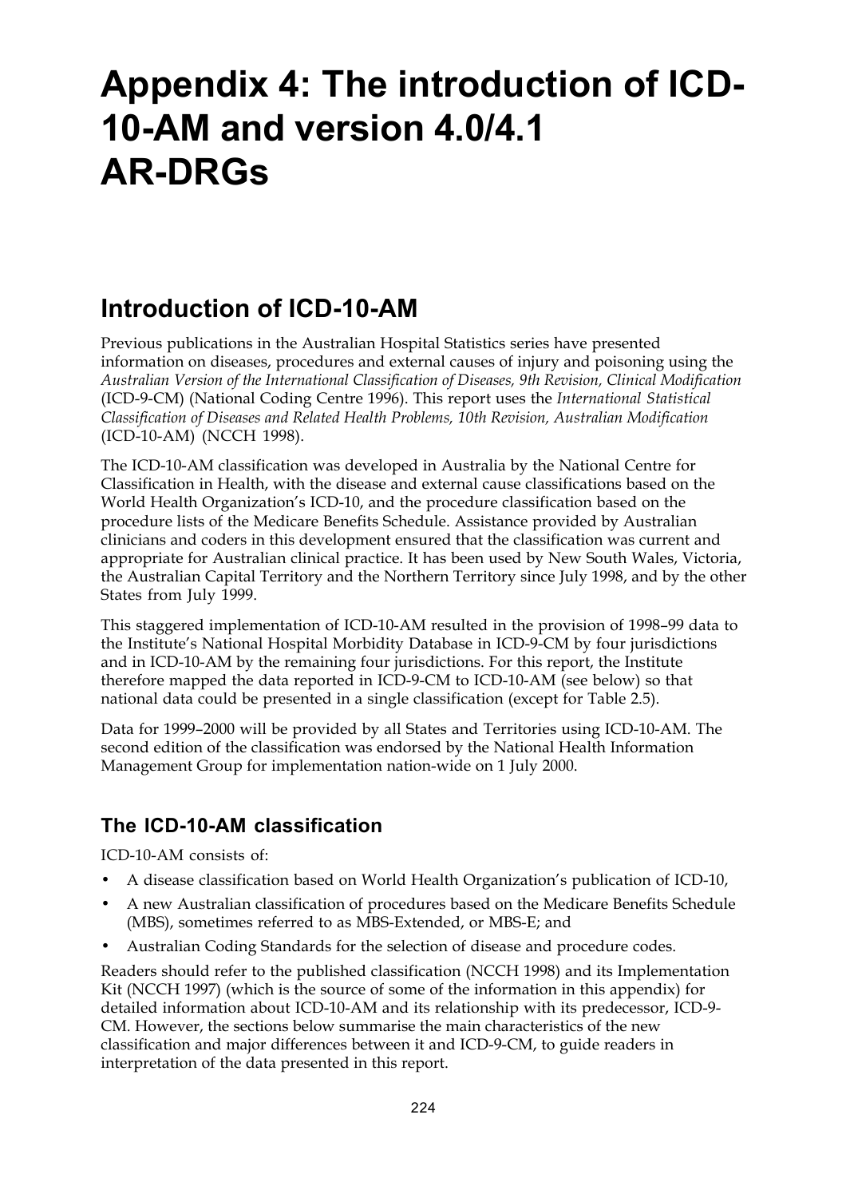## **Appendix 4: The introduction of ICD-10-AM and version 4.0/4.1 AR-DRGs**

## **Introduction of ICD-10-AM**

Previous publications in the Australian Hospital Statistics series have presented information on diseases, procedures and external causes of injury and poisoning using the *Australian Version of the International Classification of Diseases, 9th Revision, Clinical Modification* (ICD-9-CM) (National Coding Centre 1996). This report uses the *International Statistical Classification of Diseases and Related Health Problems, 10th Revision, Australian Modification* (ICD-10-AM) (NCCH 1998).

The ICD-10-AM classification was developed in Australia by the National Centre for Classification in Health, with the disease and external cause classifications based on the World Health Organization's ICD-10, and the procedure classification based on the procedure lists of the Medicare Benefits Schedule. Assistance provided by Australian clinicians and coders in this development ensured that the classification was current and appropriate for Australian clinical practice. It has been used by New South Wales, Victoria, the Australian Capital Territory and the Northern Territory since July 1998, and by the other States from July 1999.

This staggered implementation of ICD-10-AM resulted in the provision of 1998–99 data to the Institute's National Hospital Morbidity Database in ICD-9-CM by four jurisdictions and in ICD-10-AM by the remaining four jurisdictions. For this report, the Institute therefore mapped the data reported in ICD-9-CM to ICD-10-AM (see below) so that national data could be presented in a single classification (except for Table 2.5).

Data for 1999–2000 will be provided by all States and Territories using ICD-10-AM. The second edition of the classification was endorsed by the National Health Information Management Group for implementation nation-wide on 1 July 2000.

### **The ICD-10-AM classification**

ICD-10-AM consists of:

- A disease classification based on World Health Organization's publication of ICD-10,
- A new Australian classification of procedures based on the Medicare Benefits Schedule (MBS), sometimes referred to as MBS-Extended, or MBS-E; and
- Australian Coding Standards for the selection of disease and procedure codes.

Readers should refer to the published classification (NCCH 1998) and its Implementation Kit (NCCH 1997) (which is the source of some of the information in this appendix) for detailed information about ICD-10-AM and its relationship with its predecessor, ICD-9- CM. However, the sections below summarise the main characteristics of the new classification and major differences between it and ICD-9-CM, to guide readers in interpretation of the data presented in this report.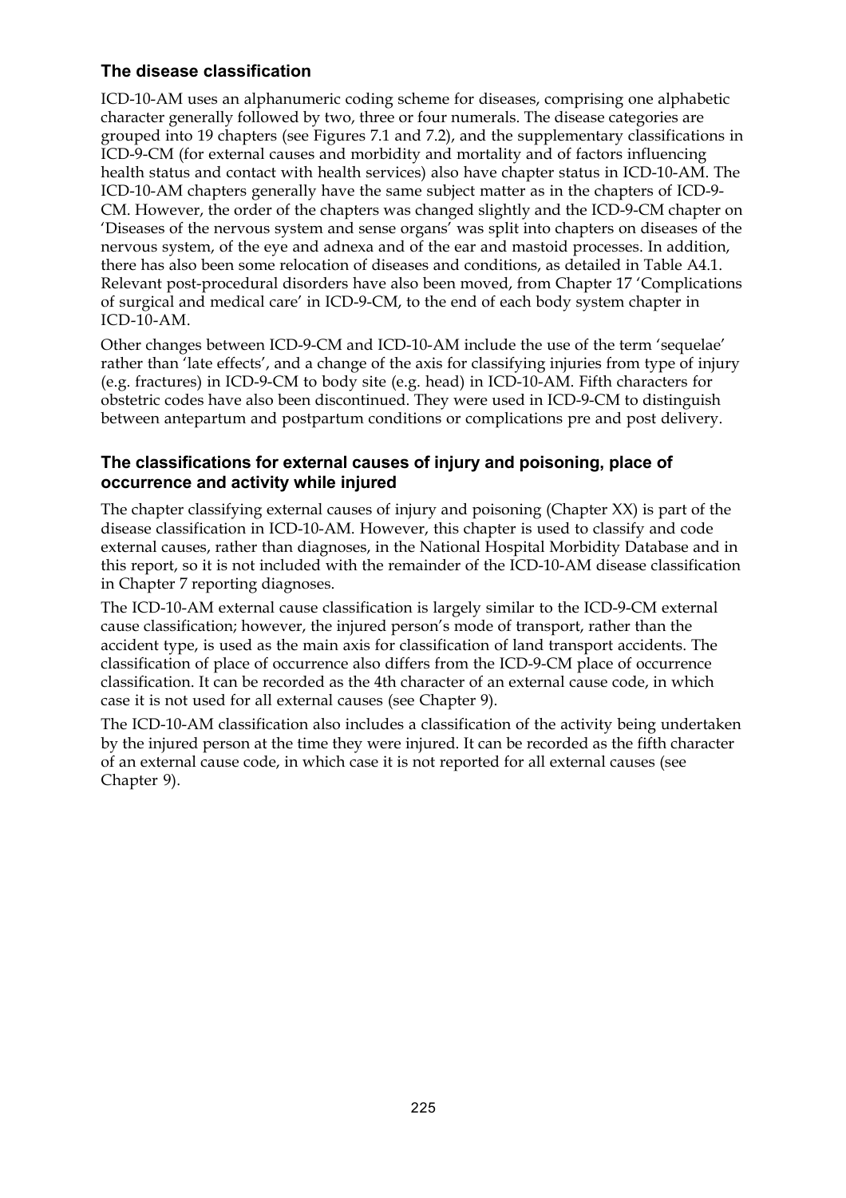#### **The disease classification**

ICD-10-AM uses an alphanumeric coding scheme for diseases, comprising one alphabetic character generally followed by two, three or four numerals. The disease categories are grouped into 19 chapters (see Figures 7.1 and 7.2), and the supplementary classifications in ICD-9-CM (for external causes and morbidity and mortality and of factors influencing health status and contact with health services) also have chapter status in ICD-10-AM. The ICD-10-AM chapters generally have the same subject matter as in the chapters of ICD-9- CM. However, the order of the chapters was changed slightly and the ICD-9-CM chapter on 'Diseases of the nervous system and sense organs' was split into chapters on diseases of the nervous system, of the eye and adnexa and of the ear and mastoid processes. In addition, there has also been some relocation of diseases and conditions, as detailed in Table A4.1. Relevant post-procedural disorders have also been moved, from Chapter 17 'Complications of surgical and medical care' in ICD-9-CM, to the end of each body system chapter in  $ICD-10-AM$ .

Other changes between ICD-9-CM and ICD-10-AM include the use of the term 'sequelae' rather than 'late effects', and a change of the axis for classifying injuries from type of injury (e.g. fractures) in ICD-9-CM to body site (e.g. head) in ICD-10-AM. Fifth characters for obstetric codes have also been discontinued. They were used in ICD-9-CM to distinguish between antepartum and postpartum conditions or complications pre and post delivery.

#### **The classifications for external causes of injury and poisoning, place of occurrence and activity while injured**

The chapter classifying external causes of injury and poisoning (Chapter XX) is part of the disease classification in ICD-10-AM. However, this chapter is used to classify and code external causes, rather than diagnoses, in the National Hospital Morbidity Database and in this report, so it is not included with the remainder of the ICD-10-AM disease classification in Chapter 7 reporting diagnoses.

The ICD-10-AM external cause classification is largely similar to the ICD-9-CM external cause classification; however, the injured person's mode of transport, rather than the accident type, is used as the main axis for classification of land transport accidents. The classification of place of occurrence also differs from the ICD-9-CM place of occurrence classification. It can be recorded as the 4th character of an external cause code, in which case it is not used for all external causes (see Chapter 9).

The ICD-10-AM classification also includes a classification of the activity being undertaken by the injured person at the time they were injured. It can be recorded as the fifth character of an external cause code, in which case it is not reported for all external causes (see Chapter 9).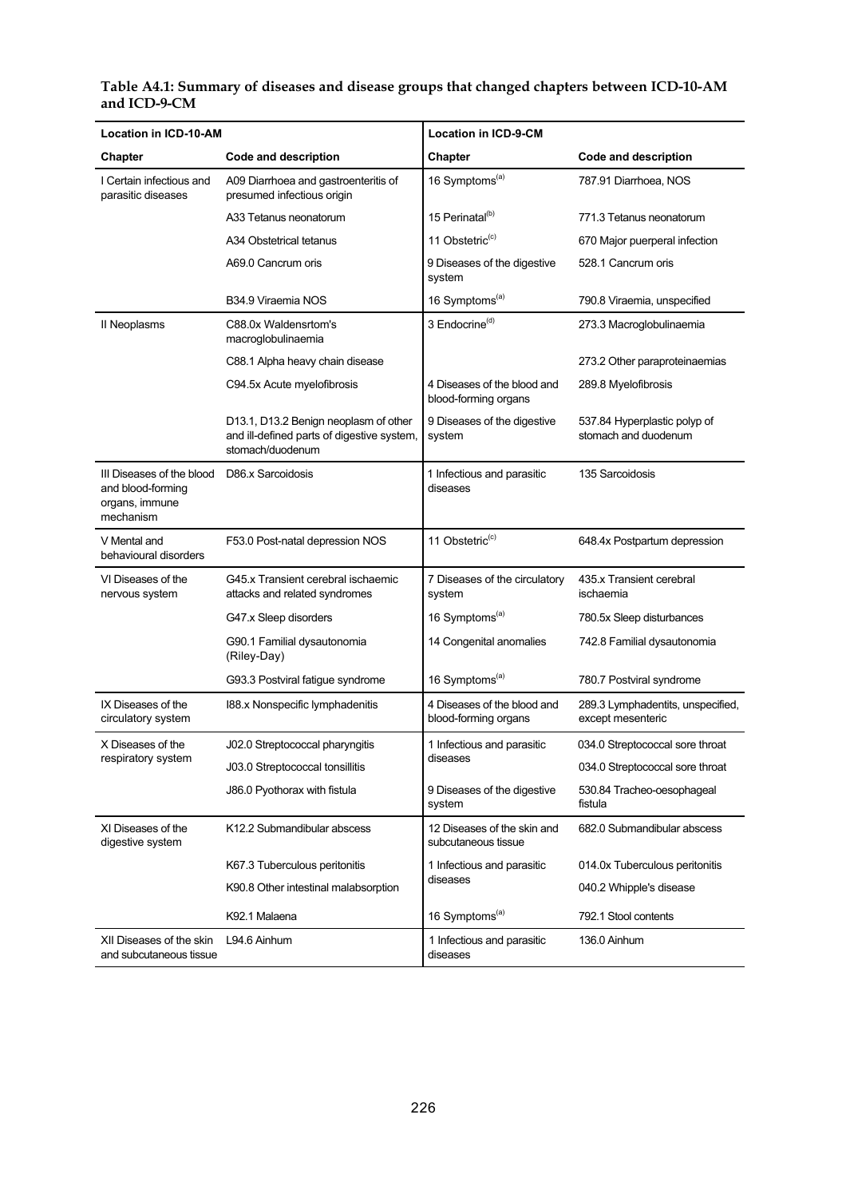#### **Location in ICD-10-AM Location in ICD-9-CM Chapter** Code and description **Condensity** Chapter Code and description A09 Diarrhoea and gastroenteritis of presumed infectious origin 16 Symptoms<sup>(a)</sup> 787.91 Diarrhoea, NOS A33 Tetanus neonatorum 15 Perinatal<sup>(b)</sup> 771.3 Tetanus neonatorum A34 Obstetrical tetanus 11 Obstetric<sup>(c)</sup> 670 Major puerperal infection A69.0 Cancrum oris 9 Diseases of the digestive system 528.1 Cancrum oris I Certain infectious and parasitic diseases B34.9 Viraemia NOS 16 Symptoms<sup>(a)</sup> 790.8 Viraemia, unspecified C88.0x Waldensrtom's macroglobulinaemia 273.3 Macroglobulinaemia C88.1 Alpha heavy chain disease 3 Endocrine<sup>(d)</sup> 273.2 Other paraproteinaemias C94.5x Acute myelofibrosis 4 Diseases of the blood and blood-forming organs 289.8 Myelofibrosis II Neoplasms D13.1, D13.2 Benign neoplasm of other and ill-defined parts of digestive system, stomach/duodenum 9 Diseases of the digestive system 537.84 Hyperplastic polyp of stomach and duodenum III Diseases of the blood and blood-forming organs, immune mechanism D86.x Sarcoidosis 1 Infectious and parasitic diseases 135 Sarcoidosis V Mental and behavioural disorders F53.0 Post-natal depression NOS 11 Obstetric<sup>(c)</sup> 648.4x Postpartum depression G45.x Transient cerebral ischaemic attacks and related syndromes 7 Diseases of the circulatory system 435.x Transient cerebral ischaemia G47.x Sleep disorders 16 Symptoms<sup>(a)</sup> 780.5x Sleep disturbances G90.1 Familial dysautonomia (Riley-Day) 14 Congenital anomalies 742.8 Familial dysautonomia VI Diseases of the nervous system

G93.3 Postviral fatigue syndrome | 16 Symptoms<sup>(a)</sup> 780.7 Postviral syndrome

diseases

system

diseases

K92.1 Malaena 16 November 2016 16 Symptoms<sup>(a)</sup> 792.1 Stool contents

diseases

blood-forming organs

subcutaneous tissue

K67.3 Tuberculous peritonitis **1** 1 Infectious and parasitic 014.0x Tuberculous peritonitis

1 Infectious and parasitic

1 Infectious and parasitic

289.3 Lymphadentits, unspecified,

034.0 Streptococcal sore throat

530.84 Tracheo-oesophageal

682.0 Submandibular abscess

040.2 Whipple's disease

136.0 Ainhum

except mesenteric

fistula

I88.x Nonspecific lymphadenitis 4 Diseases of the blood and

J86.0 Pyothorax with fistula **9 Diseases of the digestive** 

K12.2 Submandibular abscess 12 Diseases of the skin and

L94.6 Ainhum 1 Infectious and parasitic

K90.8 Other intestinal malabsorption

X Diseases of the J02.0 Streptococcal pharyngitis 1 Infectious and parasitic 034.0 Streptococcal sore throat

IX Diseases of the circulatory system

XI Diseases of the digestive system

XII Diseases of the skin and subcutaneous tissue

respiratory system J03.0 Streptococcal tonsillitis

| Table A4.1: Summary of diseases and disease groups that changed chapters between ICD-10-AM |  |
|--------------------------------------------------------------------------------------------|--|
| and ICD-9-CM                                                                               |  |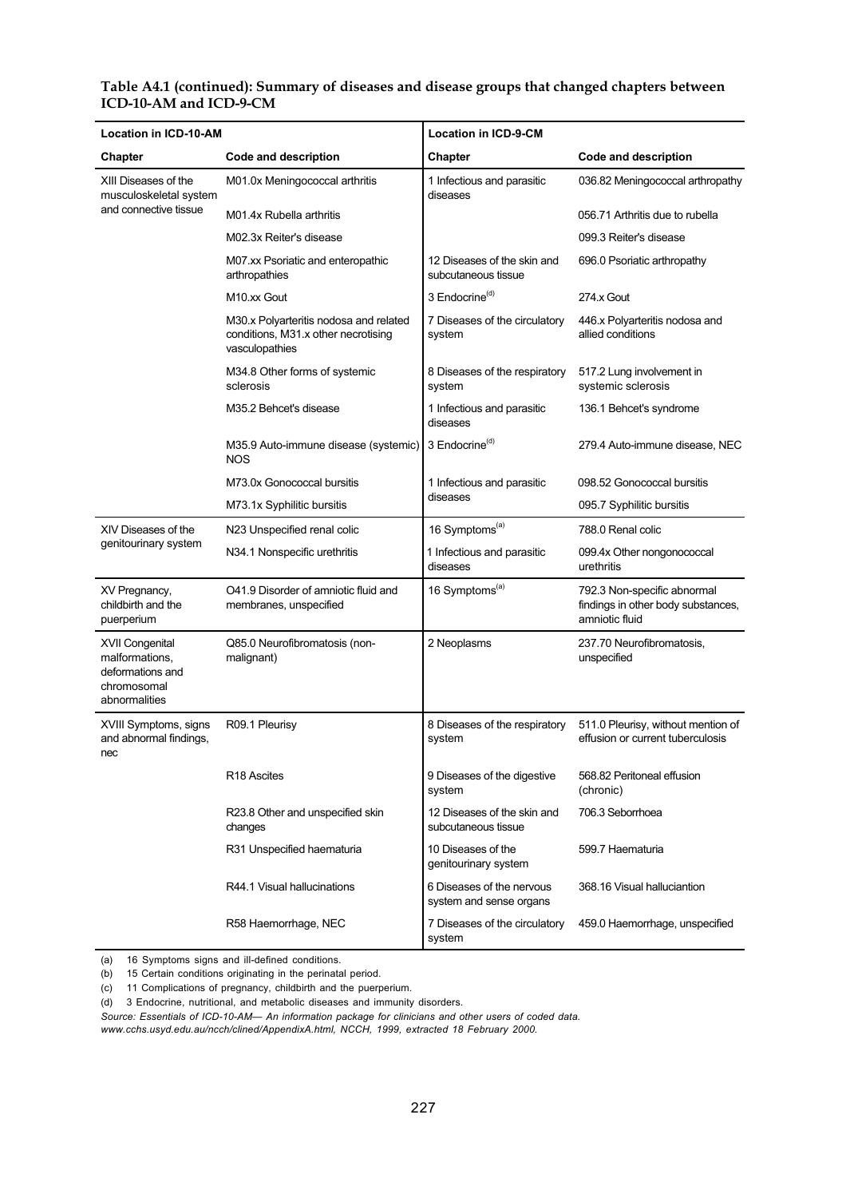#### **Table A4.1 (continued): Summary of diseases and disease groups that changed chapters between ICD-10-AM and ICD-9-CM**

| <b>Location in ICD-10-AM</b>                                                          |                                                                                                 | <b>Location in ICD-9-CM</b>                          |                                                                                     |  |  |
|---------------------------------------------------------------------------------------|-------------------------------------------------------------------------------------------------|------------------------------------------------------|-------------------------------------------------------------------------------------|--|--|
| Chapter                                                                               | <b>Code and description</b>                                                                     | Chapter                                              | Code and description                                                                |  |  |
| XIII Diseases of the<br>musculoskeletal system                                        | M01.0x Meningococcal arthritis                                                                  | 1 Infectious and parasitic<br>diseases               | 036.82 Meningococcal arthropathy                                                    |  |  |
| and connective tissue                                                                 | M01.4x Rubella arthritis                                                                        |                                                      | 056.71 Arthritis due to rubella                                                     |  |  |
|                                                                                       | M02.3x Reiter's disease                                                                         |                                                      | 099.3 Reiter's disease                                                              |  |  |
|                                                                                       | M07.xx Psoriatic and enteropathic<br>arthropathies                                              | 12 Diseases of the skin and<br>subcutaneous tissue   | 696.0 Psoriatic arthropathy                                                         |  |  |
|                                                                                       | M <sub>10.xx</sub> Gout                                                                         | 3 Endocrine <sup>(d)</sup>                           | 274.x Gout                                                                          |  |  |
|                                                                                       | M30.x Polyarteritis nodosa and related<br>conditions, M31.x other necrotising<br>vasculopathies | 7 Diseases of the circulatory<br>system              | 446.x Polyarteritis nodosa and<br>allied conditions                                 |  |  |
|                                                                                       | M34.8 Other forms of systemic<br>sclerosis                                                      | 8 Diseases of the respiratory<br>system              | 517.2 Lung involvement in<br>systemic sclerosis                                     |  |  |
|                                                                                       | M35.2 Behcet's disease                                                                          | 1 Infectious and parasitic<br>diseases               | 136.1 Behcet's syndrome                                                             |  |  |
|                                                                                       | M35.9 Auto-immune disease (systemic)<br><b>NOS</b>                                              | 3 Endocrine <sup>(d)</sup>                           | 279.4 Auto-immune disease, NEC                                                      |  |  |
|                                                                                       | M73.0x Gonococcal bursitis                                                                      | 1 Infectious and parasitic                           | 098.52 Gonococcal bursitis                                                          |  |  |
|                                                                                       | M73.1x Syphilitic bursitis                                                                      | diseases                                             | 095.7 Syphilitic bursitis                                                           |  |  |
| XIV Diseases of the                                                                   | N23 Unspecified renal colic                                                                     | 16 Symptoms <sup>(a)</sup>                           | 788.0 Renal colic                                                                   |  |  |
| genitourinary system                                                                  | N34.1 Nonspecific urethritis                                                                    | 1 Infectious and parasitic<br>diseases               | 099.4x Other nongonococcal<br>urethritis                                            |  |  |
| XV Pregnancy,<br>childbirth and the<br>puerperium                                     | O41.9 Disorder of amniotic fluid and<br>membranes, unspecified                                  | 16 Symptoms <sup>(a)</sup>                           | 792.3 Non-specific abnormal<br>findings in other body substances,<br>amniotic fluid |  |  |
| XVII Congenital<br>malformations,<br>deformations and<br>chromosomal<br>abnormalities | Q85.0 Neurofibromatosis (non-<br>malignant)                                                     | 2 Neoplasms                                          | 237.70 Neurofibromatosis,<br>unspecified                                            |  |  |
| XVIII Symptoms, signs<br>and abnormal findings,<br>nec                                | R09.1 Pleurisy                                                                                  | 8 Diseases of the respiratory<br>system              | 511.0 Pleurisy, without mention of<br>effusion or current tuberculosis              |  |  |
|                                                                                       | R <sub>18</sub> Ascites                                                                         | 9 Diseases of the digestive<br>system                | 568.82 Peritoneal effusion<br>(chronic)                                             |  |  |
|                                                                                       | R23.8 Other and unspecified skin<br>changes                                                     | 12 Diseases of the skin and<br>subcutaneous tissue   | 706.3 Seborrhoea                                                                    |  |  |
|                                                                                       | R31 Unspecified haematuria                                                                      | 10 Diseases of the<br>genitourinary system           | 599.7 Haematuria                                                                    |  |  |
|                                                                                       | R44.1 Visual hallucinations                                                                     | 6 Diseases of the nervous<br>system and sense organs | 368.16 Visual halluciantion                                                         |  |  |
|                                                                                       | R58 Haemorrhage, NEC                                                                            | 7 Diseases of the circulatory<br>system              | 459.0 Haemorrhage, unspecified                                                      |  |  |

(a) 16 Symptoms signs and ill-defined conditions.

(b) 15 Certain conditions originating in the perinatal period.

(c) 11 Complications of pregnancy, childbirth and the puerperium.

(d) 3 Endocrine, nutritional, and metabolic diseases and immunity disorders.

*Source: Essentials of ICD-10-AM— An information package for clinicians and other users of coded data.*

*www.cchs.usyd.edu.au/ncch/clined/AppendixA.html, NCCH, 1999, extracted 18 February 2000.*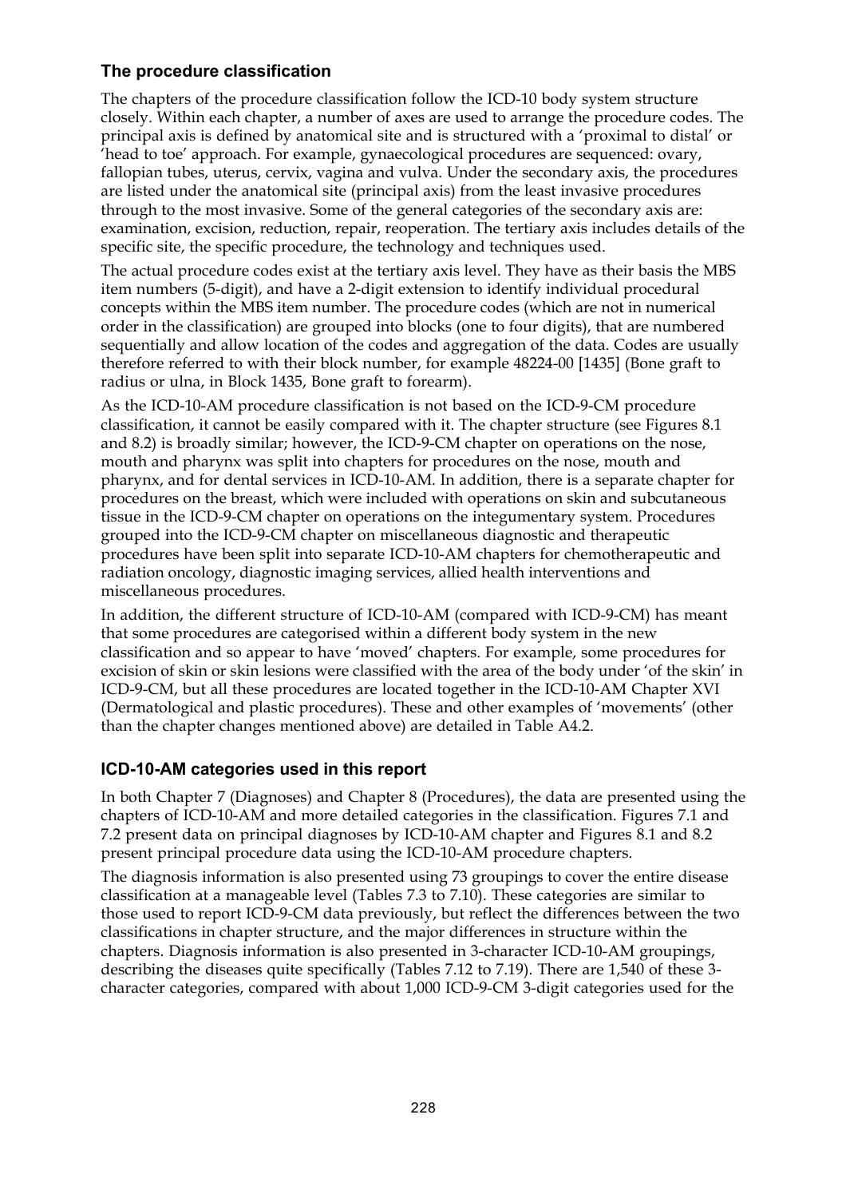#### **The procedure classification**

The chapters of the procedure classification follow the ICD-10 body system structure closely. Within each chapter, a number of axes are used to arrange the procedure codes. The principal axis is defined by anatomical site and is structured with a 'proximal to distal' or 'head to toe' approach. For example, gynaecological procedures are sequenced: ovary, fallopian tubes, uterus, cervix, vagina and vulva. Under the secondary axis, the procedures are listed under the anatomical site (principal axis) from the least invasive procedures through to the most invasive. Some of the general categories of the secondary axis are: examination, excision, reduction, repair, reoperation. The tertiary axis includes details of the specific site, the specific procedure, the technology and techniques used.

The actual procedure codes exist at the tertiary axis level. They have as their basis the MBS item numbers (5-digit), and have a 2-digit extension to identify individual procedural concepts within the MBS item number. The procedure codes (which are not in numerical order in the classification) are grouped into blocks (one to four digits), that are numbered sequentially and allow location of the codes and aggregation of the data. Codes are usually therefore referred to with their block number, for example 48224-00 [1435] (Bone graft to radius or ulna, in Block 1435, Bone graft to forearm).

As the ICD-10-AM procedure classification is not based on the ICD-9-CM procedure classification, it cannot be easily compared with it. The chapter structure (see Figures 8.1 and 8.2) is broadly similar; however, the ICD-9-CM chapter on operations on the nose, mouth and pharynx was split into chapters for procedures on the nose, mouth and pharynx, and for dental services in ICD-10-AM. In addition, there is a separate chapter for procedures on the breast, which were included with operations on skin and subcutaneous tissue in the ICD-9-CM chapter on operations on the integumentary system. Procedures grouped into the ICD-9-CM chapter on miscellaneous diagnostic and therapeutic procedures have been split into separate ICD-10-AM chapters for chemotherapeutic and radiation oncology, diagnostic imaging services, allied health interventions and miscellaneous procedures.

In addition, the different structure of ICD-10-AM (compared with ICD-9-CM) has meant that some procedures are categorised within a different body system in the new classification and so appear to have 'moved' chapters. For example, some procedures for excision of skin or skin lesions were classified with the area of the body under 'of the skin' in ICD-9-CM, but all these procedures are located together in the ICD-10-AM Chapter XVI (Dermatological and plastic procedures). These and other examples of 'movements' (other than the chapter changes mentioned above) are detailed in Table A4.2.

### **ICD-10-AM categories used in this report**

In both Chapter 7 (Diagnoses) and Chapter 8 (Procedures), the data are presented using the chapters of ICD-10-AM and more detailed categories in the classification. Figures 7.1 and 7.2 present data on principal diagnoses by ICD-10-AM chapter and Figures 8.1 and 8.2 present principal procedure data using the ICD-10-AM procedure chapters.

The diagnosis information is also presented using 73 groupings to cover the entire disease classification at a manageable level (Tables 7.3 to 7.10). These categories are similar to those used to report ICD-9-CM data previously, but reflect the differences between the two classifications in chapter structure, and the major differences in structure within the chapters. Diagnosis information is also presented in 3-character ICD-10-AM groupings, describing the diseases quite specifically (Tables 7.12 to 7.19). There are 1,540 of these 3 character categories, compared with about 1,000 ICD-9-CM 3-digit categories used for the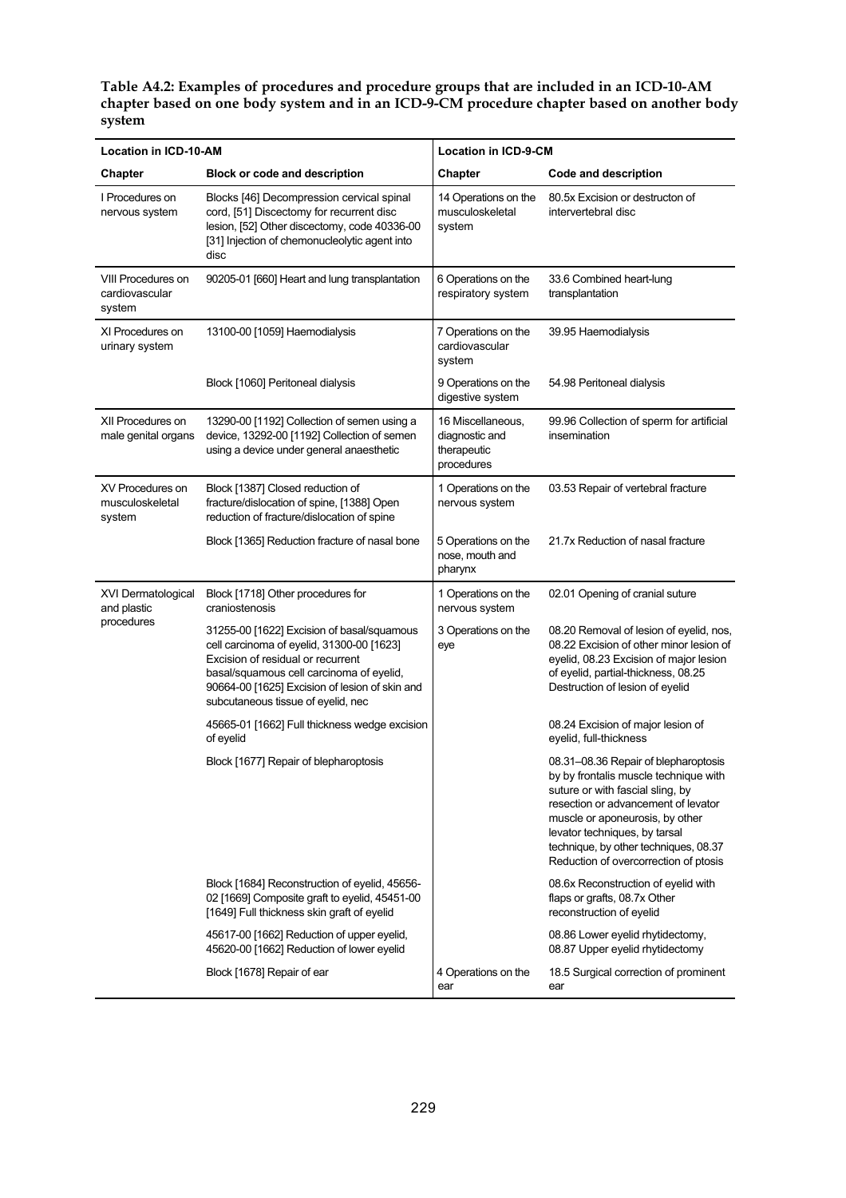**Table A4.2: Examples of procedures and procedure groups that are included in an ICD-10-AM chapter based on one body system and in an ICD-9-CM procedure chapter based on another body system**

| <b>Location in ICD-10-AM</b>                   |                                                                                                                                                                                                                                                                  | <b>Location in ICD-9-CM</b>                                      |                                                                                                                                                                                                                                                                                                                |  |
|------------------------------------------------|------------------------------------------------------------------------------------------------------------------------------------------------------------------------------------------------------------------------------------------------------------------|------------------------------------------------------------------|----------------------------------------------------------------------------------------------------------------------------------------------------------------------------------------------------------------------------------------------------------------------------------------------------------------|--|
| Block or code and description<br>Chapter       |                                                                                                                                                                                                                                                                  | Chapter<br>Code and description                                  |                                                                                                                                                                                                                                                                                                                |  |
| I Procedures on<br>nervous system              | Blocks [46] Decompression cervical spinal<br>cord, [51] Discectomy for recurrent disc<br>lesion, [52] Other discectomy, code 40336-00<br>[31] Injection of chemonucleolytic agent into<br>disc                                                                   | 14 Operations on the<br>musculoskeletal<br>system                | 80.5x Excision or destructon of<br>intervertebral disc                                                                                                                                                                                                                                                         |  |
| VIII Procedures on<br>cardiovascular<br>system | 90205-01 [660] Heart and lung transplantation                                                                                                                                                                                                                    | 6 Operations on the<br>respiratory system                        | 33.6 Combined heart-lung<br>transplantation                                                                                                                                                                                                                                                                    |  |
| XI Procedures on<br>urinary system             | 13100-00 [1059] Haemodialysis                                                                                                                                                                                                                                    | 7 Operations on the<br>cardiovascular<br>system                  | 39.95 Haemodialysis                                                                                                                                                                                                                                                                                            |  |
|                                                | Block [1060] Peritoneal dialysis                                                                                                                                                                                                                                 | 9 Operations on the<br>digestive system                          | 54.98 Peritoneal dialysis                                                                                                                                                                                                                                                                                      |  |
| XII Procedures on<br>male genital organs       | 13290-00 [1192] Collection of semen using a<br>device, 13292-00 [1192] Collection of semen<br>using a device under general anaesthetic                                                                                                                           | 16 Miscellaneous,<br>diagnostic and<br>therapeutic<br>procedures | 99.96 Collection of sperm for artificial<br>insemination                                                                                                                                                                                                                                                       |  |
| XV Procedures on<br>musculoskeletal<br>system  | Block [1387] Closed reduction of<br>fracture/dislocation of spine, [1388] Open<br>reduction of fracture/dislocation of spine                                                                                                                                     | 1 Operations on the<br>nervous system                            | 03.53 Repair of vertebral fracture                                                                                                                                                                                                                                                                             |  |
|                                                | Block [1365] Reduction fracture of nasal bone                                                                                                                                                                                                                    | 5 Operations on the<br>nose, mouth and<br>pharynx                | 21.7x Reduction of nasal fracture                                                                                                                                                                                                                                                                              |  |
| XVI Dermatological<br>and plastic              | Block [1718] Other procedures for<br>craniostenosis                                                                                                                                                                                                              | 1 Operations on the<br>nervous system                            | 02.01 Opening of cranial suture                                                                                                                                                                                                                                                                                |  |
| procedures                                     | 31255-00 [1622] Excision of basal/squamous<br>cell carcinoma of eyelid, 31300-00 [1623]<br>Excision of residual or recurrent<br>basal/squamous cell carcinoma of eyelid,<br>90664-00 [1625] Excision of lesion of skin and<br>subcutaneous tissue of eyelid, nec | 3 Operations on the<br>eye                                       | 08.20 Removal of lesion of eyelid, nos,<br>08.22 Excision of other minor lesion of<br>eyelid, 08.23 Excision of major lesion<br>of eyelid, partial-thickness, 08.25<br>Destruction of lesion of eyelid                                                                                                         |  |
|                                                | 45665-01 [1662] Full thickness wedge excision<br>of eyelid                                                                                                                                                                                                       |                                                                  | 08.24 Excision of major lesion of<br>eyelid, full-thickness                                                                                                                                                                                                                                                    |  |
|                                                | Block [1677] Repair of blepharoptosis                                                                                                                                                                                                                            |                                                                  | 08.31-08.36 Repair of blepharoptosis<br>by by frontalis muscle technique with<br>suture or with fascial sling, by<br>resection or advancement of levator<br>muscle or aponeurosis, by other<br>levator techniques, by tarsal<br>technique, by other techniques, 08.37<br>Reduction of overcorrection of ptosis |  |
|                                                | Block [1684] Reconstruction of eyelid, 45656-<br>02 [1669] Composite graft to eyelid, 45451-00<br>[1649] Full thickness skin graft of eyelid                                                                                                                     |                                                                  | 08.6x Reconstruction of eyelid with<br>flaps or grafts, 08.7x Other<br>reconstruction of eyelid                                                                                                                                                                                                                |  |
|                                                | 45617-00 [1662] Reduction of upper eyelid,<br>45620-00 [1662] Reduction of lower eyelid                                                                                                                                                                          |                                                                  | 08.86 Lower eyelid rhytidectomy,<br>08.87 Upper eyelid rhytidectomy                                                                                                                                                                                                                                            |  |
|                                                | Block [1678] Repair of ear                                                                                                                                                                                                                                       | 4 Operations on the<br>ear                                       | 18.5 Surgical correction of prominent<br>ear                                                                                                                                                                                                                                                                   |  |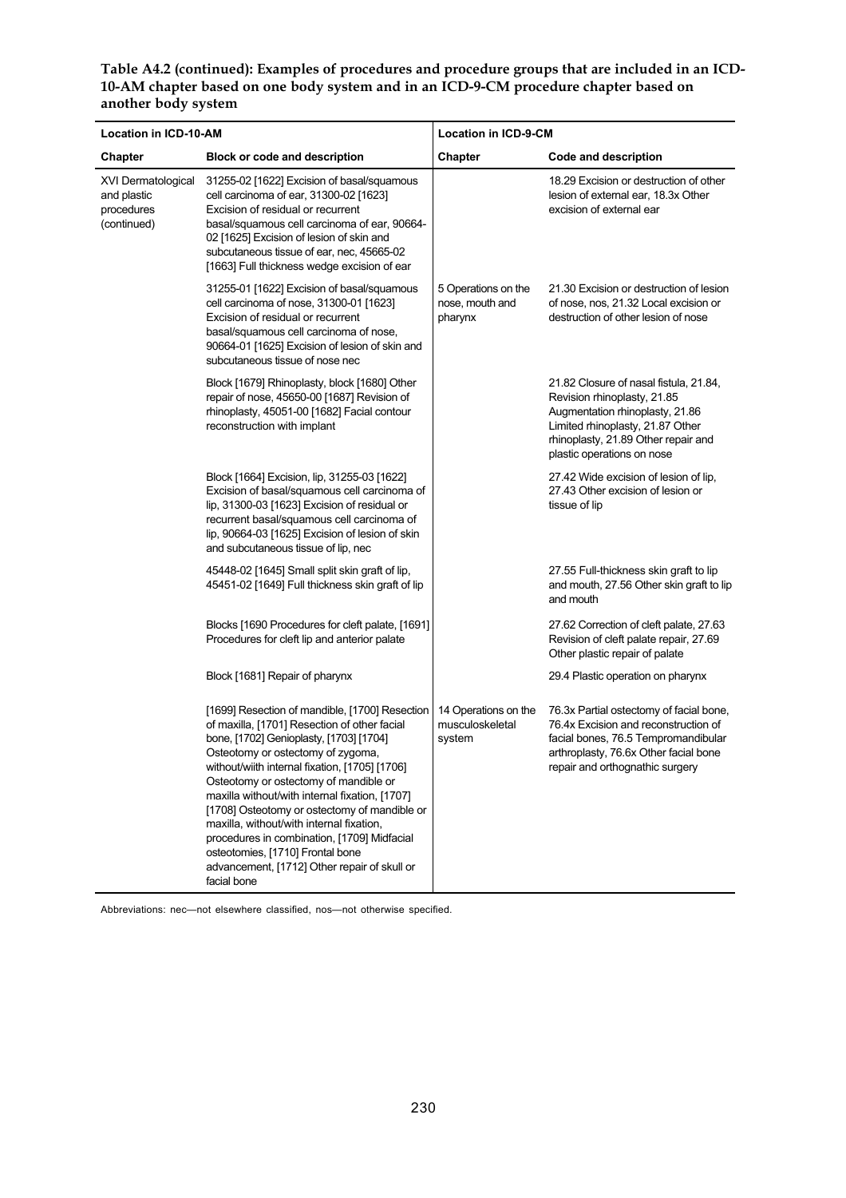**Table A4.2 (continued): Examples of procedures and procedure groups that are included in an ICD-10-AM chapter based on one body system and in an ICD-9-CM procedure chapter based on another body system**

| <b>Location in ICD-10-AM</b>                                   |                                                                                                                                                                                                                                                                                                                                                                                                                                                                                                                                                                           | <b>Location in ICD-9-CM</b>                       |                                                                                                                                                                                                                   |  |
|----------------------------------------------------------------|---------------------------------------------------------------------------------------------------------------------------------------------------------------------------------------------------------------------------------------------------------------------------------------------------------------------------------------------------------------------------------------------------------------------------------------------------------------------------------------------------------------------------------------------------------------------------|---------------------------------------------------|-------------------------------------------------------------------------------------------------------------------------------------------------------------------------------------------------------------------|--|
| Chapter                                                        | <b>Block or code and description</b>                                                                                                                                                                                                                                                                                                                                                                                                                                                                                                                                      | Chapter                                           | Code and description                                                                                                                                                                                              |  |
| XVI Dermatological<br>and plastic<br>procedures<br>(continued) | 31255-02 [1622] Excision of basal/squamous<br>cell carcinoma of ear, 31300-02 [1623]<br>Excision of residual or recurrent<br>basal/squamous cell carcinoma of ear, 90664-<br>02 [1625] Excision of lesion of skin and<br>subcutaneous tissue of ear, nec, 45665-02<br>[1663] Full thickness wedge excision of ear                                                                                                                                                                                                                                                         |                                                   | 18.29 Excision or destruction of other<br>lesion of external ear, 18.3x Other<br>excision of external ear                                                                                                         |  |
|                                                                | 31255-01 [1622] Excision of basal/squamous<br>cell carcinoma of nose, 31300-01 [1623]<br>Excision of residual or recurrent<br>basal/squamous cell carcinoma of nose,<br>90664-01 [1625] Excision of lesion of skin and<br>subcutaneous tissue of nose nec                                                                                                                                                                                                                                                                                                                 | 5 Operations on the<br>nose, mouth and<br>pharynx | 21.30 Excision or destruction of lesion<br>of nose, nos, 21.32 Local excision or<br>destruction of other lesion of nose                                                                                           |  |
|                                                                | Block [1679] Rhinoplasty, block [1680] Other<br>repair of nose, 45650-00 [1687] Revision of<br>rhinoplasty, 45051-00 [1682] Facial contour<br>reconstruction with implant                                                                                                                                                                                                                                                                                                                                                                                                 |                                                   | 21.82 Closure of nasal fistula, 21.84,<br>Revision rhinoplasty, 21.85<br>Augmentation rhinoplasty, 21.86<br>Limited rhinoplasty, 21.87 Other<br>rhinoplasty, 21.89 Other repair and<br>plastic operations on nose |  |
|                                                                | Block [1664] Excision, lip, 31255-03 [1622]<br>Excision of basal/squamous cell carcinoma of<br>lip, 31300-03 [1623] Excision of residual or<br>recurrent basal/squamous cell carcinoma of<br>lip, 90664-03 [1625] Excision of lesion of skin<br>and subcutaneous tissue of lip, nec                                                                                                                                                                                                                                                                                       |                                                   | 27.42 Wide excision of lesion of lip.<br>27.43 Other excision of lesion or<br>tissue of lip                                                                                                                       |  |
|                                                                | 45448-02 [1645] Small split skin graft of lip,<br>45451-02 [1649] Full thickness skin graft of lip                                                                                                                                                                                                                                                                                                                                                                                                                                                                        |                                                   | 27.55 Full-thickness skin graft to lip<br>and mouth, 27.56 Other skin graft to lip<br>and mouth                                                                                                                   |  |
|                                                                | Blocks [1690 Procedures for cleft palate, [1691]<br>Procedures for cleft lip and anterior palate                                                                                                                                                                                                                                                                                                                                                                                                                                                                          |                                                   | 27.62 Correction of cleft palate, 27.63<br>Revision of cleft palate repair, 27.69<br>Other plastic repair of palate                                                                                               |  |
|                                                                | Block [1681] Repair of pharynx                                                                                                                                                                                                                                                                                                                                                                                                                                                                                                                                            |                                                   | 29.4 Plastic operation on pharynx                                                                                                                                                                                 |  |
|                                                                | [1699] Resection of mandible, [1700] Resection<br>of maxilla, [1701] Resection of other facial<br>bone, [1702] Genioplasty, [1703] [1704]<br>Osteotomy or ostectomy of zygoma,<br>without/wiith internal fixation, [1705] [1706]<br>Osteotomy or ostectomy of mandible or<br>maxilla without/with internal fixation, [1707]<br>[1708] Osteotomy or ostectomy of mandible or<br>maxilla, without/with internal fixation,<br>procedures in combination, [1709] Midfacial<br>osteotomies, [1710] Frontal bone<br>advancement, [1712] Other repair of skull or<br>facial bone | 14 Operations on the<br>musculoskeletal<br>system | 76.3x Partial ostectomy of facial bone,<br>76.4x Excision and reconstruction of<br>facial bones, 76.5 Tempromandibular<br>arthroplasty, 76.6x Other facial bone<br>repair and orthognathic surgery                |  |

Abbreviations: nec—not elsewhere classified, nos—not otherwise specified.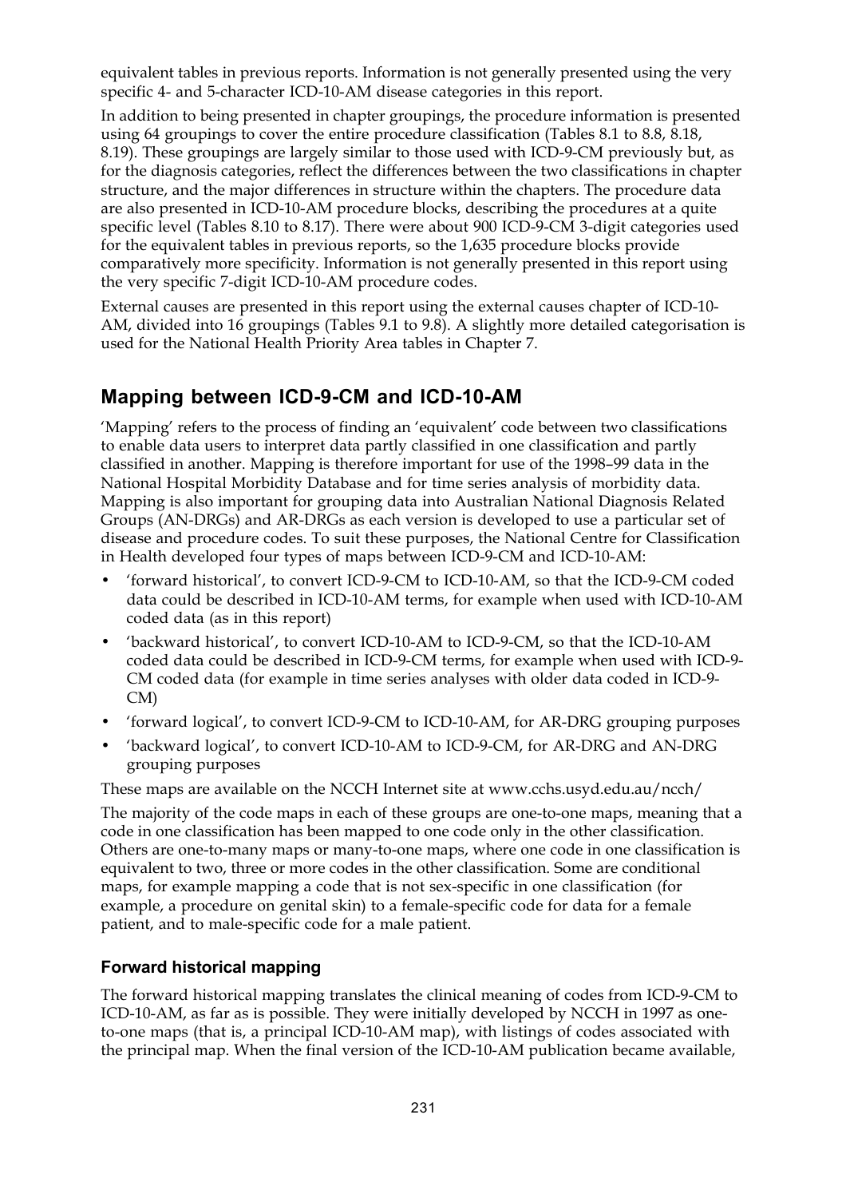equivalent tables in previous reports. Information is not generally presented using the very specific 4- and 5-character ICD-10-AM disease categories in this report.

In addition to being presented in chapter groupings, the procedure information is presented using 64 groupings to cover the entire procedure classification (Tables 8.1 to 8.8, 8.18, 8.19). These groupings are largely similar to those used with ICD-9-CM previously but, as for the diagnosis categories, reflect the differences between the two classifications in chapter structure, and the major differences in structure within the chapters. The procedure data are also presented in ICD-10-AM procedure blocks, describing the procedures at a quite specific level (Tables 8.10 to 8.17). There were about 900 ICD-9-CM 3-digit categories used for the equivalent tables in previous reports, so the 1,635 procedure blocks provide comparatively more specificity. Information is not generally presented in this report using the very specific 7-digit ICD-10-AM procedure codes.

External causes are presented in this report using the external causes chapter of ICD-10- AM, divided into 16 groupings (Tables 9.1 to 9.8). A slightly more detailed categorisation is used for the National Health Priority Area tables in Chapter 7.

### **Mapping between ICD-9-CM and ICD-10-AM**

'Mapping' refers to the process of finding an 'equivalent' code between two classifications to enable data users to interpret data partly classified in one classification and partly classified in another. Mapping is therefore important for use of the 1998–99 data in the National Hospital Morbidity Database and for time series analysis of morbidity data. Mapping is also important for grouping data into Australian National Diagnosis Related Groups (AN-DRGs) and AR-DRGs as each version is developed to use a particular set of disease and procedure codes. To suit these purposes, the National Centre for Classification in Health developed four types of maps between ICD-9-CM and ICD-10-AM:

- 'forward historical', to convert ICD-9-CM to ICD-10-AM, so that the ICD-9-CM coded data could be described in ICD-10-AM terms, for example when used with ICD-10-AM coded data (as in this report)
- 'backward historical', to convert ICD-10-AM to ICD-9-CM, so that the ICD-10-AM coded data could be described in ICD-9-CM terms, for example when used with ICD-9- CM coded data (for example in time series analyses with older data coded in ICD-9- CM)
- 'forward logical', to convert ICD-9-CM to ICD-10-AM, for AR-DRG grouping purposes
- 'backward logical', to convert ICD-10-AM to ICD-9-CM, for AR-DRG and AN-DRG grouping purposes

These maps are available on the NCCH Internet site at www.cchs.usyd.edu.au/ncch/

The majority of the code maps in each of these groups are one-to-one maps, meaning that a code in one classification has been mapped to one code only in the other classification. Others are one-to-many maps or many-to-one maps, where one code in one classification is equivalent to two, three or more codes in the other classification. Some are conditional maps, for example mapping a code that is not sex-specific in one classification (for example, a procedure on genital skin) to a female-specific code for data for a female patient, and to male-specific code for a male patient.

#### **Forward historical mapping**

The forward historical mapping translates the clinical meaning of codes from ICD-9-CM to ICD-10-AM, as far as is possible. They were initially developed by NCCH in 1997 as oneto-one maps (that is, a principal ICD-10-AM map), with listings of codes associated with the principal map. When the final version of the ICD-10-AM publication became available,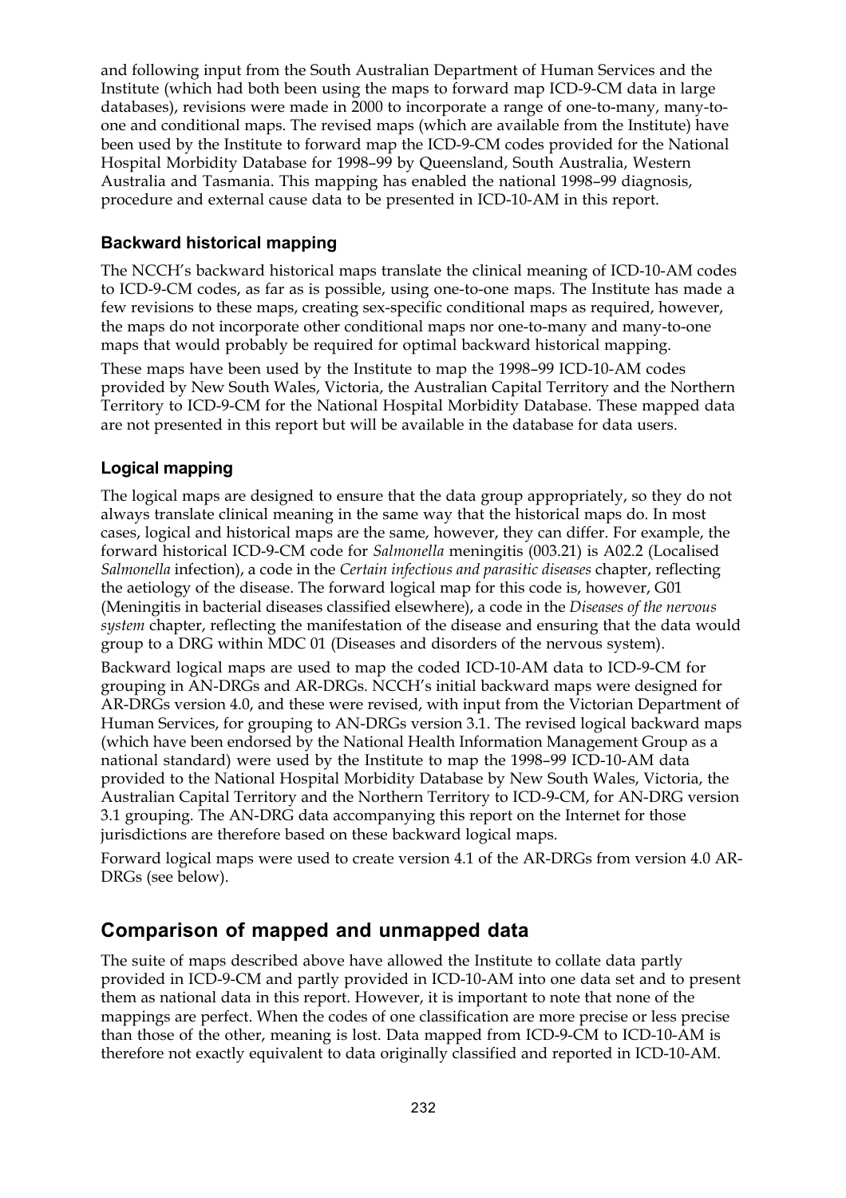and following input from the South Australian Department of Human Services and the Institute (which had both been using the maps to forward map ICD-9-CM data in large databases), revisions were made in 2000 to incorporate a range of one-to-many, many-toone and conditional maps. The revised maps (which are available from the Institute) have been used by the Institute to forward map the ICD-9-CM codes provided for the National Hospital Morbidity Database for 1998–99 by Queensland, South Australia, Western Australia and Tasmania. This mapping has enabled the national 1998–99 diagnosis, procedure and external cause data to be presented in ICD-10-AM in this report.

#### **Backward historical mapping**

The NCCH's backward historical maps translate the clinical meaning of ICD-10-AM codes to ICD-9-CM codes, as far as is possible, using one-to-one maps. The Institute has made a few revisions to these maps, creating sex-specific conditional maps as required, however, the maps do not incorporate other conditional maps nor one-to-many and many-to-one maps that would probably be required for optimal backward historical mapping.

These maps have been used by the Institute to map the 1998–99 ICD-10-AM codes provided by New South Wales, Victoria, the Australian Capital Territory and the Northern Territory to ICD-9-CM for the National Hospital Morbidity Database. These mapped data are not presented in this report but will be available in the database for data users.

#### **Logical mapping**

The logical maps are designed to ensure that the data group appropriately, so they do not always translate clinical meaning in the same way that the historical maps do. In most cases, logical and historical maps are the same, however, they can differ. For example, the forward historical ICD-9-CM code for *Salmonella* meningitis (003.21) is A02.2 (Localised *Salmonella* infection), a code in the *Certain infectious and parasitic diseases* chapter, reflecting the aetiology of the disease. The forward logical map for this code is, however, G01 (Meningitis in bacterial diseases classified elsewhere), a code in the *Diseases of the nervous system* chapter, reflecting the manifestation of the disease and ensuring that the data would group to a DRG within MDC 01 (Diseases and disorders of the nervous system).

Backward logical maps are used to map the coded ICD-10-AM data to ICD-9-CM for grouping in AN-DRGs and AR-DRGs. NCCH's initial backward maps were designed for AR-DRGs version 4.0, and these were revised, with input from the Victorian Department of Human Services, for grouping to AN-DRGs version 3.1. The revised logical backward maps (which have been endorsed by the National Health Information Management Group as a national standard) were used by the Institute to map the 1998–99 ICD-10-AM data provided to the National Hospital Morbidity Database by New South Wales, Victoria, the Australian Capital Territory and the Northern Territory to ICD-9-CM, for AN-DRG version 3.1 grouping. The AN-DRG data accompanying this report on the Internet for those jurisdictions are therefore based on these backward logical maps.

Forward logical maps were used to create version 4.1 of the AR-DRGs from version 4.0 AR-DRGs (see below).

### **Comparison of mapped and unmapped data**

The suite of maps described above have allowed the Institute to collate data partly provided in ICD-9-CM and partly provided in ICD-10-AM into one data set and to present them as national data in this report. However, it is important to note that none of the mappings are perfect. When the codes of one classification are more precise or less precise than those of the other, meaning is lost. Data mapped from ICD-9-CM to ICD-10-AM is therefore not exactly equivalent to data originally classified and reported in ICD-10-AM.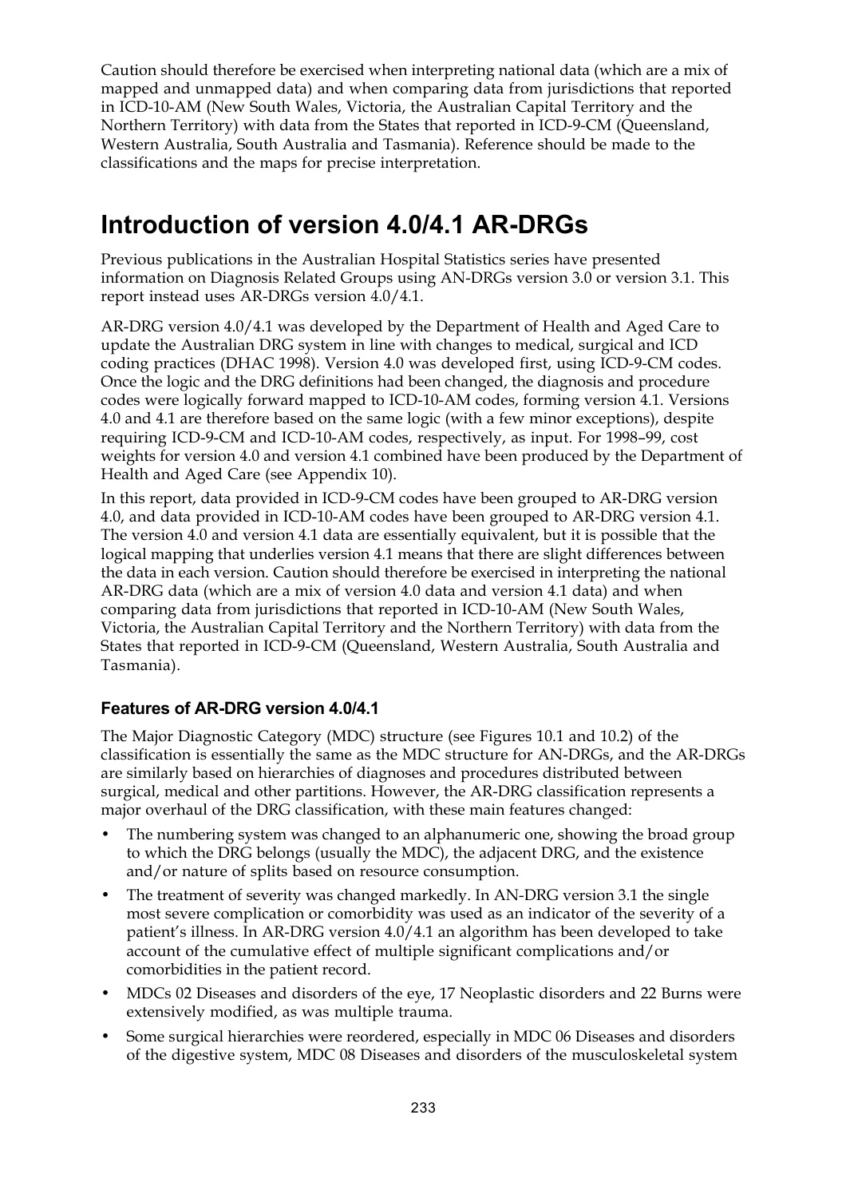Caution should therefore be exercised when interpreting national data (which are a mix of mapped and unmapped data) and when comparing data from jurisdictions that reported in ICD-10-AM (New South Wales, Victoria, the Australian Capital Territory and the Northern Territory) with data from the States that reported in ICD-9-CM (Queensland, Western Australia, South Australia and Tasmania). Reference should be made to the classifications and the maps for precise interpretation.

## **Introduction of version 4.0/4.1 AR-DRGs**

Previous publications in the Australian Hospital Statistics series have presented information on Diagnosis Related Groups using AN-DRGs version 3.0 or version 3.1. This report instead uses AR-DRGs version 4.0/4.1.

AR-DRG version 4.0/4.1 was developed by the Department of Health and Aged Care to update the Australian DRG system in line with changes to medical, surgical and ICD coding practices (DHAC 1998). Version 4.0 was developed first, using ICD-9-CM codes. Once the logic and the DRG definitions had been changed, the diagnosis and procedure codes were logically forward mapped to ICD-10-AM codes, forming version 4.1. Versions 4.0 and 4.1 are therefore based on the same logic (with a few minor exceptions), despite requiring ICD-9-CM and ICD-10-AM codes, respectively, as input. For 1998–99, cost weights for version 4.0 and version 4.1 combined have been produced by the Department of Health and Aged Care (see Appendix 10).

In this report, data provided in ICD-9-CM codes have been grouped to AR-DRG version 4.0, and data provided in ICD-10-AM codes have been grouped to AR-DRG version 4.1. The version 4.0 and version 4.1 data are essentially equivalent, but it is possible that the logical mapping that underlies version 4.1 means that there are slight differences between the data in each version. Caution should therefore be exercised in interpreting the national AR-DRG data (which are a mix of version 4.0 data and version 4.1 data) and when comparing data from jurisdictions that reported in ICD-10-AM (New South Wales, Victoria, the Australian Capital Territory and the Northern Territory) with data from the States that reported in ICD-9-CM (Queensland, Western Australia, South Australia and Tasmania).

### **Features of AR-DRG version 4.0/4.1**

The Major Diagnostic Category (MDC) structure (see Figures 10.1 and 10.2) of the classification is essentially the same as the MDC structure for AN-DRGs, and the AR-DRGs are similarly based on hierarchies of diagnoses and procedures distributed between surgical, medical and other partitions. However, the AR-DRG classification represents a major overhaul of the DRG classification, with these main features changed:

- The numbering system was changed to an alphanumeric one, showing the broad group to which the DRG belongs (usually the MDC), the adjacent DRG, and the existence and/or nature of splits based on resource consumption.
- The treatment of severity was changed markedly. In AN-DRG version 3.1 the single most severe complication or comorbidity was used as an indicator of the severity of a patient's illness. In AR-DRG version 4.0/4.1 an algorithm has been developed to take account of the cumulative effect of multiple significant complications and/or comorbidities in the patient record.
- MDCs 02 Diseases and disorders of the eye, 17 Neoplastic disorders and 22 Burns were extensively modified, as was multiple trauma.
- Some surgical hierarchies were reordered, especially in MDC 06 Diseases and disorders of the digestive system, MDC 08 Diseases and disorders of the musculoskeletal system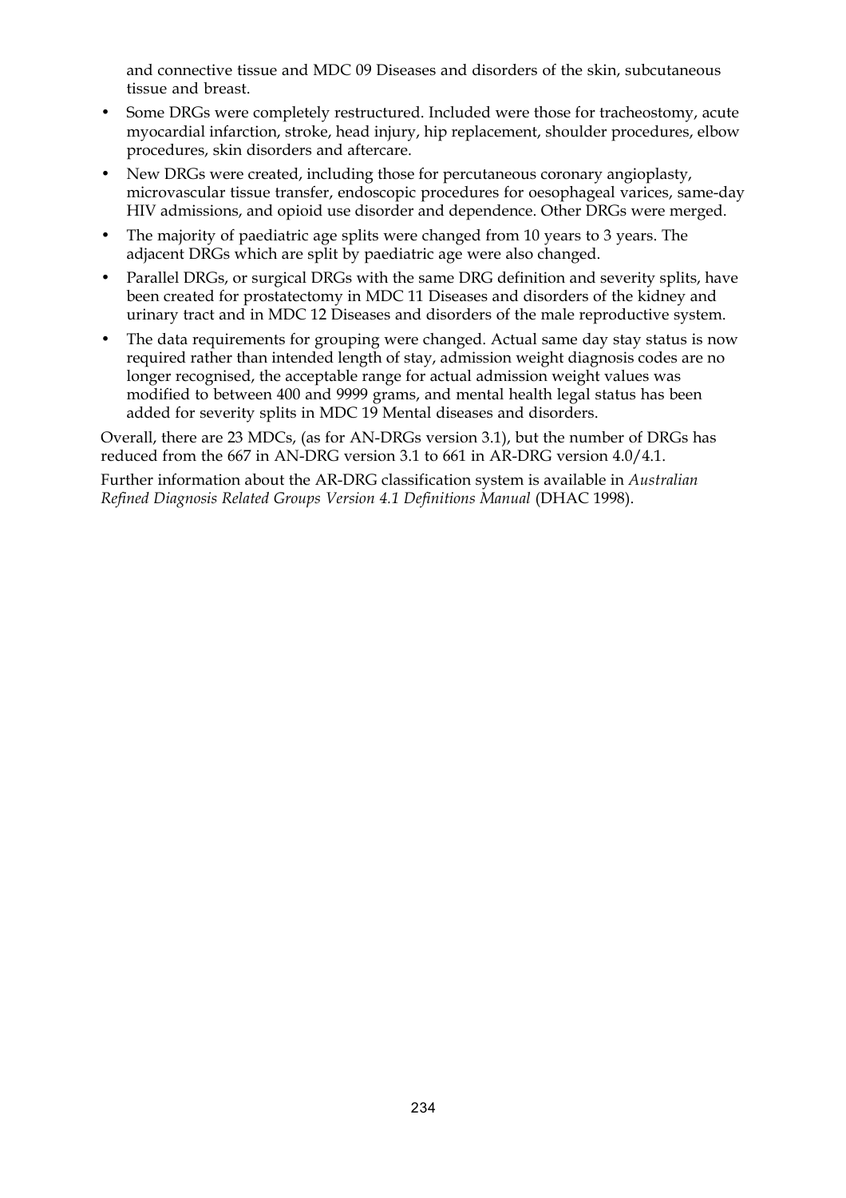and connective tissue and MDC 09 Diseases and disorders of the skin, subcutaneous tissue and breast.

- Some DRGs were completely restructured. Included were those for tracheostomy, acute myocardial infarction, stroke, head injury, hip replacement, shoulder procedures, elbow procedures, skin disorders and aftercare.
- New DRGs were created, including those for percutaneous coronary angioplasty, microvascular tissue transfer, endoscopic procedures for oesophageal varices, same-day HIV admissions, and opioid use disorder and dependence. Other DRGs were merged.
- The majority of paediatric age splits were changed from 10 years to 3 years. The adjacent DRGs which are split by paediatric age were also changed.
- Parallel DRGs, or surgical DRGs with the same DRG definition and severity splits, have been created for prostatectomy in MDC 11 Diseases and disorders of the kidney and urinary tract and in MDC 12 Diseases and disorders of the male reproductive system.
- The data requirements for grouping were changed. Actual same day stay status is now required rather than intended length of stay, admission weight diagnosis codes are no longer recognised, the acceptable range for actual admission weight values was modified to between 400 and 9999 grams, and mental health legal status has been added for severity splits in MDC 19 Mental diseases and disorders.

Overall, there are 23 MDCs, (as for AN-DRGs version 3.1), but the number of DRGs has reduced from the 667 in AN-DRG version 3.1 to 661 in AR-DRG version 4.0/4.1.

Further information about the AR-DRG classification system is available in *Australian Refined Diagnosis Related Groups Version 4.1 Definitions Manual* (DHAC 1998).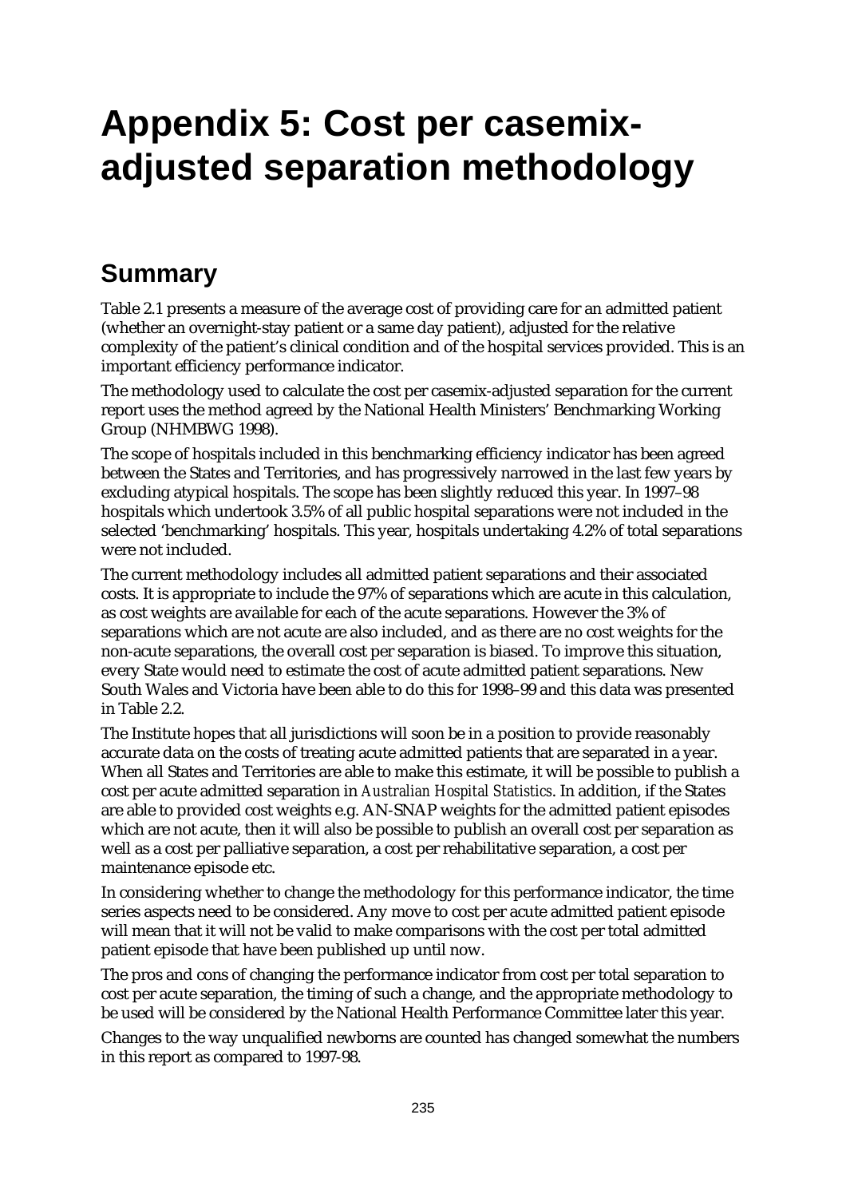## **Appendix 5: Cost per casemixadjusted separation methodology**

## **Summary**

Table 2.1 presents a measure of the average cost of providing care for an admitted patient (whether an overnight-stay patient or a same day patient), adjusted for the relative complexity of the patient's clinical condition and of the hospital services provided. This is an important efficiency performance indicator.

The methodology used to calculate the cost per casemix-adjusted separation for the current report uses the method agreed by the National Health Ministers' Benchmarking Working Group (NHMBWG 1998).

The scope of hospitals included in this benchmarking efficiency indicator has been agreed between the States and Territories, and has progressively narrowed in the last few years by excluding atypical hospitals. The scope has been slightly reduced this year. In 1997–98 hospitals which undertook 3.5% of all public hospital separations were not included in the selected 'benchmarking' hospitals. This year, hospitals undertaking 4.2% of total separations were not included.

The current methodology includes all admitted patient separations and their associated costs. It is appropriate to include the 97% of separations which are acute in this calculation, as cost weights are available for each of the acute separations. However the 3% of separations which are not acute are also included, and as there are no cost weights for the non-acute separations, the overall cost per separation is biased. To improve this situation, every State would need to estimate the cost of acute admitted patient separations. New South Wales and Victoria have been able to do this for 1998–99 and this data was presented in Table 2.2.

The Institute hopes that all jurisdictions will soon be in a position to provide reasonably accurate data on the costs of treating acute admitted patients that are separated in a year. When all States and Territories are able to make this estimate, it will be possible to publish a cost per acute admitted separation in *Australian Hospital Statistics*. In addition, if the States are able to provided cost weights e.g. AN-SNAP weights for the admitted patient episodes which are not acute, then it will also be possible to publish an overall cost per separation as well as a cost per palliative separation, a cost per rehabilitative separation, a cost per maintenance episode etc.

In considering whether to change the methodology for this performance indicator, the time series aspects need to be considered. Any move to cost per acute admitted patient episode will mean that it will not be valid to make comparisons with the cost per total admitted patient episode that have been published up until now.

The pros and cons of changing the performance indicator from cost per total separation to cost per acute separation, the timing of such a change, and the appropriate methodology to be used will be considered by the National Health Performance Committee later this year.

Changes to the way unqualified newborns are counted has changed somewhat the numbers in this report as compared to 1997-98.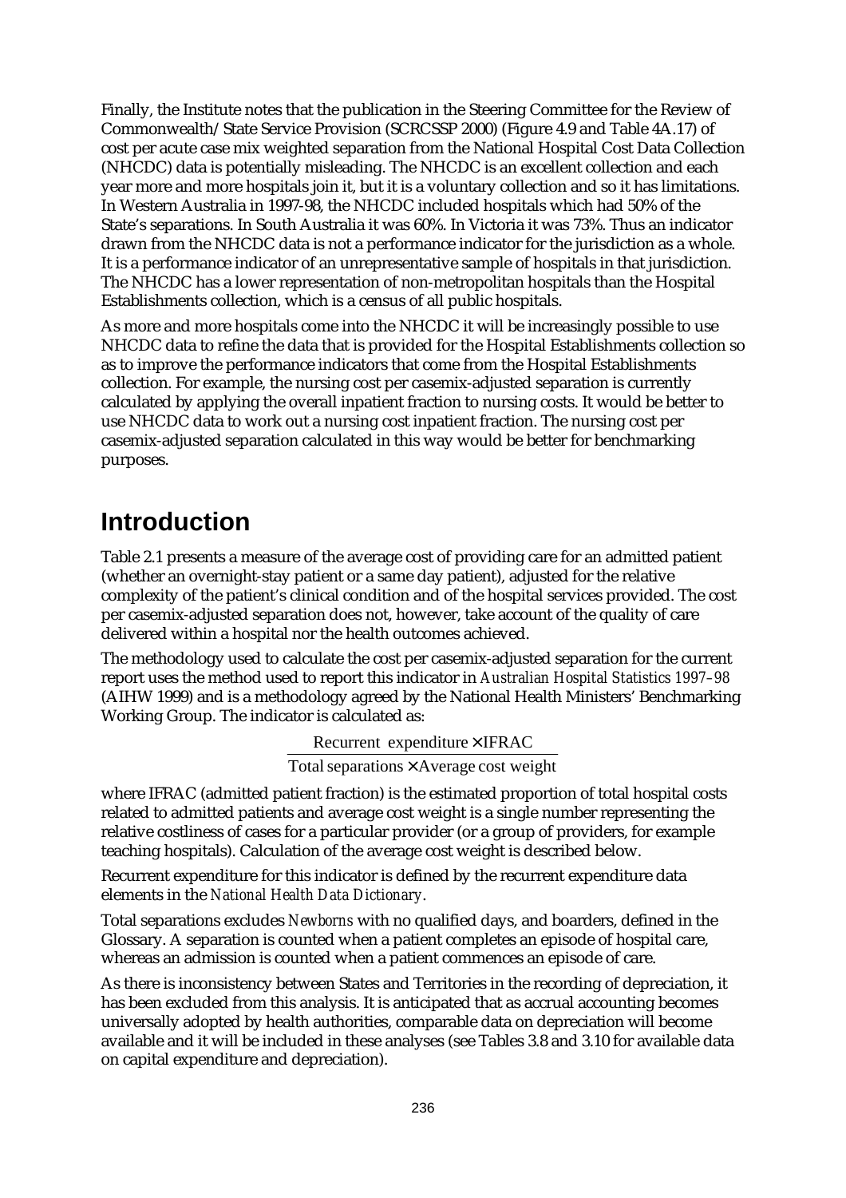Finally, the Institute notes that the publication in the Steering Committee for the Review of Commonwealth/State Service Provision (SCRCSSP 2000) (Figure 4.9 and Table 4A.17) of cost per acute case mix weighted separation from the National Hospital Cost Data Collection (NHCDC) data is potentially misleading. The NHCDC is an excellent collection and each year more and more hospitals join it, but it is a voluntary collection and so it has limitations. In Western Australia in 1997-98, the NHCDC included hospitals which had 50% of the State's separations. In South Australia it was 60%. In Victoria it was 73%. Thus an indicator drawn from the NHCDC data is not a performance indicator for the jurisdiction as a whole. It is a performance indicator of an unrepresentative sample of hospitals in that jurisdiction. The NHCDC has a lower representation of non-metropolitan hospitals than the Hospital Establishments collection, which is a census of all public hospitals.

As more and more hospitals come into the NHCDC it will be increasingly possible to use NHCDC data to refine the data that is provided for the Hospital Establishments collection so as to improve the performance indicators that come from the Hospital Establishments collection. For example, the nursing cost per casemix-adjusted separation is currently calculated by applying the overall inpatient fraction to nursing costs. It would be better to use NHCDC data to work out a nursing cost inpatient fraction. The nursing cost per casemix-adjusted separation calculated in this way would be better for benchmarking purposes.

## **Introduction**

Table 2.1 presents a measure of the average cost of providing care for an admitted patient (whether an overnight-stay patient or a same day patient), adjusted for the relative complexity of the patient's clinical condition and of the hospital services provided. The cost per casemix-adjusted separation does not, however, take account of the quality of care delivered within a hospital nor the health outcomes achieved.

The methodology used to calculate the cost per casemix-adjusted separation for the current report uses the method used to report this indicator in *Australian Hospital Statistics 1997–98* (AIHW 1999) and is a methodology agreed by the National Health Ministers' Benchmarking Working Group. The indicator is calculated as:

Recurrent expenditure × IFRAC

Total separations  $\times$  Average cost weight

where IFRAC (admitted patient fraction) is the estimated proportion of total hospital costs related to admitted patients and average cost weight is a single number representing the relative costliness of cases for a particular provider (or a group of providers, for example teaching hospitals). Calculation of the average cost weight is described below.

Recurrent expenditure for this indicator is defined by the recurrent expenditure data elements in the *National Health Data Dictionary*.

Total separations excludes *Newborns* with no qualified days, and boarders, defined in the Glossary. A separation is counted when a patient completes an episode of hospital care, whereas an admission is counted when a patient commences an episode of care.

As there is inconsistency between States and Territories in the recording of depreciation, it has been excluded from this analysis. It is anticipated that as accrual accounting becomes universally adopted by health authorities, comparable data on depreciation will become available and it will be included in these analyses (see Tables 3.8 and 3.10 for available data on capital expenditure and depreciation).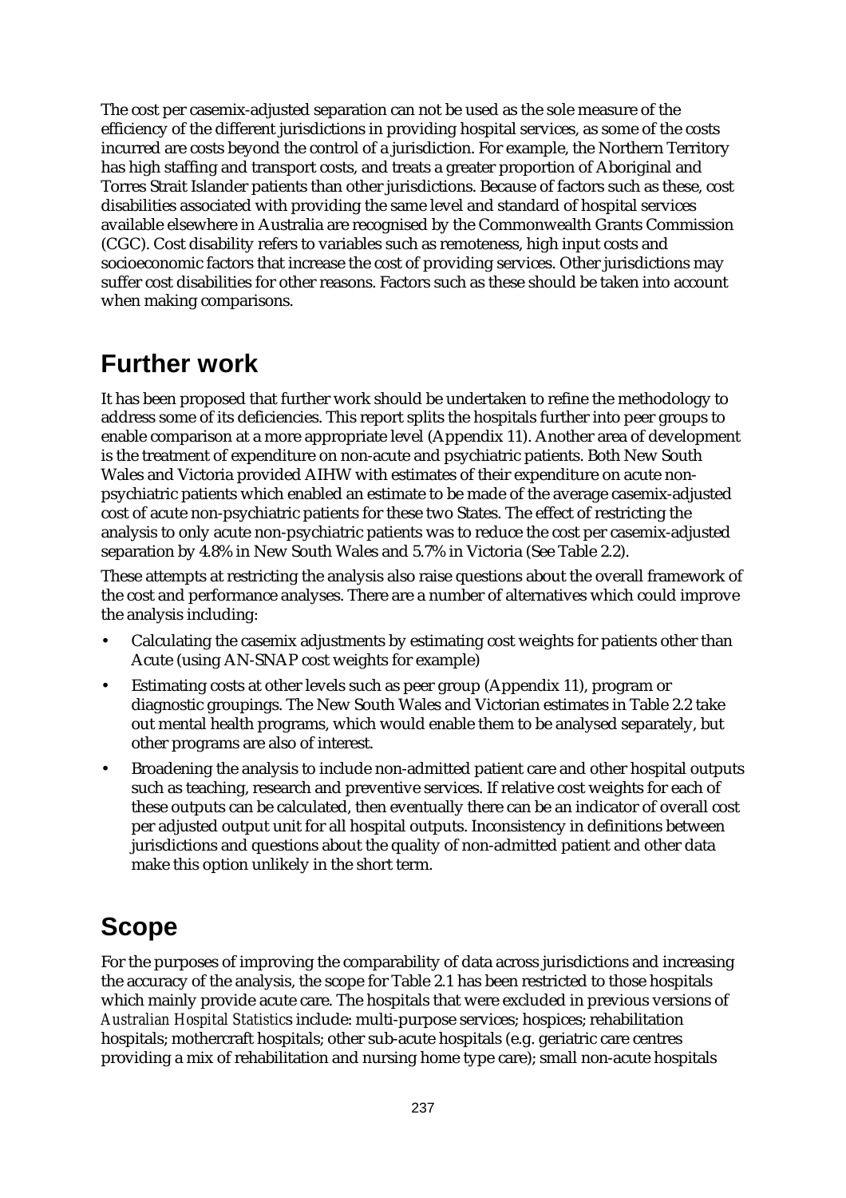The cost per casemix-adjusted separation can not be used as the sole measure of the efficiency of the different jurisdictions in providing hospital services, as some of the costs incurred are costs beyond the control of a jurisdiction. For example, the Northern Territory has high staffing and transport costs, and treats a greater proportion of Aboriginal and Torres Strait Islander patients than other jurisdictions. Because of factors such as these, cost disabilities associated with providing the same level and standard of hospital services available elsewhere in Australia are recognised by the Commonwealth Grants Commission (CGC). Cost disability refers to variables such as remoteness, high input costs and socioeconomic factors that increase the cost of providing services. Other jurisdictions may suffer cost disabilities for other reasons. Factors such as these should be taken into account when making comparisons.

### **Further work**

It has been proposed that further work should be undertaken to refine the methodology to address some of its deficiencies. This report splits the hospitals further into peer groups to enable comparison at a more appropriate level (Appendix 11). Another area of development is the treatment of expenditure on non-acute and psychiatric patients. Both New South Wales and Victoria provided AIHW with estimates of their expenditure on acute nonpsychiatric patients which enabled an estimate to be made of the average casemix-adjusted cost of acute non-psychiatric patients for these two States. The effect of restricting the analysis to only acute non-psychiatric patients was to reduce the cost per casemix-adjusted separation by 4.8% in New South Wales and 5.7% in Victoria (See Table 2.2).

These attempts at restricting the analysis also raise questions about the overall framework of the cost and performance analyses. There are a number of alternatives which could improve the analysis including:

- Calculating the casemix adjustments by estimating cost weights for patients other than Acute (using AN-SNAP cost weights for example)
- Estimating costs at other levels such as peer group (Appendix 11), program or diagnostic groupings. The New South Wales and Victorian estimates in Table 2.2 take out mental health programs, which would enable them to be analysed separately, but other programs are also of interest.
- Broadening the analysis to include non-admitted patient care and other hospital outputs such as teaching, research and preventive services. If relative cost weights for each of these outputs can be calculated, then eventually there can be an indicator of overall cost per adjusted output unit for all hospital outputs. Inconsistency in definitions between jurisdictions and questions about the quality of non-admitted patient and other data make this option unlikely in the short term.

## **Scope**

For the purposes of improving the comparability of data across jurisdictions and increasing the accuracy of the analysis, the scope for Table 2.1 has been restricted to those hospitals which mainly provide acute care. The hospitals that were excluded in previous versions of *Australian Hospital Statistic*s include: multi-purpose services; hospices; rehabilitation hospitals; mothercraft hospitals; other sub-acute hospitals (e.g. geriatric care centres providing a mix of rehabilitation and nursing home type care); small non-acute hospitals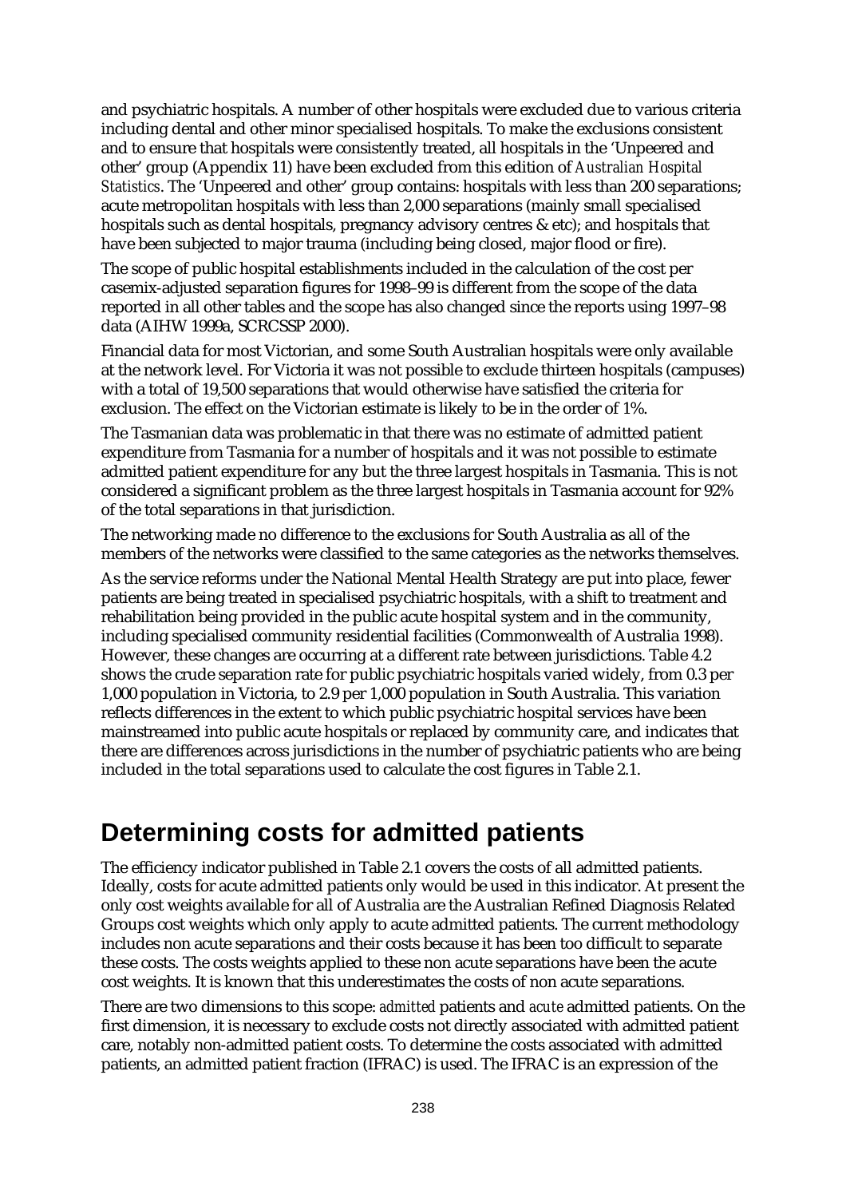and psychiatric hospitals. A number of other hospitals were excluded due to various criteria including dental and other minor specialised hospitals. To make the exclusions consistent and to ensure that hospitals were consistently treated, all hospitals in the 'Unpeered and other' group (Appendix 11) have been excluded from this edition of *Australian Hospital Statistics*. The 'Unpeered and other' group contains: hospitals with less than 200 separations; acute metropolitan hospitals with less than 2,000 separations (mainly small specialised hospitals such as dental hospitals, pregnancy advisory centres & etc); and hospitals that have been subjected to major trauma (including being closed, major flood or fire).

The scope of public hospital establishments included in the calculation of the cost per casemix-adjusted separation figures for 1998–99 is different from the scope of the data reported in all other tables and the scope has also changed since the reports using 1997–98 data (AIHW 1999a, SCRCSSP 2000).

Financial data for most Victorian, and some South Australian hospitals were only available at the network level. For Victoria it was not possible to exclude thirteen hospitals (campuses) with a total of 19,500 separations that would otherwise have satisfied the criteria for exclusion. The effect on the Victorian estimate is likely to be in the order of 1%.

The Tasmanian data was problematic in that there was no estimate of admitted patient expenditure from Tasmania for a number of hospitals and it was not possible to estimate admitted patient expenditure for any but the three largest hospitals in Tasmania. This is not considered a significant problem as the three largest hospitals in Tasmania account for 92% of the total separations in that jurisdiction.

The networking made no difference to the exclusions for South Australia as all of the members of the networks were classified to the same categories as the networks themselves.

As the service reforms under the National Mental Health Strategy are put into place, fewer patients are being treated in specialised psychiatric hospitals, with a shift to treatment and rehabilitation being provided in the public acute hospital system and in the community, including specialised community residential facilities (Commonwealth of Australia 1998). However, these changes are occurring at a different rate between jurisdictions. Table 4.2 shows the crude separation rate for public psychiatric hospitals varied widely, from 0.3 per 1,000 population in Victoria, to 2.9 per 1,000 population in South Australia. This variation reflects differences in the extent to which public psychiatric hospital services have been mainstreamed into public acute hospitals or replaced by community care, and indicates that there are differences across jurisdictions in the number of psychiatric patients who are being included in the total separations used to calculate the cost figures in Table 2.1.

### **Determining costs for admitted patients**

The efficiency indicator published in Table 2.1 covers the costs of all admitted patients. Ideally, costs for acute admitted patients only would be used in this indicator. At present the only cost weights available for all of Australia are the Australian Refined Diagnosis Related Groups cost weights which only apply to acute admitted patients. The current methodology includes non acute separations and their costs because it has been too difficult to separate these costs. The costs weights applied to these non acute separations have been the acute cost weights. It is known that this underestimates the costs of non acute separations.

There are two dimensions to this scope: *admitted* patients and *acute* admitted patients. On the first dimension, it is necessary to exclude costs not directly associated with admitted patient care, notably non-admitted patient costs. To determine the costs associated with admitted patients, an admitted patient fraction (IFRAC) is used. The IFRAC is an expression of the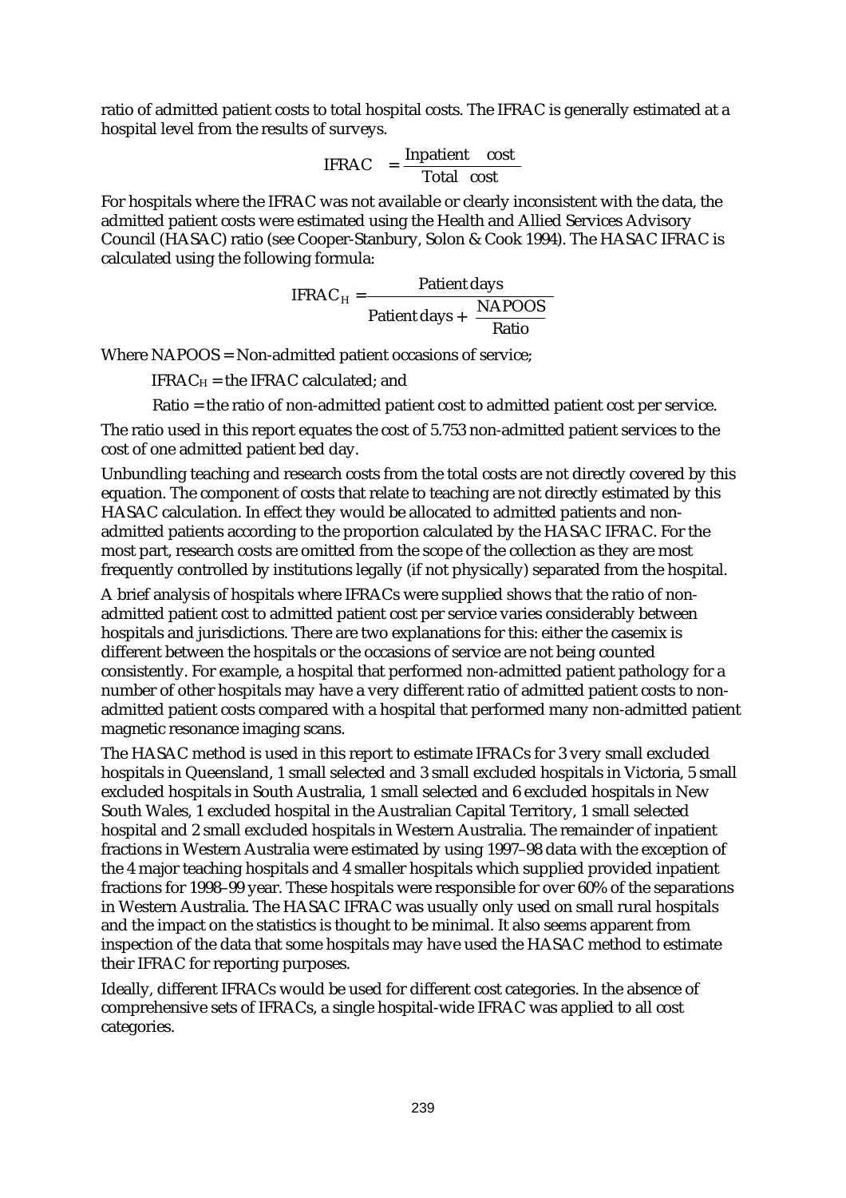ratio of admitted patient costs to total hospital costs. The IFRAC is generally estimated at a hospital level from the results of surveys.

$$
IFRAC = \frac{Inpatient cost}{Total cost}
$$

For hospitals where the IFRAC was not available or clearly inconsistent with the data, the admitted patient costs were estimated using the Health and Allied Services Advisory Council (HASAC) ratio (see Cooper-Stanbury, Solon & Cook 1994). The HASAC IFRAC is calculated using the following formula:

IFRAC<sub>H</sub> = 
$$
\frac{ \text{Pattern days}}{\text{Pattern days} + \left(\frac{\text{NAPOOS}}{\text{Ratio}}\right)}
$$

Where NAPOOS = Non-admitted patient occasions of service;

 $IFRAC<sub>H</sub> =$  the IFRAC calculated; and

Ratio = the ratio of non-admitted patient cost to admitted patient cost per service.

The ratio used in this report equates the cost of 5.753 non-admitted patient services to the cost of one admitted patient bed day.

Unbundling teaching and research costs from the total costs are not directly covered by this equation. The component of costs that relate to teaching are not directly estimated by this HASAC calculation. In effect they would be allocated to admitted patients and nonadmitted patients according to the proportion calculated by the HASAC IFRAC. For the most part, research costs are omitted from the scope of the collection as they are most frequently controlled by institutions legally (if not physically) separated from the hospital.

A brief analysis of hospitals where IFRACs were supplied shows that the ratio of nonadmitted patient cost to admitted patient cost per service varies considerably between hospitals and jurisdictions. There are two explanations for this: either the casemix is different between the hospitals or the occasions of service are not being counted consistently. For example, a hospital that performed non-admitted patient pathology for a number of other hospitals may have a very different ratio of admitted patient costs to nonadmitted patient costs compared with a hospital that performed many non-admitted patient magnetic resonance imaging scans.

The HASAC method is used in this report to estimate IFRACs for 3 very small excluded hospitals in Queensland, 1 small selected and 3 small excluded hospitals in Victoria, 5 small excluded hospitals in South Australia, 1 small selected and 6 excluded hospitals in New South Wales, 1 excluded hospital in the Australian Capital Territory, 1 small selected hospital and 2 small excluded hospitals in Western Australia. The remainder of inpatient fractions in Western Australia were estimated by using 1997–98 data with the exception of the 4 major teaching hospitals and 4 smaller hospitals which supplied provided inpatient fractions for 1998–99 year. These hospitals were responsible for over 60% of the separations in Western Australia. The HASAC IFRAC was usually only used on small rural hospitals and the impact on the statistics is thought to be minimal. It also seems apparent from inspection of the data that some hospitals may have used the HASAC method to estimate their IFRAC for reporting purposes.

Ideally, different IFRACs would be used for different cost categories. In the absence of comprehensive sets of IFRACs, a single hospital-wide IFRAC was applied to all cost categories.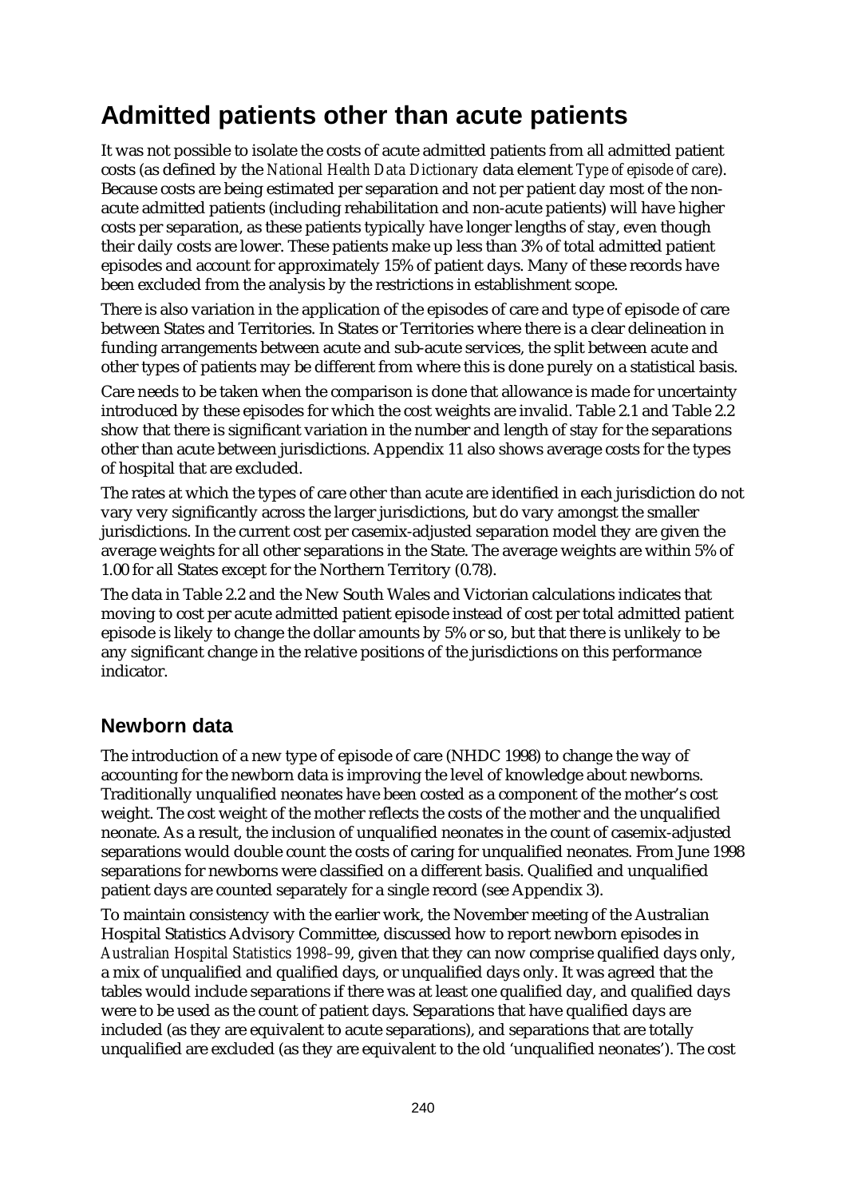## **Admitted patients other than acute patients**

It was not possible to isolate the costs of acute admitted patients from all admitted patient costs (as defined by the *National Health Data Dictionary* data element *Type of episode of care*). Because costs are being estimated per separation and not per patient day most of the nonacute admitted patients (including rehabilitation and non-acute patients) will have higher costs per separation, as these patients typically have longer lengths of stay, even though their daily costs are lower. These patients make up less than 3% of total admitted patient episodes and account for approximately 15% of patient days. Many of these records have been excluded from the analysis by the restrictions in establishment scope.

There is also variation in the application of the episodes of care and type of episode of care between States and Territories. In States or Territories where there is a clear delineation in funding arrangements between acute and sub-acute services, the split between acute and other types of patients may be different from where this is done purely on a statistical basis.

Care needs to be taken when the comparison is done that allowance is made for uncertainty introduced by these episodes for which the cost weights are invalid. Table 2.1 and Table 2.2 show that there is significant variation in the number and length of stay for the separations other than acute between jurisdictions. Appendix 11 also shows average costs for the types of hospital that are excluded.

The rates at which the types of care other than acute are identified in each jurisdiction do not vary very significantly across the larger jurisdictions, but do vary amongst the smaller jurisdictions. In the current cost per casemix-adjusted separation model they are given the average weights for all other separations in the State. The average weights are within 5% of 1.00 for all States except for the Northern Territory (0.78).

The data in Table 2.2 and the New South Wales and Victorian calculations indicates that moving to cost per acute admitted patient episode instead of cost per total admitted patient episode is likely to change the dollar amounts by 5% or so, but that there is unlikely to be any significant change in the relative positions of the jurisdictions on this performance indicator.

### **Newborn data**

The introduction of a new type of episode of care (NHDC 1998) to change the way of accounting for the newborn data is improving the level of knowledge about newborns. Traditionally unqualified neonates have been costed as a component of the mother's cost weight. The cost weight of the mother reflects the costs of the mother and the unqualified neonate. As a result, the inclusion of unqualified neonates in the count of casemix-adjusted separations would double count the costs of caring for unqualified neonates. From June 1998 separations for newborns were classified on a different basis. Qualified and unqualified patient days are counted separately for a single record (see Appendix 3).

To maintain consistency with the earlier work, the November meeting of the Australian Hospital Statistics Advisory Committee, discussed how to report newborn episodes in *Australian Hospital Statistics 1998–99*, given that they can now comprise qualified days only, a mix of unqualified and qualified days, or unqualified days only. It was agreed that the tables would include separations if there was at least one qualified day, and qualified days were to be used as the count of patient days. Separations that have qualified days are included (as they are equivalent to acute separations), and separations that are totally unqualified are excluded (as they are equivalent to the old 'unqualified neonates'). The cost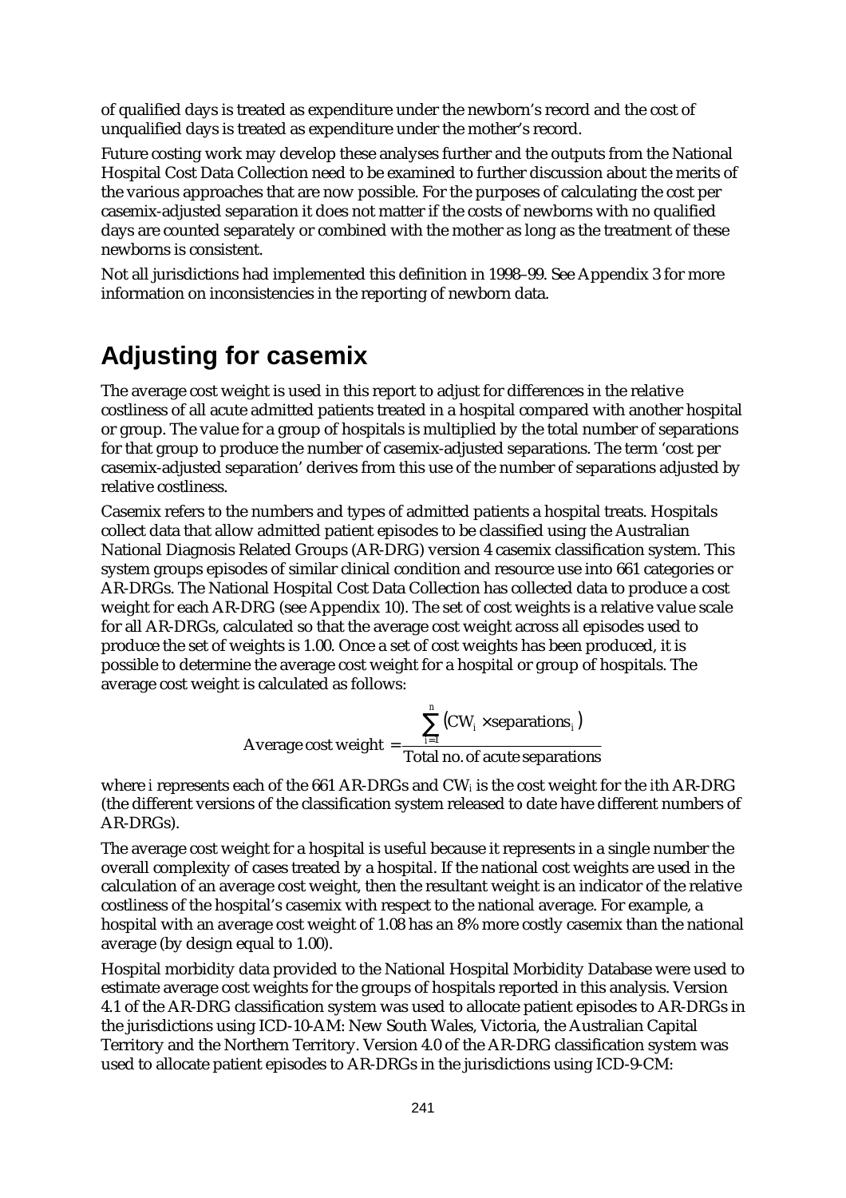of qualified days is treated as expenditure under the newborn's record and the cost of unqualified days is treated as expenditure under the mother's record.

Future costing work may develop these analyses further and the outputs from the National Hospital Cost Data Collection need to be examined to further discussion about the merits of the various approaches that are now possible. For the purposes of calculating the cost per casemix-adjusted separation it does not matter if the costs of newborns with no qualified days are counted separately or combined with the mother as long as the treatment of these newborns is consistent.

Not all jurisdictions had implemented this definition in 1998–99. See Appendix 3 for more information on inconsistencies in the reporting of newborn data.

## **Adjusting for casemix**

The average cost weight is used in this report to adjust for differences in the relative costliness of all acute admitted patients treated in a hospital compared with another hospital or group. The value for a group of hospitals is multiplied by the total number of separations for that group to produce the number of casemix-adjusted separations. The term 'cost per casemix-adjusted separation' derives from this use of the number of separations adjusted by relative costliness.

Casemix refers to the numbers and types of admitted patients a hospital treats. Hospitals collect data that allow admitted patient episodes to be classified using the Australian National Diagnosis Related Groups (AR-DRG) version 4 casemix classification system. This system groups episodes of similar clinical condition and resource use into 661 categories or AR-DRGs. The National Hospital Cost Data Collection has collected data to produce a cost weight for each AR-DRG (see Appendix 10). The set of cost weights is a relative value scale for all AR-DRGs, calculated so that the average cost weight across all episodes used to produce the set of weights is 1.00. Once a set of cost weights has been produced, it is possible to determine the average cost weight for a hospital or group of hospitals. The average cost weight is calculated as follows:

Average cost weight = 
$$
\frac{\sum_{i=1}^{n} (CW_i \times \text{separations}_i)}{\text{Total no. of acute separations}}
$$

where *i* represents each of the 661 AR-DRGs and CW*i* is the cost weight for the *i*th AR-DRG (the different versions of the classification system released to date have different numbers of AR-DRGs).

The average cost weight for a hospital is useful because it represents in a single number the overall complexity of cases treated by a hospital. If the national cost weights are used in the calculation of an average cost weight, then the resultant weight is an indicator of the relative costliness of the hospital's casemix with respect to the national average. For example, a hospital with an average cost weight of 1.08 has an 8% more costly casemix than the national average (by design equal to 1.00).

Hospital morbidity data provided to the National Hospital Morbidity Database were used to estimate average cost weights for the groups of hospitals reported in this analysis. Version 4.1 of the AR-DRG classification system was used to allocate patient episodes to AR-DRGs in the jurisdictions using ICD-10-AM: New South Wales, Victoria, the Australian Capital Territory and the Northern Territory. Version 4.0 of the AR-DRG classification system was used to allocate patient episodes to AR-DRGs in the jurisdictions using ICD-9-CM: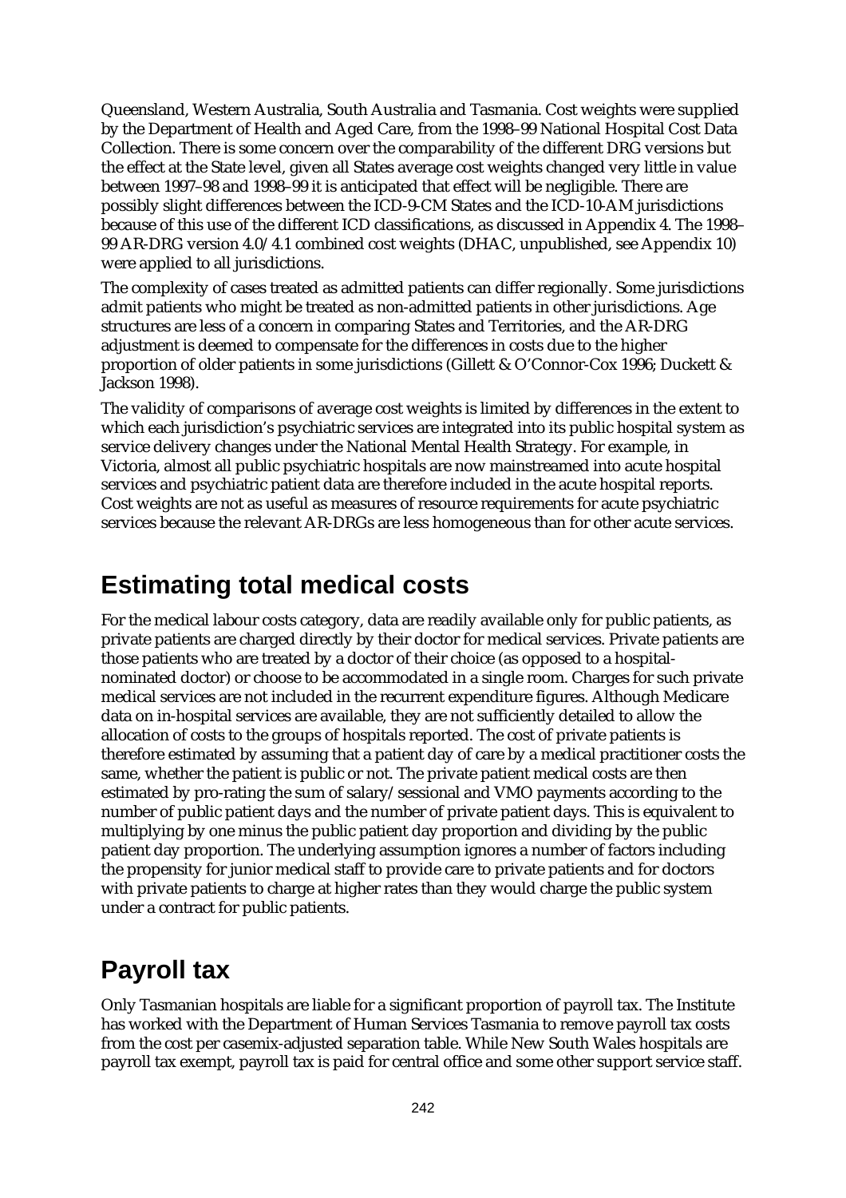Queensland, Western Australia, South Australia and Tasmania. Cost weights were supplied by the Department of Health and Aged Care, from the 1998–99 National Hospital Cost Data Collection. There is some concern over the comparability of the different DRG versions but the effect at the State level, given all States average cost weights changed very little in value between 1997–98 and 1998–99 it is anticipated that effect will be negligible. There are possibly slight differences between the ICD-9-CM States and the ICD-10-AM jurisdictions because of this use of the different ICD classifications, as discussed in Appendix 4. The 1998– 99 AR-DRG version 4.0/4.1 combined cost weights (DHAC, unpublished, see Appendix 10) were applied to all jurisdictions.

The complexity of cases treated as admitted patients can differ regionally. Some jurisdictions admit patients who might be treated as non-admitted patients in other jurisdictions. Age structures are less of a concern in comparing States and Territories, and the AR-DRG adjustment is deemed to compensate for the differences in costs due to the higher proportion of older patients in some jurisdictions (Gillett & O'Connor-Cox 1996; Duckett & Jackson 1998).

The validity of comparisons of average cost weights is limited by differences in the extent to which each jurisdiction's psychiatric services are integrated into its public hospital system as service delivery changes under the National Mental Health Strategy. For example, in Victoria, almost all public psychiatric hospitals are now mainstreamed into acute hospital services and psychiatric patient data are therefore included in the acute hospital reports. Cost weights are not as useful as measures of resource requirements for acute psychiatric services because the relevant AR-DRGs are less homogeneous than for other acute services.

### **Estimating total medical costs**

For the medical labour costs category, data are readily available only for public patients, as private patients are charged directly by their doctor for medical services. Private patients are those patients who are treated by a doctor of their choice (as opposed to a hospitalnominated doctor) or choose to be accommodated in a single room. Charges for such private medical services are not included in the recurrent expenditure figures. Although Medicare data on in-hospital services are available, they are not sufficiently detailed to allow the allocation of costs to the groups of hospitals reported. The cost of private patients is therefore estimated by assuming that a patient day of care by a medical practitioner costs the same, whether the patient is public or not. The private patient medical costs are then estimated by pro-rating the sum of salary/sessional and VMO payments according to the number of public patient days and the number of private patient days. This is equivalent to multiplying by one minus the public patient day proportion and dividing by the public patient day proportion. The underlying assumption ignores a number of factors including the propensity for junior medical staff to provide care to private patients and for doctors with private patients to charge at higher rates than they would charge the public system under a contract for public patients.

## **Payroll tax**

Only Tasmanian hospitals are liable for a significant proportion of payroll tax. The Institute has worked with the Department of Human Services Tasmania to remove payroll tax costs from the cost per casemix-adjusted separation table. While New South Wales hospitals are payroll tax exempt, payroll tax is paid for central office and some other support service staff.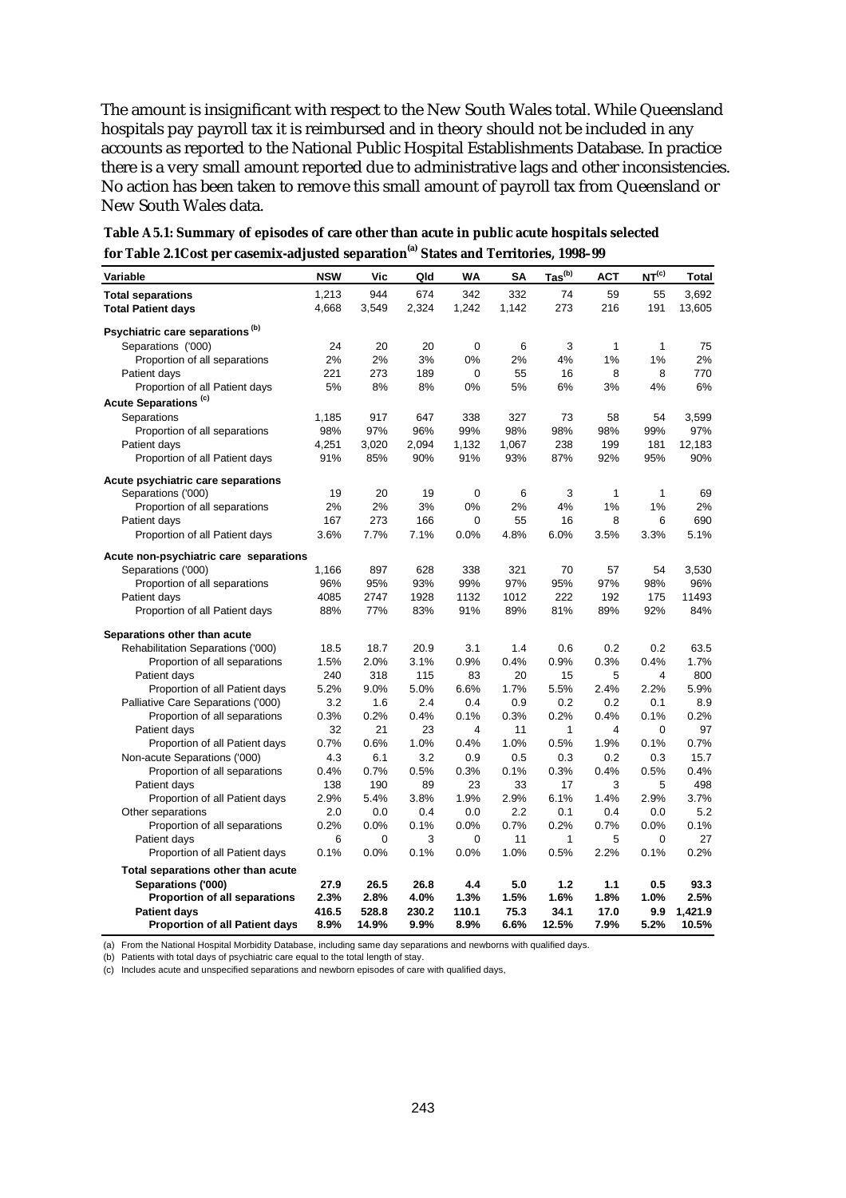The amount is insignificant with respect to the New South Wales total. While Queensland hospitals pay payroll tax it is reimbursed and in theory should not be included in any accounts as reported to the National Public Hospital Establishments Database. In practice there is a very small amount reported due to administrative lags and other inconsistencies. No action has been taken to remove this small amount of payroll tax from Queensland or New South Wales data.

| Variable                                    | <b>NSW</b> | Vic         | Qld   | <b>WA</b>   | SΑ    | $\mathbf{Ias}^{\mathrm{(b)}}$ | <b>ACT</b>   | NT <sup>(c)</sup> | Total   |
|---------------------------------------------|------------|-------------|-------|-------------|-------|-------------------------------|--------------|-------------------|---------|
| <b>Total separations</b>                    | 1,213      | 944         | 674   | 342         | 332   | 74                            | 59           | 55                | 3,692   |
| <b>Total Patient days</b>                   | 4,668      | 3,549       | 2,324 | 1,242       | 1,142 | 273                           | 216          | 191               | 13,605  |
| Psychiatric care separations <sup>(b)</sup> |            |             |       |             |       |                               |              |                   |         |
| Separations ('000)                          | 24         | 20          | 20    | 0           | 6     | 3                             | $\mathbf{1}$ | $\mathbf{1}$      | 75      |
| Proportion of all separations               | 2%         | 2%          | 3%    | 0%          | 2%    | 4%                            | 1%           | 1%                | 2%      |
| Patient days                                | 221        | 273         | 189   | $\mathbf 0$ | 55    | 16                            | 8            | 8                 | 770     |
| Proportion of all Patient days              | 5%         | 8%          | 8%    | 0%          | 5%    | 6%                            | 3%           | 4%                | 6%      |
| Acute Separations <sup>(c)</sup>            |            |             |       |             |       |                               |              |                   |         |
| Separations                                 | 1,185      | 917         | 647   | 338         | 327   | 73                            | 58           | 54                | 3,599   |
| Proportion of all separations               | 98%        | 97%         | 96%   | 99%         | 98%   | 98%                           | 98%          | 99%               | 97%     |
| Patient days                                | 4,251      | 3,020       | 2,094 | 1,132       | 1,067 | 238                           | 199          | 181               | 12,183  |
| Proportion of all Patient days              | 91%        | 85%         | 90%   | 91%         | 93%   | 87%                           | 92%          | 95%               | 90%     |
|                                             |            |             |       |             |       |                               |              |                   |         |
| Acute psychiatric care separations          |            |             |       |             |       |                               |              |                   |         |
| Separations ('000)                          | 19         | 20          | 19    | 0           | 6     | 3                             | $\mathbf{1}$ | 1                 | 69      |
| Proportion of all separations               | 2%         | 2%          | 3%    | 0%          | 2%    | 4%                            | 1%           | 1%                | 2%      |
| Patient days                                | 167        | 273         | 166   | 0           | 55    | 16                            | 8            | 6                 | 690     |
| Proportion of all Patient days              | 3.6%       | 7.7%        | 7.1%  | 0.0%        | 4.8%  | 6.0%                          | 3.5%         | 3.3%              | 5.1%    |
| Acute non-psychiatric care separations      |            |             |       |             |       |                               |              |                   |         |
| Separations ('000)                          | 1,166      | 897         | 628   | 338         | 321   | 70                            | 57           | 54                | 3,530   |
| Proportion of all separations               | 96%        | 95%         | 93%   | 99%         | 97%   | 95%                           | 97%          | 98%               | 96%     |
| Patient days                                | 4085       | 2747        | 1928  | 1132        | 1012  | 222                           | 192          | 175               | 11493   |
| Proportion of all Patient days              | 88%        | 77%         | 83%   | 91%         | 89%   | 81%                           | 89%          | 92%               | 84%     |
| Separations other than acute                |            |             |       |             |       |                               |              |                   |         |
| Rehabilitation Separations ('000)           | 18.5       | 18.7        | 20.9  | 3.1         | 1.4   | 0.6                           | 0.2          | 0.2               | 63.5    |
| Proportion of all separations               | 1.5%       | 2.0%        | 3.1%  | 0.9%        | 0.4%  | 0.9%                          | 0.3%         | 0.4%              | 1.7%    |
| Patient days                                | 240        | 318         | 115   | 83          | 20    | 15                            | 5            | 4                 | 800     |
| Proportion of all Patient days              | 5.2%       | 9.0%        | 5.0%  | 6.6%        | 1.7%  | 5.5%                          | 2.4%         | 2.2%              | 5.9%    |
| Palliative Care Separations ('000)          | 3.2        | 1.6         | 2.4   | 0.4         | 0.9   | 0.2                           | 0.2          | 0.1               | 8.9     |
| Proportion of all separations               | 0.3%       | 0.2%        | 0.4%  | 0.1%        | 0.3%  | 0.2%                          | 0.4%         | 0.1%              | 0.2%    |
| Patient days                                | 32         | 21          | 23    | 4           | 11    | 1                             | 4            | 0                 | 97      |
| Proportion of all Patient days              | 0.7%       | 0.6%        | 1.0%  | 0.4%        | 1.0%  | 0.5%                          | 1.9%         | 0.1%              | 0.7%    |
| Non-acute Separations ('000)                | 4.3        | 6.1         | 3.2   | 0.9         | 0.5   | 0.3                           | 0.2          | 0.3               | 15.7    |
| Proportion of all separations               | 0.4%       | 0.7%        | 0.5%  | 0.3%        | 0.1%  | 0.3%                          | 0.4%         | 0.5%              | 0.4%    |
| Patient days                                | 138        | 190         | 89    | 23          | 33    | 17                            | 3            | 5                 | 498     |
| Proportion of all Patient days              | 2.9%       | 5.4%        | 3.8%  | 1.9%        | 2.9%  | 6.1%                          | 1.4%         | 2.9%              | 3.7%    |
| Other separations                           | 2.0        | 0.0         | 0.4   | 0.0         | 2.2   | 0.1                           | 0.4          | 0.0               | 5.2     |
| Proportion of all separations               | 0.2%       | 0.0%        | 0.1%  | 0.0%        | 0.7%  | 0.2%                          | 0.7%         | 0.0%              | 0.1%    |
| Patient days                                | 6          | $\mathbf 0$ | 3     | 0           | 11    | 1                             | 5            | 0                 | 27      |
| Proportion of all Patient days              | 0.1%       | 0.0%        | 0.1%  | 0.0%        | 1.0%  | 0.5%                          | 2.2%         | 0.1%              | 0.2%    |
| Total separations other than acute          |            |             |       |             |       |                               |              |                   |         |
| Separations ('000)                          | 27.9       | 26.5        | 26.8  | 4.4         | 5.0   | $1.2$                         | 1.1          | 0.5               | 93.3    |
| Proportion of all separations               | 2.3%       | 2.8%        | 4.0%  | 1.3%        | 1.5%  | 1.6%                          | 1.8%         | 1.0%              | 2.5%    |
| <b>Patient days</b>                         | 416.5      | 528.8       | 230.2 | 110.1       | 75.3  | 34.1                          | 17.0         | 9.9               | 1,421.9 |
| <b>Proportion of all Patient days</b>       | 8.9%       | 14.9%       | 9.9%  | 8.9%        | 6.6%  | 12.5%                         | 7.9%         | 5.2%              | 10.5%   |

**Table A5.1: Summary of episodes of care other than acute in public acute hospitals selected for Table 2.1Cost per casemix-adjusted separation(a) States and Territories, 1998–99**

(a) From the National Hospital Morbidity Database, including same day separations and newborns with qualified days.

(b) Patients with total days of psychiatric care equal to the total length of stay.

(c) Includes acute and unspecified separations and newborn episodes of care with qualified days,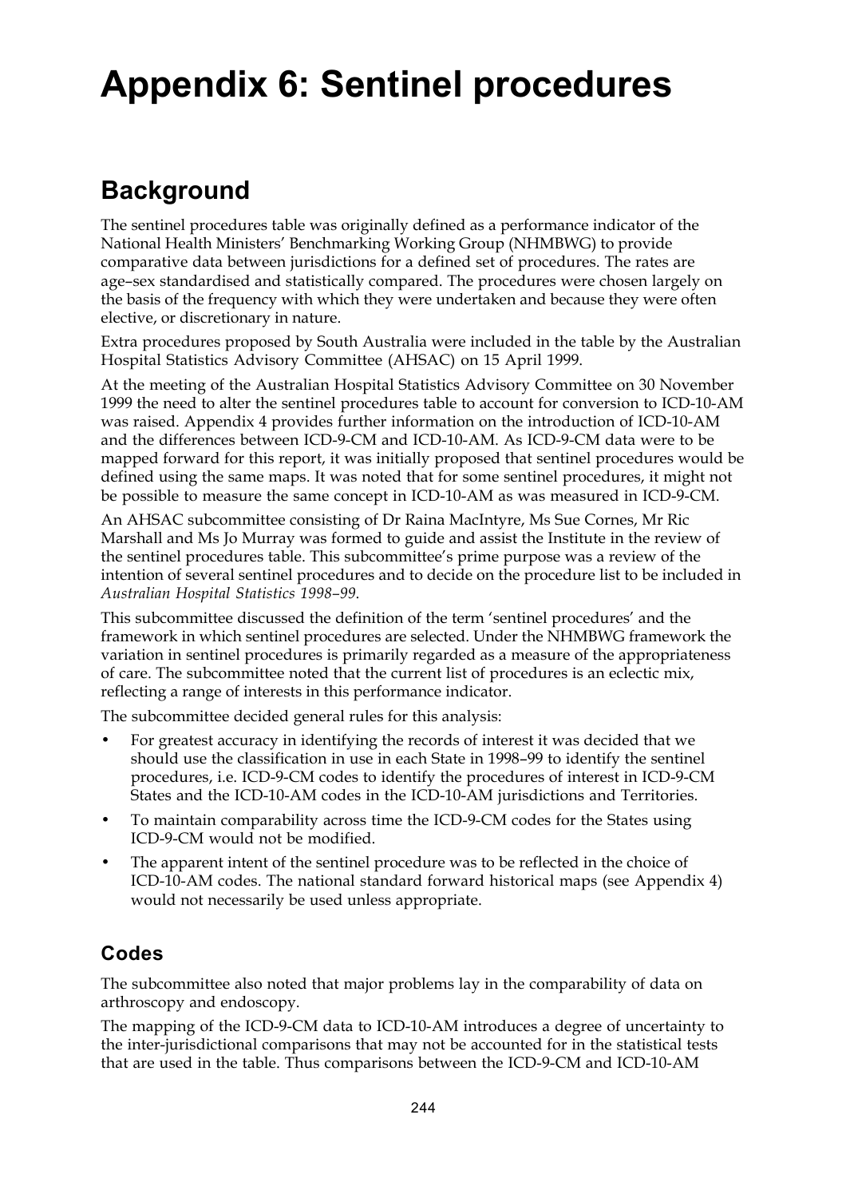## **Appendix 6: Sentinel procedures**

## **Background**

The sentinel procedures table was originally defined as a performance indicator of the National Health Ministers' Benchmarking Working Group (NHMBWG) to provide comparative data between jurisdictions for a defined set of procedures. The rates are age–sex standardised and statistically compared. The procedures were chosen largely on the basis of the frequency with which they were undertaken and because they were often elective, or discretionary in nature.

Extra procedures proposed by South Australia were included in the table by the Australian Hospital Statistics Advisory Committee (AHSAC) on 15 April 1999.

At the meeting of the Australian Hospital Statistics Advisory Committee on 30 November 1999 the need to alter the sentinel procedures table to account for conversion to ICD-10-AM was raised. Appendix 4 provides further information on the introduction of ICD-10-AM and the differences between ICD-9-CM and ICD-10-AM. As ICD-9-CM data were to be mapped forward for this report, it was initially proposed that sentinel procedures would be defined using the same maps. It was noted that for some sentinel procedures, it might not be possible to measure the same concept in ICD-10-AM as was measured in ICD-9-CM.

An AHSAC subcommittee consisting of Dr Raina MacIntyre, Ms Sue Cornes, Mr Ric Marshall and Ms Jo Murray was formed to guide and assist the Institute in the review of the sentinel procedures table. This subcommittee's prime purpose was a review of the intention of several sentinel procedures and to decide on the procedure list to be included in *Australian Hospital Statistics 1998–99*.

This subcommittee discussed the definition of the term 'sentinel procedures' and the framework in which sentinel procedures are selected. Under the NHMBWG framework the variation in sentinel procedures is primarily regarded as a measure of the appropriateness of care. The subcommittee noted that the current list of procedures is an eclectic mix, reflecting a range of interests in this performance indicator.

The subcommittee decided general rules for this analysis:

- For greatest accuracy in identifying the records of interest it was decided that we should use the classification in use in each State in 1998–99 to identify the sentinel procedures, i.e. ICD-9-CM codes to identify the procedures of interest in ICD-9-CM States and the ICD-10-AM codes in the ICD-10-AM jurisdictions and Territories.
- To maintain comparability across time the ICD-9-CM codes for the States using ICD-9-CM would not be modified.
- The apparent intent of the sentinel procedure was to be reflected in the choice of ICD-10-AM codes. The national standard forward historical maps (see Appendix 4) would not necessarily be used unless appropriate.

### **Codes**

The subcommittee also noted that major problems lay in the comparability of data on arthroscopy and endoscopy.

The mapping of the ICD-9-CM data to ICD-10-AM introduces a degree of uncertainty to the inter-jurisdictional comparisons that may not be accounted for in the statistical tests that are used in the table. Thus comparisons between the ICD-9-CM and ICD-10-AM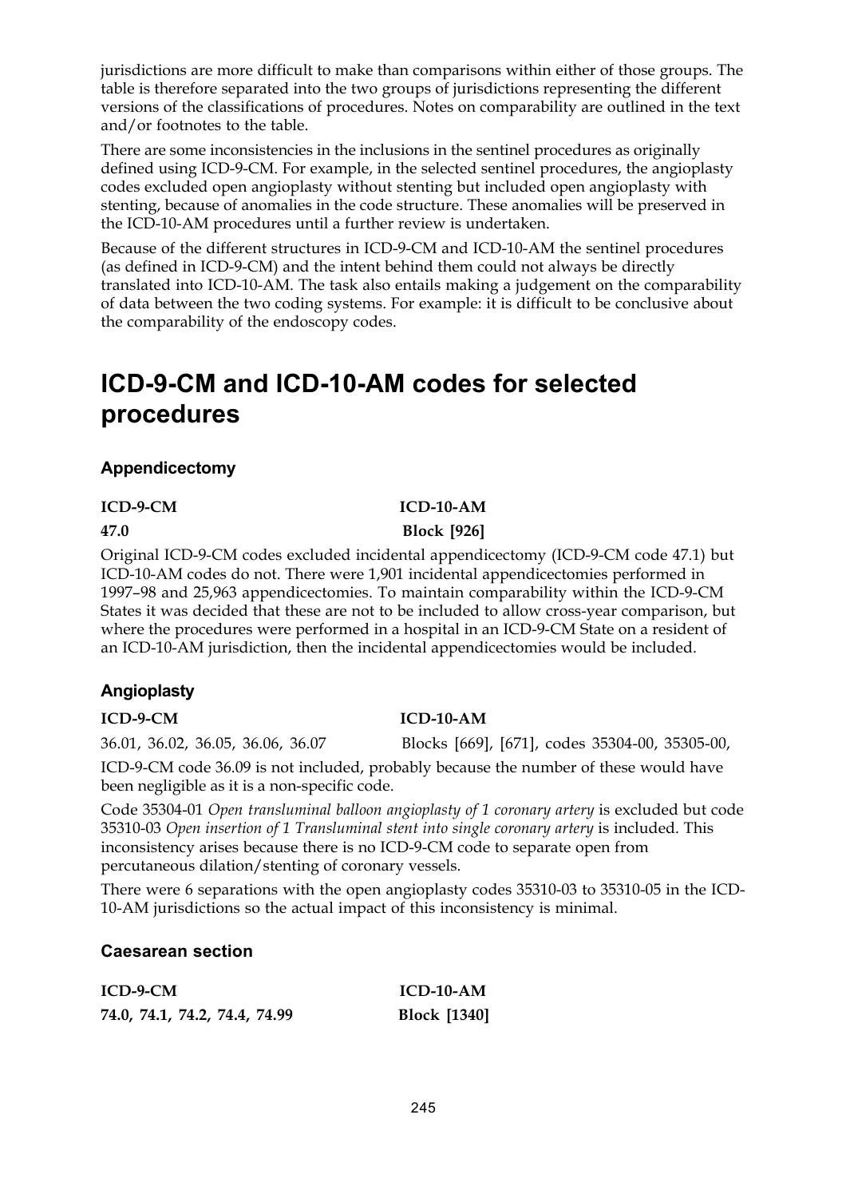jurisdictions are more difficult to make than comparisons within either of those groups. The table is therefore separated into the two groups of jurisdictions representing the different versions of the classifications of procedures. Notes on comparability are outlined in the text and/or footnotes to the table.

There are some inconsistencies in the inclusions in the sentinel procedures as originally defined using ICD-9-CM. For example, in the selected sentinel procedures, the angioplasty codes excluded open angioplasty without stenting but included open angioplasty with stenting, because of anomalies in the code structure. These anomalies will be preserved in the ICD-10-AM procedures until a further review is undertaken.

Because of the different structures in ICD-9-CM and ICD-10-AM the sentinel procedures (as defined in ICD-9-CM) and the intent behind them could not always be directly translated into ICD-10-AM. The task also entails making a judgement on the comparability of data between the two coding systems. For example: it is difficult to be conclusive about the comparability of the endoscopy codes.

## **ICD-9-CM and ICD-10-AM codes for selected procedures**

### **Appendicectomy**

#### **ICD-9-CM ICD-10-AM**

#### **47.0 Block [926]**

Original ICD-9-CM codes excluded incidental appendicectomy (ICD-9-CM code 47.1) but ICD-10-AM codes do not. There were 1,901 incidental appendicectomies performed in 1997–98 and 25,963 appendicectomies. To maintain comparability within the ICD-9-CM States it was decided that these are not to be included to allow cross-year comparison, but where the procedures were performed in a hospital in an ICD-9-CM State on a resident of an ICD-10-AM jurisdiction, then the incidental appendicectomies would be included.

### **Angioplasty**

36.01, 36.02, 36.05, 36.06, 36.07 Blocks [669], [671], codes 35304-00, 35305-00,

ICD-9-CM code 36.09 is not included, probably because the number of these would have been negligible as it is a non-specific code.

Code 35304-01 *Open transluminal balloon angioplasty of 1 coronary artery* is excluded but code 35310-03 *Open insertion of 1 Transluminal stent into single coronary artery* is included. This inconsistency arises because there is no ICD-9-CM code to separate open from percutaneous dilation/stenting of coronary vessels.

There were 6 separations with the open angioplasty codes 35310-03 to 35310-05 in the ICD-10-AM jurisdictions so the actual impact of this inconsistency is minimal.

### **Caesarean section**

| ICD-9-CM                      | $ICD-10-AM$         |
|-------------------------------|---------------------|
| 74.0, 74.1, 74.2, 74.4, 74.99 | <b>Block</b> [1340] |

#### **ICD-9-CM ICD-10-AM**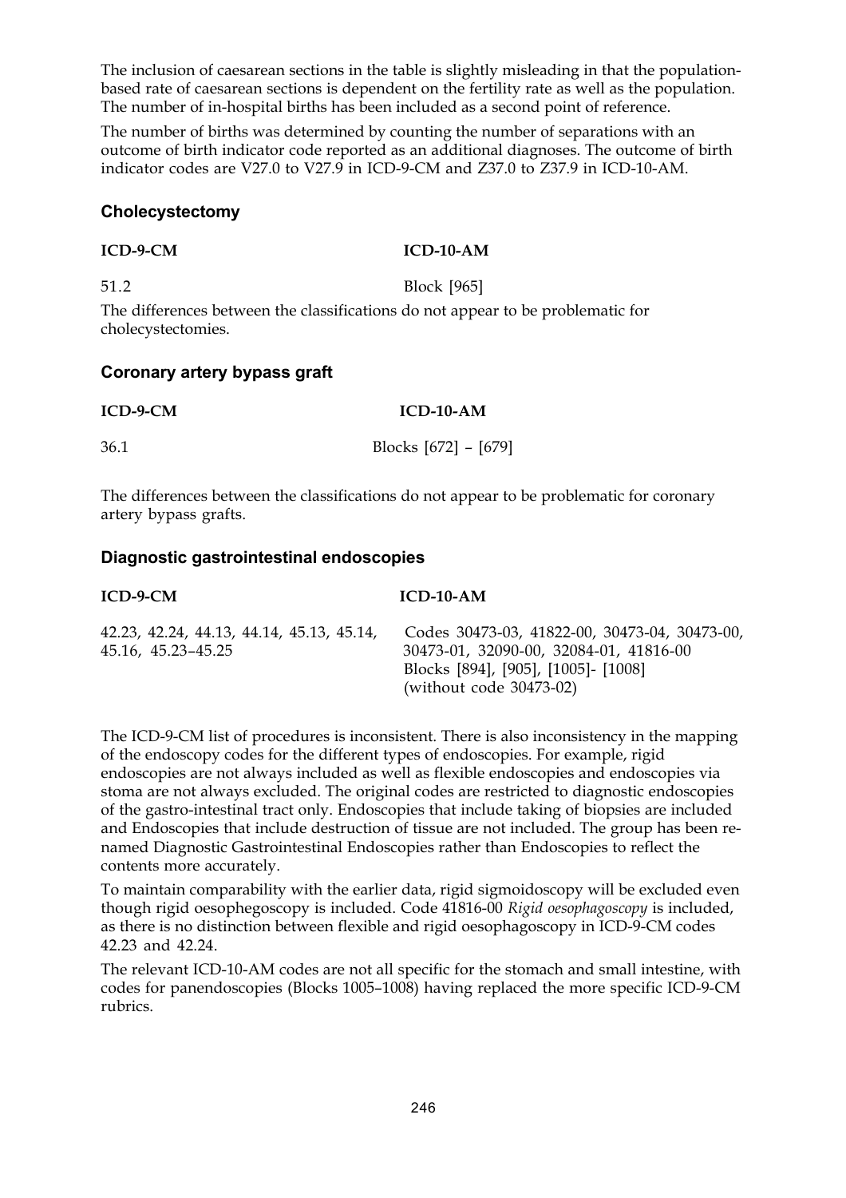The inclusion of caesarean sections in the table is slightly misleading in that the populationbased rate of caesarean sections is dependent on the fertility rate as well as the population. The number of in-hospital births has been included as a second point of reference.

The number of births was determined by counting the number of separations with an outcome of birth indicator code reported as an additional diagnoses. The outcome of birth indicator codes are V27.0 to V27.9 in ICD-9-CM and Z37.0 to Z37.9 in ICD-10-AM.

#### **Cholecystectomy**

#### **ICD-9-CM ICD-10-AM**

51.2 Block [965]

The differences between the classifications do not appear to be problematic for cholecystectomies.

#### **Coronary artery bypass graft**

| ICD-9-CM | $ICD-10-AM$              |
|----------|--------------------------|
| 36.1     | Blocks $[672]$ – $[679]$ |

The differences between the classifications do not appear to be problematic for coronary artery bypass grafts.

#### **Diagnostic gastrointestinal endoscopies**

| $ICD-9-CM$                                                      | $ICD-10-AM$                                                                                                                                                   |
|-----------------------------------------------------------------|---------------------------------------------------------------------------------------------------------------------------------------------------------------|
| 42.23, 42.24, 44.13, 44.14, 45.13, 45.14,<br>45.16, 45.23–45.25 | Codes 30473-03, 41822-00, 30473-04, 30473-00,<br>30473-01, 32090-00, 32084-01, 41816-00<br>Blocks [894], [905], [1005] - [1008]<br>(without code $30473-02$ ) |

The ICD-9-CM list of procedures is inconsistent. There is also inconsistency in the mapping of the endoscopy codes for the different types of endoscopies. For example, rigid endoscopies are not always included as well as flexible endoscopies and endoscopies via stoma are not always excluded. The original codes are restricted to diagnostic endoscopies of the gastro-intestinal tract only. Endoscopies that include taking of biopsies are included and Endoscopies that include destruction of tissue are not included. The group has been renamed Diagnostic Gastrointestinal Endoscopies rather than Endoscopies to reflect the contents more accurately.

To maintain comparability with the earlier data, rigid sigmoidoscopy will be excluded even though rigid oesophegoscopy is included. Code 41816-00 *Rigid oesophagoscopy* is included, as there is no distinction between flexible and rigid oesophagoscopy in ICD-9-CM codes 42.23 and 42.24.

The relevant ICD-10-AM codes are not all specific for the stomach and small intestine, with codes for panendoscopies (Blocks 1005–1008) having replaced the more specific ICD-9-CM rubrics.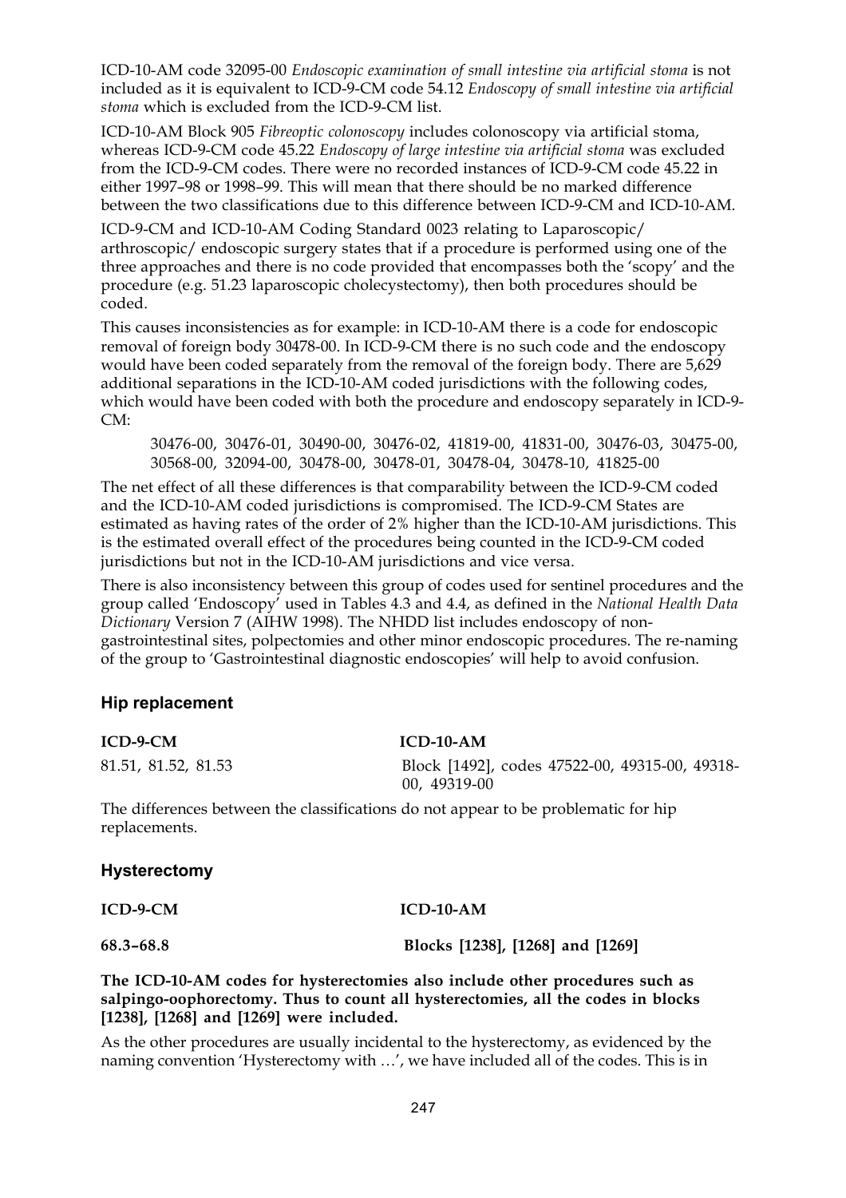ICD-10-AM code 32095-00 *Endoscopic examination of small intestine via artificial stoma* is not included as it is equivalent to ICD-9-CM code 54.12 *Endoscopy of small intestine via artificial stoma* which is excluded from the ICD-9-CM list.

ICD-10-AM Block 905 *Fibreoptic colonoscopy* includes colonoscopy via artificial stoma, whereas ICD-9-CM code 45.22 *Endoscopy of large intestine via artificial stoma* was excluded from the ICD-9-CM codes. There were no recorded instances of ICD-9-CM code 45.22 in either 1997–98 or 1998–99. This will mean that there should be no marked difference between the two classifications due to this difference between ICD-9-CM and ICD-10-AM.

ICD-9-CM and ICD-10-AM Coding Standard 0023 relating to Laparoscopic/ arthroscopic/ endoscopic surgery states that if a procedure is performed using one of the three approaches and there is no code provided that encompasses both the 'scopy' and the procedure (e.g. 51.23 laparoscopic cholecystectomy), then both procedures should be coded.

This causes inconsistencies as for example: in ICD-10-AM there is a code for endoscopic removal of foreign body 30478-00. In ICD-9-CM there is no such code and the endoscopy would have been coded separately from the removal of the foreign body. There are 5,629 additional separations in the ICD-10-AM coded jurisdictions with the following codes, which would have been coded with both the procedure and endoscopy separately in ICD-9- CM:

30476-00, 30476-01, 30490-00, 30476-02, 41819-00, 41831-00, 30476-03, 30475-00, 30568-00, 32094-00, 30478-00, 30478-01, 30478-04, 30478-10, 41825-00

The net effect of all these differences is that comparability between the ICD-9-CM coded and the ICD-10-AM coded jurisdictions is compromised. The ICD-9-CM States are estimated as having rates of the order of 2% higher than the ICD-10-AM jurisdictions. This is the estimated overall effect of the procedures being counted in the ICD-9-CM coded jurisdictions but not in the ICD-10-AM jurisdictions and vice versa.

There is also inconsistency between this group of codes used for sentinel procedures and the group called 'Endoscopy' used in Tables 4.3 and 4.4, as defined in the *National Health Data Dictionary* Version 7 (AIHW 1998). The NHDD list includes endoscopy of nongastrointestinal sites, polpectomies and other minor endoscopic procedures. The re-naming of the group to 'Gastrointestinal diagnostic endoscopies' will help to avoid confusion.

#### **Hip replacement**

| ICD-9-CM            | $ICD-10-AM$                                                    |
|---------------------|----------------------------------------------------------------|
| 81.51, 81.52, 81.53 | Block [1492], codes 47522-00, 49315-00, 49318-<br>00, 49319-00 |

The differences between the classifications do not appear to be problematic for hip replacements.

#### **Hysterectomy**

**ICD-9-CM ICD-10-AM**

**68.3–68.8 Blocks [1238], [1268] and [1269]**

**The ICD-10-AM codes for hysterectomies also include other procedures such as salpingo-oophorectomy. Thus to count all hysterectomies, all the codes in blocks [1238], [1268] and [1269] were included.**

As the other procedures are usually incidental to the hysterectomy, as evidenced by the naming convention 'Hysterectomy with …', we have included all of the codes. This is in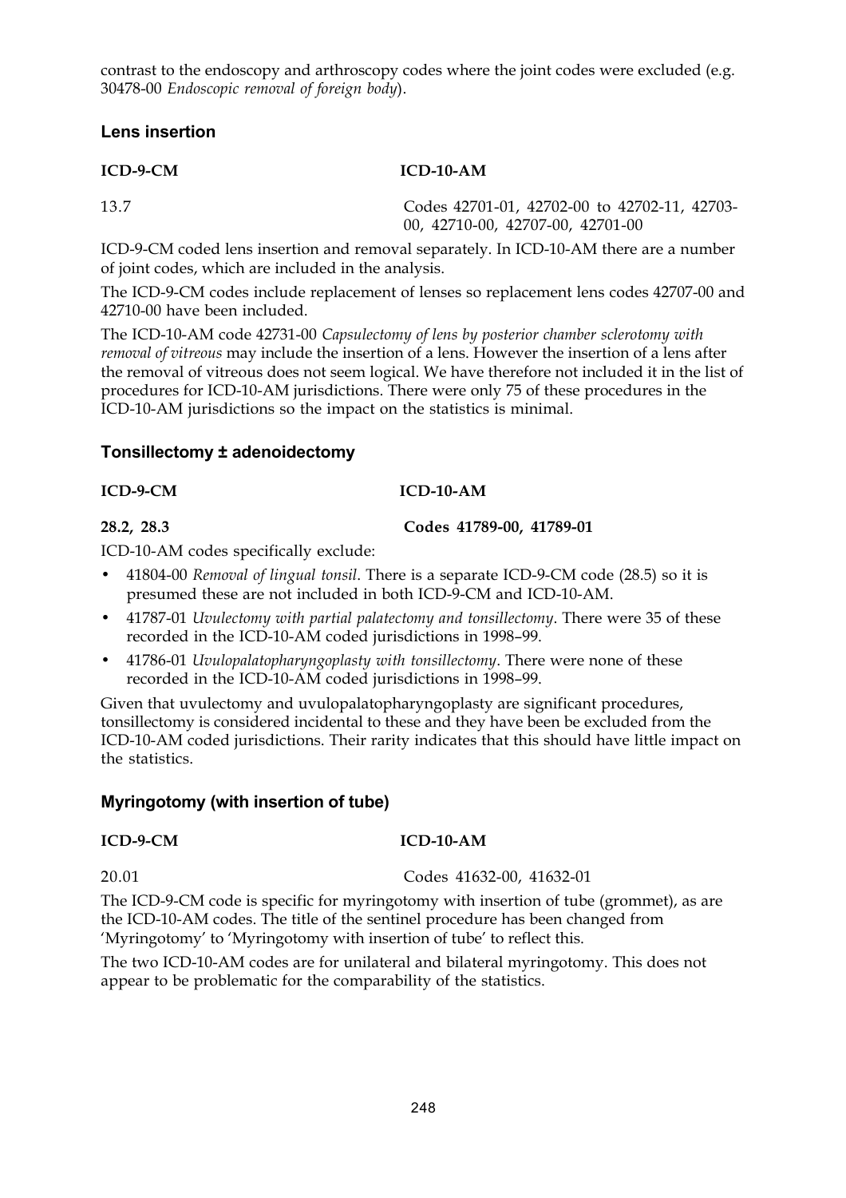contrast to the endoscopy and arthroscopy codes where the joint codes were excluded (e.g. 30478-00 *Endoscopic removal of foreign body*).

#### **Lens insertion**

**ICD-9-CM ICD-10-AM**

13.7 Codes 42701-01, 42702-00 to 42702-11, 42703- 00, 42710-00, 42707-00, 42701-00

ICD-9-CM coded lens insertion and removal separately. In ICD-10-AM there are a number of joint codes, which are included in the analysis.

The ICD-9-CM codes include replacement of lenses so replacement lens codes 42707-00 and 42710-00 have been included.

The ICD-10-AM code 42731-00 *Capsulectomy of lens by posterior chamber sclerotomy with removal of vitreous* may include the insertion of a lens. However the insertion of a lens after the removal of vitreous does not seem logical. We have therefore not included it in the list of procedures for ICD-10-AM jurisdictions. There were only 75 of these procedures in the ICD-10-AM jurisdictions so the impact on the statistics is minimal.

#### **Tonsillectomy ± adenoidectomy**

#### **ICD-9-CM ICD-10-AM**

**28.2, 28.3 Codes 41789-00, 41789-01**

ICD-10-AM codes specifically exclude:

- 41804-00 *Removal of lingual tonsil*. There is a separate ICD-9-CM code (28.5) so it is presumed these are not included in both ICD-9-CM and ICD-10-AM.
- 41787-01 *Uvulectomy with partial palatectomy and tonsillectomy*. There were 35 of these recorded in the ICD-10-AM coded jurisdictions in 1998–99.
- 41786-01 *Uvulopalatopharyngoplasty with tonsillectomy*. There were none of these recorded in the ICD-10-AM coded jurisdictions in 1998–99.

Given that uvulectomy and uvulopalatopharyngoplasty are significant procedures, tonsillectomy is considered incidental to these and they have been be excluded from the ICD-10-AM coded jurisdictions. Their rarity indicates that this should have little impact on the statistics.

#### **Myringotomy (with insertion of tube)**

#### **ICD-9-CM ICD-10-AM**

20.01 Codes 41632-00, 41632-01

The ICD-9-CM code is specific for myringotomy with insertion of tube (grommet), as are the ICD-10-AM codes. The title of the sentinel procedure has been changed from 'Myringotomy' to 'Myringotomy with insertion of tube' to reflect this.

The two ICD-10-AM codes are for unilateral and bilateral myringotomy. This does not appear to be problematic for the comparability of the statistics.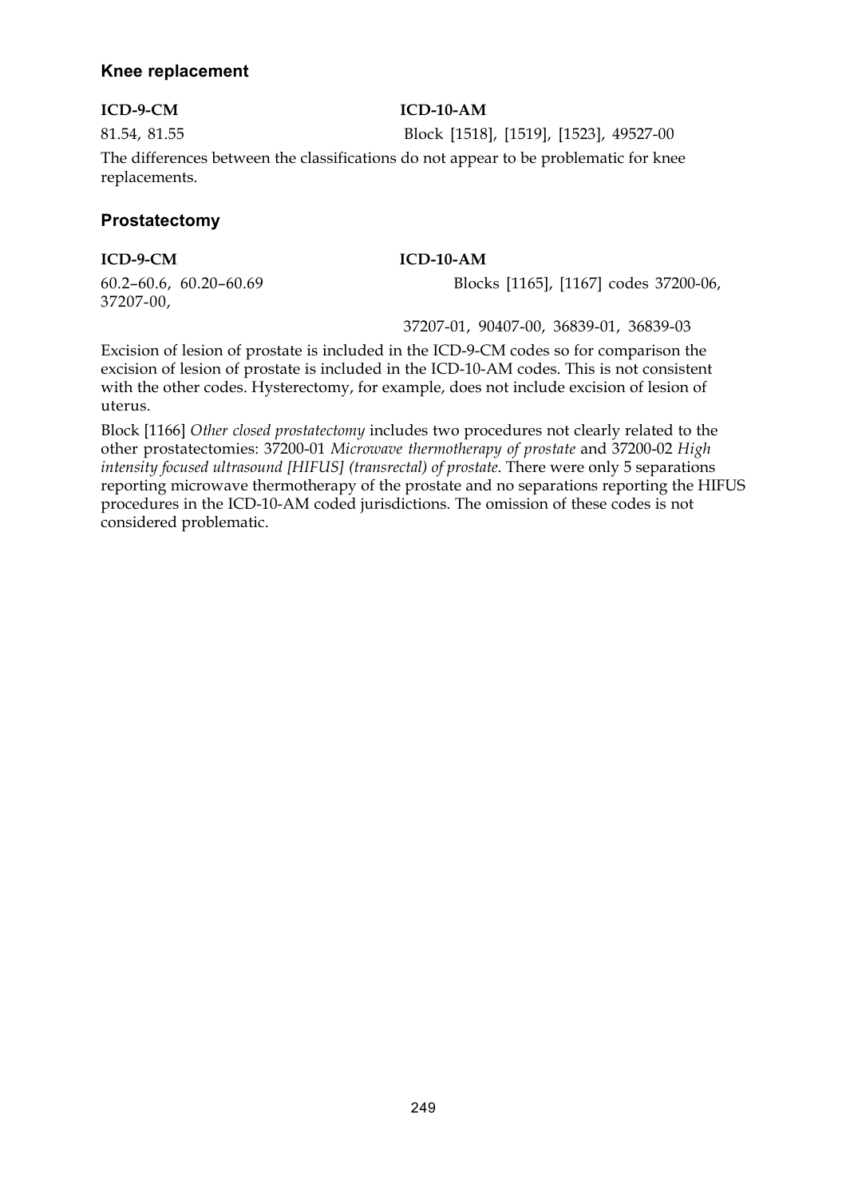#### **Knee replacement**

#### **ICD-9-CM ICD-10-AM**

81.54, 81.55 Block [1518], [1519], [1523], 49527-00 The differences between the classifications do not appear to be problematic for knee replacements.

#### **Prostatectomy**

#### **ICD-9-CM ICD-10-AM**

37207-00,

60.2–60.6, 60.20–60.69 Blocks [1165], [1167] codes 37200-06,

37207-01, 90407-00, 36839-01, 36839-03

Excision of lesion of prostate is included in the ICD-9-CM codes so for comparison the excision of lesion of prostate is included in the ICD-10-AM codes. This is not consistent with the other codes. Hysterectomy, for example, does not include excision of lesion of uterus.

Block [1166] *Other closed prostatectomy* includes two procedures not clearly related to the other prostatectomies: 37200-01 *Microwave thermotherapy of prostate* and 37200-02 *High intensity focused ultrasound [HIFUS] (transrectal) of prostate*. There were only 5 separations reporting microwave thermotherapy of the prostate and no separations reporting the HIFUS procedures in the ICD-10-AM coded jurisdictions. The omission of these codes is not considered problematic.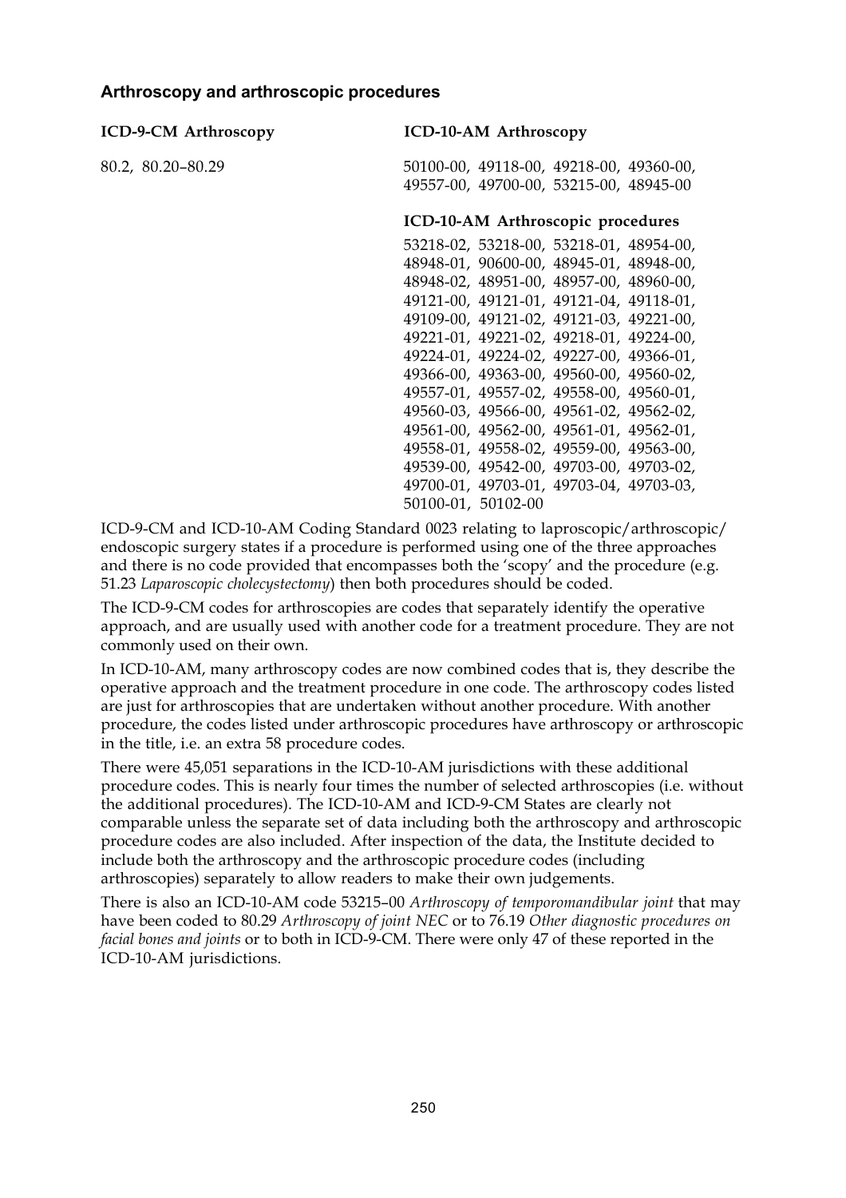#### **Arthroscopy and arthroscopic procedures**

| <b>ICD-9-CM Arthroscopy</b> | <b>ICD-10-AM Arthroscopy</b>            |
|-----------------------------|-----------------------------------------|
| 80.2, 80.20-80.29           | 50100-00, 49118-00, 49218-00, 49360-00, |
|                             | 49557-00, 49700-00, 53215-00, 48945-00  |
|                             | ICD-10-AM Arthroscopic procedures       |
|                             | 53218-02, 53218-00, 53218-01, 48954-00, |
|                             | 48948-01, 90600-00, 48945-01, 48948-00, |
|                             | 48948-02, 48951-00, 48957-00, 48960-00, |
|                             | 49121-00, 49121-01, 49121-04, 49118-01, |
|                             | 49109-00, 49121-02, 49121-03, 49221-00, |
|                             | 49221-01, 49221-02, 49218-01, 49224-00, |
|                             | 49224-01, 49224-02, 49227-00, 49366-01, |
|                             | 49366-00, 49363-00, 49560-00, 49560-02, |
|                             | 49557-01, 49557-02, 49558-00, 49560-01, |
|                             | 49560-03, 49566-00, 49561-02, 49562-02, |
|                             | 49561-00, 49562-00, 49561-01, 49562-01, |
|                             | 49558-01, 49558-02, 49559-00, 49563-00, |
|                             | 49539-00, 49542-00, 49703-00, 49703-02, |
|                             | 49700-01, 49703-01, 49703-04, 49703-03, |
|                             |                                         |

50100-01, 50102-00

ICD-9-CM and ICD-10-AM Coding Standard 0023 relating to laproscopic/arthroscopic/ endoscopic surgery states if a procedure is performed using one of the three approaches and there is no code provided that encompasses both the 'scopy' and the procedure (e.g. 51.23 *Laparoscopic cholecystectomy*) then both procedures should be coded.

The ICD-9-CM codes for arthroscopies are codes that separately identify the operative approach, and are usually used with another code for a treatment procedure. They are not commonly used on their own.

In ICD-10-AM, many arthroscopy codes are now combined codes that is, they describe the operative approach and the treatment procedure in one code. The arthroscopy codes listed are just for arthroscopies that are undertaken without another procedure. With another procedure, the codes listed under arthroscopic procedures have arthroscopy or arthroscopic in the title, i.e. an extra 58 procedure codes.

There were 45,051 separations in the ICD-10-AM jurisdictions with these additional procedure codes. This is nearly four times the number of selected arthroscopies (i.e. without the additional procedures). The ICD-10-AM and ICD-9-CM States are clearly not comparable unless the separate set of data including both the arthroscopy and arthroscopic procedure codes are also included. After inspection of the data, the Institute decided to include both the arthroscopy and the arthroscopic procedure codes (including arthroscopies) separately to allow readers to make their own judgements.

There is also an ICD-10-AM code 53215–00 *Arthroscopy of temporomandibular joint* that may have been coded to 80.29 *Arthroscopy of joint NEC* or to 76.19 *Other diagnostic procedures on facial bones and joints* or to both in ICD-9-CM. There were only 47 of these reported in the ICD-10-AM jurisdictions.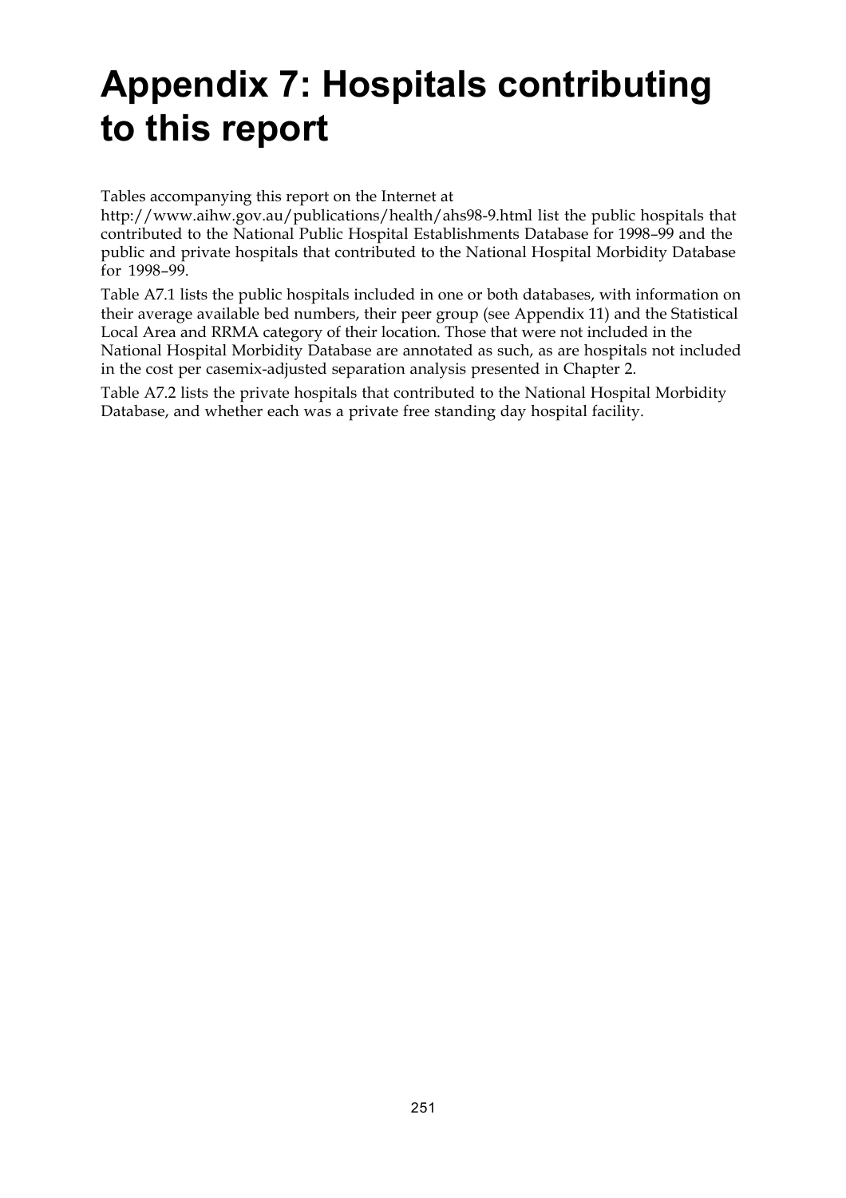## **Appendix 7: Hospitals contributing to this report**

Tables accompanying this report on the Internet at

http://www.aihw.gov.au/publications/health/ahs98-9.html list the public hospitals that contributed to the National Public Hospital Establishments Database for 1998–99 and the public and private hospitals that contributed to the National Hospital Morbidity Database for 1998–99.

Table A7.1 lists the public hospitals included in one or both databases, with information on their average available bed numbers, their peer group (see Appendix 11) and the Statistical Local Area and RRMA category of their location. Those that were not included in the National Hospital Morbidity Database are annotated as such, as are hospitals not included in the cost per casemix-adjusted separation analysis presented in Chapter 2.

Table A7.2 lists the private hospitals that contributed to the National Hospital Morbidity Database, and whether each was a private free standing day hospital facility.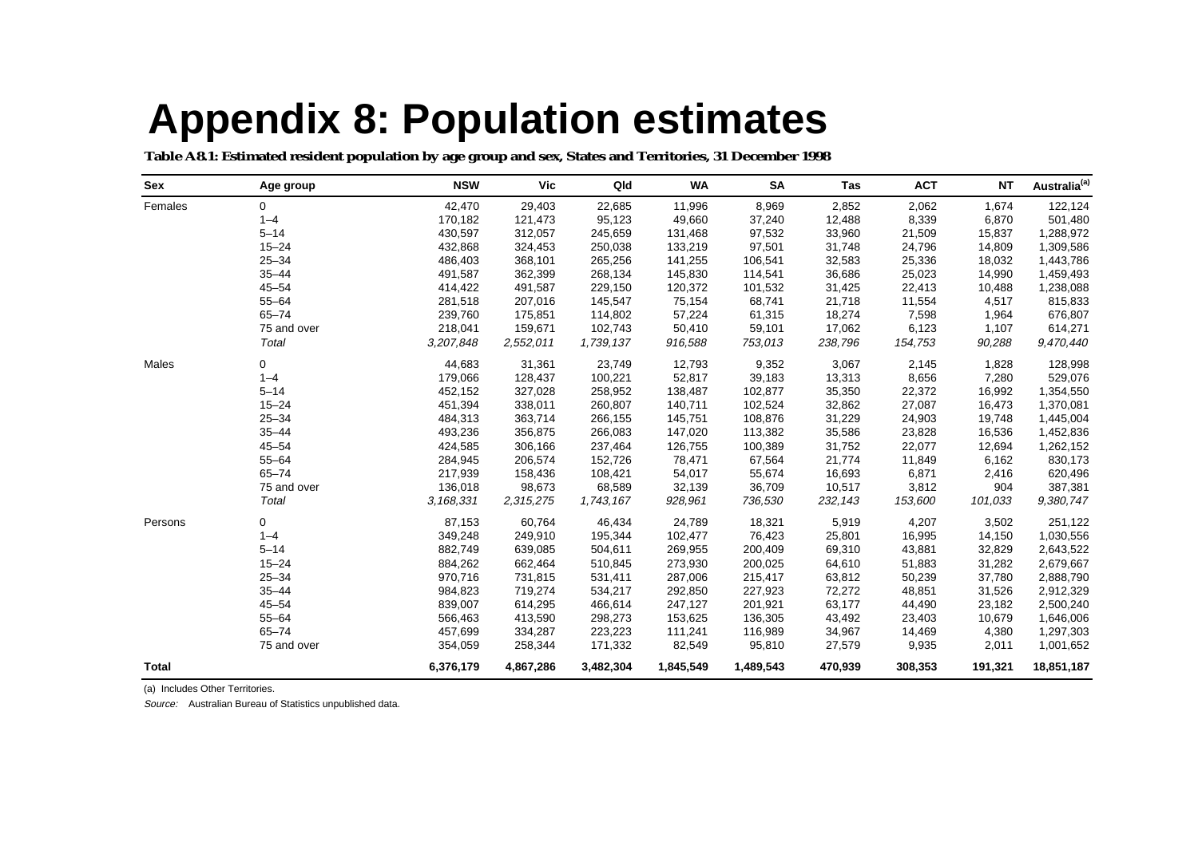# **Appendix 8: Population estimates**

**Table A8.1: Estimated resident population by age group and sex, States and Territories, 31 December 1998** 

| Sex     | Age group      | <b>NSW</b> | Vic       | Qld       | <b>WA</b> | <b>SA</b> | Tas     | <b>ACT</b> | <b>NT</b> | Australia <sup>(a)</sup> |
|---------|----------------|------------|-----------|-----------|-----------|-----------|---------|------------|-----------|--------------------------|
| Females | $\overline{0}$ | 42,470     | 29,403    | 22,685    | 11,996    | 8,969     | 2,852   | 2,062      | 1,674     | 122,124                  |
|         | $1 - 4$        | 170,182    | 121,473   | 95,123    | 49,660    | 37,240    | 12,488  | 8,339      | 6,870     | 501,480                  |
|         | $5 - 14$       | 430,597    | 312,057   | 245,659   | 131,468   | 97,532    | 33,960  | 21,509     | 15,837    | 1,288,972                |
|         | $15 - 24$      | 432,868    | 324,453   | 250,038   | 133,219   | 97,501    | 31,748  | 24,796     | 14,809    | 1,309,586                |
|         | $25 - 34$      | 486,403    | 368,101   | 265,256   | 141,255   | 106,541   | 32,583  | 25,336     | 18,032    | 1,443,786                |
|         | $35 - 44$      | 491,587    | 362,399   | 268,134   | 145,830   | 114,541   | 36,686  | 25,023     | 14,990    | 1,459,493                |
|         | $45 - 54$      | 414,422    | 491,587   | 229,150   | 120,372   | 101,532   | 31,425  | 22,413     | 10,488    | 1,238,088                |
|         | $55 - 64$      | 281,518    | 207,016   | 145,547   | 75,154    | 68,741    | 21,718  | 11,554     | 4,517     | 815,833                  |
|         | $65 - 74$      | 239,760    | 175,851   | 114,802   | 57,224    | 61,315    | 18,274  | 7,598      | 1,964     | 676,807                  |
|         | 75 and over    | 218,041    | 159,671   | 102,743   | 50,410    | 59,101    | 17,062  | 6,123      | 1,107     | 614,271                  |
|         | Total          | 3,207,848  | 2,552,011 | 1,739,137 | 916,588   | 753,013   | 238,796 | 154,753    | 90,288    | 9,470,440                |
| Males   | 0              | 44,683     | 31,361    | 23,749    | 12,793    | 9,352     | 3,067   | 2,145      | 1,828     | 128,998                  |
|         | $1 - 4$        | 179,066    | 128,437   | 100,221   | 52,817    | 39,183    | 13,313  | 8,656      | 7,280     | 529,076                  |
|         | $5 - 14$       | 452,152    | 327,028   | 258,952   | 138,487   | 102,877   | 35,350  | 22,372     | 16,992    | 1,354,550                |
|         | $15 - 24$      | 451,394    | 338,011   | 260,807   | 140,711   | 102,524   | 32,862  | 27,087     | 16,473    | 1,370,081                |
|         | $25 - 34$      | 484,313    | 363,714   | 266,155   | 145,751   | 108,876   | 31,229  | 24,903     | 19,748    | 1,445,004                |
|         | $35 - 44$      | 493,236    | 356,875   | 266,083   | 147,020   | 113,382   | 35,586  | 23,828     | 16,536    | 1,452,836                |
|         | $45 - 54$      | 424,585    | 306,166   | 237,464   | 126,755   | 100,389   | 31,752  | 22,077     | 12,694    | 1,262,152                |
|         | $55 - 64$      | 284,945    | 206,574   | 152,726   | 78,471    | 67,564    | 21,774  | 11,849     | 6,162     | 830,173                  |
|         | $65 - 74$      | 217,939    | 158,436   | 108,421   | 54,017    | 55,674    | 16,693  | 6,871      | 2,416     | 620,496                  |
|         | 75 and over    | 136,018    | 98,673    | 68,589    | 32,139    | 36,709    | 10,517  | 3,812      | 904       | 387,381                  |
|         | Total          | 3,168,331  | 2,315,275 | 1,743,167 | 928,961   | 736,530   | 232,143 | 153,600    | 101,033   | 9,380,747                |
| Persons | 0              | 87,153     | 60,764    | 46,434    | 24,789    | 18,321    | 5,919   | 4,207      | 3,502     | 251,122                  |
|         | $1 - 4$        | 349,248    | 249,910   | 195,344   | 102,477   | 76,423    | 25,801  | 16,995     | 14,150    | 1,030,556                |
|         | $5 - 14$       | 882,749    | 639,085   | 504,611   | 269,955   | 200,409   | 69,310  | 43,881     | 32,829    | 2,643,522                |
|         | $15 - 24$      | 884,262    | 662,464   | 510,845   | 273,930   | 200,025   | 64,610  | 51,883     | 31,282    | 2,679,667                |
|         | $25 - 34$      | 970,716    | 731,815   | 531,411   | 287,006   | 215,417   | 63,812  | 50,239     | 37,780    | 2,888,790                |
|         | $35 - 44$      | 984,823    | 719,274   | 534,217   | 292,850   | 227,923   | 72,272  | 48,851     | 31,526    | 2,912,329                |
|         | $45 - 54$      | 839,007    | 614,295   | 466,614   | 247,127   | 201,921   | 63,177  | 44,490     | 23,182    | 2,500,240                |
|         | $55 - 64$      | 566,463    | 413,590   | 298,273   | 153,625   | 136,305   | 43,492  | 23,403     | 10,679    | 1,646,006                |
|         | $65 - 74$      | 457,699    | 334,287   | 223,223   | 111,241   | 116,989   | 34,967  | 14,469     | 4,380     | 1,297,303                |
|         | 75 and over    | 354,059    | 258,344   | 171,332   | 82,549    | 95,810    | 27,579  | 9,935      | 2,011     | 1,001,652                |
| Total   |                | 6,376,179  | 4,867,286 | 3,482,304 | 1,845,549 | 1,489,543 | 470,939 | 308,353    | 191,321   | 18,851,187               |

(a) Includes Other Territories.

Source: Australian Bureau of Statistics unpublished data.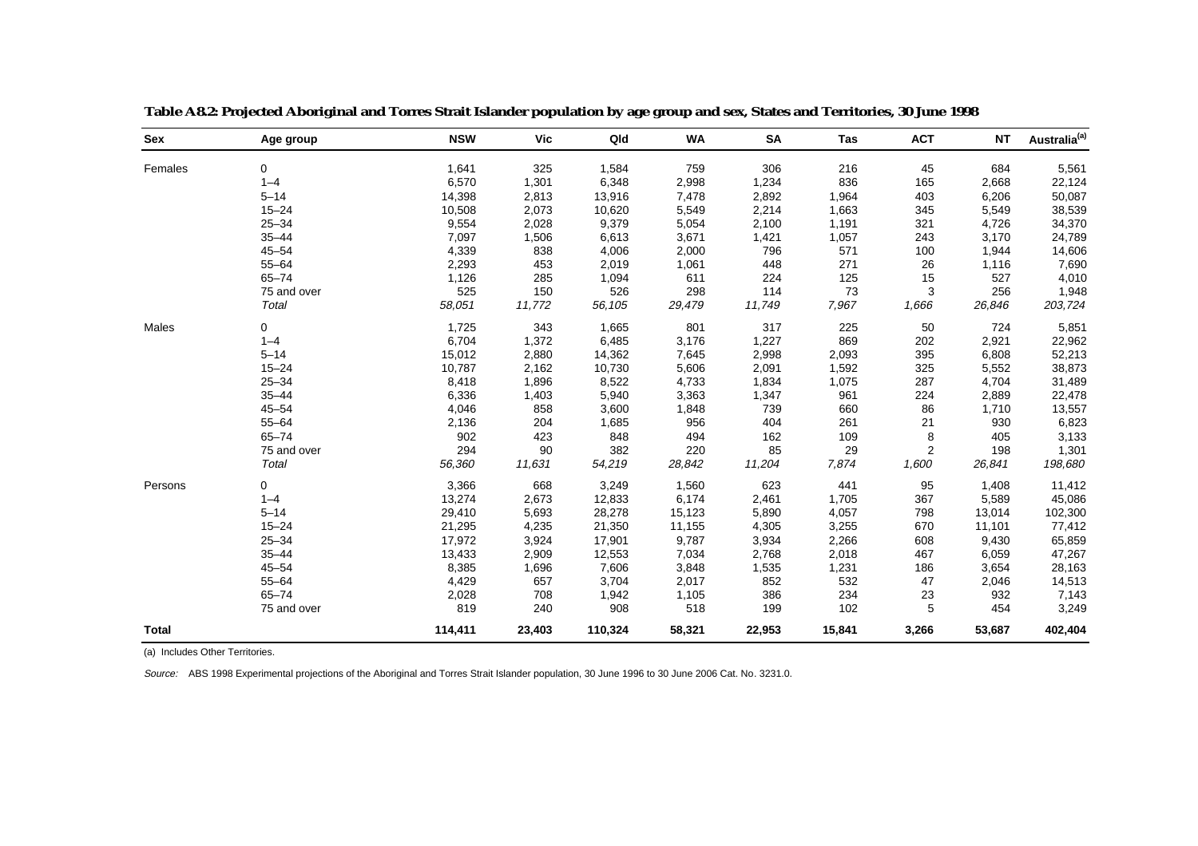| <b>Sex</b>   | Age group   | <b>NSW</b> | <b>Vic</b> | Qld     | <b>WA</b> | <b>SA</b> | Tas    | <b>ACT</b> | <b>NT</b> | Australia <sup>(a)</sup> |
|--------------|-------------|------------|------------|---------|-----------|-----------|--------|------------|-----------|--------------------------|
| Females      | 0           | 1,641      | 325        | 1,584   | 759       | 306       | 216    | 45         | 684       | 5,561                    |
|              | $1 - 4$     | 6,570      | 1,301      | 6,348   | 2,998     | 1,234     | 836    | 165        | 2,668     | 22,124                   |
|              | $5 - 14$    | 14,398     | 2,813      | 13,916  | 7,478     | 2,892     | 1,964  | 403        | 6,206     | 50,087                   |
|              | $15 - 24$   | 10,508     | 2,073      | 10,620  | 5,549     | 2,214     | 1,663  | 345        | 5,549     | 38,539                   |
|              | $25 - 34$   | 9,554      | 2,028      | 9,379   | 5,054     | 2,100     | 1,191  | 321        | 4,726     | 34,370                   |
|              | $35 - 44$   | 7,097      | 1,506      | 6,613   | 3,671     | 1,421     | 1,057  | 243        | 3,170     | 24,789                   |
|              | $45 - 54$   | 4,339      | 838        | 4,006   | 2,000     | 796       | 571    | 100        | 1,944     | 14,606                   |
|              | $55 - 64$   | 2,293      | 453        | 2,019   | 1,061     | 448       | 271    | 26         | 1,116     | 7,690                    |
|              | $65 - 74$   | 1,126      | 285        | 1,094   | 611       | 224       | 125    | 15         | 527       | 4,010                    |
|              | 75 and over | 525        | 150        | 526     | 298       | 114       | 73     | 3          | 256       | 1,948                    |
|              | Total       | 58,051     | 11,772     | 56,105  | 29,479    | 11,749    | 7,967  | 1,666      | 26,846    | 203,724                  |
| Males        | $\Omega$    | 1,725      | 343        | 1,665   | 801       | 317       | 225    | 50         | 724       | 5,851                    |
|              | $1 - 4$     | 6,704      | 1,372      | 6,485   | 3,176     | 1,227     | 869    | 202        | 2,921     | 22,962                   |
|              | $5 - 14$    | 15,012     | 2,880      | 14,362  | 7,645     | 2,998     | 2,093  | 395        | 6,808     | 52,213                   |
|              | $15 - 24$   | 10,787     | 2,162      | 10,730  | 5,606     | 2,091     | 1,592  | 325        | 5,552     | 38,873                   |
|              | $25 - 34$   | 8,418      | 1,896      | 8,522   | 4,733     | 1,834     | 1,075  | 287        | 4,704     | 31,489                   |
|              | $35 - 44$   | 6,336      | 1,403      | 5,940   | 3,363     | 1,347     | 961    | 224        | 2,889     | 22,478                   |
|              | $45 - 54$   | 4,046      | 858        | 3,600   | 1,848     | 739       | 660    | 86         | 1,710     | 13,557                   |
|              | $55 - 64$   | 2,136      | 204        | 1,685   | 956       | 404       | 261    | 21         | 930       | 6,823                    |
|              | $65 - 74$   | 902        | 423        | 848     | 494       | 162       | 109    | 8          | 405       | 3,133                    |
|              | 75 and over | 294        | 90         | 382     | 220       | 85        | 29     | 2          | 198       | 1,301                    |
|              | Total       | 56,360     | 11,631     | 54,219  | 28,842    | 11,204    | 7,874  | 1,600      | 26,841    | 198,680                  |
| Persons      | 0           | 3,366      | 668        | 3,249   | 1,560     | 623       | 441    | 95         | 1,408     | 11,412                   |
|              | $1 - 4$     | 13,274     | 2,673      | 12,833  | 6,174     | 2,461     | 1,705  | 367        | 5,589     | 45,086                   |
|              | $5 - 14$    | 29,410     | 5,693      | 28,278  | 15,123    | 5,890     | 4,057  | 798        | 13,014    | 102,300                  |
|              | $15 - 24$   | 21,295     | 4,235      | 21,350  | 11,155    | 4,305     | 3,255  | 670        | 11,101    | 77,412                   |
|              | $25 - 34$   | 17,972     | 3,924      | 17,901  | 9,787     | 3,934     | 2,266  | 608        | 9,430     | 65,859                   |
|              | $35 - 44$   | 13,433     | 2,909      | 12,553  | 7,034     | 2,768     | 2,018  | 467        | 6,059     | 47,267                   |
|              | $45 - 54$   | 8,385      | 1,696      | 7,606   | 3,848     | 1,535     | 1,231  | 186        | 3,654     | 28,163                   |
|              | $55 - 64$   | 4,429      | 657        | 3,704   | 2,017     | 852       | 532    | 47         | 2,046     | 14,513                   |
|              | $65 - 74$   | 2,028      | 708        | 1,942   | 1,105     | 386       | 234    | 23         | 932       | 7,143                    |
|              | 75 and over | 819        | 240        | 908     | 518       | 199       | 102    | 5          | 454       | 3,249                    |
| <b>Total</b> |             | 114,411    | 23,403     | 110,324 | 58,321    | 22,953    | 15,841 | 3,266      | 53,687    | 402,404                  |

**Table A8.2: Projected Aboriginal and Torres Strait Islander population by age group and sex, States and Territories, 30 June 1998** 

(a) Includes Other Territories.

Source: ABS 1998 Experimental projections of the Aboriginal and Torres Strait Islander population, 30 June 1996 to 30 June 2006 Cat. No. 3231.0.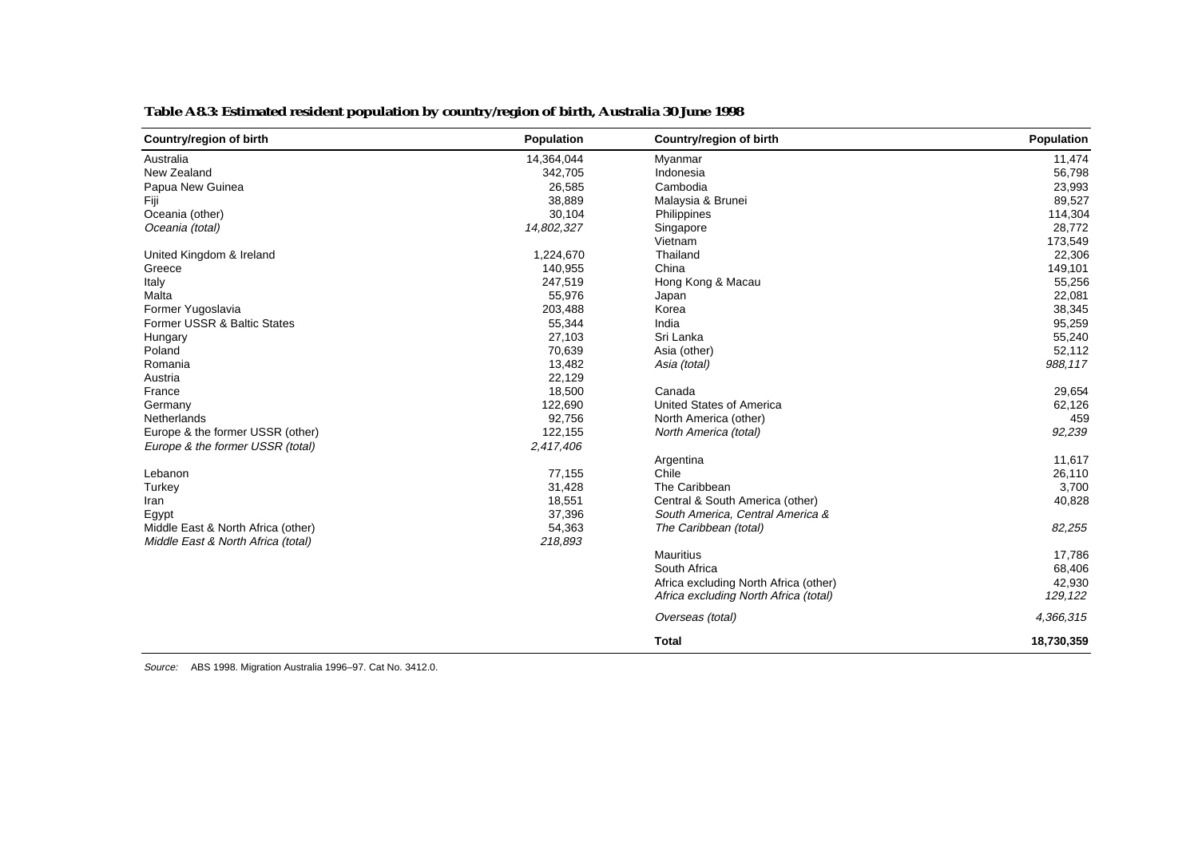| Country/region of birth            | Population | Country/region of birth               | Population |
|------------------------------------|------------|---------------------------------------|------------|
| Australia                          | 14,364,044 | Myanmar                               | 11,474     |
| New Zealand                        | 342,705    | Indonesia                             | 56,798     |
| Papua New Guinea                   | 26,585     | Cambodia                              | 23,993     |
| Fiji                               | 38,889     | Malaysia & Brunei                     | 89,527     |
| Oceania (other)                    | 30,104     | Philippines                           | 114,304    |
| Oceania (total)                    | 14,802,327 | Singapore                             | 28,772     |
|                                    |            | Vietnam                               | 173,549    |
| United Kingdom & Ireland           | 1,224,670  | Thailand                              | 22,306     |
| Greece                             | 140,955    | China                                 | 149,101    |
| Italy                              | 247,519    | Hong Kong & Macau                     | 55,256     |
| Malta                              | 55,976     | Japan                                 | 22,081     |
| Former Yugoslavia                  | 203,488    | Korea                                 | 38,345     |
| Former USSR & Baltic States        | 55,344     | India                                 | 95,259     |
| Hungary                            | 27,103     | Sri Lanka                             | 55,240     |
| Poland                             | 70,639     | Asia (other)                          | 52,112     |
| Romania                            | 13,482     | Asia (total)                          | 988,117    |
| Austria                            | 22,129     |                                       |            |
| France                             | 18,500     | Canada                                | 29,654     |
| Germany                            | 122,690    | United States of America              | 62,126     |
| <b>Netherlands</b>                 | 92,756     | North America (other)                 | 459        |
| Europe & the former USSR (other)   | 122,155    | North America (total)                 | 92,239     |
| Europe & the former USSR (total)   | 2,417,406  |                                       |            |
|                                    |            | Argentina                             | 11,617     |
| Lebanon                            | 77,155     | Chile                                 | 26,110     |
| Turkey                             | 31,428     | The Caribbean                         | 3,700      |
| Iran                               | 18,551     | Central & South America (other)       | 40,828     |
| Egypt                              | 37,396     | South America, Central America &      |            |
| Middle East & North Africa (other) | 54,363     | The Caribbean (total)                 | 82,255     |
| Middle East & North Africa (total) | 218,893    |                                       |            |
|                                    |            | <b>Mauritius</b>                      | 17,786     |
|                                    |            | South Africa                          | 68,406     |
|                                    |            | Africa excluding North Africa (other) | 42,930     |
|                                    |            | Africa excluding North Africa (total) | 129,122    |
|                                    |            | Overseas (total)                      | 4,366,315  |
|                                    |            | <b>Total</b>                          | 18,730,359 |

### **Table A8.3: Estimated resident population by country/region of birth, Australia 30 June 1998**

Source: ABS 1998. Migration Australia 1996–97. Cat No. 3412.0.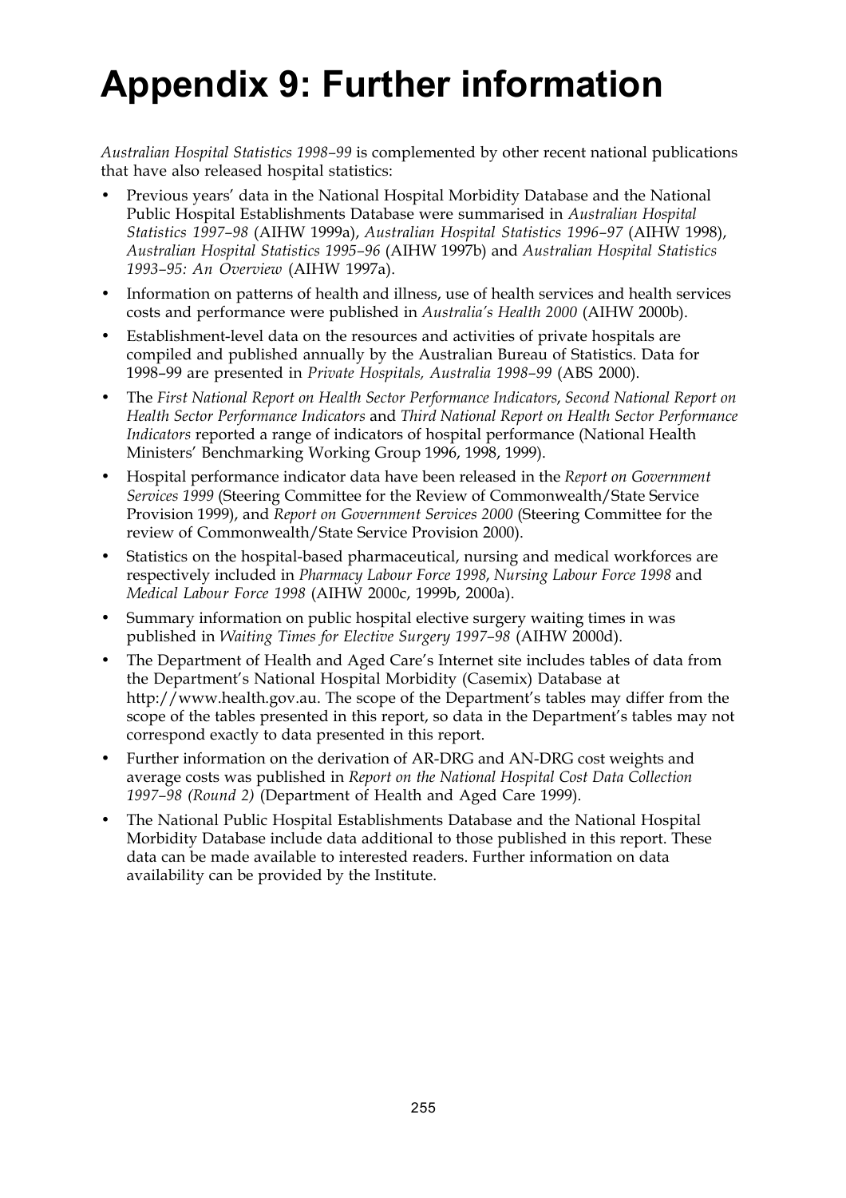## **Appendix 9: Further information**

*Australian Hospital Statistics 1998–99* is complemented by other recent national publications that have also released hospital statistics:

- Previous years' data in the National Hospital Morbidity Database and the National Public Hospital Establishments Database were summarised in *Australian Hospital Statistics 1997–98* (AIHW 1999a), *Australian Hospital Statistics 1996–97* (AIHW 1998), *Australian Hospital Statistics 1995–96* (AIHW 1997b) and *Australian Hospital Statistics 1993–95: An Overview* (AIHW 1997a).
- Information on patterns of health and illness, use of health services and health services costs and performance were published in *Australia's Health 2000* (AIHW 2000b).
- Establishment-level data on the resources and activities of private hospitals are compiled and published annually by the Australian Bureau of Statistics. Data for 1998–99 are presented in *Private Hospitals, Australia 1998–99* (ABS 2000).
- The *First National Report on Health Sector Performance Indicators*, *Second National Report on Health Sector Performance Indicators* and *Third National Report on Health Sector Performance Indicators* reported a range of indicators of hospital performance (National Health Ministers' Benchmarking Working Group 1996, 1998, 1999).
- Hospital performance indicator data have been released in the *Report on Government Services 1999* (Steering Committee for the Review of Commonwealth/State Service Provision 1999), and *Report on Government Services 2000* (Steering Committee for the review of Commonwealth/State Service Provision 2000).
- Statistics on the hospital-based pharmaceutical, nursing and medical workforces are respectively included in *Pharmacy Labour Force 1998*, *Nursing Labour Force 1998* and *Medical Labour Force 1998* (AIHW 2000c, 1999b, 2000a).
- Summary information on public hospital elective surgery waiting times in was published in *Waiting Times for Elective Surgery 1997–98* (AIHW 2000d).
- The Department of Health and Aged Care's Internet site includes tables of data from the Department's National Hospital Morbidity (Casemix) Database at http://www.health.gov.au. The scope of the Department's tables may differ from the scope of the tables presented in this report, so data in the Department's tables may not correspond exactly to data presented in this report.
- Further information on the derivation of AR-DRG and AN-DRG cost weights and average costs was published in *Report on the National Hospital Cost Data Collection 1997–98 (Round 2)* (Department of Health and Aged Care 1999).
- The National Public Hospital Establishments Database and the National Hospital Morbidity Database include data additional to those published in this report. These data can be made available to interested readers. Further information on data availability can be provided by the Institute.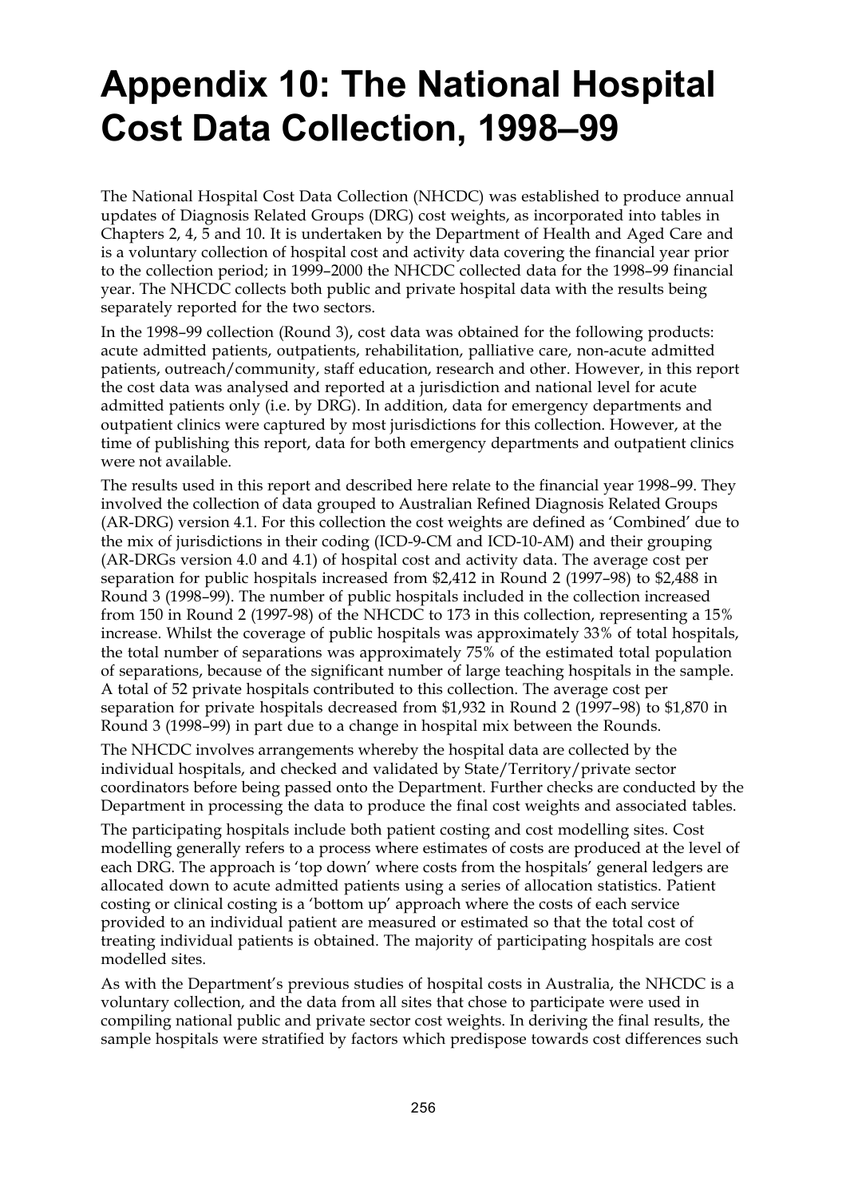## **Appendix 10: The National Hospital Cost Data Collection, 1998–99**

The National Hospital Cost Data Collection (NHCDC) was established to produce annual updates of Diagnosis Related Groups (DRG) cost weights, as incorporated into tables in Chapters 2, 4, 5 and 10. It is undertaken by the Department of Health and Aged Care and is a voluntary collection of hospital cost and activity data covering the financial year prior to the collection period; in 1999–2000 the NHCDC collected data for the 1998–99 financial year. The NHCDC collects both public and private hospital data with the results being separately reported for the two sectors.

In the 1998–99 collection (Round 3), cost data was obtained for the following products: acute admitted patients, outpatients, rehabilitation, palliative care, non-acute admitted patients, outreach/community, staff education, research and other. However, in this report the cost data was analysed and reported at a jurisdiction and national level for acute admitted patients only (i.e. by DRG). In addition, data for emergency departments and outpatient clinics were captured by most jurisdictions for this collection. However, at the time of publishing this report, data for both emergency departments and outpatient clinics were not available.

The results used in this report and described here relate to the financial year 1998–99. They involved the collection of data grouped to Australian Refined Diagnosis Related Groups (AR-DRG) version 4.1. For this collection the cost weights are defined as 'Combined' due to the mix of jurisdictions in their coding (ICD-9-CM and ICD-10-AM) and their grouping (AR-DRGs version 4.0 and 4.1) of hospital cost and activity data. The average cost per separation for public hospitals increased from \$2,412 in Round 2 (1997–98) to \$2,488 in Round 3 (1998–99). The number of public hospitals included in the collection increased from 150 in Round 2 (1997-98) of the NHCDC to 173 in this collection, representing a 15% increase. Whilst the coverage of public hospitals was approximately 33% of total hospitals, the total number of separations was approximately 75% of the estimated total population of separations, because of the significant number of large teaching hospitals in the sample. A total of 52 private hospitals contributed to this collection. The average cost per separation for private hospitals decreased from \$1,932 in Round 2 (1997–98) to \$1,870 in Round 3 (1998–99) in part due to a change in hospital mix between the Rounds.

The NHCDC involves arrangements whereby the hospital data are collected by the individual hospitals, and checked and validated by State/Territory/private sector coordinators before being passed onto the Department. Further checks are conducted by the Department in processing the data to produce the final cost weights and associated tables.

The participating hospitals include both patient costing and cost modelling sites. Cost modelling generally refers to a process where estimates of costs are produced at the level of each DRG. The approach is 'top down' where costs from the hospitals' general ledgers are allocated down to acute admitted patients using a series of allocation statistics. Patient costing or clinical costing is a 'bottom up' approach where the costs of each service provided to an individual patient are measured or estimated so that the total cost of treating individual patients is obtained. The majority of participating hospitals are cost modelled sites.

As with the Department's previous studies of hospital costs in Australia, the NHCDC is a voluntary collection, and the data from all sites that chose to participate were used in compiling national public and private sector cost weights. In deriving the final results, the sample hospitals were stratified by factors which predispose towards cost differences such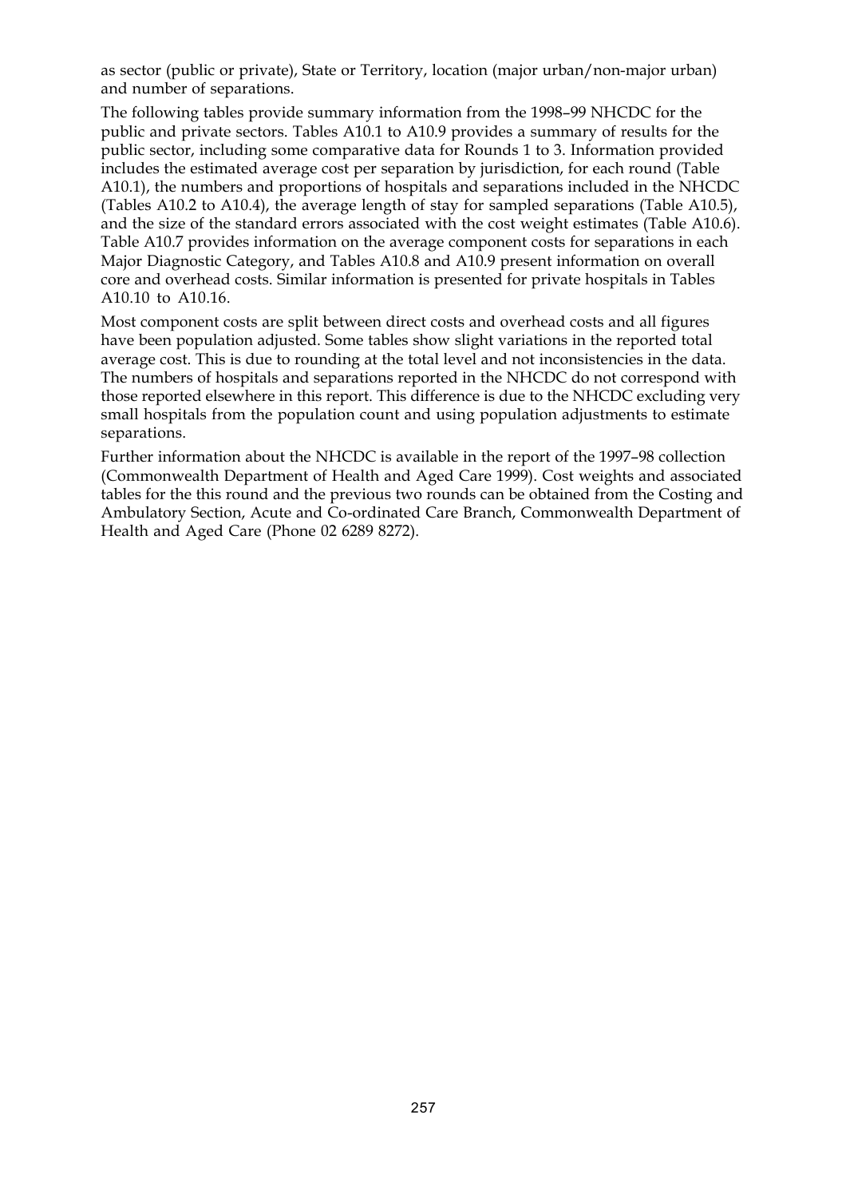as sector (public or private), State or Territory, location (major urban/non-major urban) and number of separations.

The following tables provide summary information from the 1998–99 NHCDC for the public and private sectors. Tables A10.1 to A10.9 provides a summary of results for the public sector, including some comparative data for Rounds 1 to 3. Information provided includes the estimated average cost per separation by jurisdiction, for each round (Table A10.1), the numbers and proportions of hospitals and separations included in the NHCDC (Tables A10.2 to A10.4), the average length of stay for sampled separations (Table A10.5), and the size of the standard errors associated with the cost weight estimates (Table A10.6). Table A10.7 provides information on the average component costs for separations in each Major Diagnostic Category, and Tables A10.8 and A10.9 present information on overall core and overhead costs. Similar information is presented for private hospitals in Tables A10.10 to A10.16.

Most component costs are split between direct costs and overhead costs and all figures have been population adjusted. Some tables show slight variations in the reported total average cost. This is due to rounding at the total level and not inconsistencies in the data. The numbers of hospitals and separations reported in the NHCDC do not correspond with those reported elsewhere in this report. This difference is due to the NHCDC excluding very small hospitals from the population count and using population adjustments to estimate separations.

Further information about the NHCDC is available in the report of the 1997–98 collection (Commonwealth Department of Health and Aged Care 1999). Cost weights and associated tables for the this round and the previous two rounds can be obtained from the Costing and Ambulatory Section, Acute and Co-ordinated Care Branch, Commonwealth Department of Health and Aged Care (Phone 02 6289 8272).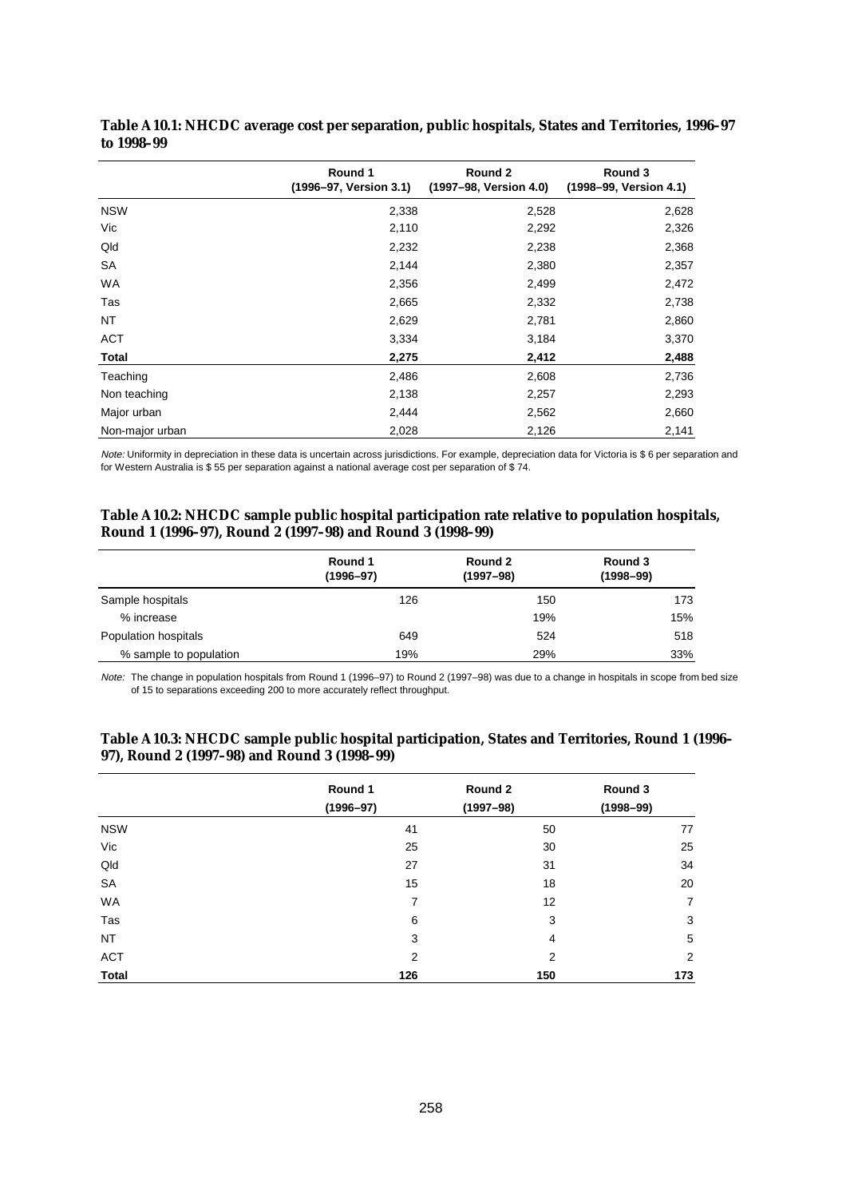|                 | Round 1<br>(1996-97, Version 3.1) | Round 2<br>(1997-98, Version 4.0) | Round 3<br>(1998-99, Version 4.1) |
|-----------------|-----------------------------------|-----------------------------------|-----------------------------------|
| <b>NSW</b>      | 2,338                             | 2,528                             | 2,628                             |
| Vic             | 2,110                             | 2,292                             | 2,326                             |
| Qld             | 2,232                             | 2,238                             | 2,368                             |
| SA              | 2,144                             | 2,380                             | 2,357                             |
| <b>WA</b>       | 2,356                             | 2,499                             | 2,472                             |
| Tas             | 2,665                             | 2,332                             | 2,738                             |
| NT              | 2,629                             | 2,781                             | 2,860                             |
| ACT             | 3,334                             | 3,184                             | 3,370                             |
| <b>Total</b>    | 2,275                             | 2,412                             | 2,488                             |
| Teaching        | 2,486                             | 2,608                             | 2,736                             |
| Non teaching    | 2,138                             | 2,257                             | 2,293                             |
| Major urban     | 2,444                             | 2,562                             | 2,660                             |
| Non-major urban | 2,028                             | 2,126                             | 2,141                             |

**Table A10.1: NHCDC average cost per separation, public hospitals, States and Territories, 1996–97 to 1998–99**

Note: Uniformity in depreciation in these data is uncertain across jurisdictions. For example, depreciation data for Victoria is \$ 6 per separation and for Western Australia is \$ 55 per separation against a national average cost per separation of \$ 74.

#### **Table A10.2: NHCDC sample public hospital participation rate relative to population hospitals, Round 1 (1996–97), Round 2 (1997–98) and Round 3 (1998–99)**

|                        | Round 1<br>$(1996 - 97)$ | Round 2<br>(1997–98) | Round 3<br>$(1998 - 99)$ |
|------------------------|--------------------------|----------------------|--------------------------|
| Sample hospitals       | 126                      | 150                  | 173                      |
| % increase             |                          | 19%                  | 15%                      |
| Population hospitals   | 649                      | 524                  | 518                      |
| % sample to population | 19%                      | 29%                  | 33%                      |

Note: The change in population hospitals from Round 1 (1996–97) to Round 2 (1997–98) was due to a change in hospitals in scope from bed size of 15 to separations exceeding 200 to more accurately reflect throughput.

|              | Round 1<br>$(1996 - 97)$ | Round 2<br>$(1997 - 98)$ | Round 3<br>$(1998 - 99)$ |
|--------------|--------------------------|--------------------------|--------------------------|
| <b>NSW</b>   | 41                       | 50                       | 77                       |
| Vic          | 25                       | 30                       | 25                       |
| Qld          | 27                       | 31                       | 34                       |
| <b>SA</b>    | 15                       | 18                       | 20                       |
| <b>WA</b>    | 7                        | 12                       | 7                        |
| Tas          | 6                        | 3                        | 3                        |
| <b>NT</b>    | 3                        | $\overline{4}$           | 5                        |
| <b>ACT</b>   | $\overline{2}$           | $\overline{2}$           | 2                        |
| <b>Total</b> | 126                      | 150                      | 173                      |

#### **Table A10.3: NHCDC sample public hospital participation, States and Territories, Round 1 (1996– 97), Round 2 (1997–98) and Round 3 (1998–99)**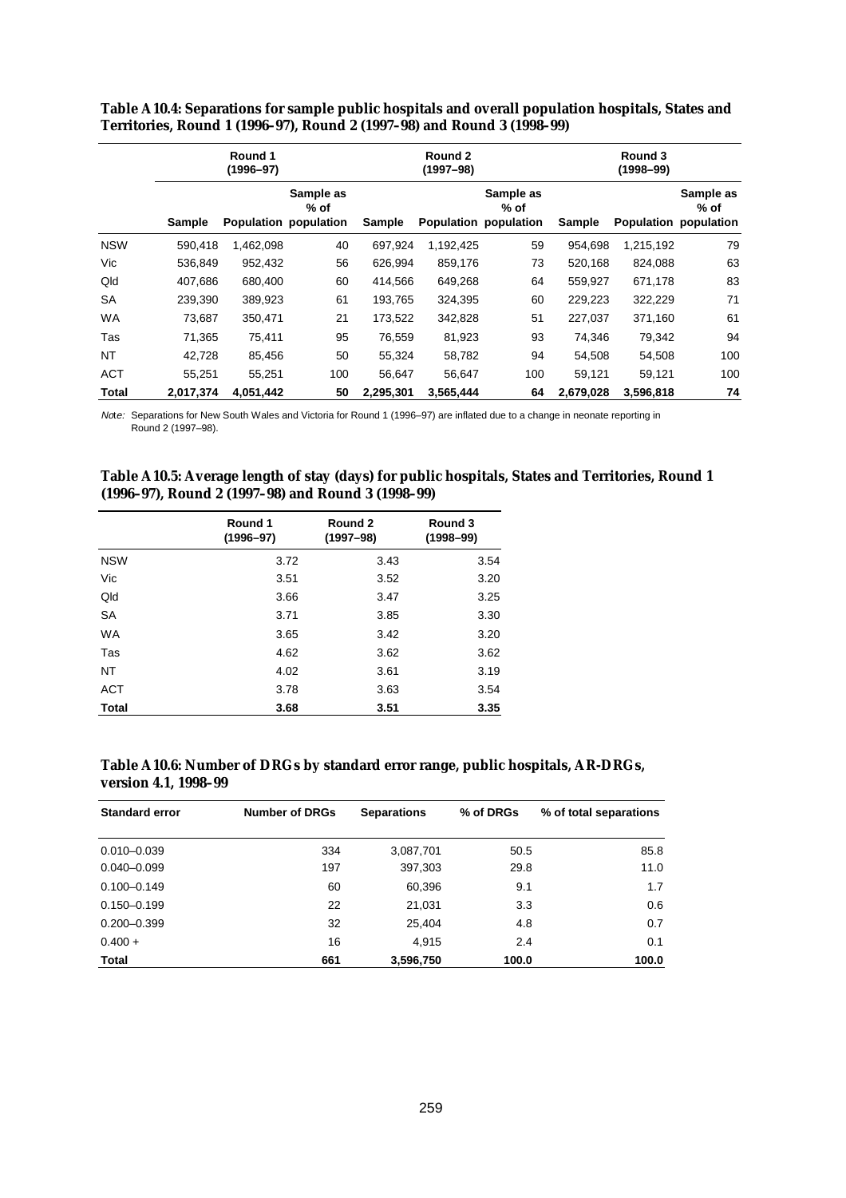|            |           | Round 1<br>$(1996 - 97)$ |                                            |           | Round 2<br>(1997–98) |                                            | Round 3<br>$(1998 - 99)$ |           |                                              |  |
|------------|-----------|--------------------------|--------------------------------------------|-----------|----------------------|--------------------------------------------|--------------------------|-----------|----------------------------------------------|--|
|            | Sample    |                          | Sample as<br>% of<br>Population population | Sample    |                      | Sample as<br>% of<br>Population population | Sample                   |           | Sample as<br>$%$ of<br>Population population |  |
| <b>NSW</b> | 590.418   | 1,462,098                | 40                                         | 697.924   | 1,192,425            | 59                                         | 954.698                  | 1,215,192 | 79                                           |  |
| Vic        | 536,849   | 952,432                  | 56                                         | 626,994   | 859,176              | 73                                         | 520,168                  | 824,088   | 63                                           |  |
| Qld        | 407,686   | 680,400                  | 60                                         | 414,566   | 649,268              | 64                                         | 559,927                  | 671,178   | 83                                           |  |
| SA         | 239,390   | 389,923                  | 61                                         | 193,765   | 324,395              | 60                                         | 229,223                  | 322,229   | 71                                           |  |
| <b>WA</b>  | 73,687    | 350,471                  | 21                                         | 173,522   | 342,828              | 51                                         | 227,037                  | 371,160   | 61                                           |  |
| Tas        | 71,365    | 75,411                   | 95                                         | 76,559    | 81,923               | 93                                         | 74,346                   | 79,342    | 94                                           |  |
| <b>NT</b>  | 42,728    | 85,456                   | 50                                         | 55,324    | 58,782               | 94                                         | 54,508                   | 54,508    | 100                                          |  |
| <b>ACT</b> | 55,251    | 55,251                   | 100                                        | 56,647    | 56,647               | 100                                        | 59,121                   | 59,121    | 100                                          |  |
| Total      | 2.017.374 | 4,051,442                | 50                                         | 2,295,301 | 3,565,444            | 64                                         | 2,679,028                | 3,596,818 | 74                                           |  |

**Table A10.4: Separations for sample public hospitals and overall population hospitals, States and Territories, Round 1 (1996–97), Round 2 (1997–98) and Round 3 (1998–99)**

Note: Separations for New South Wales and Victoria for Round 1 (1996–97) are inflated due to a change in neonate reporting in Round 2 (1997–98).

| Table A10.5: Average length of stay (days) for public hospitals, States and Territories, Round 1 |  |
|--------------------------------------------------------------------------------------------------|--|
| (1996–97), Round 2 (1997–98) and Round 3 (1998–99)                                               |  |

|              | Round 1<br>$(1996 - 97)$ | Round 2<br>$(1997 - 98)$ | Round 3<br>$(1998 - 99)$ |
|--------------|--------------------------|--------------------------|--------------------------|
| <b>NSW</b>   | 3.72                     | 3.43                     | 3.54                     |
| Vic          | 3.51                     | 3.52                     | 3.20                     |
| Qld          | 3.66                     | 3.47                     | 3.25                     |
| <b>SA</b>    | 3.71                     | 3.85                     | 3.30                     |
| <b>WA</b>    | 3.65                     | 3.42                     | 3.20                     |
| Tas          | 4.62                     | 3.62                     | 3.62                     |
| <b>NT</b>    | 4.02                     | 3.61                     | 3.19                     |
| <b>ACT</b>   | 3.78                     | 3.63                     | 3.54                     |
| <b>Total</b> | 3.68                     | 3.51                     | 3.35                     |

| Table A10.6: Number of DRGs by standard error range, public hospitals, AR-DRGs, |  |
|---------------------------------------------------------------------------------|--|
| version 4.1, 1998–99                                                            |  |

| <b>Standard error</b> | <b>Number of DRGs</b> | <b>Separations</b> | % of DRGs | % of total separations |
|-----------------------|-----------------------|--------------------|-----------|------------------------|
| $0.010 - 0.039$       | 334                   | 3,087,701          | 50.5      | 85.8                   |
| $0.040 - 0.099$       | 197                   | 397,303            | 29.8      | 11.0                   |
| $0.100 - 0.149$       | 60                    | 60.396             | 9.1       | 1.7                    |
| $0.150 - 0.199$       | 22                    | 21,031             | 3.3       | 0.6                    |
| $0.200 - 0.399$       | 32                    | 25.404             | 4.8       | 0.7                    |
| $0.400 +$             | 16                    | 4.915              | 2.4       | 0.1                    |
| Total                 | 661                   | 3,596,750          | 100.0     | 100.0                  |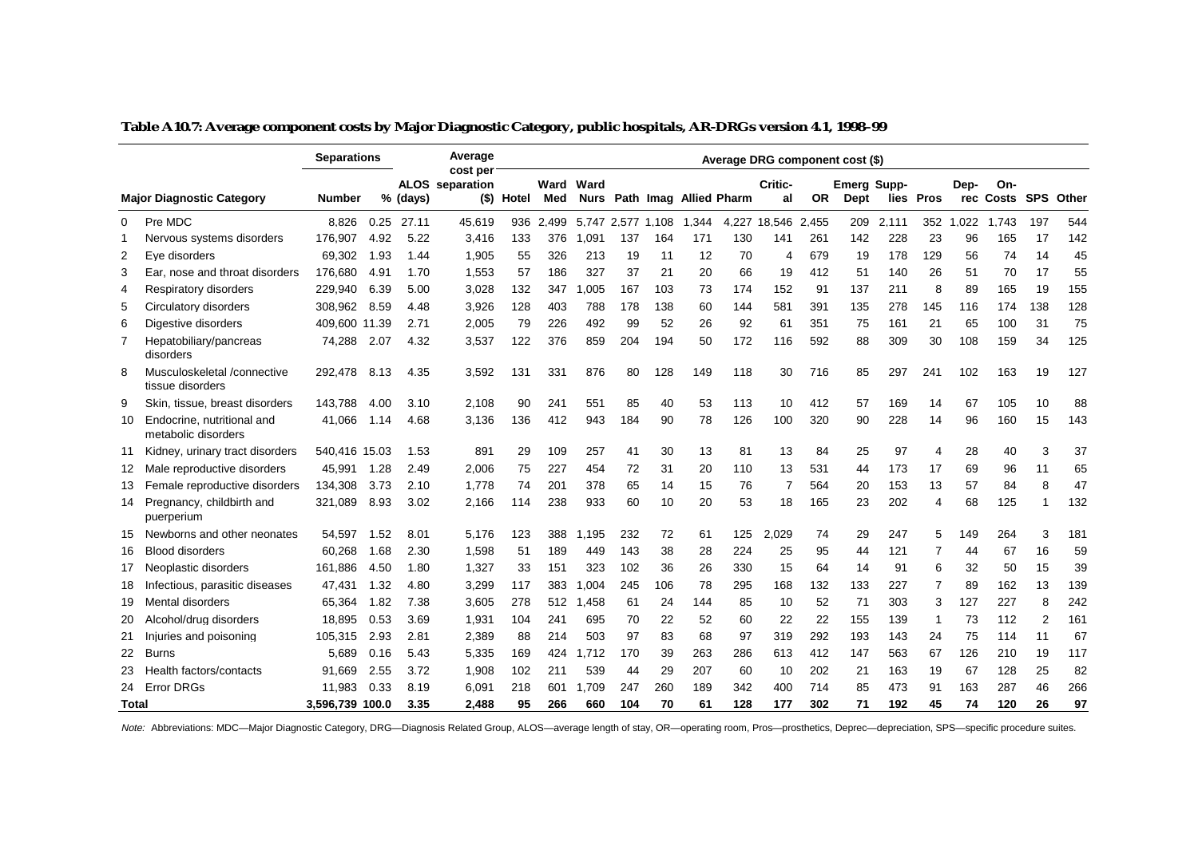|       |                                                   | <b>Separations</b> |      |          | Average<br>cost per    |            |             |       |       |       |                             |       | Average DRG component cost (\$) |           |                                   |       |                |      |                            |     |     |
|-------|---------------------------------------------------|--------------------|------|----------|------------------------|------------|-------------|-------|-------|-------|-----------------------------|-------|---------------------------------|-----------|-----------------------------------|-------|----------------|------|----------------------------|-----|-----|
|       | <b>Major Diagnostic Category</b>                  | <b>Number</b>      |      | % (days) | <b>ALOS</b> separation | (\$) Hotel | Ward<br>Med | Ward  |       |       | Nurs Path Imag Allied Pharm |       | Critic-<br>al                   | <b>OR</b> | <b>Emerg Supp-</b><br><b>Dept</b> |       | lies Pros      | Dep- | On-<br>rec Costs SPS Other |     |     |
| 0     | Pre MDC                                           | 8.826              | 0.25 | 27.11    | 45.619                 | 936        | 2.499       | 5.747 | 2.577 | 1.108 | 1.344                       | 4.227 | 18.546                          | 2.455     | 209                               | 2.111 | 352            | 022  | 1,743                      | 197 | 544 |
| 1     | Nervous systems disorders                         | 176.907            | 4.92 | 5.22     | 3.416                  | 133        | 376         | 1,091 | 137   | 164   | 171                         | 130   | 141                             | 261       | 142                               | 228   | 23             | 96   | 165                        | 17  | 142 |
| 2     | Eye disorders                                     | 69,302             | 1.93 | 1.44     | 1,905                  | 55         | 326         | 213   | 19    | 11    | 12                          | 70    | $\overline{4}$                  | 679       | 19                                | 178   | 129            | 56   | 74                         | 14  | 45  |
| 3     | Ear, nose and throat disorders                    | 176,680            | 4.91 | 1.70     | 1,553                  | 57         | 186         | 327   | 37    | 21    | 20                          | 66    | 19                              | 412       | 51                                | 140   | 26             | 51   | 70                         | 17  | 55  |
| 4     | Respiratory disorders                             | 229,940            | 6.39 | 5.00     | 3,028                  | 132        | 347         | 1.005 | 167   | 103   | 73                          | 174   | 152                             | 91        | 137                               | 211   | 8              | 89   | 165                        | 19  | 155 |
| 5     | Circulatory disorders                             | 308.962            | 8.59 | 4.48     | 3.926                  | 128        | 403         | 788   | 178   | 138   | 60                          | 144   | 581                             | 391       | 135                               | 278   | 145            | 116  | 174                        | 138 | 128 |
| 6     | Digestive disorders                               | 409,600 11.39      |      | 2.71     | 2,005                  | 79         | 226         | 492   | 99    | 52    | 26                          | 92    | 61                              | 351       | 75                                | 161   | 21             | 65   | 100                        | 31  | 75  |
| 7     | Hepatobiliary/pancreas<br>disorders               | 74,288             | 2.07 | 4.32     | 3,537                  | 122        | 376         | 859   | 204   | 194   | 50                          | 172   | 116                             | 592       | 88                                | 309   | 30             | 108  | 159                        | 34  | 125 |
| 8     | Musculoskeletal /connective<br>tissue disorders   | 292,478            | 8.13 | 4.35     | 3,592                  | 131        | 331         | 876   | 80    | 128   | 149                         | 118   | 30                              | 716       | 85                                | 297   | 241            | 102  | 163                        | 19  | 127 |
| 9     | Skin, tissue, breast disorders                    | 143.788            | 4.00 | 3.10     | 2.108                  | 90         | 241         | 551   | 85    | 40    | 53                          | 113   | 10                              | 412       | 57                                | 169   | 14             | 67   | 105                        | 10  | 88  |
| 10    | Endocrine, nutritional and<br>metabolic disorders | 41,066             | 1.14 | 4.68     | 3,136                  | 136        | 412         | 943   | 184   | 90    | 78                          | 126   | 100                             | 320       | 90                                | 228   | 14             | 96   | 160                        | 15  | 143 |
| 11    | Kidney, urinary tract disorders                   | 540.416 15.03      |      | 1.53     | 891                    | 29         | 109         | 257   | 41    | 30    | 13                          | 81    | 13                              | 84        | 25                                | 97    | $\overline{4}$ | 28   | 40                         | 3   | 37  |
| 12    | Male reproductive disorders                       | 45,991             | 1.28 | 2.49     | 2,006                  | 75         | 227         | 454   | 72    | 31    | 20                          | 110   | 13                              | 531       | 44                                | 173   | 17             | 69   | 96                         | 11  | 65  |
| 13    | Female reproductive disorders                     | 134,308            | 3.73 | 2.10     | 1,778                  | 74         | 201         | 378   | 65    | 14    | 15                          | 76    | 7                               | 564       | 20                                | 153   | 13             | 57   | 84                         | 8   | 47  |
| 14    | Pregnancy, childbirth and<br>puerperium           | 321,089            | 8.93 | 3.02     | 2,166                  | 114        | 238         | 933   | 60    | 10    | 20                          | 53    | 18                              | 165       | 23                                | 202   | 4              | 68   | 125                        |     | 132 |
| 15    | Newborns and other neonates                       | 54.597             | 1.52 | 8.01     | 5.176                  | 123        | 388         | 1.195 | 232   | 72    | 61                          | 125   | 2.029                           | 74        | 29                                | 247   | 5              | 149  | 264                        | 3   | 181 |
| 16    | <b>Blood disorders</b>                            | 60,268             | 1.68 | 2.30     | 1,598                  | 51         | 189         | 449   | 143   | 38    | 28                          | 224   | 25                              | 95        | 44                                | 121   | 7              | 44   | 67                         | 16  | 59  |
| 17    | Neoplastic disorders                              | 161,886            | 4.50 | 1.80     | 1,327                  | 33         | 151         | 323   | 102   | 36    | 26                          | 330   | 15                              | 64        | 14                                | 91    | 6              | 32   | 50                         | 15  | 39  |
| 18    | Infectious, parasitic diseases                    | 47,431             | 1.32 | 4.80     | 3,299                  | 117        | 383         | 1,004 | 245   | 106   | 78                          | 295   | 168                             | 132       | 133                               | 227   | 7              | 89   | 162                        | 13  | 139 |
| 19    | <b>Mental disorders</b>                           | 65,364             | 1.82 | 7.38     | 3,605                  | 278        | 512         | 1,458 | 61    | 24    | 144                         | 85    | 10                              | 52        | 71                                | 303   | 3              | 127  | 227                        | 8   | 242 |
| 20    | Alcohol/drug disorders                            | 18,895             | 0.53 | 3.69     | 1,931                  | 104        | 241         | 695   | 70    | 22    | 52                          | 60    | 22                              | 22        | 155                               | 139   | 1              | 73   | 112                        | 2   | 161 |
| 21    | Injuries and poisoning                            | 105,315            | 2.93 | 2.81     | 2,389                  | 88         | 214         | 503   | 97    | 83    | 68                          | 97    | 319                             | 292       | 193                               | 143   | 24             | 75   | 114                        | 11  | 67  |
| 22    | <b>Burns</b>                                      | 5.689              | 0.16 | 5.43     | 5,335                  | 169        | 424         | 1.712 | 170   | 39    | 263                         | 286   | 613                             | 412       | 147                               | 563   | 67             | 126  | 210                        | 19  | 117 |
| 23    | Health factors/contacts                           | 91.669             | 2.55 | 3.72     | 1,908                  | 102        | 211         | 539   | 44    | 29    | 207                         | 60    | 10                              | 202       | 21                                | 163   | 19             | 67   | 128                        | 25  | 82  |
| 24    | <b>Error DRGs</b>                                 | 11.983             | 0.33 | 8.19     | 6,091                  | 218        | 601         | 1.709 | 247   | 260   | 189                         | 342   | 400                             | 714       | 85                                | 473   | 91             | 163  | 287                        | 46  | 266 |
| Total |                                                   | 3,596,739 100.0    |      | 3.35     | 2,488                  | 95         | 266         | 660   | 104   | 70    | 61                          | 128   | 177                             | 302       | 71                                | 192   | 45             | 74   | 120                        | 26  | 97  |

|  |  |  | Table A10.7: Average component costs by Major Diagnostic Category, public hospitals, AR-DRGs version 4.1, 1998–99 |
|--|--|--|-------------------------------------------------------------------------------------------------------------------|
|  |  |  |                                                                                                                   |

Note: Abbreviations: MDC—Major Diagnostic Category, DRG—Diagnosis Related Group, ALOS—average length of stay, OR—operating room, Pros—prosthetics, Deprec—depreciation, SPS—specific procedure suites.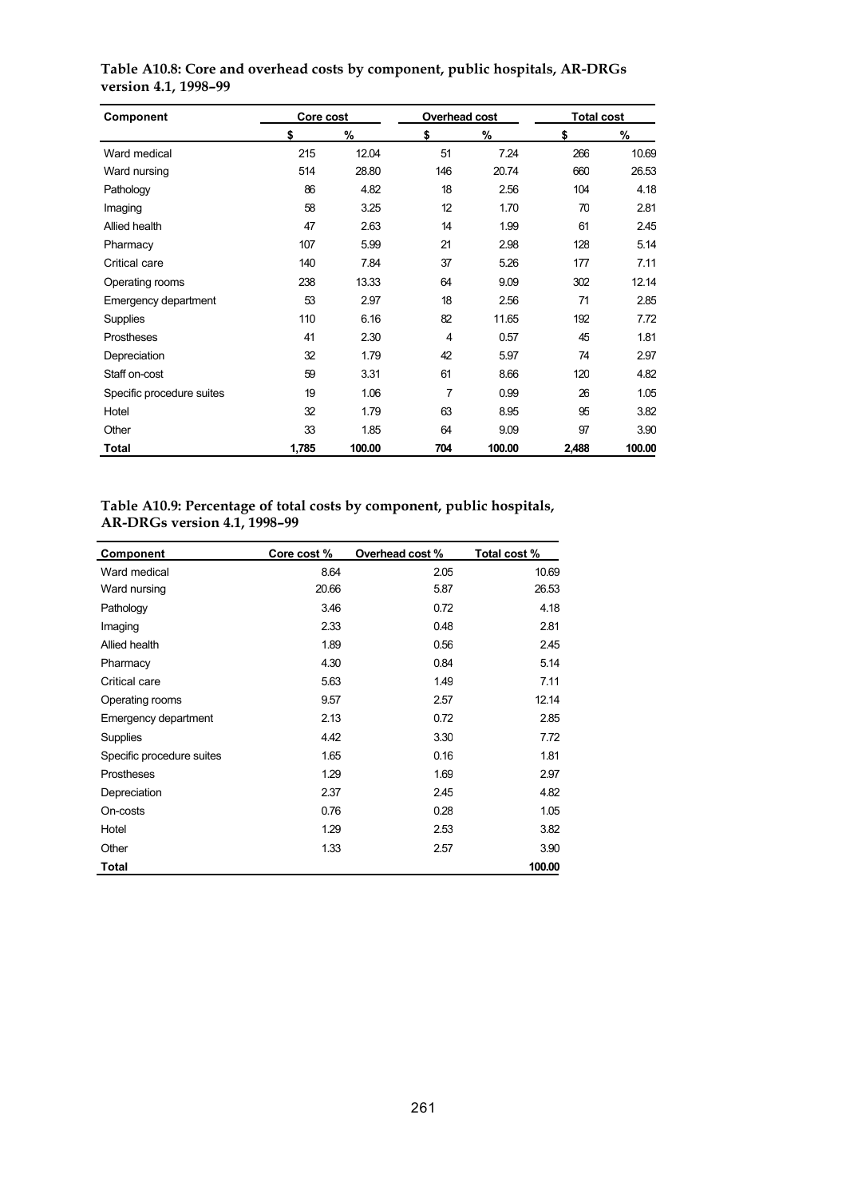| Component                 | Core cost |        | Overhead cost |        | <b>Total cost</b> |        |  |
|---------------------------|-----------|--------|---------------|--------|-------------------|--------|--|
|                           | \$        | %      | \$            | %      | \$                | %      |  |
| Ward medical              | 215       | 12.04  | 51            | 7.24   | 266               | 10.69  |  |
| Ward nursing              | 514       | 28.80  | 146           | 20.74  | 660               | 26.53  |  |
| Pathology                 | 86        | 4.82   | 18            | 2.56   | 104               | 4.18   |  |
| Imaging                   | 58        | 3.25   | 12            | 1.70   | 70                | 2.81   |  |
| Allied health             | 47        | 2.63   | 14            | 1.99   | 61                | 2.45   |  |
| Pharmacy                  | 107       | 5.99   | 21            | 2.98   | 128               | 5.14   |  |
| Critical care             | 140       | 7.84   | 37            | 5.26   | 177               | 7.11   |  |
| Operating rooms           | 238       | 13.33  | 64            | 9.09   | 302               | 12.14  |  |
| Emergency department      | 53        | 2.97   | 18            | 2.56   | 71                | 2.85   |  |
| Supplies                  | 110       | 6.16   | 82            | 11.65  | 192               | 7.72   |  |
| Prostheses                | 41        | 2.30   | 4             | 0.57   | 45                | 1.81   |  |
| Depreciation              | 32        | 1.79   | 42            | 5.97   | 74                | 2.97   |  |
| Staff on-cost             | 59        | 3.31   | 61            | 8.66   | 120               | 4.82   |  |
| Specific procedure suites | 19        | 1.06   | 7             | 0.99   | 26                | 1.05   |  |
| Hotel                     | 32        | 1.79   | 63            | 8.95   | 95                | 3.82   |  |
| Other                     | 33        | 1.85   | 64            | 9.09   | 97                | 3.90   |  |
| Total                     | 1,785     | 100.00 | 704           | 100.00 | 2,488             | 100.00 |  |

**Table A10.8: Core and overhead costs by component, public hospitals, AR-DRGs version 4.1, 1998–99**

#### **Table A10.9: Percentage of total costs by component, public hospitals, AR-DRGs version 4.1, 1998–99**

| Component                 | Core cost % | Overhead cost % | Total cost % |
|---------------------------|-------------|-----------------|--------------|
| Ward medical              | 8.64        | 2.05            | 10.69        |
| Ward nursing              | 20.66       | 5.87            | 26.53        |
| Pathology                 | 3.46        | 0.72            | 4.18         |
| Imaging                   | 2.33        | 0.48            | 2.81         |
| Allied health             | 1.89        | 0.56            | 2.45         |
| Pharmacy                  | 4.30        | 0.84            | 5.14         |
| Critical care             | 5.63        | 1.49            | 7.11         |
| Operating rooms           | 9.57        | 2.57            | 12.14        |
| Emergency department      | 2.13        | 0.72            | 2.85         |
| <b>Supplies</b>           | 4.42        | 3.30            | 7.72         |
| Specific procedure suites | 1.65        | 0.16            | 1.81         |
| <b>Prostheses</b>         | 1.29        | 1.69            | 2.97         |
| Depreciation              | 2.37        | 2.45            | 4.82         |
| On-costs                  | 0.76        | 0.28            | 1.05         |
| Hotel                     | 1.29        | 2.53            | 3.82         |
| Other                     | 1.33        | 2.57            | 3.90         |
| Total                     |             |                 | 100.00       |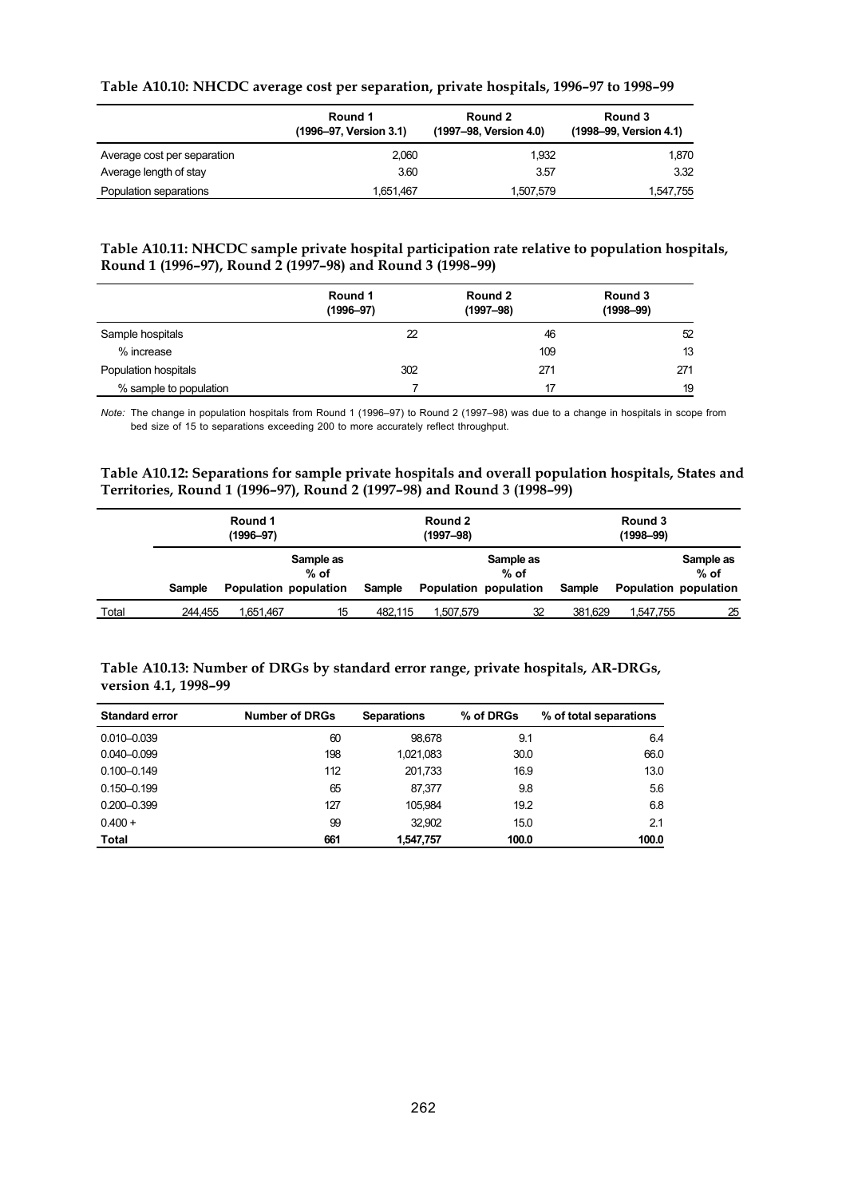#### **Table A10.10: NHCDC average cost per separation, private hospitals, 1996–97 to 1998–99**

|                             | Round 1<br>(1996-97, Version 3.1) | Round 2<br>(1997-98, Version 4.0) | Round 3<br>(1998-99, Version 4.1) |
|-----------------------------|-----------------------------------|-----------------------------------|-----------------------------------|
| Average cost per separation | 2.060                             | 1.932                             | 1.870                             |
| Average length of stay      | 3.60                              | 3.57                              | 3.32                              |
| Population separations      | 1,651,467                         | 1,507,579                         | 1,547,755                         |

#### **Table A10.11: NHCDC sample private hospital participation rate relative to population hospitals, Round 1 (1996–97), Round 2 (1997–98) and Round 3 (1998–99)**

|                        | Round 1<br>$(1996 - 97)$ | Round 2<br>$(1997 - 98)$ | Round 3<br>$(1998 - 99)$ |
|------------------------|--------------------------|--------------------------|--------------------------|
| Sample hospitals       | 22                       | 46                       | 52                       |
| % increase             |                          | 109                      | 13                       |
| Population hospitals   | 302                      | 271                      | 271                      |
| % sample to population |                          | 17                       | 19                       |

*Note:* The change in population hospitals from Round 1 (1996–97) to Round 2 (1997–98) was due to a change in hospitals in scope from bed size of 15 to separations exceeding 200 to more accurately reflect throughput.

#### **Table A10.12: Separations for sample private hospitals and overall population hospitals, States and Territories, Round 1 (1996–97), Round 2 (1997–98) and Round 3 (1998–99)**

|       |         | Round 1<br>$(1996 - 97)$ |                     |         | Round 2<br>$(1997 - 98)$ |                                              | Round 3<br>$(1998 - 99)$ |                       |                     |  |
|-------|---------|--------------------------|---------------------|---------|--------------------------|----------------------------------------------|--------------------------|-----------------------|---------------------|--|
|       | Sample  | Population population    | Sample as<br>$%$ of | Sample  |                          | Sample as<br>$%$ of<br>Population population | Sample                   | Population population | Sample as<br>$%$ of |  |
| Total | 244.455 | 1,651,467                | 15                  | 482.115 | 1,507,579                | 32                                           | 381,629                  | 1,547,755             | 25                  |  |

#### **Table A10.13: Number of DRGs by standard error range, private hospitals, AR-DRGs, version 4.1, 1998–99**

| <b>Standard error</b> | <b>Number of DRGs</b> | <b>Separations</b> | % of DRGs | % of total separations |
|-----------------------|-----------------------|--------------------|-----------|------------------------|
| $0.010 - 0.039$       | 60                    | 98.678             | 9.1       | 6.4                    |
| $0.040 - 0.099$       | 198                   | 1,021,083          | 30.0      | 66.0                   |
| $0.100 - 0.149$       | 112                   | 201.733            | 16.9      | 13.0                   |
| $0.150 - 0.199$       | 65                    | 87.377             | 9.8       | 5.6                    |
| $0.200 - 0.399$       | 127                   | 105.984            | 19.2      | 6.8                    |
| $0.400 +$             | 99                    | 32.902             | 15.0      | 2.1                    |
| <b>Total</b>          | 661                   | 1.547.757          | 100.0     | 100.0                  |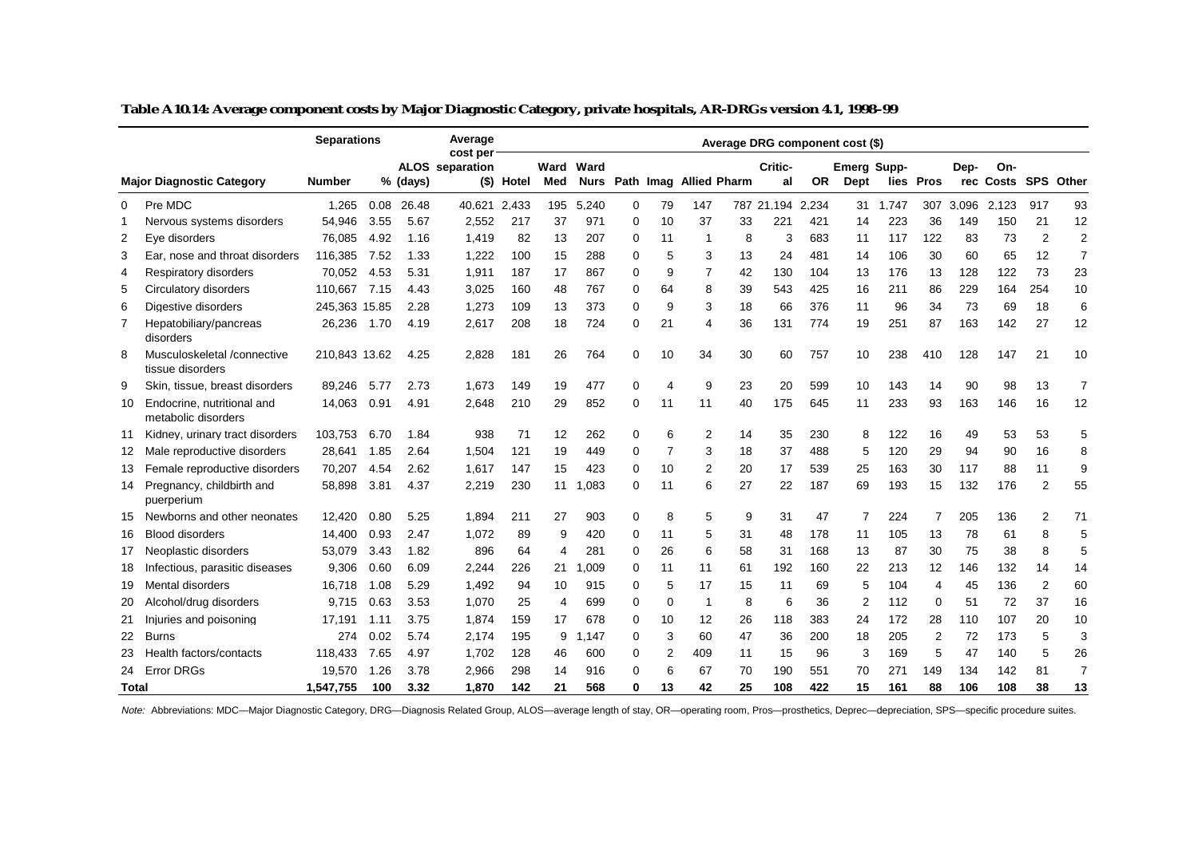|       |                                                   | <b>Separations</b> |      |          | Average<br>cost per |            |             |                     |             |    |                        |    |               |       | Average DRG component cost (\$) |       |                |       |                      |                |                |
|-------|---------------------------------------------------|--------------------|------|----------|---------------------|------------|-------------|---------------------|-------------|----|------------------------|----|---------------|-------|---------------------------------|-------|----------------|-------|----------------------|----------------|----------------|
|       | <b>Major Diagnostic Category</b>                  | <b>Number</b>      |      | % (days) | ALOS separation     | (\$) Hotel | Ward<br>Med | Ward<br><b>Nurs</b> |             |    | Path Imag Allied Pharm |    | Critic-<br>al | OR.   | <b>Emerg Supp-</b><br>Dept      |       | lies Pros      | Dep-  | On-<br>rec Costs SPS |                | Other          |
| 0     | Pre MDC                                           | 1.265              | 0.08 | 26.48    | 40.621              | 2.433      | 195         | 5.240               | $\Omega$    | 79 | 147                    |    | 787 21.194    | 2.234 | 31                              | 1.747 | 307            | 3,096 | 2.123                | 917            | 93             |
| -1    | Nervous systems disorders                         | 54,946             | 3.55 | 5.67     | 2,552               | 217        | 37          | 971                 | $\Omega$    | 10 | 37                     | 33 | 221           | 421   | 14                              | 223   | 36             | 149   | 150                  | 21             | 12             |
| 2     | Eye disorders                                     | 76,085             | 4.92 | 1.16     | 1,419               | 82         | 13          | 207                 | 0           | 11 |                        | 8  | 3             | 683   | 11                              | 117   | 122            | 83    | 73                   | $\overline{2}$ | $\overline{2}$ |
| 3     | Ear, nose and throat disorders                    | 116,385            | 7.52 | 1.33     | 1,222               | 100        | 15          | 288                 | $\Omega$    | 5  | 3                      | 13 | 24            | 481   | 14                              | 106   | 30             | 60    | 65                   | 12             | $\overline{7}$ |
| 4     | Respiratory disorders                             | 70,052             | 4.53 | 5.31     | 1,911               | 187        | 17          | 867                 | $\Omega$    | 9  | 7                      | 42 | 130           | 104   | 13                              | 176   | 13             | 128   | 122                  | 73             | 23             |
| 5     | Circulatory disorders                             | 110,667            | 7.15 | 4.43     | 3,025               | 160        | 48          | 767                 | 0           | 64 | 8                      | 39 | 543           | 425   | 16                              | 211   | 86             | 229   | 164                  | 254            | 10             |
| 6     | Digestive disorders                               | 245,363 15.85      |      | 2.28     | 1,273               | 109        | 13          | 373                 | $\Omega$    | 9  | 3                      | 18 | 66            | 376   | 11                              | 96    | 34             | 73    | 69                   | 18             | 6              |
| 7     | Hepatobiliary/pancreas<br>disorders               | 26,236             | 1.70 | 4.19     | 2,617               | 208        | 18          | 724                 | $\Omega$    | 21 | 4                      | 36 | 131           | 774   | 19                              | 251   | 87             | 163   | 142                  | 27             | 12             |
| 8     | Musculoskeletal /connective<br>tissue disorders   | 210.843 13.62      |      | 4.25     | 2,828               | 181        | 26          | 764                 | $\Omega$    | 10 | 34                     | 30 | 60            | 757   | 10                              | 238   | 410            | 128   | 147                  | 21             | 10             |
| 9     | Skin, tissue, breast disorders                    | 89,246             | 5.77 | 2.73     | 1,673               | 149        | 19          | 477                 | $\mathbf 0$ | 4  | 9                      | 23 | 20            | 599   | 10                              | 143   | 14             | 90    | 98                   | 13             | $\overline{7}$ |
| 10    | Endocrine, nutritional and<br>metabolic disorders | 14,063             | 0.91 | 4.91     | 2,648               | 210        | 29          | 852                 | 0           | 11 | 11                     | 40 | 175           | 645   | 11                              | 233   | 93             | 163   | 146                  | 16             | 12             |
| 11    | Kidney, urinary tract disorders                   | 103.753            | 6.70 | 1.84     | 938                 | 71         | 12          | 262                 | $\Omega$    | 6  | 2                      | 14 | 35            | 230   | 8                               | 122   | 16             | 49    | 53                   | 53             | 5              |
| 12    | Male reproductive disorders                       | 28,641             | 1.85 | 2.64     | 1.504               | 121        | 19          | 449                 | $\Omega$    | 7  | 3                      | 18 | 37            | 488   | 5                               | 120   | 29             | 94    | 90                   | 16             | 8              |
| 13    | Female reproductive disorders                     | 70,207             | 4.54 | 2.62     | 1.617               | 147        | 15          | 423                 | 0           | 10 | 2                      | 20 | 17            | 539   | 25                              | 163   | 30             | 117   | 88                   | 11             | 9              |
| 14    | Pregnancy, childbirth and<br>puerperium           | 58,898             | 3.81 | 4.37     | 2,219               | 230        | 11          | 1,083               | $\Omega$    | 11 | 6                      | 27 | 22            | 187   | 69                              | 193   | 15             | 132   | 176                  | 2              | 55             |
| 15    | Newborns and other neonates                       | 12.420             | 0.80 | 5.25     | 1.894               | 211        | 27          | 903                 | $\Omega$    | 8  | 5                      | 9  | 31            | 47    | 7                               | 224   | 7              | 205   | 136                  | 2              | 71             |
| 16    | <b>Blood disorders</b>                            | 14.400             | 0.93 | 2.47     | 1.072               | 89         | 9           | 420                 | $\Omega$    | 11 | 5                      | 31 | 48            | 178   | 11                              | 105   | 13             | 78    | 61                   | 8              | 5              |
| 17    | Neoplastic disorders                              | 53.079             | 3.43 | 1.82     | 896                 | 64         | 4           | 281                 | $\Omega$    | 26 | 6                      | 58 | 31            | 168   | 13                              | 87    | 30             | 75    | 38                   | 8              | 5              |
| 18    | Infectious, parasitic diseases                    | 9,306              | 0.60 | 6.09     | 2.244               | 226        | 21          | 1,009               | 0           | 11 | 11                     | 61 | 192           | 160   | 22                              | 213   | 12             | 146   | 132                  | 14             | 14             |
| 19    | Mental disorders                                  | 16,718             | 1.08 | 5.29     | 1,492               | 94         | 10          | 915                 | $\Omega$    | 5  | 17                     | 15 | 11            | 69    | 5                               | 104   | 4              | 45    | 136                  | $\overline{2}$ | 60             |
| 20    | Alcohol/drug disorders                            | 9.715              | 0.63 | 3.53     | 1.070               | 25         | 4           | 699                 | $\Omega$    | 0  | $\mathbf 1$            | 8  | 6             | 36    | 2                               | 112   | $\Omega$       | 51    | 72                   | 37             | 16             |
| 21    | Injuries and poisoning                            | 17,191             | 1.11 | 3.75     | 1,874               | 159        | 17          | 678                 | 0           | 10 | 12                     | 26 | 118           | 383   | 24                              | 172   | 28             | 110   | 107                  | 20             | 10             |
| 22    | <b>Burns</b>                                      | 274                | 0.02 | 5.74     | 2.174               | 195        | 9           | 1,147               | $\mathbf 0$ | 3  | 60                     | 47 | 36            | 200   | 18                              | 205   | $\overline{2}$ | 72    | 173                  | 5              | 3              |
| 23    | Health factors/contacts                           | 118,433            | 7.65 | 4.97     | 1,702               | 128        | 46          | 600                 | 0           | 2  | 409                    | 11 | 15            | 96    | 3                               | 169   | 5              | 47    | 140                  | 5              | 26             |
| 24    | <b>Error DRGs</b>                                 | 19,570             | 1.26 | 3.78     | 2.966               | 298        | 14          | 916                 | $\Omega$    | 6  | 67                     | 70 | 190           | 551   | 70                              | 271   | 149            | 134   | 142                  | 81             | $\overline{7}$ |
| Total |                                                   | 1,547,755          | 100  | 3.32     | 1,870               | 142        | 21          | 568                 | 0           | 13 | 42                     | 25 | 108           | 422   | 15                              | 161   | 88             | 106   | 108                  | 38             | 13             |

**Table A10.14: Average component costs by Major Diagnostic Category, private hospitals, AR-DRGs version 4.1, 1998–99**

Note: Abbreviations: MDC—Major Diagnostic Category, DRG—Diagnosis Related Group, ALOS—average length of stay, OR—operating room, Pros—prosthetics, Deprec—depreciation, SPS—specific procedure suites.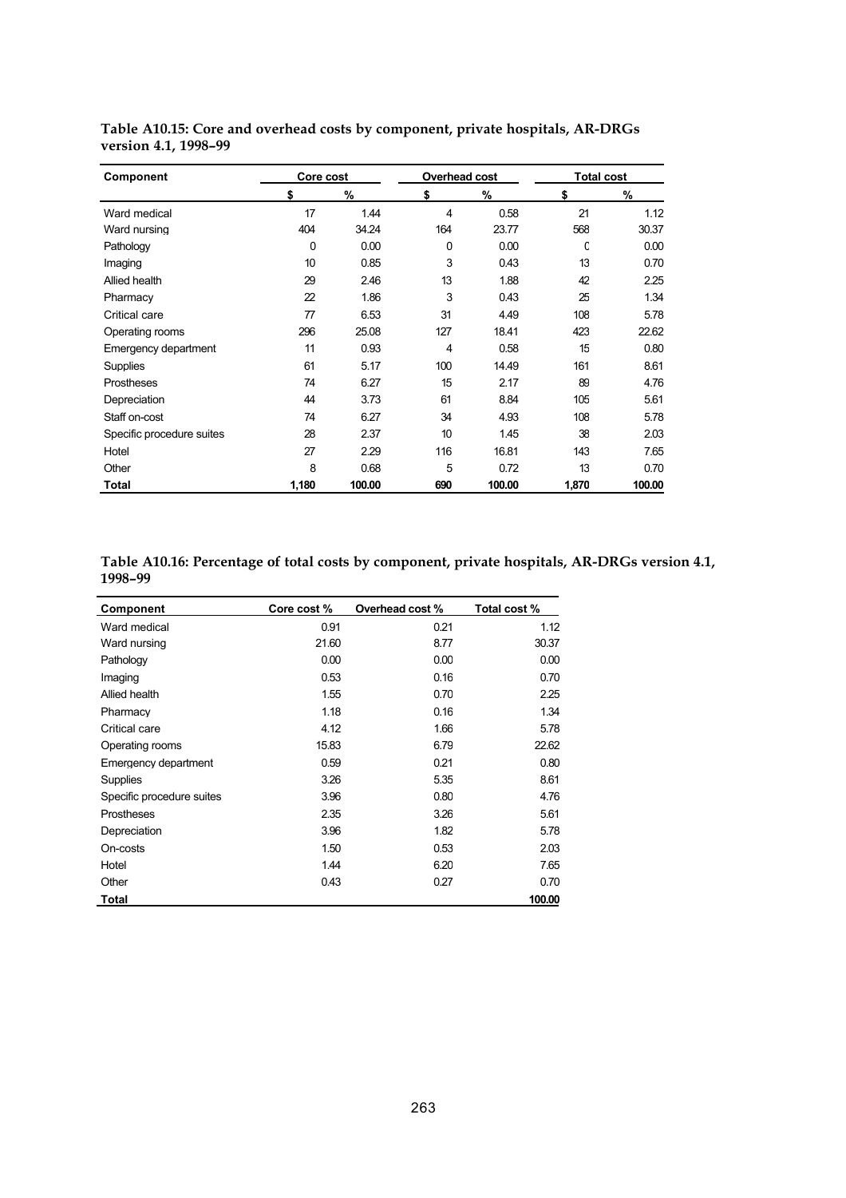| Component                 | Core cost<br>Overhead cost |        |     |        | <b>Total cost</b> |        |  |  |  |
|---------------------------|----------------------------|--------|-----|--------|-------------------|--------|--|--|--|
|                           | \$                         | %      | \$  | $\%$   | \$                | %      |  |  |  |
| Ward medical              | 17                         | 1.44   | 4   | 0.58   | 21                | 1.12   |  |  |  |
| Ward nursing              | 404                        | 34.24  | 164 | 23.77  | 568               | 30.37  |  |  |  |
| Pathology                 | 0                          | 0.00   | 0   | 0.00   | C                 | 0.00   |  |  |  |
| Imaging                   | 10                         | 0.85   | 3   | 0.43   | 13                | 0.70   |  |  |  |
| Allied health             | 29                         | 2.46   | 13  | 1.88   | 42                | 2.25   |  |  |  |
| Pharmacy                  | 22                         | 1.86   | 3   | 0.43   | 25                | 1.34   |  |  |  |
| Critical care             | 77                         | 6.53   | 31  | 4.49   | 108               | 5.78   |  |  |  |
| Operating rooms           | 296                        | 25.08  | 127 | 18.41  | 423               | 22.62  |  |  |  |
| Emergency department      | 11                         | 0.93   | 4   | 0.58   | 15                | 0.80   |  |  |  |
| <b>Supplies</b>           | 61                         | 5.17   | 100 | 14.49  | 161               | 8.61   |  |  |  |
| <b>Prostheses</b>         | 74                         | 6.27   | 15  | 2.17   | 89                | 4.76   |  |  |  |
| Depreciation              | 44                         | 3.73   | 61  | 8.84   | 105               | 561    |  |  |  |
| Staff on-cost             | 74                         | 6.27   | 34  | 4.93   | 108               | 5.78   |  |  |  |
| Specific procedure suites | 28                         | 2.37   | 10  | 1.45   | 38                | 2.03   |  |  |  |
| Hotel                     | 27                         | 2.29   | 116 | 16.81  | 143               | 7.65   |  |  |  |
| Other                     | 8                          | 0.68   | 5   | 0.72   | 13                | 0.70   |  |  |  |
| Total                     | 1,180                      | 100.00 | 690 | 100.00 | 1,870             | 100.00 |  |  |  |

**Table A10.15: Core and overhead costs by component, private hospitals, AR-DRGs version 4.1, 1998–99**

| Table A10.16: Percentage of total costs by component, private hospitals, AR-DRGs version 4.1, |  |
|-----------------------------------------------------------------------------------------------|--|
| 1998-99                                                                                       |  |

| Component                 | Core cost % | Overhead cost % | Total cost % |
|---------------------------|-------------|-----------------|--------------|
| Ward medical              | 0.91        | 0.21            | 1.12         |
| Ward nursing              | 21.60       | 8.77            | 30.37        |
| Pathology                 | 0.00        | 0.00            | 0.00         |
| Imaging                   | 0.53        | 0.16            | 0.70         |
| Allied health             | 1.55        | 0.70            | 2.25         |
| Pharmacy                  | 1.18        | 0.16            | 1.34         |
| Critical care             | 4.12        | 1.66            | 5.78         |
| Operating rooms           | 15.83       | 6.79            | 22.62        |
| Emergency department      | 0.59        | 0.21            | 0.80         |
| Supplies                  | 3.26        | 5.35            | 8.61         |
| Specific procedure suites | 3.96        | 0.80            | 4.76         |
| Prostheses                | 2.35        | 3.26            | 5.61         |
| Depreciation              | 3.96        | 1.82            | 5.78         |
| On-costs                  | 1.50        | 0.53            | 2.03         |
| Hotel                     | 1.44        | 6.20            | 7.65         |
| Other                     | 0.43        | 0.27            | 0.70         |
| Total                     |             |                 | 100.00       |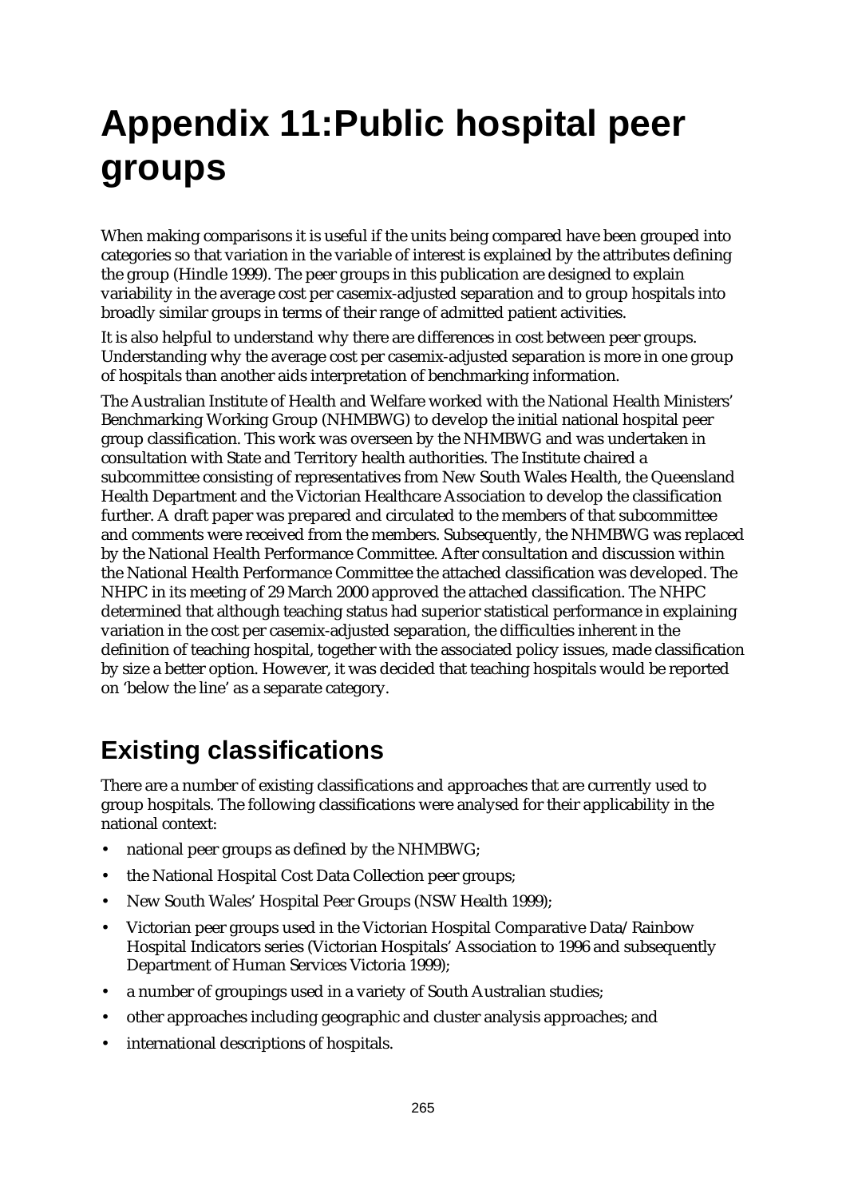# **Appendix 11:Public hospital peer groups**

When making comparisons it is useful if the units being compared have been grouped into categories so that variation in the variable of interest is explained by the attributes defining the group (Hindle 1999). The peer groups in this publication are designed to explain variability in the average cost per casemix-adjusted separation and to group hospitals into broadly similar groups in terms of their range of admitted patient activities.

It is also helpful to understand why there are differences in cost between peer groups. Understanding why the average cost per casemix-adjusted separation is more in one group of hospitals than another aids interpretation of benchmarking information.

The Australian Institute of Health and Welfare worked with the National Health Ministers' Benchmarking Working Group (NHMBWG) to develop the initial national hospital peer group classification. This work was overseen by the NHMBWG and was undertaken in consultation with State and Territory health authorities. The Institute chaired a subcommittee consisting of representatives from New South Wales Health, the Queensland Health Department and the Victorian Healthcare Association to develop the classification further. A draft paper was prepared and circulated to the members of that subcommittee and comments were received from the members. Subsequently, the NHMBWG was replaced by the National Health Performance Committee. After consultation and discussion within the National Health Performance Committee the attached classification was developed. The NHPC in its meeting of 29 March 2000 approved the attached classification. The NHPC determined that although teaching status had superior statistical performance in explaining variation in the cost per casemix-adjusted separation, the difficulties inherent in the definition of teaching hospital, together with the associated policy issues, made classification by size a better option. However, it was decided that teaching hospitals would be reported on 'below the line' as a separate category.

## **Existing classifications**

There are a number of existing classifications and approaches that are currently used to group hospitals. The following classifications were analysed for their applicability in the national context:

- national peer groups as defined by the NHMBWG;
- the National Hospital Cost Data Collection peer groups;
- New South Wales' Hospital Peer Groups (NSW Health 1999);
- Victorian peer groups used in the Victorian Hospital Comparative Data/Rainbow Hospital Indicators series (Victorian Hospitals' Association to 1996 and subsequently Department of Human Services Victoria 1999);
- a number of groupings used in a variety of South Australian studies;
- other approaches including geographic and cluster analysis approaches; and
- international descriptions of hospitals.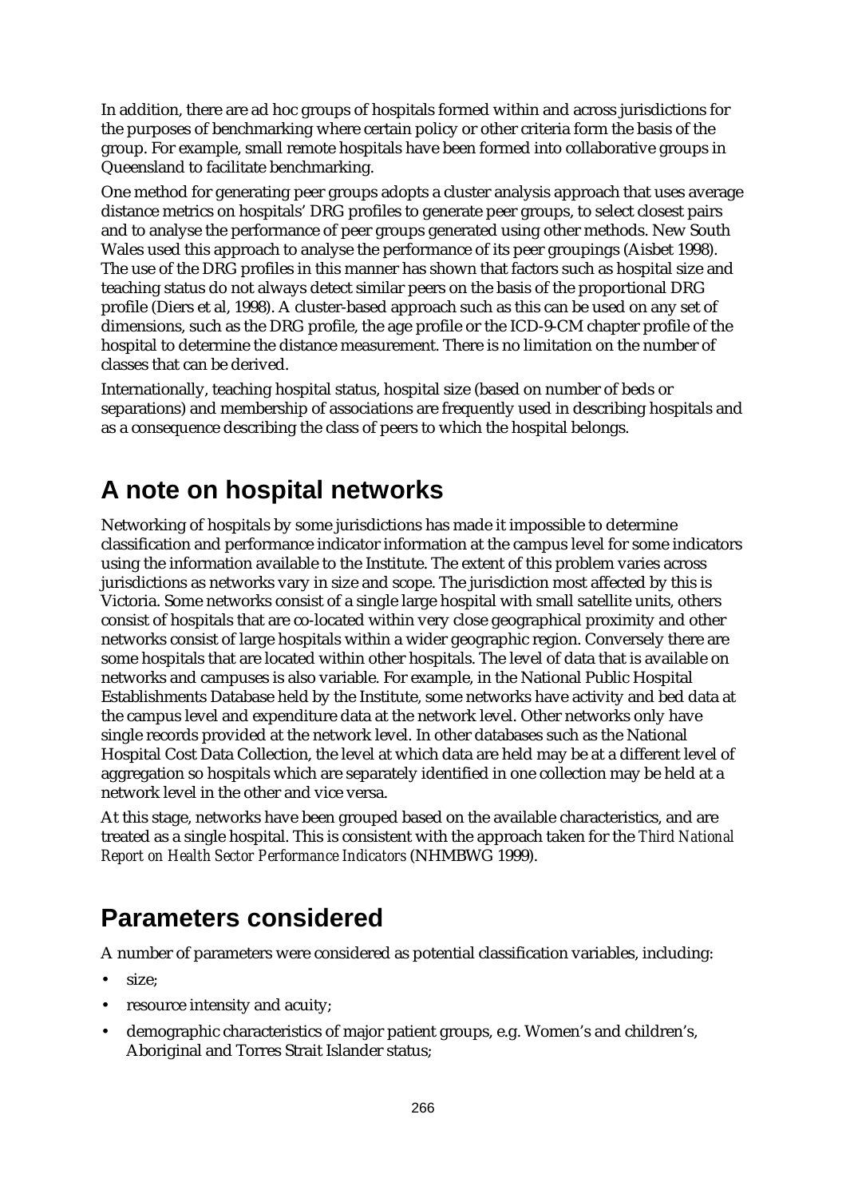In addition, there are ad hoc groups of hospitals formed within and across jurisdictions for the purposes of benchmarking where certain policy or other criteria form the basis of the group. For example, small remote hospitals have been formed into collaborative groups in Queensland to facilitate benchmarking.

One method for generating peer groups adopts a cluster analysis approach that uses average distance metrics on hospitals' DRG profiles to generate peer groups, to select closest pairs and to analyse the performance of peer groups generated using other methods. New South Wales used this approach to analyse the performance of its peer groupings (Aisbet 1998). The use of the DRG profiles in this manner has shown that factors such as hospital size and teaching status do not always detect similar peers on the basis of the proportional DRG profile (Diers et al, 1998). A cluster-based approach such as this can be used on any set of dimensions, such as the DRG profile, the age profile or the ICD-9-CM chapter profile of the hospital to determine the distance measurement. There is no limitation on the number of classes that can be derived.

Internationally, teaching hospital status, hospital size (based on number of beds or separations) and membership of associations are frequently used in describing hospitals and as a consequence describing the class of peers to which the hospital belongs.

## **A note on hospital networks**

Networking of hospitals by some jurisdictions has made it impossible to determine classification and performance indicator information at the campus level for some indicators using the information available to the Institute. The extent of this problem varies across jurisdictions as networks vary in size and scope. The jurisdiction most affected by this is Victoria. Some networks consist of a single large hospital with small satellite units, others consist of hospitals that are co-located within very close geographical proximity and other networks consist of large hospitals within a wider geographic region. Conversely there are some hospitals that are located within other hospitals. The level of data that is available on networks and campuses is also variable. For example, in the National Public Hospital Establishments Database held by the Institute, some networks have activity and bed data at the campus level and expenditure data at the network level. Other networks only have single records provided at the network level. In other databases such as the National Hospital Cost Data Collection, the level at which data are held may be at a different level of aggregation so hospitals which are separately identified in one collection may be held at a network level in the other and vice versa.

At this stage, networks have been grouped based on the available characteristics, and are treated as a single hospital. This is consistent with the approach taken for the *Third National Report on Health Sector Performance Indicators* (NHMBWG 1999).

## **Parameters considered**

A number of parameters were considered as potential classification variables, including:

- size:
- resource intensity and acuity:
- demographic characteristics of major patient groups, e.g. Women's and children's, Aboriginal and Torres Strait Islander status;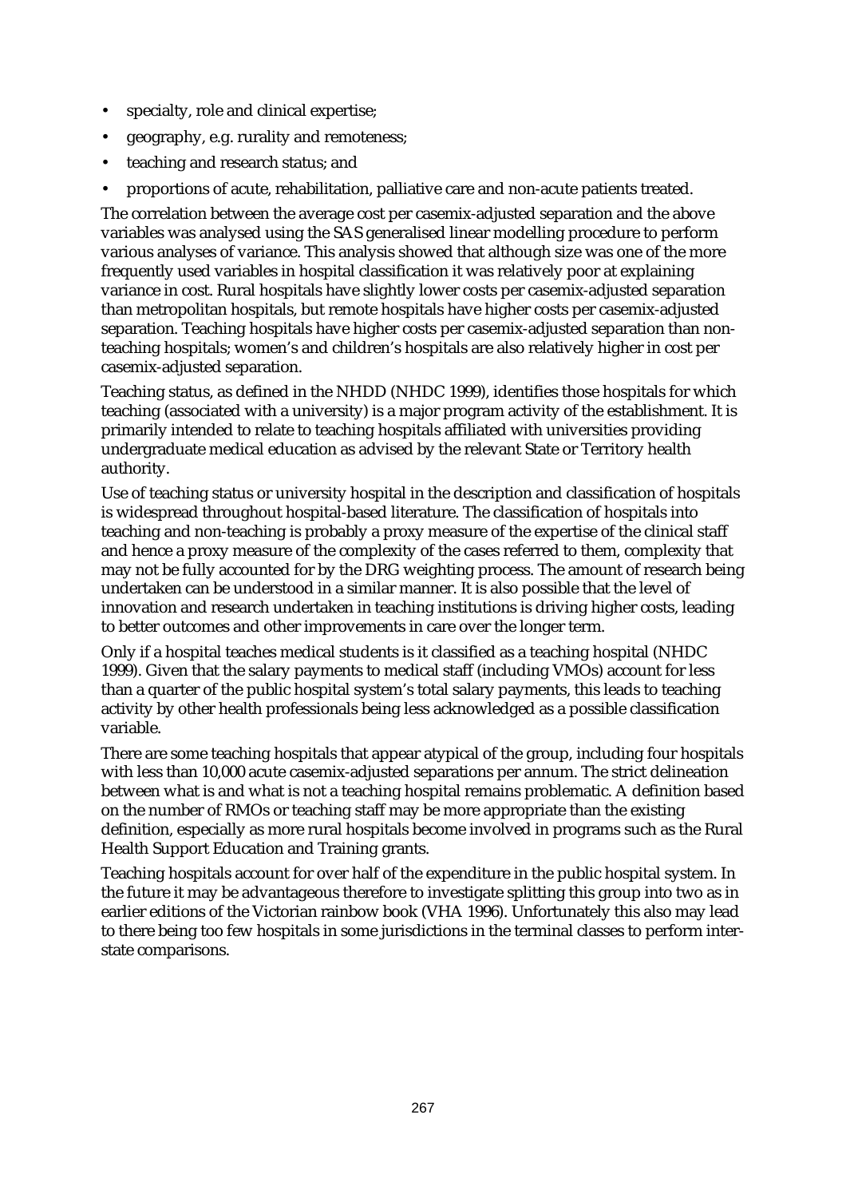- specialty, role and clinical expertise;
- geography, e.g. rurality and remoteness;
- teaching and research status; and
- proportions of acute, rehabilitation, palliative care and non-acute patients treated.

The correlation between the average cost per casemix-adjusted separation and the above variables was analysed using the SAS generalised linear modelling procedure to perform various analyses of variance. This analysis showed that although size was one of the more frequently used variables in hospital classification it was relatively poor at explaining variance in cost. Rural hospitals have slightly lower costs per casemix-adjusted separation than metropolitan hospitals, but remote hospitals have higher costs per casemix-adjusted separation. Teaching hospitals have higher costs per casemix-adjusted separation than nonteaching hospitals; women's and children's hospitals are also relatively higher in cost per casemix-adjusted separation.

Teaching status, as defined in the NHDD (NHDC 1999), identifies those hospitals for which teaching (associated with a university) is a major program activity of the establishment. It is primarily intended to relate to teaching hospitals affiliated with universities providing undergraduate medical education as advised by the relevant State or Territory health authority.

Use of teaching status or university hospital in the description and classification of hospitals is widespread throughout hospital-based literature. The classification of hospitals into teaching and non-teaching is probably a proxy measure of the expertise of the clinical staff and hence a proxy measure of the complexity of the cases referred to them, complexity that may not be fully accounted for by the DRG weighting process. The amount of research being undertaken can be understood in a similar manner. It is also possible that the level of innovation and research undertaken in teaching institutions is driving higher costs, leading to better outcomes and other improvements in care over the longer term.

Only if a hospital teaches medical students is it classified as a teaching hospital (NHDC 1999). Given that the salary payments to medical staff (including VMOs) account for less than a quarter of the public hospital system's total salary payments, this leads to teaching activity by other health professionals being less acknowledged as a possible classification variable.

There are some teaching hospitals that appear atypical of the group, including four hospitals with less than 10,000 acute casemix-adjusted separations per annum. The strict delineation between what is and what is not a teaching hospital remains problematic. A definition based on the number of RMOs or teaching staff may be more appropriate than the existing definition, especially as more rural hospitals become involved in programs such as the Rural Health Support Education and Training grants.

Teaching hospitals account for over half of the expenditure in the public hospital system. In the future it may be advantageous therefore to investigate splitting this group into two as in earlier editions of the Victorian rainbow book (VHA 1996). Unfortunately this also may lead to there being too few hospitals in some jurisdictions in the terminal classes to perform interstate comparisons.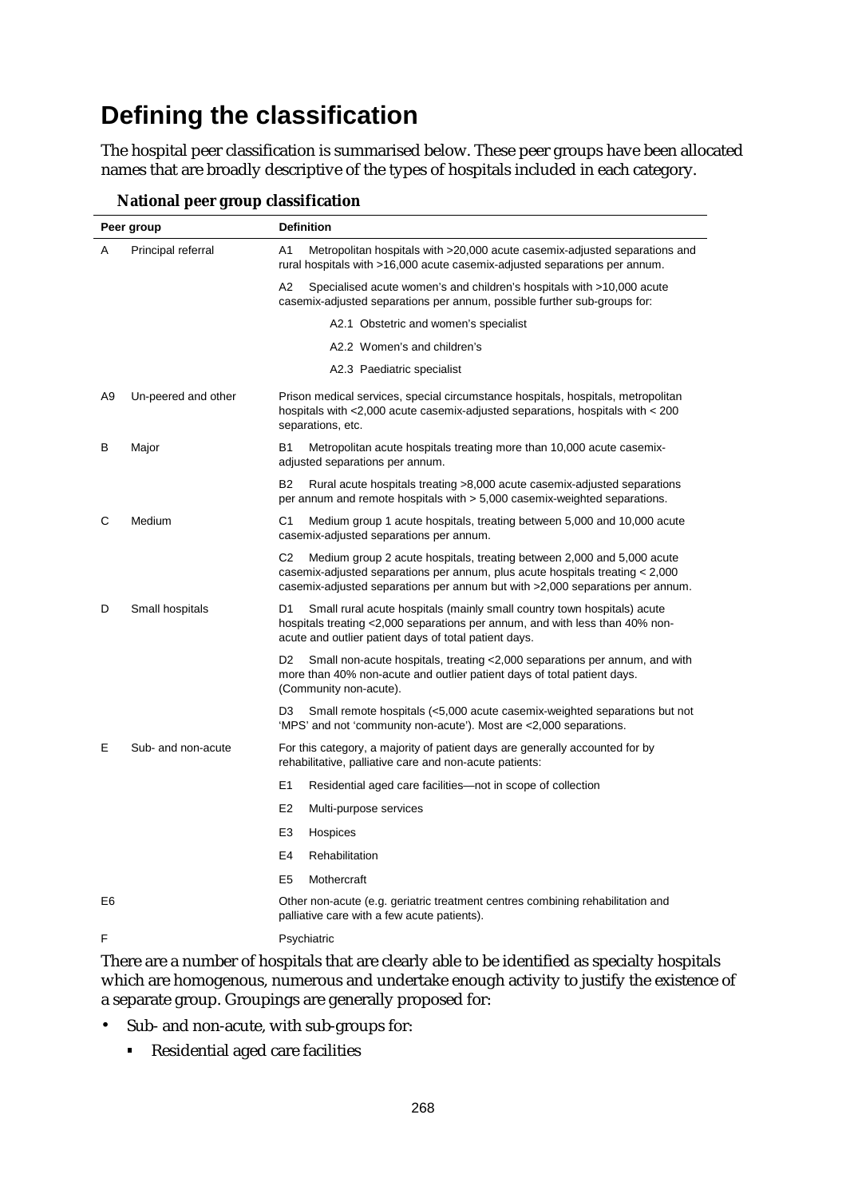## **Defining the classification**

The hospital peer classification is summarised below. These peer groups have been allocated names that are broadly descriptive of the types of hospitals included in each category.

|                | Peer group          | <b>Definition</b>                                                                                                                                                                                                                                          |  |  |  |  |  |  |  |
|----------------|---------------------|------------------------------------------------------------------------------------------------------------------------------------------------------------------------------------------------------------------------------------------------------------|--|--|--|--|--|--|--|
| A              | Principal referral  | A1<br>Metropolitan hospitals with >20,000 acute casemix-adjusted separations and<br>rural hospitals with >16,000 acute casemix-adjusted separations per annum.                                                                                             |  |  |  |  |  |  |  |
|                |                     | Specialised acute women's and children's hospitals with >10,000 acute<br>A2<br>casemix-adjusted separations per annum, possible further sub-groups for:                                                                                                    |  |  |  |  |  |  |  |
|                |                     | A2.1 Obstetric and women's specialist                                                                                                                                                                                                                      |  |  |  |  |  |  |  |
|                |                     | A2.2 Women's and children's                                                                                                                                                                                                                                |  |  |  |  |  |  |  |
|                |                     | A2.3 Paediatric specialist                                                                                                                                                                                                                                 |  |  |  |  |  |  |  |
| A9             | Un-peered and other | Prison medical services, special circumstance hospitals, hospitals, metropolitan<br>hospitals with $\leq$ 2,000 acute casemix-adjusted separations, hospitals with $\leq$ 200<br>separations, etc.                                                         |  |  |  |  |  |  |  |
| в              | Major               | <b>B1</b><br>Metropolitan acute hospitals treating more than 10,000 acute casemix-<br>adjusted separations per annum.                                                                                                                                      |  |  |  |  |  |  |  |
|                |                     | <b>B2</b><br>Rural acute hospitals treating >8,000 acute casemix-adjusted separations<br>per annum and remote hospitals with > 5,000 casemix-weighted separations.                                                                                         |  |  |  |  |  |  |  |
| С              | Medium              | C1<br>Medium group 1 acute hospitals, treating between 5,000 and 10,000 acute<br>casemix-adjusted separations per annum.                                                                                                                                   |  |  |  |  |  |  |  |
|                |                     | C <sub>2</sub><br>Medium group 2 acute hospitals, treating between 2,000 and 5,000 acute<br>casemix-adjusted separations per annum, plus acute hospitals treating < 2,000<br>casemix-adjusted separations per annum but with >2,000 separations per annum. |  |  |  |  |  |  |  |
| D              | Small hospitals     | Small rural acute hospitals (mainly small country town hospitals) acute<br>D1<br>hospitals treating <2,000 separations per annum, and with less than 40% non-<br>acute and outlier patient days of total patient days.                                     |  |  |  |  |  |  |  |
|                |                     | D <sub>2</sub><br>Small non-acute hospitals, treating <2,000 separations per annum, and with<br>more than 40% non-acute and outlier patient days of total patient days.<br>(Community non-acute).                                                          |  |  |  |  |  |  |  |
|                |                     | Small remote hospitals (<5,000 acute casemix-weighted separations but not<br>D <sub>3</sub><br>'MPS' and not 'community non-acute'). Most are <2,000 separations.                                                                                          |  |  |  |  |  |  |  |
| Е              | Sub- and non-acute  | For this category, a majority of patient days are generally accounted for by<br>rehabilitative, palliative care and non-acute patients:                                                                                                                    |  |  |  |  |  |  |  |
|                |                     | E1<br>Residential aged care facilities—not in scope of collection                                                                                                                                                                                          |  |  |  |  |  |  |  |
|                |                     | E <sub>2</sub><br>Multi-purpose services                                                                                                                                                                                                                   |  |  |  |  |  |  |  |
|                |                     | E3<br>Hospices                                                                                                                                                                                                                                             |  |  |  |  |  |  |  |
|                |                     | E4<br>Rehabilitation                                                                                                                                                                                                                                       |  |  |  |  |  |  |  |
|                |                     | E <sub>5</sub><br>Mothercraft                                                                                                                                                                                                                              |  |  |  |  |  |  |  |
| E <sub>6</sub> |                     | Other non-acute (e.g. geriatric treatment centres combining rehabilitation and<br>palliative care with a few acute patients).                                                                                                                              |  |  |  |  |  |  |  |
| F              |                     | Psychiatric                                                                                                                                                                                                                                                |  |  |  |  |  |  |  |

**National peer group classification**

There are a number of hospitals that are clearly able to be identified as specialty hospitals which are homogenous, numerous and undertake enough activity to justify the existence of a separate group. Groupings are generally proposed for:

- Sub- and non-acute, with sub-groups for:
	- Residential aged care facilities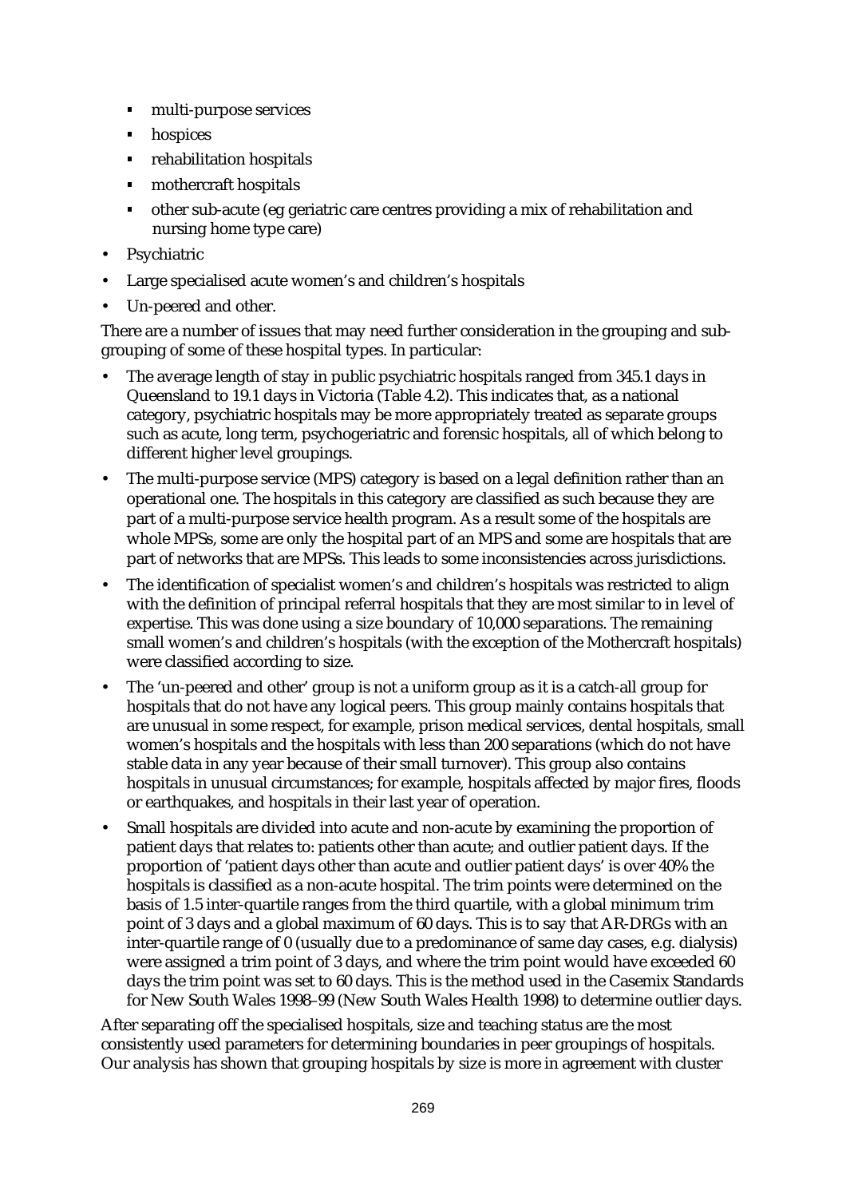- multi-purpose services  $\blacksquare$
- hospices
- rehabilitation hospitals
- mothercraft hospitals
- other sub-acute (eg geriatric care centres providing a mix of rehabilitation and nursing home type care)
- **Psychiatric**
- Large specialised acute women's and children's hospitals
- Un-peered and other.

There are a number of issues that may need further consideration in the grouping and subgrouping of some of these hospital types. In particular:

- The average length of stay in public psychiatric hospitals ranged from 345.1 days in Queensland to 19.1 days in Victoria (Table 4.2). This indicates that, as a national category, psychiatric hospitals may be more appropriately treated as separate groups such as acute, long term, psychogeriatric and forensic hospitals, all of which belong to different higher level groupings.
- The multi-purpose service (MPS) category is based on a legal definition rather than an operational one. The hospitals in this category are classified as such because they are part of a multi-purpose service health program. As a result some of the hospitals are whole MPSs, some are only the hospital part of an MPS and some are hospitals that are part of networks that are MPSs. This leads to some inconsistencies across jurisdictions.
- The identification of specialist women's and children's hospitals was restricted to align with the definition of principal referral hospitals that they are most similar to in level of expertise. This was done using a size boundary of 10,000 separations. The remaining small women's and children's hospitals (with the exception of the Mothercraft hospitals) were classified according to size.
- The 'un-peered and other' group is not a uniform group as it is a catch-all group for hospitals that do not have any logical peers. This group mainly contains hospitals that are unusual in some respect, for example, prison medical services, dental hospitals, small women's hospitals and the hospitals with less than 200 separations (which do not have stable data in any year because of their small turnover). This group also contains hospitals in unusual circumstances; for example, hospitals affected by major fires, floods or earthquakes, and hospitals in their last year of operation.
- Small hospitals are divided into acute and non-acute by examining the proportion of patient days that relates to: patients other than acute; and outlier patient days. If the proportion of 'patient days other than acute and outlier patient days' is over 40% the hospitals is classified as a non-acute hospital. The trim points were determined on the basis of 1.5 inter-quartile ranges from the third quartile, with a global minimum trim point of 3 days and a global maximum of 60 days. This is to say that AR-DRGs with an inter-quartile range of 0 (usually due to a predominance of same day cases, e.g. dialysis) were assigned a trim point of 3 days, and where the trim point would have exceeded 60 days the trim point was set to 60 days. This is the method used in the Casemix Standards for New South Wales 1998–99 (New South Wales Health 1998) to determine outlier days.

After separating off the specialised hospitals, size and teaching status are the most consistently used parameters for determining boundaries in peer groupings of hospitals. Our analysis has shown that grouping hospitals by size is more in agreement with cluster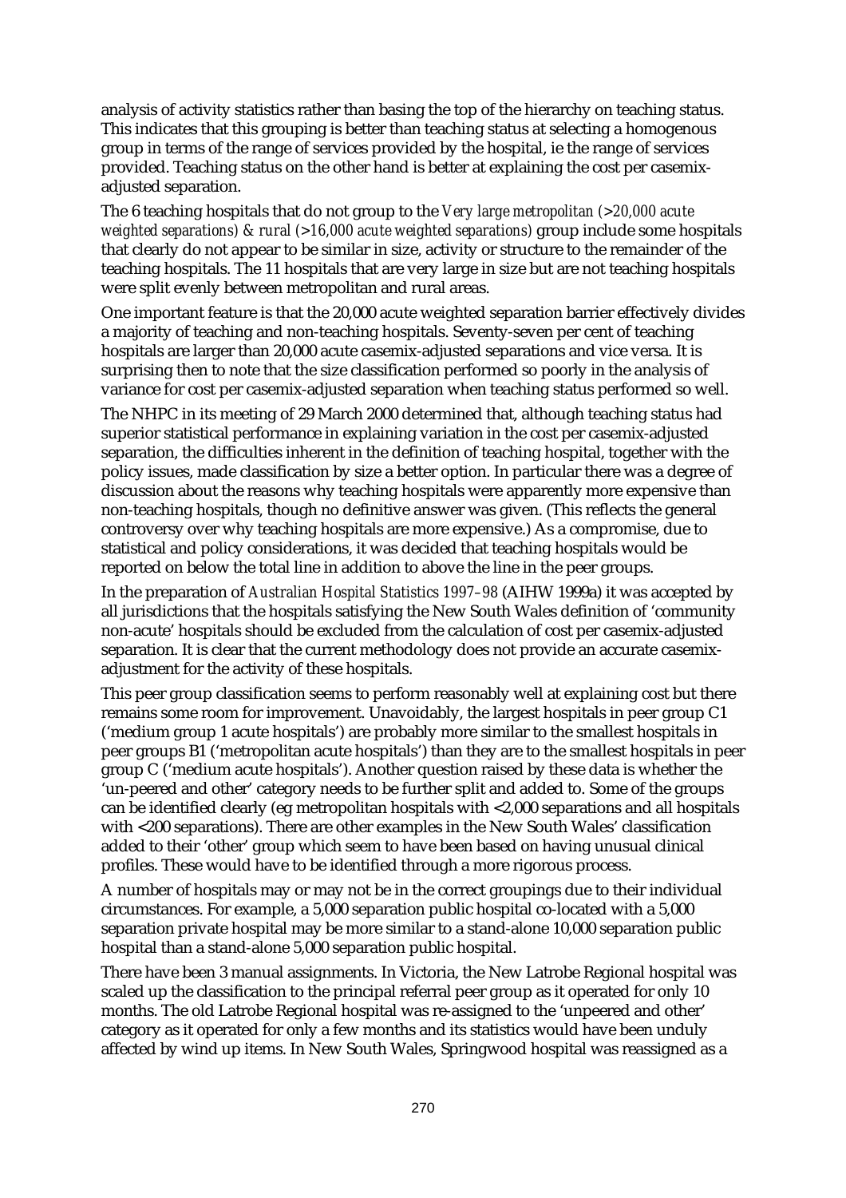analysis of activity statistics rather than basing the top of the hierarchy on teaching status. This indicates that this grouping is better than teaching status at selecting a homogenous group in terms of the range of services provided by the hospital, ie the range of services provided. Teaching status on the other hand is better at explaining the cost per casemixadjusted separation.

The 6 teaching hospitals that do not group to the *Very large metropolitan (>20,000 acute weighted separations) & rural (>16,000 acute weighted separations)* group include some hospitals that clearly do not appear to be similar in size, activity or structure to the remainder of the teaching hospitals. The 11 hospitals that are very large in size but are not teaching hospitals were split evenly between metropolitan and rural areas.

One important feature is that the 20,000 acute weighted separation barrier effectively divides a majority of teaching and non-teaching hospitals. Seventy-seven per cent of teaching hospitals are larger than 20,000 acute casemix-adjusted separations and vice versa. It is surprising then to note that the size classification performed so poorly in the analysis of variance for cost per casemix-adjusted separation when teaching status performed so well.

The NHPC in its meeting of 29 March 2000 determined that, although teaching status had superior statistical performance in explaining variation in the cost per casemix-adjusted separation, the difficulties inherent in the definition of teaching hospital, together with the policy issues, made classification by size a better option. In particular there was a degree of discussion about the reasons why teaching hospitals were apparently more expensive than non-teaching hospitals, though no definitive answer was given. (This reflects the general controversy over why teaching hospitals are more expensive.) As a compromise, due to statistical and policy considerations, it was decided that teaching hospitals would be reported on below the total line in addition to above the line in the peer groups.

In the preparation of *Australian Hospital Statistics 1997–98* (AIHW 1999a) it was accepted by all jurisdictions that the hospitals satisfying the New South Wales definition of 'community non-acute' hospitals should be excluded from the calculation of cost per casemix-adjusted separation. It is clear that the current methodology does not provide an accurate casemixadjustment for the activity of these hospitals.

This peer group classification seems to perform reasonably well at explaining cost but there remains some room for improvement. Unavoidably, the largest hospitals in peer group C1 ('medium group 1 acute hospitals') are probably more similar to the smallest hospitals in peer groups B1 ('metropolitan acute hospitals') than they are to the smallest hospitals in peer group C ('medium acute hospitals'). Another question raised by these data is whether the 'un-peered and other' category needs to be further split and added to. Some of the groups can be identified clearly (eg metropolitan hospitals with <2,000 separations and all hospitals with <200 separations). There are other examples in the New South Wales' classification added to their 'other' group which seem to have been based on having unusual clinical profiles. These would have to be identified through a more rigorous process.

A number of hospitals may or may not be in the correct groupings due to their individual circumstances. For example, a 5,000 separation public hospital co-located with a 5,000 separation private hospital may be more similar to a stand-alone 10,000 separation public hospital than a stand-alone 5,000 separation public hospital.

There have been 3 manual assignments. In Victoria, the New Latrobe Regional hospital was scaled up the classification to the principal referral peer group as it operated for only 10 months. The old Latrobe Regional hospital was re-assigned to the 'unpeered and other' category as it operated for only a few months and its statistics would have been unduly affected by wind up items. In New South Wales, Springwood hospital was reassigned as a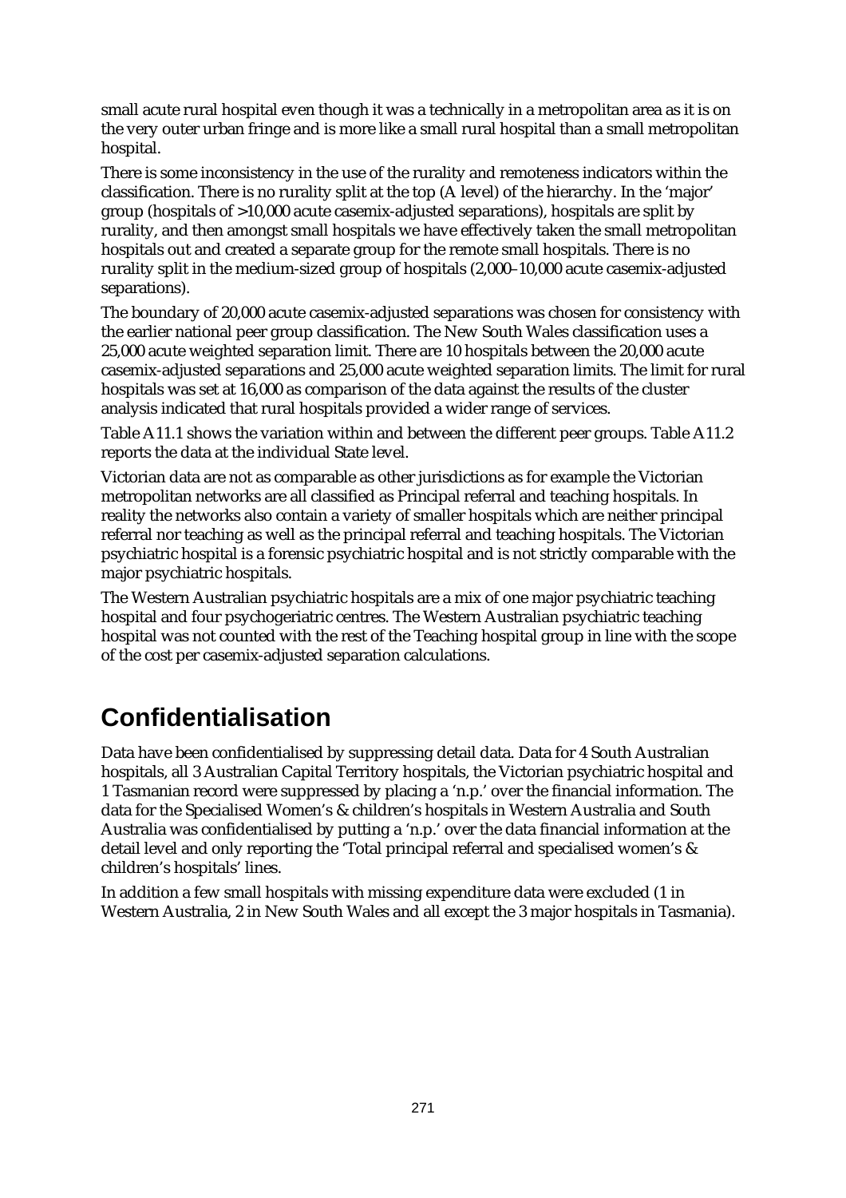small acute rural hospital even though it was a technically in a metropolitan area as it is on the very outer urban fringe and is more like a small rural hospital than a small metropolitan hospital.

There is some inconsistency in the use of the rurality and remoteness indicators within the classification. There is no rurality split at the top (A level) of the hierarchy. In the 'major' group (hospitals of >10,000 acute casemix-adjusted separations), hospitals are split by rurality, and then amongst small hospitals we have effectively taken the small metropolitan hospitals out and created a separate group for the remote small hospitals. There is no rurality split in the medium-sized group of hospitals (2,000–10,000 acute casemix-adjusted separations).

The boundary of 20,000 acute casemix-adjusted separations was chosen for consistency with the earlier national peer group classification. The New South Wales classification uses a 25,000 acute weighted separation limit. There are 10 hospitals between the 20,000 acute casemix-adjusted separations and 25,000 acute weighted separation limits. The limit for rural hospitals was set at 16,000 as comparison of the data against the results of the cluster analysis indicated that rural hospitals provided a wider range of services.

Table A11.1 shows the variation within and between the different peer groups. Table A11.2 reports the data at the individual State level.

Victorian data are not as comparable as other jurisdictions as for example the Victorian metropolitan networks are all classified as Principal referral and teaching hospitals. In reality the networks also contain a variety of smaller hospitals which are neither principal referral nor teaching as well as the principal referral and teaching hospitals. The Victorian psychiatric hospital is a forensic psychiatric hospital and is not strictly comparable with the major psychiatric hospitals.

The Western Australian psychiatric hospitals are a mix of one major psychiatric teaching hospital and four psychogeriatric centres. The Western Australian psychiatric teaching hospital was not counted with the rest of the Teaching hospital group in line with the scope of the cost per casemix-adjusted separation calculations.

## **Confidentialisation**

Data have been confidentialised by suppressing detail data. Data for 4 South Australian hospitals, all 3 Australian Capital Territory hospitals, the Victorian psychiatric hospital and 1 Tasmanian record were suppressed by placing a 'n.p.' over the financial information. The data for the Specialised Women's & children's hospitals in Western Australia and South Australia was confidentialised by putting a 'n.p.' over the data financial information at the detail level and only reporting the 'Total principal referral and specialised women's & children's hospitals' lines.

In addition a few small hospitals with missing expenditure data were excluded (1 in Western Australia, 2 in New South Wales and all except the 3 major hospitals in Tasmania).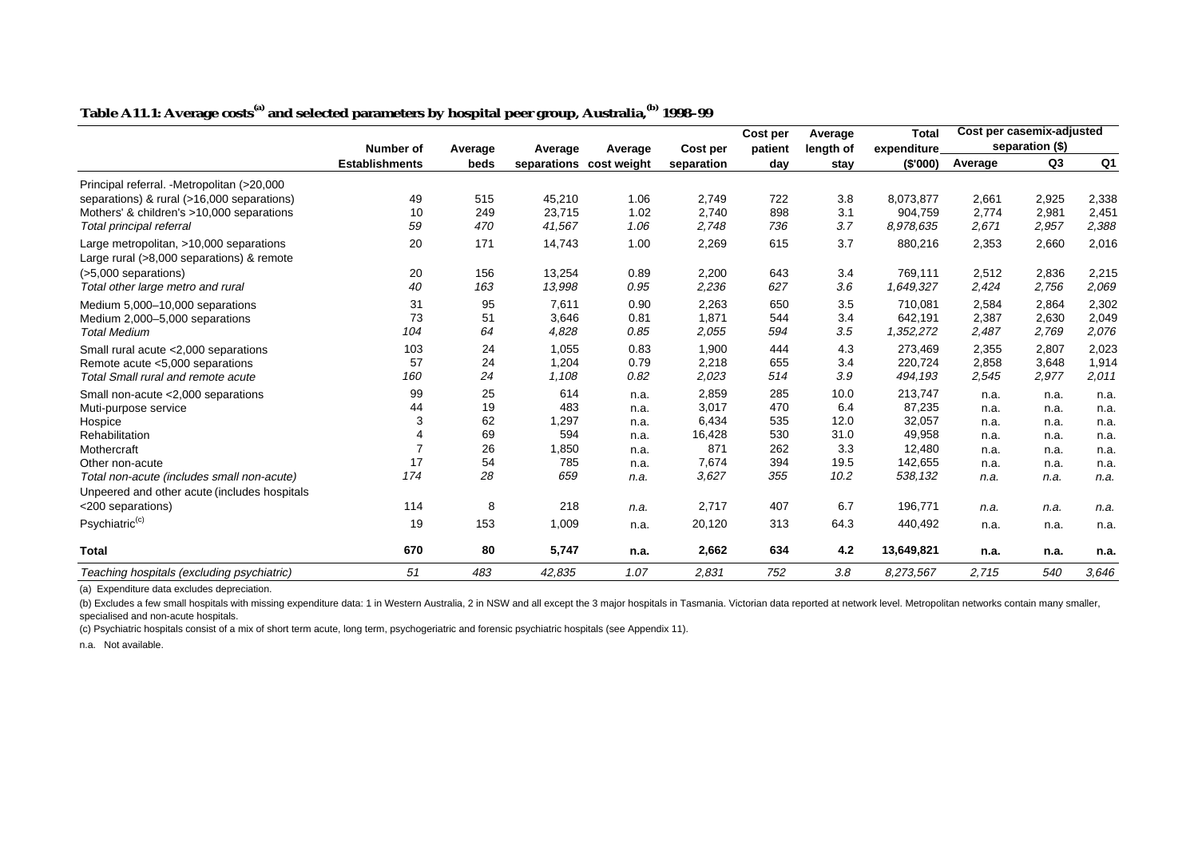|                                              |                       |         |         |                         |            | Cost per | Average   | <b>Total</b> | Cost per casemix-adjusted |                 |       |
|----------------------------------------------|-----------------------|---------|---------|-------------------------|------------|----------|-----------|--------------|---------------------------|-----------------|-------|
|                                              | <b>Number of</b>      | Average | Average | Average                 | Cost per   | patient  | length of | expenditure  |                           | separation (\$) |       |
|                                              | <b>Establishments</b> | beds    |         | separations cost weight | separation | day      | stay      | (S'000)      | Average                   | Q <sub>3</sub>  | Q1    |
| Principal referral. - Metropolitan (>20,000  |                       |         |         |                         |            |          |           |              |                           |                 |       |
| separations) & rural (>16,000 separations)   | 49                    | 515     | 45,210  | 1.06                    | 2,749      | 722      | 3.8       | 8,073,877    | 2,661                     | 2,925           | 2,338 |
| Mothers' & children's >10,000 separations    | 10                    | 249     | 23,715  | 1.02                    | 2,740      | 898      | 3.1       | 904,759      | 2,774                     | 2,981           | 2,451 |
| Total principal referral                     | 59                    | 470     | 41,567  | 1.06                    | 2,748      | 736      | 3.7       | 8.978.635    | 2,671                     | 2,957           | 2,388 |
| Large metropolitan, >10,000 separations      | 20                    | 171     | 14,743  | 1.00                    | 2,269      | 615      | 3.7       | 880,216      | 2,353                     | 2,660           | 2,016 |
| Large rural (>8,000 separations) & remote    |                       |         |         |                         |            |          |           |              |                           |                 |       |
| (>5,000 separations)                         | 20                    | 156     | 13,254  | 0.89                    | 2,200      | 643      | 3.4       | 769,111      | 2,512                     | 2,836           | 2,215 |
| Total other large metro and rural            | 40                    | 163     | 13,998  | 0.95                    | 2,236      | 627      | 3.6       | 1,649,327    | 2,424                     | 2,756           | 2,069 |
| Medium 5,000-10,000 separations              | 31                    | 95      | 7,611   | 0.90                    | 2,263      | 650      | 3.5       | 710,081      | 2,584                     | 2,864           | 2,302 |
| Medium 2,000-5,000 separations               | 73                    | 51      | 3,646   | 0.81                    | 1,871      | 544      | 3.4       | 642,191      | 2,387                     | 2,630           | 2,049 |
| <b>Total Medium</b>                          | 104                   | 64      | 4,828   | 0.85                    | 2,055      | 594      | 3.5       | 1,352,272    | 2,487                     | 2,769           | 2,076 |
| Small rural acute < 2,000 separations        | 103                   | 24      | 1,055   | 0.83                    | 1,900      | 444      | 4.3       | 273,469      | 2,355                     | 2,807           | 2,023 |
| Remote acute <5,000 separations              | 57                    | 24      | 1,204   | 0.79                    | 2,218      | 655      | 3.4       | 220,724      | 2,858                     | 3,648           | 1,914 |
| Total Small rural and remote acute           | 160                   | 24      | 1,108   | 0.82                    | 2,023      | 514      | 3.9       | 494,193      | 2,545                     | 2,977           | 2,011 |
| Small non-acute <2,000 separations           | 99                    | 25      | 614     | n.a.                    | 2,859      | 285      | 10.0      | 213,747      | n.a.                      | n.a.            | n.a.  |
| Muti-purpose service                         | 44                    | 19      | 483     | n.a.                    | 3,017      | 470      | 6.4       | 87,235       | n.a.                      | n.a.            | n.a.  |
| Hospice                                      | 3                     | 62      | 1,297   | n.a.                    | 6,434      | 535      | 12.0      | 32,057       | n.a.                      | n.a.            | n.a.  |
| Rehabilitation                               | 4                     | 69      | 594     | n.a.                    | 16,428     | 530      | 31.0      | 49,958       | n.a.                      | n.a.            | n.a.  |
| Mothercraft                                  | $\overline{7}$        | 26      | 1,850   | n.a.                    | 871        | 262      | 3.3       | 12,480       | n.a.                      | n.a.            | n.a.  |
| Other non-acute                              | 17                    | 54      | 785     | n.a.                    | 7,674      | 394      | 19.5      | 142,655      | n.a.                      | n.a.            | n.a   |
| Total non-acute (includes small non-acute)   | 174                   | 28      | 659     | n.a.                    | 3,627      | 355      | 10.2      | 538,132      | n.a.                      | n.a.            | n.a.  |
| Unpeered and other acute (includes hospitals |                       |         |         |                         |            |          |           |              |                           |                 |       |
| <200 separations)                            | 114                   | 8       | 218     | n.a.                    | 2,717      | 407      | 6.7       | 196,771      | n.a.                      | n.a.            | n.a.  |
| Psychiatric <sup>(c)</sup>                   | 19                    | 153     | 1,009   | n.a.                    | 20,120     | 313      | 64.3      | 440,492      | n.a.                      | n.a.            | n.a.  |
| <b>Total</b>                                 | 670                   | 80      | 5,747   | n.a.                    | 2,662      | 634      | 4.2       | 13,649,821   | n.a.                      | n.a.            | n.a.  |
| Teaching hospitals (excluding psychiatric)   | 51                    | 483     | 42,835  | 1.07                    | 2,831      | 752      | 3.8       | 8,273,567    | 2,715                     | 540             | 3,646 |

#### **Table A11.1: Average costs(a) and selected parameters by hospital peer group, Australia,(b) 1998–99**

(a) Expenditure data excludes depreciation.

(b) Excludes a few small hospitals with missing expenditure data: 1 in Western Australia, 2 in NSW and all except the 3 major hospitals in Tasmania. Victorian data reported at network level. Metropolitan networks contain m specialised and non-acute hospitals.

(c) Psychiatric hospitals consist of a mix of short term acute, long term, psychogeriatric and forensic psychiatric hospitals (see Appendix 11).

n.a. Not available.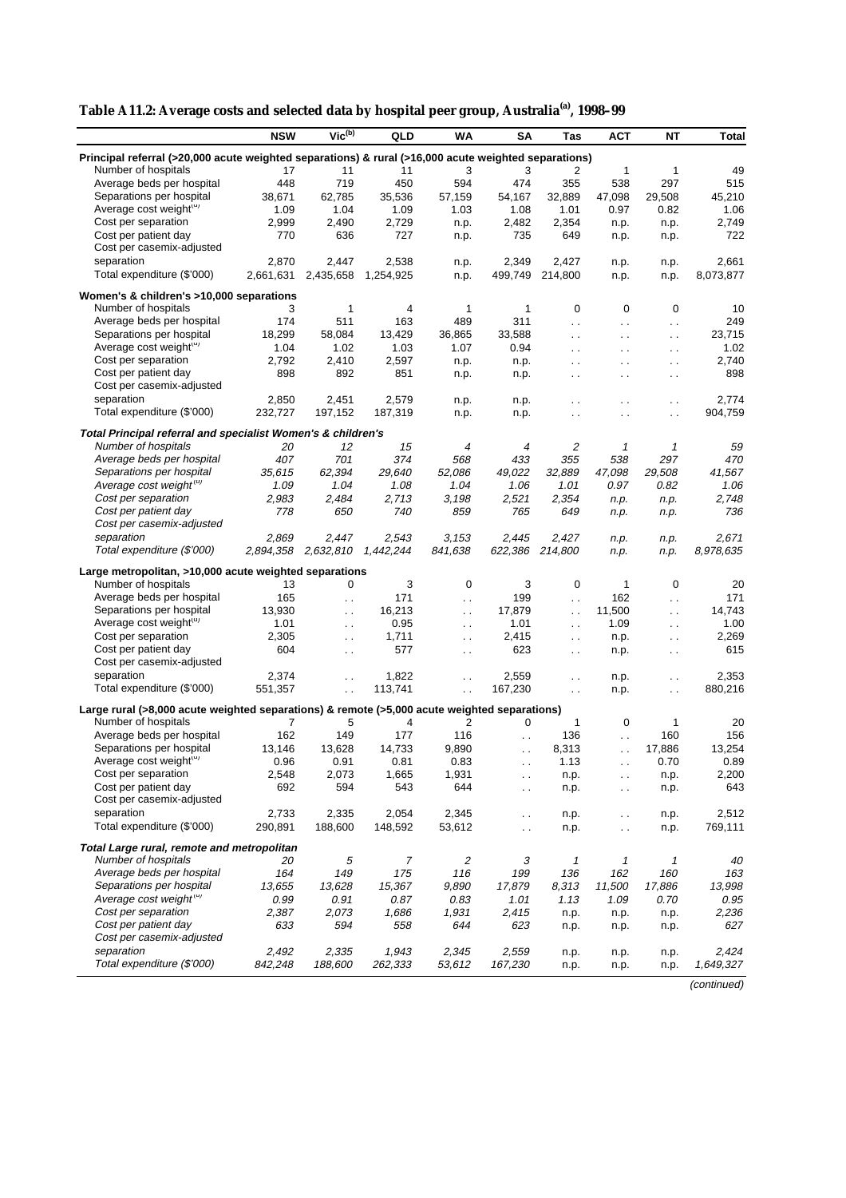| Table A11.2: Average costs and selected data by hospital peer group, Australia <sup>(a)</sup> , 1998–99 |  |
|---------------------------------------------------------------------------------------------------------|--|

|                                                                                                      | <b>NSW</b>          | $Vic^{(b)}$          | QLD       | <b>WA</b>            | <b>SA</b>            | Tas                    | <b>ACT</b>                 | <b>NT</b>            | <b>Total</b> |
|------------------------------------------------------------------------------------------------------|---------------------|----------------------|-----------|----------------------|----------------------|------------------------|----------------------------|----------------------|--------------|
| Principal referral (>20,000 acute weighted separations) & rural (>16,000 acute weighted separations) |                     |                      |           |                      |                      |                        |                            |                      |              |
| Number of hospitals                                                                                  | 17                  | 11                   | 11        | 3                    | 3                    | 2                      | 1                          | 1                    | 49           |
| Average beds per hospital                                                                            | 448                 | 719                  | 450       | 594                  | 474                  | 355                    | 538                        | 297                  | 515          |
| Separations per hospital                                                                             | 38,671              | 62,785               | 35,536    | 57,159               | 54,167               | 32,889                 | 47,098                     | 29,508               | 45,210       |
| Average cost weight(u)                                                                               | 1.09                | 1.04                 | 1.09      | 1.03                 | 1.08                 | 1.01                   | 0.97                       | 0.82                 | 1.06         |
| Cost per separation                                                                                  | 2,999               | 2,490                | 2,729     | n.p.                 | 2,482                | 2,354                  | n.p.                       | n.p.                 | 2,749        |
| Cost per patient day                                                                                 | 770                 | 636                  | 727       | n.p.                 | 735                  | 649                    | n.p.                       | n.p.                 | 722          |
| Cost per casemix-adjusted                                                                            |                     |                      |           |                      |                      |                        |                            |                      |              |
| separation                                                                                           | 2,870               | 2,447                |           |                      |                      | 2,427                  |                            |                      |              |
| Total expenditure (\$'000)                                                                           |                     |                      | 2,538     | n.p.                 | 2,349                |                        | n.p.                       | n.p.                 | 2,661        |
|                                                                                                      | 2,661,631           | 2,435,658            | 1,254,925 | n.p.                 | 499,749              | 214,800                | n.p.                       | n.p.                 | 8,073,877    |
| Women's & children's >10,000 separations                                                             |                     |                      |           |                      |                      |                        |                            |                      |              |
| Number of hospitals                                                                                  | 3                   | 1                    | 4         | 1                    | 1                    | 0                      | 0                          | 0                    | 10           |
| Average beds per hospital                                                                            | 174                 | 511                  | 163       | 489                  | 311                  | $\ddot{\phantom{a}}$ . | $\ddotsc$                  | $\ddotsc$            | 249          |
| Separations per hospital                                                                             | 18,299              | 58,084               | 13,429    | 36,865               | 33,588               | $\ddotsc$              | $\ddot{\phantom{0}}$       | $\ddotsc$            | 23,715       |
| Average cost weight(u)                                                                               | 1.04                | 1.02                 | 1.03      | 1.07                 | 0.94                 | $\ddot{\phantom{0}}$   | $\ddot{\phantom{0}}$       | $\ddot{\phantom{0}}$ | 1.02         |
| Cost per separation                                                                                  | 2,792               | 2,410                | 2,597     | n.p.                 | n.p.                 | $\ddot{\phantom{0}}$   | $\ddot{\phantom{0}}$       | $\ddotsc$            | 2,740        |
| Cost per patient day                                                                                 | 898                 | 892                  | 851       |                      |                      |                        |                            |                      | 898          |
| Cost per casemix-adjusted                                                                            |                     |                      |           | n.p.                 | n.p.                 | $\ddot{\phantom{0}}$   | $\ddot{\phantom{0}}$       | $\ddot{\phantom{0}}$ |              |
|                                                                                                      |                     |                      |           |                      |                      |                        |                            |                      |              |
| separation                                                                                           | 2,850               | 2,451                | 2,579     | n.p.                 | n.p.                 | $\ddot{\phantom{0}}$   | $\ddot{\phantom{0}}$       | $\ddot{\phantom{0}}$ | 2,774        |
| Total expenditure (\$'000)                                                                           | 232,727             | 197,152              | 187,319   | n.p.                 | n.p.                 | $\ddot{\phantom{0}}$   | $\ddotsc$                  | $\sim$ .             | 904,759      |
| Total Principal referral and specialist Women's & children's                                         |                     |                      |           |                      |                      |                        |                            |                      |              |
| Number of hospitals                                                                                  | 20                  | 12                   | 15        | 4                    | 4                    | 2                      | 1                          | 1                    | 59           |
| Average beds per hospital                                                                            | 407                 | 701                  | 374       | 568                  | 433                  | 355                    | 538                        | 297                  | 470          |
| Separations per hospital                                                                             | 35,615              | 62,394               | 29,640    | 52,086               | 49,022               | 32,889                 | 47,098                     | 29,508               | 41,567       |
| Average cost weight <sup>(u)</sup>                                                                   | 1.09                | 1.04                 | 1.08      | 1.04                 | 1.06                 | 1.01                   | 0.97                       | 0.82                 | 1.06         |
| Cost per separation                                                                                  | 2,983               | 2,484                | 2,713     | 3,198                | 2,521                | 2,354                  | n.p.                       | n.p.                 | 2,748        |
| Cost per patient day                                                                                 | 778                 | 650                  | 740       | 859                  | 765                  | 649                    | n.p.                       | n.p.                 | 736          |
| Cost per casemix-adjusted                                                                            |                     |                      |           |                      |                      |                        |                            |                      |              |
|                                                                                                      |                     |                      |           |                      |                      |                        |                            |                      |              |
| separation                                                                                           | 2,869               | 2,447                | 2,543     | 3,153                | 2.445                | 2,427                  | n.p.                       | n.p.                 | 2,671        |
| Total expenditure (\$'000)                                                                           | 2,894,358 2,632,810 |                      | 1,442,244 | 841,638              | 622,386 214,800      |                        | n.p.                       | n.p.                 | 8,978,635    |
| Large metropolitan, >10,000 acute weighted separations                                               |                     |                      |           |                      |                      |                        |                            |                      |              |
| Number of hospitals                                                                                  | 13                  | 0                    | 3         | $\mathbf 0$          | 3                    | 0                      | $\mathbf{1}$               | $\mathbf 0$          | 20           |
| Average beds per hospital                                                                            | 165                 | $\ddotsc$            | 171       | $\ddotsc$            | 199                  | $\ddot{\phantom{0}}$   | 162                        | $\ddotsc$            | 171          |
| Separations per hospital                                                                             | 13,930              | $\ddotsc$            | 16,213    | $\ddotsc$            | 17,879               | $\ddot{\phantom{1}}$ . | 11,500                     | $\ddotsc$            | 14,743       |
| Average cost weight(u)                                                                               | 1.01                | $\ddotsc$            | 0.95      | $\ddot{\phantom{0}}$ | 1.01                 | $\ddotsc$              | 1.09                       | $\ddot{\phantom{0}}$ | 1.00         |
| Cost per separation                                                                                  | 2,305               | $\ddot{\phantom{a}}$ | 1,711     | $\ddotsc$            | 2,415                | $\ddot{\phantom{0}}$   | n.p.                       | $\ddotsc$            | 2,269        |
| Cost per patient day                                                                                 | 604                 | $\sim$ $\sim$        | 577       | $\sim$ $\sim$        | 623                  | $\sim$                 | n.p.                       | $\sim$ $\sim$        | 615          |
| Cost per casemix-adjusted                                                                            |                     |                      |           |                      |                      |                        |                            |                      |              |
| separation                                                                                           | 2,374               |                      | 1,822     |                      |                      |                        |                            |                      | 2,353        |
|                                                                                                      |                     | $\ddotsc$            |           | $\ddot{\phantom{0}}$ | 2,559                | $\ddot{\phantom{0}}$   | n.p.                       | $\ddot{\phantom{a}}$ |              |
| Total expenditure (\$'000)                                                                           | 551,357             | $\ddot{\phantom{a}}$ | 113,741   | $\ddot{\phantom{0}}$ | 167,230              | $\ddotsc$              | n.p.                       | $\ddotsc$            | 880,216      |
| Large rural (>8,000 acute weighted separations) & remote (>5,000 acute weighted separations)         |                     |                      |           |                      |                      |                        |                            |                      |              |
| Number of hospitals                                                                                  | 7                   | 5                    | 4         | 2                    | 0                    | $\mathbf{1}$           | 0                          | $\mathbf{1}$         | 20           |
| Average beds per hospital                                                                            | 162                 | 149                  | 177       | 116                  | $\ddot{\phantom{0}}$ | 136                    | $\ddot{\phantom{0}}$       | 160                  | 156          |
| Separations per hospital                                                                             | 13,146              | 13,628               | 14,733    | 9,890                | $\ddot{\phantom{0}}$ | 8,313                  | $\ddot{\phantom{a}}$       | 17,886               | 13,254       |
| Average cost weight(u)                                                                               | 0.96                | 0.91                 | 0.81      | 0.83                 | $\cdot$ .            | 1.13                   |                            | 0.70                 | 0.89         |
| Cost per separation                                                                                  | 2,548               | 2,073                | 1,665     | 1,931                | $\ddotsc$            | n.p.                   | $\ddotsc$                  | n.p.                 | 2,200        |
| Cost per patient day                                                                                 | 692                 | 594                  | 543       | 644                  |                      | n.p.                   |                            |                      | 643          |
| Cost per casemix-adjusted                                                                            |                     |                      |           |                      | $\ddotsc$            |                        | $\ddot{\phantom{1}}$ .     | n.p.                 |              |
| separation                                                                                           | 2,733               | 2,335                | 2,054     | 2,345                |                      |                        |                            |                      | 2,512        |
| Total expenditure (\$'000)                                                                           | 290,891             | 188,600              | 148,592   | 53,612               | $\ddot{\phantom{0}}$ | n.p.                   | $\ddotsc$                  | n.p.                 | 769,111      |
|                                                                                                      |                     |                      |           |                      | $\ddotsc$            | n.p.                   | $\sim$                     | n.p.                 |              |
| Total Large rural, remote and metropolitan                                                           |                     |                      |           |                      |                      |                        |                            |                      |              |
| Number of hospitals                                                                                  | 20                  | 5                    | 7         | $\overline{c}$       | 3                    | 1                      | $\boldsymbol{\mathcal{I}}$ | 1                    | 40           |
| Average beds per hospital                                                                            | 164                 | 149                  | 175       | 116                  | 199                  | 136                    | 162                        | 160                  | 163          |
| Separations per hospital                                                                             | 13,655              | 13,628               | 15,367    | 9,890                | 17,879               | 8,313                  | 11,500                     | 17,886               | 13,998       |
| Average cost weight <sup>(u)</sup>                                                                   | 0.99                | 0.91                 | 0.87      | 0.83                 | 1.01                 | 1.13                   | 1.09                       | 0.70                 | 0.95         |
| Cost per separation                                                                                  | 2,387               | 2,073                | 1,686     | 1,931                | 2,415                | n.p.                   | n.p.                       | n.p.                 | 2,236        |
| Cost per patient day                                                                                 | 633                 | 594                  | 558       | 644                  | 623                  | n.p.                   | n.p.                       | n.p.                 | 627          |
| Cost per casemix-adjusted                                                                            |                     |                      |           |                      |                      |                        |                            |                      |              |
| separation                                                                                           | 2,492               | 2,335                | 1,943     | 2,345                | 2,559                | n.p.                   | n.p.                       | n.p.                 | 2,424        |
| Total expenditure (\$'000)                                                                           | 842,248             | 188,600              | 262,333   | 53,612               | 167,230              | n.p.                   | n.p.                       | n.p.                 | 1,649,327    |
|                                                                                                      |                     |                      |           |                      |                      |                        |                            |                      |              |

(continued)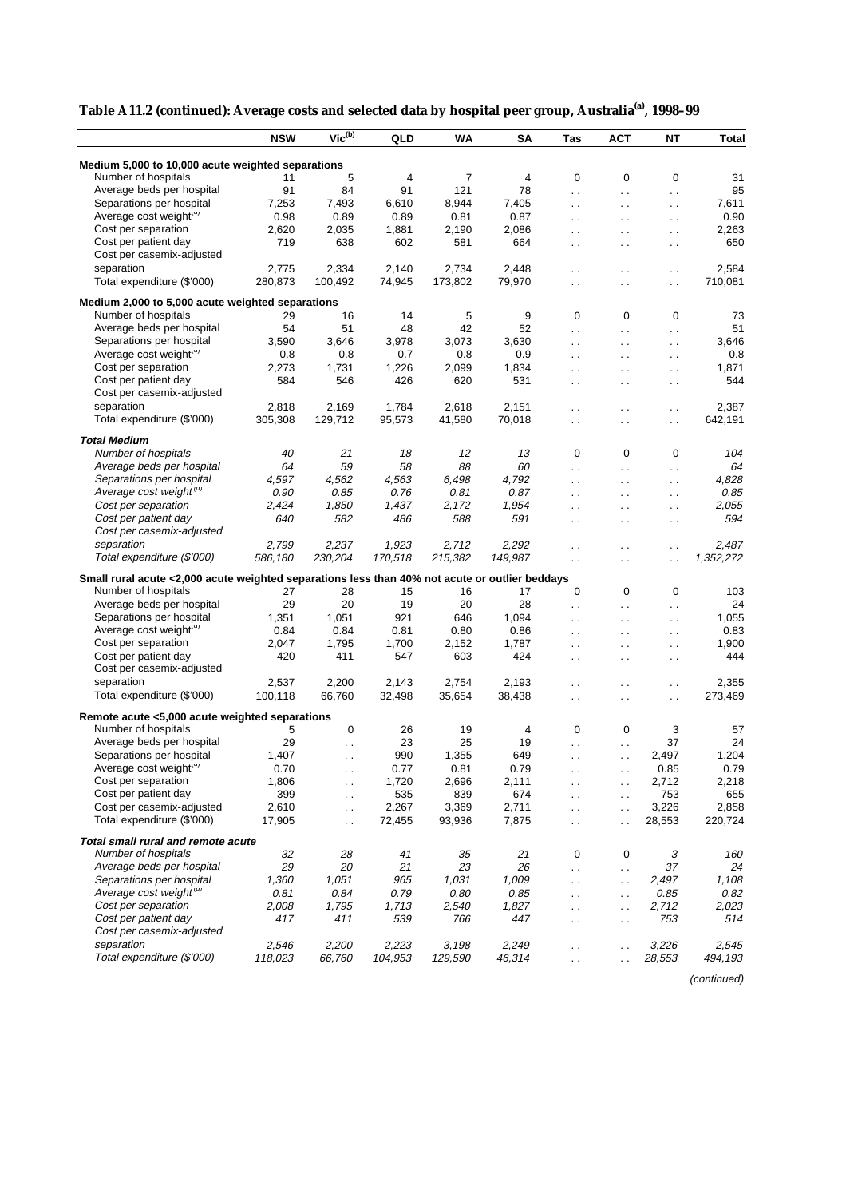|                                                                                                | <b>NSW</b> | $Vic^{(b)}$          | QLD     | WA      | SA      | Tas                            | <b>ACT</b>           | <b>NT</b>            | Total     |
|------------------------------------------------------------------------------------------------|------------|----------------------|---------|---------|---------|--------------------------------|----------------------|----------------------|-----------|
|                                                                                                |            |                      |         |         |         |                                |                      |                      |           |
| Medium 5,000 to 10,000 acute weighted separations                                              |            |                      |         |         |         |                                |                      |                      |           |
| Number of hospitals                                                                            | 11         | 5                    | 4       | 7       | 4       | 0                              | 0                    | 0                    | 31        |
| Average beds per hospital                                                                      | 91         | 84                   | 91      | 121     | 78      | $\ddot{\phantom{a}}$           | $\ddotsc$            | $\ddotsc$            | 95        |
| Separations per hospital                                                                       | 7,253      | 7,493                | 6,610   | 8,944   | 7,405   | $\ddotsc$                      | $\sim$ .             | $\sim$               | 7,611     |
| Average cost weight(u)                                                                         | 0.98       | 0.89                 | 0.89    | 0.81    | 0.87    | $\ddot{\phantom{0}}$           | $\ddot{\phantom{0}}$ | $\sim$               | 0.90      |
| Cost per separation                                                                            | 2,620      | 2,035                | 1,881   | 2,190   | 2,086   | $\ddotsc$                      | $\ddot{\phantom{0}}$ | $\sim$               | 2,263     |
| Cost per patient day                                                                           | 719        | 638                  | 602     | 581     | 664     | $\ddot{\phantom{a}}$           | $\ddot{\phantom{0}}$ | $\sim$               | 650       |
| Cost per casemix-adjusted                                                                      |            |                      |         |         |         |                                |                      |                      |           |
| separation                                                                                     | 2,775      | 2,334                | 2,140   | 2,734   | 2,448   | $\ddot{\phantom{0}}$           | . .                  | $\ddotsc$            | 2,584     |
| Total expenditure (\$'000)                                                                     | 280,873    | 100,492              | 74,945  | 173,802 | 79,970  | $\ddot{\phantom{a}}$           | $\ddot{\phantom{0}}$ | $\ddot{\phantom{0}}$ | 710,081   |
| Medium 2,000 to 5,000 acute weighted separations                                               |            |                      |         |         |         |                                |                      |                      |           |
| Number of hospitals                                                                            | 29         | 16                   | 14      | 5       | 9       | 0                              | 0                    | 0                    | 73        |
| Average beds per hospital                                                                      | 54         | 51                   | 48      | 42      | 52      | $\ddot{\phantom{a}}$           | $\ddotsc$            | $\ddotsc$            | 51        |
| Separations per hospital                                                                       | 3,590      | 3,646                | 3,978   | 3,073   | 3,630   | $\ddot{\phantom{a}}$           | $\ddot{\phantom{a}}$ | $\ddotsc$            | 3,646     |
| Average cost weight(u)                                                                         | 0.8        | 0.8                  | 0.7     | 0.8     | 0.9     | $\sim$ .                       | $\ddot{\phantom{0}}$ | $\ddotsc$            | 0.8       |
| Cost per separation                                                                            | 2,273      | 1,731                | 1,226   | 2,099   | 1,834   | $\ddotsc$                      | $\sim$               | $\sim$               | 1,871     |
| Cost per patient day                                                                           | 584        | 546                  | 426     | 620     | 531     | $\sim$                         | $\sim$               | $\sim$               | 544       |
| Cost per casemix-adjusted                                                                      |            |                      |         |         |         |                                |                      |                      |           |
| separation                                                                                     | 2,818      | 2,169                | 1,784   | 2,618   | 2,151   | $\ddotsc$                      | . .                  | $\ddotsc$            | 2,387     |
| Total expenditure (\$'000)                                                                     | 305,308    | 129,712              | 95,573  | 41,580  | 70,018  | $\ddot{\phantom{0}}$           | . .                  | $\ddot{\phantom{0}}$ | 642,191   |
| <b>Total Medium</b>                                                                            |            |                      |         |         |         |                                |                      |                      |           |
| Number of hospitals                                                                            | 40         | 21                   | 18      | 12      | 13      | 0                              | 0                    | 0                    | 104       |
| Average beds per hospital                                                                      | 64         | 59                   | 58      | 88      | 60      |                                |                      |                      | 64        |
| Separations per hospital                                                                       | 4,597      | 4,562                | 4,563   | 6,498   | 4,792   | $\ddotsc$                      | $\ddot{\phantom{0}}$ | $\ddot{\phantom{0}}$ | 4,828     |
| Average cost weight <sup>(u)</sup>                                                             | 0.90       | 0.85                 | 0.76    | 0.81    | 0.87    | $\ddot{\phantom{0}}$           | $\ddot{\phantom{0}}$ | $\ddotsc$            | 0.85      |
| Cost per separation                                                                            | 2,424      | 1,850                | 1,437   | 2,172   | 1,954   | $\ddot{\phantom{a}}$           | $\ddot{\phantom{0}}$ | $\ddotsc$            | 2,055     |
| Cost per patient day                                                                           | 640        | 582                  | 486     | 588     | 591     | $\ddot{\phantom{0}}$           | $\ddot{\phantom{0}}$ | $\ddotsc$            | 594       |
| Cost per casemix-adjusted                                                                      |            |                      |         |         |         | $\ddotsc$                      | $\ddot{\phantom{0}}$ | $\sim$ $\sim$        |           |
|                                                                                                |            |                      |         |         |         |                                |                      |                      |           |
| separation                                                                                     | 2,799      | 2,237                | 1,923   | 2,712   | 2,292   | $\ddot{\phantom{0}}$           | $\ddot{\phantom{0}}$ | $\ddot{\phantom{0}}$ | 2,487     |
| Total expenditure (\$'000)                                                                     | 586,180    | 230,204              | 170,518 | 215,382 | 149,987 | $\sim$ .                       | $\ddot{\phantom{0}}$ | $\ddot{\phantom{0}}$ | 1,352,272 |
| Small rural acute <2,000 acute weighted separations less than 40% not acute or outlier beddays |            |                      |         |         |         |                                |                      |                      |           |
| Number of hospitals                                                                            | 27         | 28                   | 15      | 16      | 17      | 0                              | 0                    | 0                    | 103       |
| Average beds per hospital                                                                      | 29         | 20                   | 19      | 20      | 28      | $\ddotsc$                      | $\ddotsc$            | $\ddotsc$            | 24        |
| Separations per hospital                                                                       | 1,351      | 1,051                | 921     | 646     | 1,094   | $\ddotsc$                      | $\ddotsc$            | $\sim$ $\sim$        | 1,055     |
| Average cost weight(u)                                                                         | 0.84       | 0.84                 | 0.81    | 0.80    | 0.86    | $\ddot{\phantom{0}}$           | $\sim$               | $\sim$               | 0.83      |
| Cost per separation                                                                            | 2,047      | 1,795                | 1,700   | 2,152   | 1,787   | $\ddotsc$                      | $\ddot{\phantom{0}}$ | $\ddotsc$            | 1,900     |
| Cost per patient day                                                                           | 420        | 411                  | 547     | 603     | 424     | $\ddotsc$                      | $\ddot{\phantom{0}}$ | $\ddotsc$            | 444       |
| Cost per casemix-adjusted                                                                      |            |                      |         |         |         |                                |                      |                      |           |
| separation                                                                                     | 2,537      | 2,200                | 2,143   | 2,754   | 2,193   | $\ddot{\phantom{0}}$           | . .                  | $\sim$ $\sim$        | 2,355     |
| Total expenditure (\$'000)                                                                     | 100,118    | 66,760               | 32,498  | 35,654  | 38,438  | $\ddotsc$                      | $\sim$               | $\ddotsc$            | 273,469   |
| Remote acute <5,000 acute weighted separations                                                 |            |                      |         |         |         |                                |                      |                      |           |
| Number of hospitals                                                                            | 5          | 0                    | 26      | 19      | 4       | 0                              | 0                    | 3                    | 57        |
| Average beds per hospital                                                                      | 29         | $\ddot{\phantom{0}}$ | 23      | 25      | 19      |                                | $\ddot{\phantom{0}}$ | 37                   | 24        |
| Separations per hospital                                                                       | 1,407      | $\ddotsc$            | 990     | 1,355   | 649     | $\ddot{\phantom{a}}$           | $\ddotsc$            | 2,497                | 1,204     |
| Average cost weight(u)                                                                         | 0.70       |                      | 0.77    | 0.81    | 0.79    |                                |                      | 0.85                 | 0.79      |
| Cost per separation                                                                            | 1,806      |                      | 1,720   | 2,696   | 2,111   |                                | . .                  | 2,712                | 2,218     |
| Cost per patient day                                                                           | 399        | $\sim$ $\sim$        | 535     | 839     | 674     | $\sim$<br>$\ddot{\phantom{0}}$ | $\sim$ $\sim$        | 753                  | 655       |
| Cost per casemix-adjusted                                                                      | 2,610      | $\sim$ $\sim$        | 2,267   | 3,369   | 2,711   |                                | $\sim$               | 3,226                | 2,858     |
| Total expenditure (\$'000)                                                                     | 17,905     | $\sim$<br>$\ddotsc$  | 72,455  | 93,936  | 7,875   | $\sim$ .<br>$\ddotsc$          | $\ddot{\phantom{0}}$ | 28,553               | 220,724   |
|                                                                                                |            |                      |         |         |         |                                | $\ddot{\phantom{0}}$ |                      |           |
| Total small rural and remote acute                                                             |            |                      |         |         |         |                                |                      |                      |           |
| Number of hospitals                                                                            | 32         | 28                   | 41      | 35      | 21      | 0                              | 0                    | 3                    | 160       |
| Average beds per hospital                                                                      | 29         | 20                   | 21      | 23      | 26      | $\ddot{\phantom{0}}$           | $\sim$               | 37                   | 24        |
| Separations per hospital                                                                       | 1,360      | 1,051                | 965     | 1,031   | 1,009   | $\ddot{\phantom{0}}$           | $\sim$               | 2,497                | 1,108     |
| Average cost weight <sup>(c)</sup>                                                             | 0.81       | 0.84                 | 0.79    | 0.80    | 0.85    | $\ddotsc$                      | $\ddotsc$            | 0.85                 | 0.82      |
| Cost per separation                                                                            | 2,008      | 1,795                | 1,713   | 2,540   | 1,827   | $\ddotsc$                      | $\ddotsc$            | 2,712                | 2,023     |
| Cost per patient day                                                                           | 417        | 411                  | 539     | 766     | 447     | $\ddot{\phantom{0}}$           | $\sim$               | 753                  | 514       |
| Cost per casemix-adjusted                                                                      |            |                      |         |         |         |                                |                      |                      |           |
| separation                                                                                     | 2,546      | 2,200                | 2,223   | 3,198   | 2,249   | $\sim$                         | $\ddot{\phantom{0}}$ | 3,226                | 2,545     |
| Total expenditure (\$'000)                                                                     | 118,023    | 66,760               | 104,953 | 129,590 | 46,314  | $\ddotsc$                      | $\ddot{\phantom{0}}$ | 28,553               | 494,193   |

| Table A11.2 (continued): Average costs and selected data by hospital peer group, Australia <sup>(a)</sup> , 1998-99 |  |  |
|---------------------------------------------------------------------------------------------------------------------|--|--|
|                                                                                                                     |  |  |

(continued)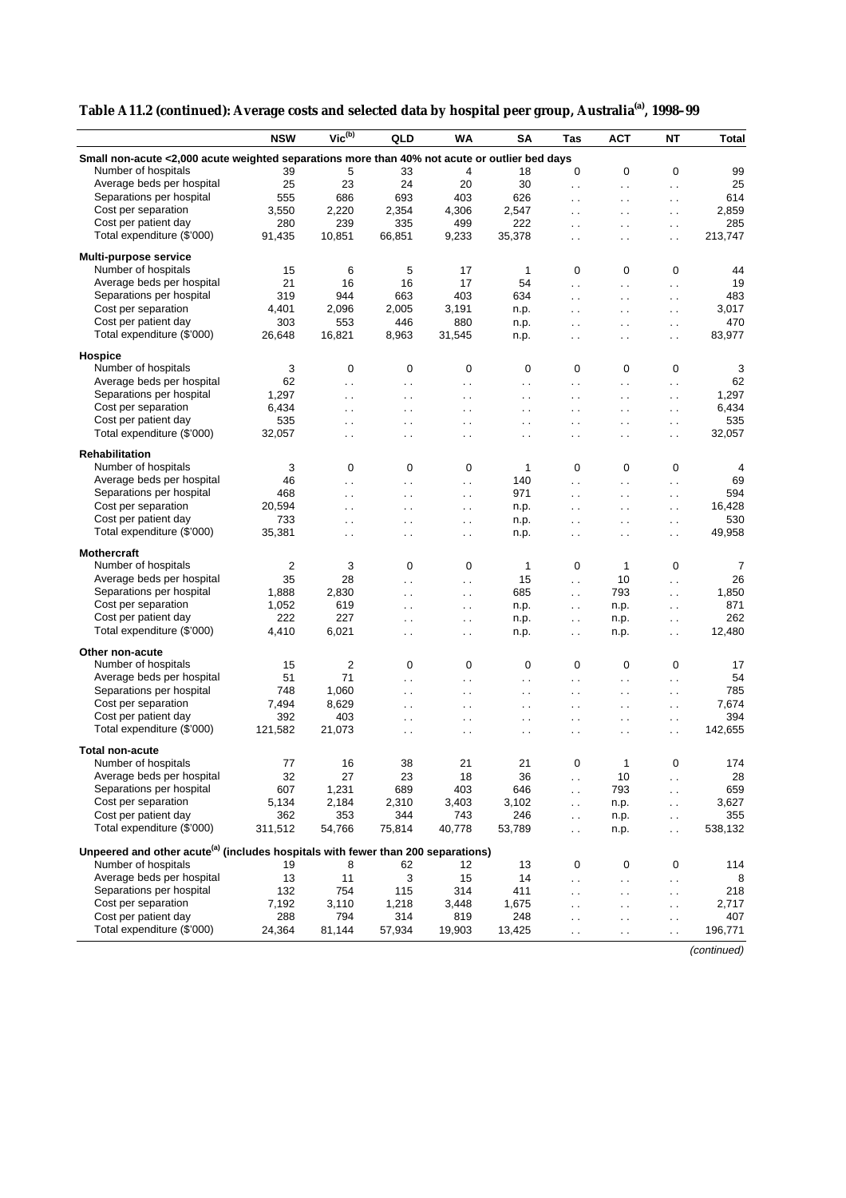| Small non-acute <2,000 acute weighted separations more than 40% not acute or outlier bed days<br>Number of hospitals<br>39<br>5<br>33<br>4<br>18<br>0<br>0<br>0<br>99<br>Average beds per hospital<br>23<br>24<br>20<br>25<br>30<br>25<br>$\ddot{\phantom{a}}$ .<br>$\ddot{\phantom{1}}$ .<br>$\ddotsc$<br>Separations per hospital<br>693<br>626<br>555<br>686<br>403<br>614<br>$\ddot{\phantom{a}}$<br>$\ddotsc$<br>$\ddot{\phantom{0}}$<br>Cost per separation<br>3,550<br>2,220<br>2,859<br>2,354<br>4,306<br>2,547<br>$\ddot{\phantom{0}}$<br>$\ddotsc$<br>$\ddot{\phantom{0}}$<br>Cost per patient day<br>280<br>285<br>239<br>335<br>499<br>222<br>$\ddotsc$<br>$\ddotsc$<br>$\sim$<br>Total expenditure (\$'000)<br>91,435<br>10,851<br>66,851<br>9,233<br>35,378<br>213,747<br>$\ddot{\phantom{0}}$<br>$\ddot{\phantom{0}}$<br>$\ddot{\phantom{0}}$<br>Multi-purpose service<br>Number of hospitals<br>5<br>15<br>6<br>17<br>$\mathbf{1}$<br>0<br>0<br>$\mathbf 0$<br>44<br>Average beds per hospital<br>21<br>16<br>16<br>17<br>54<br>19<br>$\ddotsc$<br>$\ddot{\phantom{0}}$<br>$\ddotsc$<br>Separations per hospital<br>319<br>663<br>403<br>944<br>634<br>483<br>$\ddotsc$<br>$\ddot{\phantom{0}}$<br>$\ddot{\phantom{0}}$<br>Cost per separation<br>4,401<br>2,005<br>3,191<br>3,017<br>2,096<br>n.p.<br>$\ddotsc$<br>$\ddot{\phantom{0}}$<br>$\ddot{\phantom{0}}$<br>Cost per patient day<br>470<br>303<br>553<br>446<br>880<br>n.p.<br>$\ddot{\phantom{a}}$<br>$\ddot{\phantom{0}}$<br>$\ddot{\phantom{a}}$<br>Total expenditure (\$'000)<br>83,977<br>26,648<br>16,821<br>8,963<br>31,545<br>n.p.<br>$\ddotsc$<br>$\ddot{\phantom{0}}$<br>$\ddot{\phantom{0}}$<br>Hospice<br>Number of hospitals<br>3<br>0<br>0<br>0<br>0<br>0<br>0<br>0<br>3<br>Average beds per hospital<br>62<br>62<br>$\ddot{\phantom{0}}$<br>. .<br>$\ddotsc$<br>$\ddotsc$<br>$\ddotsc$<br>$\ddotsc$<br>$\ddot{\phantom{0}}$<br>Separations per hospital<br>1,297<br>1,297<br>$\ddotsc$<br>$\ddotsc$<br>$\ddot{\phantom{1}}$ .<br>$\ddot{\phantom{0}}$<br>. .<br>$\ddot{\phantom{0}}$<br>$\ddotsc$<br>Cost per separation<br>6.434<br>6,434<br>$\ddot{\phantom{0}}$<br>$\ddot{\phantom{0}}$<br>$\ddot{\phantom{0}}$<br>$\ddot{\phantom{0}}$<br>$\ddot{\phantom{0}}$<br>$\ddotsc$<br>$\ddot{\phantom{0}}$<br>Cost per patient day<br>535<br>535<br>$\ddot{\phantom{0}}$<br>$\ddot{\phantom{0}}$<br>$\sim$<br>$\ddot{\phantom{0}}$<br>$\ddot{\phantom{0}}$<br>$\ddot{\phantom{0}}$<br>. .<br>Total expenditure (\$'000)<br>32,057<br>32,057<br>$\ddot{\phantom{0}}$<br>$\ddot{\phantom{a}}$<br>$\ddot{\phantom{0}}$<br>. .<br>$\ddot{\phantom{0}}$<br>$\ddot{\phantom{0}}$<br>$\ddot{\phantom{0}}$<br><b>Rehabilitation</b><br>Number of hospitals<br>3<br>0<br>1<br>0<br>0<br>0<br>0<br>0<br>4<br>Average beds per hospital<br>46<br>140<br>69<br>$\ddot{\phantom{a}}$<br>$\ddot{\phantom{0}}$<br>$\ddot{\phantom{0}}$<br>$\ddot{\phantom{a}}$<br>$\ddot{\phantom{0}}$<br>$\ddot{\phantom{0}}$<br>Separations per hospital<br>468<br>971<br>594<br>$\ddot{\phantom{0}}$<br>$\ddotsc$<br>$\ddot{\phantom{0}}$<br>$\ddot{\phantom{0}}$<br>. .<br>$\ddot{\phantom{0}}$<br>Cost per separation<br>20,594<br>16,428<br>n.p.<br>$\ddotsc$<br>$\ddot{\phantom{0}}$<br>. .<br>$\sim$<br>$\sim$ $\sim$<br>$\sim$<br>Cost per patient day<br>733<br>530<br>n.p.<br>$\ddot{\phantom{0}}$<br>$\ddotsc$<br>$\ddot{\phantom{0}}$<br>. .<br>$\ddot{\phantom{0}}$<br>$\sim$ $\sim$<br>Total expenditure (\$'000)<br>35,381<br>49,958<br>n.p.<br>$\ddot{\phantom{0}}$<br>$\ddot{\phantom{0}}$<br>. .<br>$\sim$<br>$\ddot{\phantom{0}}$<br>$\sim$<br><b>Mothercraft</b><br>Number of hospitals<br>2<br>3<br>0<br>0<br>1<br>$\mathbf 0$<br>1<br>0<br>7<br>Average beds per hospital<br>35<br>28<br>15<br>10<br>26<br>$\ddotsc$<br>$\ddot{\phantom{a}}$<br>. .<br>$\ddot{\phantom{0}}$<br>Separations per hospital<br>1,888<br>2,830<br>685<br>793<br>1,850<br>$\ddotsc$<br>$\ddot{\phantom{0}}$<br>$\sim$<br>. .<br>Cost per separation<br>871<br>1,052<br>619<br>n.p.<br>n.p.<br>$\ddotsc$<br>$\ddotsc$<br>. .<br>$\ddotsc$<br>Cost per patient day<br>227<br>262<br>222<br>n.p.<br>n.p.<br>$\ddotsc$<br>$\ddotsc$<br>$\ddot{\phantom{0}}$<br>. .<br>Total expenditure (\$'000)<br>4,410<br>6,021<br>12,480<br>n.p.<br>n.p.<br>$\ddot{\phantom{0}}$<br>$\ddot{\phantom{0}}$<br>. .<br>$\sim$<br>Other non-acute<br>Number of hospitals<br>$\overline{2}$<br>15<br>0<br>0<br>0<br>0<br>0<br>0<br>17<br>Average beds per hospital<br>71<br>51<br>54<br>. .<br>$\ddot{\phantom{0}}$<br>$\ddot{\phantom{0}}$<br>$\ddot{\phantom{0}}$<br>$\ddot{\phantom{0}}$<br>$\ddot{\phantom{0}}$<br>Separations per hospital<br>748<br>1,060<br>785<br>. .<br>$\ddot{\phantom{0}}$<br>$\ddot{\phantom{0}}$<br>$\ddot{\phantom{0}}$<br>$\ddot{\phantom{0}}$<br>$\ddotsc$<br>Cost per separation<br>7,494<br>7,674<br>8,629<br>$\ddotsc$<br>$\ddotsc$<br>$\ddotsc$<br>$\ddotsc$<br>. .<br>$\ddot{\phantom{0}}$<br>Cost per patient day<br>392<br>403<br>394<br>$\ddotsc$<br>$\ddot{\phantom{0}}$<br>$\ddot{\phantom{0}}$<br>. .<br>$\ddot{\phantom{0}}$<br>$\ddot{\phantom{0}}$<br>Total expenditure (\$'000)<br>121,582<br>21,073<br>142,655<br>. .<br>$\ddotsc$<br>$\ddotsc$<br>$\ddot{\phantom{0}}$<br>$\ddot{\phantom{0}}$<br>$\ddot{\phantom{0}}$<br><b>Total non-acute</b><br>Number of hospitals<br>38<br>21<br>174<br>77<br>16<br>21<br>0<br>0<br>1<br>Average beds per hospital<br>32<br>27<br>23<br>18<br>36<br>28<br>10<br>$\ddotsc$<br>$\ddot{\phantom{0}}$<br>Separations per hospital<br>607<br>403<br>659<br>1,231<br>689<br>646<br>793<br>Cost per separation<br>5,134<br>2,184<br>2,310<br>3,403<br>3,102<br>3,627<br>n.p.<br>$\ddot{\phantom{0}}$<br>$\ddot{\phantom{0}}$<br>Cost per patient day<br>362<br>353<br>344<br>743<br>246<br>355<br>n.p.<br>$\ddot{\phantom{0}}$<br>$\sim$ $\sim$<br>Total expenditure (\$'000)<br>311,512<br>54,766<br>75,814<br>40,778<br>53,789<br>538,132<br>n.p.<br>$\ddotsc$<br>$\ddotsc$<br>Unpeered and other acute <sup>(a)</sup> (includes hospitals with fewer than 200 separations)<br>Number of hospitals<br>19<br>62<br>13<br>0<br>0<br>0<br>114<br>8<br>12<br>Average beds per hospital<br>13<br>11<br>3<br>15<br>14<br>8<br>$\mathcal{L}_{\mathcal{A}}$<br>$\sim$ .<br>$\sim$<br>Separations per hospital<br>132<br>754<br>314<br>115<br>411<br>218<br>$\ddot{\phantom{0}}$<br>$\sim$<br>$\ddot{\phantom{0}}$<br>Cost per separation<br>7,192<br>3,110<br>1,218<br>3,448<br>1,675<br>2,717<br>$\sim$<br>. .<br>$\sim$<br>Cost per patient day<br>288<br>407<br>794<br>314<br>819<br>248<br>$\ddot{\phantom{0}}$<br>$\sim$ $\sim$<br>$\sim$<br>Total expenditure (\$'000)<br>24,364<br>81,144<br>57,934<br>19,903<br>13,425<br>196,771<br>$\ddot{\phantom{0}}$<br>$\ddot{\phantom{0}}$<br>$\ddot{\phantom{0}}$ | <b>NSW</b> | $Vic^{(b)}$ | QLD | <b>WA</b> | <b>SA</b> | Tas | <b>ACT</b> | <b>NT</b> | <b>Total</b> |
|-----------------------------------------------------------------------------------------------------------------------------------------------------------------------------------------------------------------------------------------------------------------------------------------------------------------------------------------------------------------------------------------------------------------------------------------------------------------------------------------------------------------------------------------------------------------------------------------------------------------------------------------------------------------------------------------------------------------------------------------------------------------------------------------------------------------------------------------------------------------------------------------------------------------------------------------------------------------------------------------------------------------------------------------------------------------------------------------------------------------------------------------------------------------------------------------------------------------------------------------------------------------------------------------------------------------------------------------------------------------------------------------------------------------------------------------------------------------------------------------------------------------------------------------------------------------------------------------------------------------------------------------------------------------------------------------------------------------------------------------------------------------------------------------------------------------------------------------------------------------------------------------------------------------------------------------------------------------------------------------------------------------------------------------------------------------------------------------------------------------------------------------------------------------------------------------------------------------------------------------------------------------------------------------------------------------------------------------------------------------------------------------------------------------------------------------------------------------------------------------------------------------------------------------------------------------------------------------------------------------------------------------------------------------------------------------------------------------------------------------------------------------------------------------------------------------------------------------------------------------------------------------------------------------------------------------------------------------------------------------------------------------------------------------------------------------------------------------------------------------------------------------------------------------------------------------------------------------------------------------------------------------------------------------------------------------------------------------------------------------------------------------------------------------------------------------------------------------------------------------------------------------------------------------------------------------------------------------------------------------------------------------------------------------------------------------------------------------------------------------------------------------------------------------------------------------------------------------------------------------------------------------------------------------------------------------------------------------------------------------------------------------------------------------------------------------------------------------------------------------------------------------------------------------------------------------------------------------------------------------------------------------------------------------------------------------------------------------------------------------------------------------------------------------------------------------------------------------------------------------------------------------------------------------------------------------------------------------------------------------------------------------------------------------------------------------------------------------------------------------------------------------------------------------------------------------------------------------------------------------------------------------------------------------------------------------------------------------------------------------------------------------------------------------------------------------------------------------------------------------------------------------------------------------------------------------------------------------------------------------------------------------------------------------------------------------------------------------------------------------------------------------------------------------------------------------------------------------------------------------------------------------------------------------------------------------------------------------------------------------------------------------------------------------------------------------------------------------------------------------------------------------------------------------------------------------------------------------------------------------------------------------------------------------------------------------------------------------------------------------------------------------------------------------------------------------------------------------------------------------------------------------------------------------------------------------------------------------------------------------------------------------------------------------------------------------------------------------------------------------------------------------------------------------------------------------------------------------------------------------------------------------------------------------------------------------------------------------------------------------------------------------------------------------------------------------------------------------------------------------------------------------------------------------------------------------------------|------------|-------------|-----|-----------|-----------|-----|------------|-----------|--------------|
|                                                                                                                                                                                                                                                                                                                                                                                                                                                                                                                                                                                                                                                                                                                                                                                                                                                                                                                                                                                                                                                                                                                                                                                                                                                                                                                                                                                                                                                                                                                                                                                                                                                                                                                                                                                                                                                                                                                                                                                                                                                                                                                                                                                                                                                                                                                                                                                                                                                                                                                                                                                                                                                                                                                                                                                                                                                                                                                                                                                                                                                                                                                                                                                                                                                                                                                                                                                                                                                                                                                                                                                                                                                                                                                                                                                                                                                                                                                                                                                                                                                                                                                                                                                                                                                                                                                                                                                                                                                                                                                                                                                                                                                                                                                                                                                                                                                                                                                                                                                                                                                                                                                                                                                                                                                                                                                                                                                                                                                                                                                                                                                                                                                                                                                                                                                                                                                                                                                                                                                                                                                                                                                                                                                                                                                                                                                                                                                                                                                                                                                                                                                                                                                                                                                                                                                                                             |            |             |     |           |           |     |            |           |              |
|                                                                                                                                                                                                                                                                                                                                                                                                                                                                                                                                                                                                                                                                                                                                                                                                                                                                                                                                                                                                                                                                                                                                                                                                                                                                                                                                                                                                                                                                                                                                                                                                                                                                                                                                                                                                                                                                                                                                                                                                                                                                                                                                                                                                                                                                                                                                                                                                                                                                                                                                                                                                                                                                                                                                                                                                                                                                                                                                                                                                                                                                                                                                                                                                                                                                                                                                                                                                                                                                                                                                                                                                                                                                                                                                                                                                                                                                                                                                                                                                                                                                                                                                                                                                                                                                                                                                                                                                                                                                                                                                                                                                                                                                                                                                                                                                                                                                                                                                                                                                                                                                                                                                                                                                                                                                                                                                                                                                                                                                                                                                                                                                                                                                                                                                                                                                                                                                                                                                                                                                                                                                                                                                                                                                                                                                                                                                                                                                                                                                                                                                                                                                                                                                                                                                                                                                                             |            |             |     |           |           |     |            |           |              |
|                                                                                                                                                                                                                                                                                                                                                                                                                                                                                                                                                                                                                                                                                                                                                                                                                                                                                                                                                                                                                                                                                                                                                                                                                                                                                                                                                                                                                                                                                                                                                                                                                                                                                                                                                                                                                                                                                                                                                                                                                                                                                                                                                                                                                                                                                                                                                                                                                                                                                                                                                                                                                                                                                                                                                                                                                                                                                                                                                                                                                                                                                                                                                                                                                                                                                                                                                                                                                                                                                                                                                                                                                                                                                                                                                                                                                                                                                                                                                                                                                                                                                                                                                                                                                                                                                                                                                                                                                                                                                                                                                                                                                                                                                                                                                                                                                                                                                                                                                                                                                                                                                                                                                                                                                                                                                                                                                                                                                                                                                                                                                                                                                                                                                                                                                                                                                                                                                                                                                                                                                                                                                                                                                                                                                                                                                                                                                                                                                                                                                                                                                                                                                                                                                                                                                                                                                             |            |             |     |           |           |     |            |           |              |
|                                                                                                                                                                                                                                                                                                                                                                                                                                                                                                                                                                                                                                                                                                                                                                                                                                                                                                                                                                                                                                                                                                                                                                                                                                                                                                                                                                                                                                                                                                                                                                                                                                                                                                                                                                                                                                                                                                                                                                                                                                                                                                                                                                                                                                                                                                                                                                                                                                                                                                                                                                                                                                                                                                                                                                                                                                                                                                                                                                                                                                                                                                                                                                                                                                                                                                                                                                                                                                                                                                                                                                                                                                                                                                                                                                                                                                                                                                                                                                                                                                                                                                                                                                                                                                                                                                                                                                                                                                                                                                                                                                                                                                                                                                                                                                                                                                                                                                                                                                                                                                                                                                                                                                                                                                                                                                                                                                                                                                                                                                                                                                                                                                                                                                                                                                                                                                                                                                                                                                                                                                                                                                                                                                                                                                                                                                                                                                                                                                                                                                                                                                                                                                                                                                                                                                                                                             |            |             |     |           |           |     |            |           |              |
|                                                                                                                                                                                                                                                                                                                                                                                                                                                                                                                                                                                                                                                                                                                                                                                                                                                                                                                                                                                                                                                                                                                                                                                                                                                                                                                                                                                                                                                                                                                                                                                                                                                                                                                                                                                                                                                                                                                                                                                                                                                                                                                                                                                                                                                                                                                                                                                                                                                                                                                                                                                                                                                                                                                                                                                                                                                                                                                                                                                                                                                                                                                                                                                                                                                                                                                                                                                                                                                                                                                                                                                                                                                                                                                                                                                                                                                                                                                                                                                                                                                                                                                                                                                                                                                                                                                                                                                                                                                                                                                                                                                                                                                                                                                                                                                                                                                                                                                                                                                                                                                                                                                                                                                                                                                                                                                                                                                                                                                                                                                                                                                                                                                                                                                                                                                                                                                                                                                                                                                                                                                                                                                                                                                                                                                                                                                                                                                                                                                                                                                                                                                                                                                                                                                                                                                                                             |            |             |     |           |           |     |            |           |              |
|                                                                                                                                                                                                                                                                                                                                                                                                                                                                                                                                                                                                                                                                                                                                                                                                                                                                                                                                                                                                                                                                                                                                                                                                                                                                                                                                                                                                                                                                                                                                                                                                                                                                                                                                                                                                                                                                                                                                                                                                                                                                                                                                                                                                                                                                                                                                                                                                                                                                                                                                                                                                                                                                                                                                                                                                                                                                                                                                                                                                                                                                                                                                                                                                                                                                                                                                                                                                                                                                                                                                                                                                                                                                                                                                                                                                                                                                                                                                                                                                                                                                                                                                                                                                                                                                                                                                                                                                                                                                                                                                                                                                                                                                                                                                                                                                                                                                                                                                                                                                                                                                                                                                                                                                                                                                                                                                                                                                                                                                                                                                                                                                                                                                                                                                                                                                                                                                                                                                                                                                                                                                                                                                                                                                                                                                                                                                                                                                                                                                                                                                                                                                                                                                                                                                                                                                                             |            |             |     |           |           |     |            |           |              |
|                                                                                                                                                                                                                                                                                                                                                                                                                                                                                                                                                                                                                                                                                                                                                                                                                                                                                                                                                                                                                                                                                                                                                                                                                                                                                                                                                                                                                                                                                                                                                                                                                                                                                                                                                                                                                                                                                                                                                                                                                                                                                                                                                                                                                                                                                                                                                                                                                                                                                                                                                                                                                                                                                                                                                                                                                                                                                                                                                                                                                                                                                                                                                                                                                                                                                                                                                                                                                                                                                                                                                                                                                                                                                                                                                                                                                                                                                                                                                                                                                                                                                                                                                                                                                                                                                                                                                                                                                                                                                                                                                                                                                                                                                                                                                                                                                                                                                                                                                                                                                                                                                                                                                                                                                                                                                                                                                                                                                                                                                                                                                                                                                                                                                                                                                                                                                                                                                                                                                                                                                                                                                                                                                                                                                                                                                                                                                                                                                                                                                                                                                                                                                                                                                                                                                                                                                             |            |             |     |           |           |     |            |           |              |
|                                                                                                                                                                                                                                                                                                                                                                                                                                                                                                                                                                                                                                                                                                                                                                                                                                                                                                                                                                                                                                                                                                                                                                                                                                                                                                                                                                                                                                                                                                                                                                                                                                                                                                                                                                                                                                                                                                                                                                                                                                                                                                                                                                                                                                                                                                                                                                                                                                                                                                                                                                                                                                                                                                                                                                                                                                                                                                                                                                                                                                                                                                                                                                                                                                                                                                                                                                                                                                                                                                                                                                                                                                                                                                                                                                                                                                                                                                                                                                                                                                                                                                                                                                                                                                                                                                                                                                                                                                                                                                                                                                                                                                                                                                                                                                                                                                                                                                                                                                                                                                                                                                                                                                                                                                                                                                                                                                                                                                                                                                                                                                                                                                                                                                                                                                                                                                                                                                                                                                                                                                                                                                                                                                                                                                                                                                                                                                                                                                                                                                                                                                                                                                                                                                                                                                                                                             |            |             |     |           |           |     |            |           |              |
|                                                                                                                                                                                                                                                                                                                                                                                                                                                                                                                                                                                                                                                                                                                                                                                                                                                                                                                                                                                                                                                                                                                                                                                                                                                                                                                                                                                                                                                                                                                                                                                                                                                                                                                                                                                                                                                                                                                                                                                                                                                                                                                                                                                                                                                                                                                                                                                                                                                                                                                                                                                                                                                                                                                                                                                                                                                                                                                                                                                                                                                                                                                                                                                                                                                                                                                                                                                                                                                                                                                                                                                                                                                                                                                                                                                                                                                                                                                                                                                                                                                                                                                                                                                                                                                                                                                                                                                                                                                                                                                                                                                                                                                                                                                                                                                                                                                                                                                                                                                                                                                                                                                                                                                                                                                                                                                                                                                                                                                                                                                                                                                                                                                                                                                                                                                                                                                                                                                                                                                                                                                                                                                                                                                                                                                                                                                                                                                                                                                                                                                                                                                                                                                                                                                                                                                                                             |            |             |     |           |           |     |            |           |              |
|                                                                                                                                                                                                                                                                                                                                                                                                                                                                                                                                                                                                                                                                                                                                                                                                                                                                                                                                                                                                                                                                                                                                                                                                                                                                                                                                                                                                                                                                                                                                                                                                                                                                                                                                                                                                                                                                                                                                                                                                                                                                                                                                                                                                                                                                                                                                                                                                                                                                                                                                                                                                                                                                                                                                                                                                                                                                                                                                                                                                                                                                                                                                                                                                                                                                                                                                                                                                                                                                                                                                                                                                                                                                                                                                                                                                                                                                                                                                                                                                                                                                                                                                                                                                                                                                                                                                                                                                                                                                                                                                                                                                                                                                                                                                                                                                                                                                                                                                                                                                                                                                                                                                                                                                                                                                                                                                                                                                                                                                                                                                                                                                                                                                                                                                                                                                                                                                                                                                                                                                                                                                                                                                                                                                                                                                                                                                                                                                                                                                                                                                                                                                                                                                                                                                                                                                                             |            |             |     |           |           |     |            |           |              |
|                                                                                                                                                                                                                                                                                                                                                                                                                                                                                                                                                                                                                                                                                                                                                                                                                                                                                                                                                                                                                                                                                                                                                                                                                                                                                                                                                                                                                                                                                                                                                                                                                                                                                                                                                                                                                                                                                                                                                                                                                                                                                                                                                                                                                                                                                                                                                                                                                                                                                                                                                                                                                                                                                                                                                                                                                                                                                                                                                                                                                                                                                                                                                                                                                                                                                                                                                                                                                                                                                                                                                                                                                                                                                                                                                                                                                                                                                                                                                                                                                                                                                                                                                                                                                                                                                                                                                                                                                                                                                                                                                                                                                                                                                                                                                                                                                                                                                                                                                                                                                                                                                                                                                                                                                                                                                                                                                                                                                                                                                                                                                                                                                                                                                                                                                                                                                                                                                                                                                                                                                                                                                                                                                                                                                                                                                                                                                                                                                                                                                                                                                                                                                                                                                                                                                                                                                             |            |             |     |           |           |     |            |           |              |
|                                                                                                                                                                                                                                                                                                                                                                                                                                                                                                                                                                                                                                                                                                                                                                                                                                                                                                                                                                                                                                                                                                                                                                                                                                                                                                                                                                                                                                                                                                                                                                                                                                                                                                                                                                                                                                                                                                                                                                                                                                                                                                                                                                                                                                                                                                                                                                                                                                                                                                                                                                                                                                                                                                                                                                                                                                                                                                                                                                                                                                                                                                                                                                                                                                                                                                                                                                                                                                                                                                                                                                                                                                                                                                                                                                                                                                                                                                                                                                                                                                                                                                                                                                                                                                                                                                                                                                                                                                                                                                                                                                                                                                                                                                                                                                                                                                                                                                                                                                                                                                                                                                                                                                                                                                                                                                                                                                                                                                                                                                                                                                                                                                                                                                                                                                                                                                                                                                                                                                                                                                                                                                                                                                                                                                                                                                                                                                                                                                                                                                                                                                                                                                                                                                                                                                                                                             |            |             |     |           |           |     |            |           |              |
|                                                                                                                                                                                                                                                                                                                                                                                                                                                                                                                                                                                                                                                                                                                                                                                                                                                                                                                                                                                                                                                                                                                                                                                                                                                                                                                                                                                                                                                                                                                                                                                                                                                                                                                                                                                                                                                                                                                                                                                                                                                                                                                                                                                                                                                                                                                                                                                                                                                                                                                                                                                                                                                                                                                                                                                                                                                                                                                                                                                                                                                                                                                                                                                                                                                                                                                                                                                                                                                                                                                                                                                                                                                                                                                                                                                                                                                                                                                                                                                                                                                                                                                                                                                                                                                                                                                                                                                                                                                                                                                                                                                                                                                                                                                                                                                                                                                                                                                                                                                                                                                                                                                                                                                                                                                                                                                                                                                                                                                                                                                                                                                                                                                                                                                                                                                                                                                                                                                                                                                                                                                                                                                                                                                                                                                                                                                                                                                                                                                                                                                                                                                                                                                                                                                                                                                                                             |            |             |     |           |           |     |            |           |              |
|                                                                                                                                                                                                                                                                                                                                                                                                                                                                                                                                                                                                                                                                                                                                                                                                                                                                                                                                                                                                                                                                                                                                                                                                                                                                                                                                                                                                                                                                                                                                                                                                                                                                                                                                                                                                                                                                                                                                                                                                                                                                                                                                                                                                                                                                                                                                                                                                                                                                                                                                                                                                                                                                                                                                                                                                                                                                                                                                                                                                                                                                                                                                                                                                                                                                                                                                                                                                                                                                                                                                                                                                                                                                                                                                                                                                                                                                                                                                                                                                                                                                                                                                                                                                                                                                                                                                                                                                                                                                                                                                                                                                                                                                                                                                                                                                                                                                                                                                                                                                                                                                                                                                                                                                                                                                                                                                                                                                                                                                                                                                                                                                                                                                                                                                                                                                                                                                                                                                                                                                                                                                                                                                                                                                                                                                                                                                                                                                                                                                                                                                                                                                                                                                                                                                                                                                                             |            |             |     |           |           |     |            |           |              |
|                                                                                                                                                                                                                                                                                                                                                                                                                                                                                                                                                                                                                                                                                                                                                                                                                                                                                                                                                                                                                                                                                                                                                                                                                                                                                                                                                                                                                                                                                                                                                                                                                                                                                                                                                                                                                                                                                                                                                                                                                                                                                                                                                                                                                                                                                                                                                                                                                                                                                                                                                                                                                                                                                                                                                                                                                                                                                                                                                                                                                                                                                                                                                                                                                                                                                                                                                                                                                                                                                                                                                                                                                                                                                                                                                                                                                                                                                                                                                                                                                                                                                                                                                                                                                                                                                                                                                                                                                                                                                                                                                                                                                                                                                                                                                                                                                                                                                                                                                                                                                                                                                                                                                                                                                                                                                                                                                                                                                                                                                                                                                                                                                                                                                                                                                                                                                                                                                                                                                                                                                                                                                                                                                                                                                                                                                                                                                                                                                                                                                                                                                                                                                                                                                                                                                                                                                             |            |             |     |           |           |     |            |           |              |
|                                                                                                                                                                                                                                                                                                                                                                                                                                                                                                                                                                                                                                                                                                                                                                                                                                                                                                                                                                                                                                                                                                                                                                                                                                                                                                                                                                                                                                                                                                                                                                                                                                                                                                                                                                                                                                                                                                                                                                                                                                                                                                                                                                                                                                                                                                                                                                                                                                                                                                                                                                                                                                                                                                                                                                                                                                                                                                                                                                                                                                                                                                                                                                                                                                                                                                                                                                                                                                                                                                                                                                                                                                                                                                                                                                                                                                                                                                                                                                                                                                                                                                                                                                                                                                                                                                                                                                                                                                                                                                                                                                                                                                                                                                                                                                                                                                                                                                                                                                                                                                                                                                                                                                                                                                                                                                                                                                                                                                                                                                                                                                                                                                                                                                                                                                                                                                                                                                                                                                                                                                                                                                                                                                                                                                                                                                                                                                                                                                                                                                                                                                                                                                                                                                                                                                                                                             |            |             |     |           |           |     |            |           |              |
|                                                                                                                                                                                                                                                                                                                                                                                                                                                                                                                                                                                                                                                                                                                                                                                                                                                                                                                                                                                                                                                                                                                                                                                                                                                                                                                                                                                                                                                                                                                                                                                                                                                                                                                                                                                                                                                                                                                                                                                                                                                                                                                                                                                                                                                                                                                                                                                                                                                                                                                                                                                                                                                                                                                                                                                                                                                                                                                                                                                                                                                                                                                                                                                                                                                                                                                                                                                                                                                                                                                                                                                                                                                                                                                                                                                                                                                                                                                                                                                                                                                                                                                                                                                                                                                                                                                                                                                                                                                                                                                                                                                                                                                                                                                                                                                                                                                                                                                                                                                                                                                                                                                                                                                                                                                                                                                                                                                                                                                                                                                                                                                                                                                                                                                                                                                                                                                                                                                                                                                                                                                                                                                                                                                                                                                                                                                                                                                                                                                                                                                                                                                                                                                                                                                                                                                                                             |            |             |     |           |           |     |            |           |              |
|                                                                                                                                                                                                                                                                                                                                                                                                                                                                                                                                                                                                                                                                                                                                                                                                                                                                                                                                                                                                                                                                                                                                                                                                                                                                                                                                                                                                                                                                                                                                                                                                                                                                                                                                                                                                                                                                                                                                                                                                                                                                                                                                                                                                                                                                                                                                                                                                                                                                                                                                                                                                                                                                                                                                                                                                                                                                                                                                                                                                                                                                                                                                                                                                                                                                                                                                                                                                                                                                                                                                                                                                                                                                                                                                                                                                                                                                                                                                                                                                                                                                                                                                                                                                                                                                                                                                                                                                                                                                                                                                                                                                                                                                                                                                                                                                                                                                                                                                                                                                                                                                                                                                                                                                                                                                                                                                                                                                                                                                                                                                                                                                                                                                                                                                                                                                                                                                                                                                                                                                                                                                                                                                                                                                                                                                                                                                                                                                                                                                                                                                                                                                                                                                                                                                                                                                                             |            |             |     |           |           |     |            |           |              |
|                                                                                                                                                                                                                                                                                                                                                                                                                                                                                                                                                                                                                                                                                                                                                                                                                                                                                                                                                                                                                                                                                                                                                                                                                                                                                                                                                                                                                                                                                                                                                                                                                                                                                                                                                                                                                                                                                                                                                                                                                                                                                                                                                                                                                                                                                                                                                                                                                                                                                                                                                                                                                                                                                                                                                                                                                                                                                                                                                                                                                                                                                                                                                                                                                                                                                                                                                                                                                                                                                                                                                                                                                                                                                                                                                                                                                                                                                                                                                                                                                                                                                                                                                                                                                                                                                                                                                                                                                                                                                                                                                                                                                                                                                                                                                                                                                                                                                                                                                                                                                                                                                                                                                                                                                                                                                                                                                                                                                                                                                                                                                                                                                                                                                                                                                                                                                                                                                                                                                                                                                                                                                                                                                                                                                                                                                                                                                                                                                                                                                                                                                                                                                                                                                                                                                                                                                             |            |             |     |           |           |     |            |           |              |
|                                                                                                                                                                                                                                                                                                                                                                                                                                                                                                                                                                                                                                                                                                                                                                                                                                                                                                                                                                                                                                                                                                                                                                                                                                                                                                                                                                                                                                                                                                                                                                                                                                                                                                                                                                                                                                                                                                                                                                                                                                                                                                                                                                                                                                                                                                                                                                                                                                                                                                                                                                                                                                                                                                                                                                                                                                                                                                                                                                                                                                                                                                                                                                                                                                                                                                                                                                                                                                                                                                                                                                                                                                                                                                                                                                                                                                                                                                                                                                                                                                                                                                                                                                                                                                                                                                                                                                                                                                                                                                                                                                                                                                                                                                                                                                                                                                                                                                                                                                                                                                                                                                                                                                                                                                                                                                                                                                                                                                                                                                                                                                                                                                                                                                                                                                                                                                                                                                                                                                                                                                                                                                                                                                                                                                                                                                                                                                                                                                                                                                                                                                                                                                                                                                                                                                                                                             |            |             |     |           |           |     |            |           |              |
|                                                                                                                                                                                                                                                                                                                                                                                                                                                                                                                                                                                                                                                                                                                                                                                                                                                                                                                                                                                                                                                                                                                                                                                                                                                                                                                                                                                                                                                                                                                                                                                                                                                                                                                                                                                                                                                                                                                                                                                                                                                                                                                                                                                                                                                                                                                                                                                                                                                                                                                                                                                                                                                                                                                                                                                                                                                                                                                                                                                                                                                                                                                                                                                                                                                                                                                                                                                                                                                                                                                                                                                                                                                                                                                                                                                                                                                                                                                                                                                                                                                                                                                                                                                                                                                                                                                                                                                                                                                                                                                                                                                                                                                                                                                                                                                                                                                                                                                                                                                                                                                                                                                                                                                                                                                                                                                                                                                                                                                                                                                                                                                                                                                                                                                                                                                                                                                                                                                                                                                                                                                                                                                                                                                                                                                                                                                                                                                                                                                                                                                                                                                                                                                                                                                                                                                                                             |            |             |     |           |           |     |            |           |              |
|                                                                                                                                                                                                                                                                                                                                                                                                                                                                                                                                                                                                                                                                                                                                                                                                                                                                                                                                                                                                                                                                                                                                                                                                                                                                                                                                                                                                                                                                                                                                                                                                                                                                                                                                                                                                                                                                                                                                                                                                                                                                                                                                                                                                                                                                                                                                                                                                                                                                                                                                                                                                                                                                                                                                                                                                                                                                                                                                                                                                                                                                                                                                                                                                                                                                                                                                                                                                                                                                                                                                                                                                                                                                                                                                                                                                                                                                                                                                                                                                                                                                                                                                                                                                                                                                                                                                                                                                                                                                                                                                                                                                                                                                                                                                                                                                                                                                                                                                                                                                                                                                                                                                                                                                                                                                                                                                                                                                                                                                                                                                                                                                                                                                                                                                                                                                                                                                                                                                                                                                                                                                                                                                                                                                                                                                                                                                                                                                                                                                                                                                                                                                                                                                                                                                                                                                                             |            |             |     |           |           |     |            |           |              |
|                                                                                                                                                                                                                                                                                                                                                                                                                                                                                                                                                                                                                                                                                                                                                                                                                                                                                                                                                                                                                                                                                                                                                                                                                                                                                                                                                                                                                                                                                                                                                                                                                                                                                                                                                                                                                                                                                                                                                                                                                                                                                                                                                                                                                                                                                                                                                                                                                                                                                                                                                                                                                                                                                                                                                                                                                                                                                                                                                                                                                                                                                                                                                                                                                                                                                                                                                                                                                                                                                                                                                                                                                                                                                                                                                                                                                                                                                                                                                                                                                                                                                                                                                                                                                                                                                                                                                                                                                                                                                                                                                                                                                                                                                                                                                                                                                                                                                                                                                                                                                                                                                                                                                                                                                                                                                                                                                                                                                                                                                                                                                                                                                                                                                                                                                                                                                                                                                                                                                                                                                                                                                                                                                                                                                                                                                                                                                                                                                                                                                                                                                                                                                                                                                                                                                                                                                             |            |             |     |           |           |     |            |           |              |
|                                                                                                                                                                                                                                                                                                                                                                                                                                                                                                                                                                                                                                                                                                                                                                                                                                                                                                                                                                                                                                                                                                                                                                                                                                                                                                                                                                                                                                                                                                                                                                                                                                                                                                                                                                                                                                                                                                                                                                                                                                                                                                                                                                                                                                                                                                                                                                                                                                                                                                                                                                                                                                                                                                                                                                                                                                                                                                                                                                                                                                                                                                                                                                                                                                                                                                                                                                                                                                                                                                                                                                                                                                                                                                                                                                                                                                                                                                                                                                                                                                                                                                                                                                                                                                                                                                                                                                                                                                                                                                                                                                                                                                                                                                                                                                                                                                                                                                                                                                                                                                                                                                                                                                                                                                                                                                                                                                                                                                                                                                                                                                                                                                                                                                                                                                                                                                                                                                                                                                                                                                                                                                                                                                                                                                                                                                                                                                                                                                                                                                                                                                                                                                                                                                                                                                                                                             |            |             |     |           |           |     |            |           |              |
|                                                                                                                                                                                                                                                                                                                                                                                                                                                                                                                                                                                                                                                                                                                                                                                                                                                                                                                                                                                                                                                                                                                                                                                                                                                                                                                                                                                                                                                                                                                                                                                                                                                                                                                                                                                                                                                                                                                                                                                                                                                                                                                                                                                                                                                                                                                                                                                                                                                                                                                                                                                                                                                                                                                                                                                                                                                                                                                                                                                                                                                                                                                                                                                                                                                                                                                                                                                                                                                                                                                                                                                                                                                                                                                                                                                                                                                                                                                                                                                                                                                                                                                                                                                                                                                                                                                                                                                                                                                                                                                                                                                                                                                                                                                                                                                                                                                                                                                                                                                                                                                                                                                                                                                                                                                                                                                                                                                                                                                                                                                                                                                                                                                                                                                                                                                                                                                                                                                                                                                                                                                                                                                                                                                                                                                                                                                                                                                                                                                                                                                                                                                                                                                                                                                                                                                                                             |            |             |     |           |           |     |            |           |              |
|                                                                                                                                                                                                                                                                                                                                                                                                                                                                                                                                                                                                                                                                                                                                                                                                                                                                                                                                                                                                                                                                                                                                                                                                                                                                                                                                                                                                                                                                                                                                                                                                                                                                                                                                                                                                                                                                                                                                                                                                                                                                                                                                                                                                                                                                                                                                                                                                                                                                                                                                                                                                                                                                                                                                                                                                                                                                                                                                                                                                                                                                                                                                                                                                                                                                                                                                                                                                                                                                                                                                                                                                                                                                                                                                                                                                                                                                                                                                                                                                                                                                                                                                                                                                                                                                                                                                                                                                                                                                                                                                                                                                                                                                                                                                                                                                                                                                                                                                                                                                                                                                                                                                                                                                                                                                                                                                                                                                                                                                                                                                                                                                                                                                                                                                                                                                                                                                                                                                                                                                                                                                                                                                                                                                                                                                                                                                                                                                                                                                                                                                                                                                                                                                                                                                                                                                                             |            |             |     |           |           |     |            |           |              |
|                                                                                                                                                                                                                                                                                                                                                                                                                                                                                                                                                                                                                                                                                                                                                                                                                                                                                                                                                                                                                                                                                                                                                                                                                                                                                                                                                                                                                                                                                                                                                                                                                                                                                                                                                                                                                                                                                                                                                                                                                                                                                                                                                                                                                                                                                                                                                                                                                                                                                                                                                                                                                                                                                                                                                                                                                                                                                                                                                                                                                                                                                                                                                                                                                                                                                                                                                                                                                                                                                                                                                                                                                                                                                                                                                                                                                                                                                                                                                                                                                                                                                                                                                                                                                                                                                                                                                                                                                                                                                                                                                                                                                                                                                                                                                                                                                                                                                                                                                                                                                                                                                                                                                                                                                                                                                                                                                                                                                                                                                                                                                                                                                                                                                                                                                                                                                                                                                                                                                                                                                                                                                                                                                                                                                                                                                                                                                                                                                                                                                                                                                                                                                                                                                                                                                                                                                             |            |             |     |           |           |     |            |           |              |
|                                                                                                                                                                                                                                                                                                                                                                                                                                                                                                                                                                                                                                                                                                                                                                                                                                                                                                                                                                                                                                                                                                                                                                                                                                                                                                                                                                                                                                                                                                                                                                                                                                                                                                                                                                                                                                                                                                                                                                                                                                                                                                                                                                                                                                                                                                                                                                                                                                                                                                                                                                                                                                                                                                                                                                                                                                                                                                                                                                                                                                                                                                                                                                                                                                                                                                                                                                                                                                                                                                                                                                                                                                                                                                                                                                                                                                                                                                                                                                                                                                                                                                                                                                                                                                                                                                                                                                                                                                                                                                                                                                                                                                                                                                                                                                                                                                                                                                                                                                                                                                                                                                                                                                                                                                                                                                                                                                                                                                                                                                                                                                                                                                                                                                                                                                                                                                                                                                                                                                                                                                                                                                                                                                                                                                                                                                                                                                                                                                                                                                                                                                                                                                                                                                                                                                                                                             |            |             |     |           |           |     |            |           |              |
|                                                                                                                                                                                                                                                                                                                                                                                                                                                                                                                                                                                                                                                                                                                                                                                                                                                                                                                                                                                                                                                                                                                                                                                                                                                                                                                                                                                                                                                                                                                                                                                                                                                                                                                                                                                                                                                                                                                                                                                                                                                                                                                                                                                                                                                                                                                                                                                                                                                                                                                                                                                                                                                                                                                                                                                                                                                                                                                                                                                                                                                                                                                                                                                                                                                                                                                                                                                                                                                                                                                                                                                                                                                                                                                                                                                                                                                                                                                                                                                                                                                                                                                                                                                                                                                                                                                                                                                                                                                                                                                                                                                                                                                                                                                                                                                                                                                                                                                                                                                                                                                                                                                                                                                                                                                                                                                                                                                                                                                                                                                                                                                                                                                                                                                                                                                                                                                                                                                                                                                                                                                                                                                                                                                                                                                                                                                                                                                                                                                                                                                                                                                                                                                                                                                                                                                                                             |            |             |     |           |           |     |            |           |              |
|                                                                                                                                                                                                                                                                                                                                                                                                                                                                                                                                                                                                                                                                                                                                                                                                                                                                                                                                                                                                                                                                                                                                                                                                                                                                                                                                                                                                                                                                                                                                                                                                                                                                                                                                                                                                                                                                                                                                                                                                                                                                                                                                                                                                                                                                                                                                                                                                                                                                                                                                                                                                                                                                                                                                                                                                                                                                                                                                                                                                                                                                                                                                                                                                                                                                                                                                                                                                                                                                                                                                                                                                                                                                                                                                                                                                                                                                                                                                                                                                                                                                                                                                                                                                                                                                                                                                                                                                                                                                                                                                                                                                                                                                                                                                                                                                                                                                                                                                                                                                                                                                                                                                                                                                                                                                                                                                                                                                                                                                                                                                                                                                                                                                                                                                                                                                                                                                                                                                                                                                                                                                                                                                                                                                                                                                                                                                                                                                                                                                                                                                                                                                                                                                                                                                                                                                                             |            |             |     |           |           |     |            |           |              |
|                                                                                                                                                                                                                                                                                                                                                                                                                                                                                                                                                                                                                                                                                                                                                                                                                                                                                                                                                                                                                                                                                                                                                                                                                                                                                                                                                                                                                                                                                                                                                                                                                                                                                                                                                                                                                                                                                                                                                                                                                                                                                                                                                                                                                                                                                                                                                                                                                                                                                                                                                                                                                                                                                                                                                                                                                                                                                                                                                                                                                                                                                                                                                                                                                                                                                                                                                                                                                                                                                                                                                                                                                                                                                                                                                                                                                                                                                                                                                                                                                                                                                                                                                                                                                                                                                                                                                                                                                                                                                                                                                                                                                                                                                                                                                                                                                                                                                                                                                                                                                                                                                                                                                                                                                                                                                                                                                                                                                                                                                                                                                                                                                                                                                                                                                                                                                                                                                                                                                                                                                                                                                                                                                                                                                                                                                                                                                                                                                                                                                                                                                                                                                                                                                                                                                                                                                             |            |             |     |           |           |     |            |           |              |
|                                                                                                                                                                                                                                                                                                                                                                                                                                                                                                                                                                                                                                                                                                                                                                                                                                                                                                                                                                                                                                                                                                                                                                                                                                                                                                                                                                                                                                                                                                                                                                                                                                                                                                                                                                                                                                                                                                                                                                                                                                                                                                                                                                                                                                                                                                                                                                                                                                                                                                                                                                                                                                                                                                                                                                                                                                                                                                                                                                                                                                                                                                                                                                                                                                                                                                                                                                                                                                                                                                                                                                                                                                                                                                                                                                                                                                                                                                                                                                                                                                                                                                                                                                                                                                                                                                                                                                                                                                                                                                                                                                                                                                                                                                                                                                                                                                                                                                                                                                                                                                                                                                                                                                                                                                                                                                                                                                                                                                                                                                                                                                                                                                                                                                                                                                                                                                                                                                                                                                                                                                                                                                                                                                                                                                                                                                                                                                                                                                                                                                                                                                                                                                                                                                                                                                                                                             |            |             |     |           |           |     |            |           |              |
|                                                                                                                                                                                                                                                                                                                                                                                                                                                                                                                                                                                                                                                                                                                                                                                                                                                                                                                                                                                                                                                                                                                                                                                                                                                                                                                                                                                                                                                                                                                                                                                                                                                                                                                                                                                                                                                                                                                                                                                                                                                                                                                                                                                                                                                                                                                                                                                                                                                                                                                                                                                                                                                                                                                                                                                                                                                                                                                                                                                                                                                                                                                                                                                                                                                                                                                                                                                                                                                                                                                                                                                                                                                                                                                                                                                                                                                                                                                                                                                                                                                                                                                                                                                                                                                                                                                                                                                                                                                                                                                                                                                                                                                                                                                                                                                                                                                                                                                                                                                                                                                                                                                                                                                                                                                                                                                                                                                                                                                                                                                                                                                                                                                                                                                                                                                                                                                                                                                                                                                                                                                                                                                                                                                                                                                                                                                                                                                                                                                                                                                                                                                                                                                                                                                                                                                                                             |            |             |     |           |           |     |            |           |              |
|                                                                                                                                                                                                                                                                                                                                                                                                                                                                                                                                                                                                                                                                                                                                                                                                                                                                                                                                                                                                                                                                                                                                                                                                                                                                                                                                                                                                                                                                                                                                                                                                                                                                                                                                                                                                                                                                                                                                                                                                                                                                                                                                                                                                                                                                                                                                                                                                                                                                                                                                                                                                                                                                                                                                                                                                                                                                                                                                                                                                                                                                                                                                                                                                                                                                                                                                                                                                                                                                                                                                                                                                                                                                                                                                                                                                                                                                                                                                                                                                                                                                                                                                                                                                                                                                                                                                                                                                                                                                                                                                                                                                                                                                                                                                                                                                                                                                                                                                                                                                                                                                                                                                                                                                                                                                                                                                                                                                                                                                                                                                                                                                                                                                                                                                                                                                                                                                                                                                                                                                                                                                                                                                                                                                                                                                                                                                                                                                                                                                                                                                                                                                                                                                                                                                                                                                                             |            |             |     |           |           |     |            |           |              |
|                                                                                                                                                                                                                                                                                                                                                                                                                                                                                                                                                                                                                                                                                                                                                                                                                                                                                                                                                                                                                                                                                                                                                                                                                                                                                                                                                                                                                                                                                                                                                                                                                                                                                                                                                                                                                                                                                                                                                                                                                                                                                                                                                                                                                                                                                                                                                                                                                                                                                                                                                                                                                                                                                                                                                                                                                                                                                                                                                                                                                                                                                                                                                                                                                                                                                                                                                                                                                                                                                                                                                                                                                                                                                                                                                                                                                                                                                                                                                                                                                                                                                                                                                                                                                                                                                                                                                                                                                                                                                                                                                                                                                                                                                                                                                                                                                                                                                                                                                                                                                                                                                                                                                                                                                                                                                                                                                                                                                                                                                                                                                                                                                                                                                                                                                                                                                                                                                                                                                                                                                                                                                                                                                                                                                                                                                                                                                                                                                                                                                                                                                                                                                                                                                                                                                                                                                             |            |             |     |           |           |     |            |           |              |
|                                                                                                                                                                                                                                                                                                                                                                                                                                                                                                                                                                                                                                                                                                                                                                                                                                                                                                                                                                                                                                                                                                                                                                                                                                                                                                                                                                                                                                                                                                                                                                                                                                                                                                                                                                                                                                                                                                                                                                                                                                                                                                                                                                                                                                                                                                                                                                                                                                                                                                                                                                                                                                                                                                                                                                                                                                                                                                                                                                                                                                                                                                                                                                                                                                                                                                                                                                                                                                                                                                                                                                                                                                                                                                                                                                                                                                                                                                                                                                                                                                                                                                                                                                                                                                                                                                                                                                                                                                                                                                                                                                                                                                                                                                                                                                                                                                                                                                                                                                                                                                                                                                                                                                                                                                                                                                                                                                                                                                                                                                                                                                                                                                                                                                                                                                                                                                                                                                                                                                                                                                                                                                                                                                                                                                                                                                                                                                                                                                                                                                                                                                                                                                                                                                                                                                                                                             |            |             |     |           |           |     |            |           |              |
|                                                                                                                                                                                                                                                                                                                                                                                                                                                                                                                                                                                                                                                                                                                                                                                                                                                                                                                                                                                                                                                                                                                                                                                                                                                                                                                                                                                                                                                                                                                                                                                                                                                                                                                                                                                                                                                                                                                                                                                                                                                                                                                                                                                                                                                                                                                                                                                                                                                                                                                                                                                                                                                                                                                                                                                                                                                                                                                                                                                                                                                                                                                                                                                                                                                                                                                                                                                                                                                                                                                                                                                                                                                                                                                                                                                                                                                                                                                                                                                                                                                                                                                                                                                                                                                                                                                                                                                                                                                                                                                                                                                                                                                                                                                                                                                                                                                                                                                                                                                                                                                                                                                                                                                                                                                                                                                                                                                                                                                                                                                                                                                                                                                                                                                                                                                                                                                                                                                                                                                                                                                                                                                                                                                                                                                                                                                                                                                                                                                                                                                                                                                                                                                                                                                                                                                                                             |            |             |     |           |           |     |            |           |              |
|                                                                                                                                                                                                                                                                                                                                                                                                                                                                                                                                                                                                                                                                                                                                                                                                                                                                                                                                                                                                                                                                                                                                                                                                                                                                                                                                                                                                                                                                                                                                                                                                                                                                                                                                                                                                                                                                                                                                                                                                                                                                                                                                                                                                                                                                                                                                                                                                                                                                                                                                                                                                                                                                                                                                                                                                                                                                                                                                                                                                                                                                                                                                                                                                                                                                                                                                                                                                                                                                                                                                                                                                                                                                                                                                                                                                                                                                                                                                                                                                                                                                                                                                                                                                                                                                                                                                                                                                                                                                                                                                                                                                                                                                                                                                                                                                                                                                                                                                                                                                                                                                                                                                                                                                                                                                                                                                                                                                                                                                                                                                                                                                                                                                                                                                                                                                                                                                                                                                                                                                                                                                                                                                                                                                                                                                                                                                                                                                                                                                                                                                                                                                                                                                                                                                                                                                                             |            |             |     |           |           |     |            |           |              |
|                                                                                                                                                                                                                                                                                                                                                                                                                                                                                                                                                                                                                                                                                                                                                                                                                                                                                                                                                                                                                                                                                                                                                                                                                                                                                                                                                                                                                                                                                                                                                                                                                                                                                                                                                                                                                                                                                                                                                                                                                                                                                                                                                                                                                                                                                                                                                                                                                                                                                                                                                                                                                                                                                                                                                                                                                                                                                                                                                                                                                                                                                                                                                                                                                                                                                                                                                                                                                                                                                                                                                                                                                                                                                                                                                                                                                                                                                                                                                                                                                                                                                                                                                                                                                                                                                                                                                                                                                                                                                                                                                                                                                                                                                                                                                                                                                                                                                                                                                                                                                                                                                                                                                                                                                                                                                                                                                                                                                                                                                                                                                                                                                                                                                                                                                                                                                                                                                                                                                                                                                                                                                                                                                                                                                                                                                                                                                                                                                                                                                                                                                                                                                                                                                                                                                                                                                             |            |             |     |           |           |     |            |           |              |
|                                                                                                                                                                                                                                                                                                                                                                                                                                                                                                                                                                                                                                                                                                                                                                                                                                                                                                                                                                                                                                                                                                                                                                                                                                                                                                                                                                                                                                                                                                                                                                                                                                                                                                                                                                                                                                                                                                                                                                                                                                                                                                                                                                                                                                                                                                                                                                                                                                                                                                                                                                                                                                                                                                                                                                                                                                                                                                                                                                                                                                                                                                                                                                                                                                                                                                                                                                                                                                                                                                                                                                                                                                                                                                                                                                                                                                                                                                                                                                                                                                                                                                                                                                                                                                                                                                                                                                                                                                                                                                                                                                                                                                                                                                                                                                                                                                                                                                                                                                                                                                                                                                                                                                                                                                                                                                                                                                                                                                                                                                                                                                                                                                                                                                                                                                                                                                                                                                                                                                                                                                                                                                                                                                                                                                                                                                                                                                                                                                                                                                                                                                                                                                                                                                                                                                                                                             |            |             |     |           |           |     |            |           |              |
|                                                                                                                                                                                                                                                                                                                                                                                                                                                                                                                                                                                                                                                                                                                                                                                                                                                                                                                                                                                                                                                                                                                                                                                                                                                                                                                                                                                                                                                                                                                                                                                                                                                                                                                                                                                                                                                                                                                                                                                                                                                                                                                                                                                                                                                                                                                                                                                                                                                                                                                                                                                                                                                                                                                                                                                                                                                                                                                                                                                                                                                                                                                                                                                                                                                                                                                                                                                                                                                                                                                                                                                                                                                                                                                                                                                                                                                                                                                                                                                                                                                                                                                                                                                                                                                                                                                                                                                                                                                                                                                                                                                                                                                                                                                                                                                                                                                                                                                                                                                                                                                                                                                                                                                                                                                                                                                                                                                                                                                                                                                                                                                                                                                                                                                                                                                                                                                                                                                                                                                                                                                                                                                                                                                                                                                                                                                                                                                                                                                                                                                                                                                                                                                                                                                                                                                                                             |            |             |     |           |           |     |            |           |              |
|                                                                                                                                                                                                                                                                                                                                                                                                                                                                                                                                                                                                                                                                                                                                                                                                                                                                                                                                                                                                                                                                                                                                                                                                                                                                                                                                                                                                                                                                                                                                                                                                                                                                                                                                                                                                                                                                                                                                                                                                                                                                                                                                                                                                                                                                                                                                                                                                                                                                                                                                                                                                                                                                                                                                                                                                                                                                                                                                                                                                                                                                                                                                                                                                                                                                                                                                                                                                                                                                                                                                                                                                                                                                                                                                                                                                                                                                                                                                                                                                                                                                                                                                                                                                                                                                                                                                                                                                                                                                                                                                                                                                                                                                                                                                                                                                                                                                                                                                                                                                                                                                                                                                                                                                                                                                                                                                                                                                                                                                                                                                                                                                                                                                                                                                                                                                                                                                                                                                                                                                                                                                                                                                                                                                                                                                                                                                                                                                                                                                                                                                                                                                                                                                                                                                                                                                                             |            |             |     |           |           |     |            |           |              |
|                                                                                                                                                                                                                                                                                                                                                                                                                                                                                                                                                                                                                                                                                                                                                                                                                                                                                                                                                                                                                                                                                                                                                                                                                                                                                                                                                                                                                                                                                                                                                                                                                                                                                                                                                                                                                                                                                                                                                                                                                                                                                                                                                                                                                                                                                                                                                                                                                                                                                                                                                                                                                                                                                                                                                                                                                                                                                                                                                                                                                                                                                                                                                                                                                                                                                                                                                                                                                                                                                                                                                                                                                                                                                                                                                                                                                                                                                                                                                                                                                                                                                                                                                                                                                                                                                                                                                                                                                                                                                                                                                                                                                                                                                                                                                                                                                                                                                                                                                                                                                                                                                                                                                                                                                                                                                                                                                                                                                                                                                                                                                                                                                                                                                                                                                                                                                                                                                                                                                                                                                                                                                                                                                                                                                                                                                                                                                                                                                                                                                                                                                                                                                                                                                                                                                                                                                             |            |             |     |           |           |     |            |           |              |
|                                                                                                                                                                                                                                                                                                                                                                                                                                                                                                                                                                                                                                                                                                                                                                                                                                                                                                                                                                                                                                                                                                                                                                                                                                                                                                                                                                                                                                                                                                                                                                                                                                                                                                                                                                                                                                                                                                                                                                                                                                                                                                                                                                                                                                                                                                                                                                                                                                                                                                                                                                                                                                                                                                                                                                                                                                                                                                                                                                                                                                                                                                                                                                                                                                                                                                                                                                                                                                                                                                                                                                                                                                                                                                                                                                                                                                                                                                                                                                                                                                                                                                                                                                                                                                                                                                                                                                                                                                                                                                                                                                                                                                                                                                                                                                                                                                                                                                                                                                                                                                                                                                                                                                                                                                                                                                                                                                                                                                                                                                                                                                                                                                                                                                                                                                                                                                                                                                                                                                                                                                                                                                                                                                                                                                                                                                                                                                                                                                                                                                                                                                                                                                                                                                                                                                                                                             |            |             |     |           |           |     |            |           |              |
|                                                                                                                                                                                                                                                                                                                                                                                                                                                                                                                                                                                                                                                                                                                                                                                                                                                                                                                                                                                                                                                                                                                                                                                                                                                                                                                                                                                                                                                                                                                                                                                                                                                                                                                                                                                                                                                                                                                                                                                                                                                                                                                                                                                                                                                                                                                                                                                                                                                                                                                                                                                                                                                                                                                                                                                                                                                                                                                                                                                                                                                                                                                                                                                                                                                                                                                                                                                                                                                                                                                                                                                                                                                                                                                                                                                                                                                                                                                                                                                                                                                                                                                                                                                                                                                                                                                                                                                                                                                                                                                                                                                                                                                                                                                                                                                                                                                                                                                                                                                                                                                                                                                                                                                                                                                                                                                                                                                                                                                                                                                                                                                                                                                                                                                                                                                                                                                                                                                                                                                                                                                                                                                                                                                                                                                                                                                                                                                                                                                                                                                                                                                                                                                                                                                                                                                                                             |            |             |     |           |           |     |            |           |              |
|                                                                                                                                                                                                                                                                                                                                                                                                                                                                                                                                                                                                                                                                                                                                                                                                                                                                                                                                                                                                                                                                                                                                                                                                                                                                                                                                                                                                                                                                                                                                                                                                                                                                                                                                                                                                                                                                                                                                                                                                                                                                                                                                                                                                                                                                                                                                                                                                                                                                                                                                                                                                                                                                                                                                                                                                                                                                                                                                                                                                                                                                                                                                                                                                                                                                                                                                                                                                                                                                                                                                                                                                                                                                                                                                                                                                                                                                                                                                                                                                                                                                                                                                                                                                                                                                                                                                                                                                                                                                                                                                                                                                                                                                                                                                                                                                                                                                                                                                                                                                                                                                                                                                                                                                                                                                                                                                                                                                                                                                                                                                                                                                                                                                                                                                                                                                                                                                                                                                                                                                                                                                                                                                                                                                                                                                                                                                                                                                                                                                                                                                                                                                                                                                                                                                                                                                                             |            |             |     |           |           |     |            |           |              |
|                                                                                                                                                                                                                                                                                                                                                                                                                                                                                                                                                                                                                                                                                                                                                                                                                                                                                                                                                                                                                                                                                                                                                                                                                                                                                                                                                                                                                                                                                                                                                                                                                                                                                                                                                                                                                                                                                                                                                                                                                                                                                                                                                                                                                                                                                                                                                                                                                                                                                                                                                                                                                                                                                                                                                                                                                                                                                                                                                                                                                                                                                                                                                                                                                                                                                                                                                                                                                                                                                                                                                                                                                                                                                                                                                                                                                                                                                                                                                                                                                                                                                                                                                                                                                                                                                                                                                                                                                                                                                                                                                                                                                                                                                                                                                                                                                                                                                                                                                                                                                                                                                                                                                                                                                                                                                                                                                                                                                                                                                                                                                                                                                                                                                                                                                                                                                                                                                                                                                                                                                                                                                                                                                                                                                                                                                                                                                                                                                                                                                                                                                                                                                                                                                                                                                                                                                             |            |             |     |           |           |     |            |           |              |
|                                                                                                                                                                                                                                                                                                                                                                                                                                                                                                                                                                                                                                                                                                                                                                                                                                                                                                                                                                                                                                                                                                                                                                                                                                                                                                                                                                                                                                                                                                                                                                                                                                                                                                                                                                                                                                                                                                                                                                                                                                                                                                                                                                                                                                                                                                                                                                                                                                                                                                                                                                                                                                                                                                                                                                                                                                                                                                                                                                                                                                                                                                                                                                                                                                                                                                                                                                                                                                                                                                                                                                                                                                                                                                                                                                                                                                                                                                                                                                                                                                                                                                                                                                                                                                                                                                                                                                                                                                                                                                                                                                                                                                                                                                                                                                                                                                                                                                                                                                                                                                                                                                                                                                                                                                                                                                                                                                                                                                                                                                                                                                                                                                                                                                                                                                                                                                                                                                                                                                                                                                                                                                                                                                                                                                                                                                                                                                                                                                                                                                                                                                                                                                                                                                                                                                                                                             |            |             |     |           |           |     |            |           |              |
|                                                                                                                                                                                                                                                                                                                                                                                                                                                                                                                                                                                                                                                                                                                                                                                                                                                                                                                                                                                                                                                                                                                                                                                                                                                                                                                                                                                                                                                                                                                                                                                                                                                                                                                                                                                                                                                                                                                                                                                                                                                                                                                                                                                                                                                                                                                                                                                                                                                                                                                                                                                                                                                                                                                                                                                                                                                                                                                                                                                                                                                                                                                                                                                                                                                                                                                                                                                                                                                                                                                                                                                                                                                                                                                                                                                                                                                                                                                                                                                                                                                                                                                                                                                                                                                                                                                                                                                                                                                                                                                                                                                                                                                                                                                                                                                                                                                                                                                                                                                                                                                                                                                                                                                                                                                                                                                                                                                                                                                                                                                                                                                                                                                                                                                                                                                                                                                                                                                                                                                                                                                                                                                                                                                                                                                                                                                                                                                                                                                                                                                                                                                                                                                                                                                                                                                                                             |            |             |     |           |           |     |            |           |              |
|                                                                                                                                                                                                                                                                                                                                                                                                                                                                                                                                                                                                                                                                                                                                                                                                                                                                                                                                                                                                                                                                                                                                                                                                                                                                                                                                                                                                                                                                                                                                                                                                                                                                                                                                                                                                                                                                                                                                                                                                                                                                                                                                                                                                                                                                                                                                                                                                                                                                                                                                                                                                                                                                                                                                                                                                                                                                                                                                                                                                                                                                                                                                                                                                                                                                                                                                                                                                                                                                                                                                                                                                                                                                                                                                                                                                                                                                                                                                                                                                                                                                                                                                                                                                                                                                                                                                                                                                                                                                                                                                                                                                                                                                                                                                                                                                                                                                                                                                                                                                                                                                                                                                                                                                                                                                                                                                                                                                                                                                                                                                                                                                                                                                                                                                                                                                                                                                                                                                                                                                                                                                                                                                                                                                                                                                                                                                                                                                                                                                                                                                                                                                                                                                                                                                                                                                                             |            |             |     |           |           |     |            |           |              |
|                                                                                                                                                                                                                                                                                                                                                                                                                                                                                                                                                                                                                                                                                                                                                                                                                                                                                                                                                                                                                                                                                                                                                                                                                                                                                                                                                                                                                                                                                                                                                                                                                                                                                                                                                                                                                                                                                                                                                                                                                                                                                                                                                                                                                                                                                                                                                                                                                                                                                                                                                                                                                                                                                                                                                                                                                                                                                                                                                                                                                                                                                                                                                                                                                                                                                                                                                                                                                                                                                                                                                                                                                                                                                                                                                                                                                                                                                                                                                                                                                                                                                                                                                                                                                                                                                                                                                                                                                                                                                                                                                                                                                                                                                                                                                                                                                                                                                                                                                                                                                                                                                                                                                                                                                                                                                                                                                                                                                                                                                                                                                                                                                                                                                                                                                                                                                                                                                                                                                                                                                                                                                                                                                                                                                                                                                                                                                                                                                                                                                                                                                                                                                                                                                                                                                                                                                             |            |             |     |           |           |     |            |           |              |
|                                                                                                                                                                                                                                                                                                                                                                                                                                                                                                                                                                                                                                                                                                                                                                                                                                                                                                                                                                                                                                                                                                                                                                                                                                                                                                                                                                                                                                                                                                                                                                                                                                                                                                                                                                                                                                                                                                                                                                                                                                                                                                                                                                                                                                                                                                                                                                                                                                                                                                                                                                                                                                                                                                                                                                                                                                                                                                                                                                                                                                                                                                                                                                                                                                                                                                                                                                                                                                                                                                                                                                                                                                                                                                                                                                                                                                                                                                                                                                                                                                                                                                                                                                                                                                                                                                                                                                                                                                                                                                                                                                                                                                                                                                                                                                                                                                                                                                                                                                                                                                                                                                                                                                                                                                                                                                                                                                                                                                                                                                                                                                                                                                                                                                                                                                                                                                                                                                                                                                                                                                                                                                                                                                                                                                                                                                                                                                                                                                                                                                                                                                                                                                                                                                                                                                                                                             |            |             |     |           |           |     |            |           |              |
|                                                                                                                                                                                                                                                                                                                                                                                                                                                                                                                                                                                                                                                                                                                                                                                                                                                                                                                                                                                                                                                                                                                                                                                                                                                                                                                                                                                                                                                                                                                                                                                                                                                                                                                                                                                                                                                                                                                                                                                                                                                                                                                                                                                                                                                                                                                                                                                                                                                                                                                                                                                                                                                                                                                                                                                                                                                                                                                                                                                                                                                                                                                                                                                                                                                                                                                                                                                                                                                                                                                                                                                                                                                                                                                                                                                                                                                                                                                                                                                                                                                                                                                                                                                                                                                                                                                                                                                                                                                                                                                                                                                                                                                                                                                                                                                                                                                                                                                                                                                                                                                                                                                                                                                                                                                                                                                                                                                                                                                                                                                                                                                                                                                                                                                                                                                                                                                                                                                                                                                                                                                                                                                                                                                                                                                                                                                                                                                                                                                                                                                                                                                                                                                                                                                                                                                                                             |            |             |     |           |           |     |            |           |              |
|                                                                                                                                                                                                                                                                                                                                                                                                                                                                                                                                                                                                                                                                                                                                                                                                                                                                                                                                                                                                                                                                                                                                                                                                                                                                                                                                                                                                                                                                                                                                                                                                                                                                                                                                                                                                                                                                                                                                                                                                                                                                                                                                                                                                                                                                                                                                                                                                                                                                                                                                                                                                                                                                                                                                                                                                                                                                                                                                                                                                                                                                                                                                                                                                                                                                                                                                                                                                                                                                                                                                                                                                                                                                                                                                                                                                                                                                                                                                                                                                                                                                                                                                                                                                                                                                                                                                                                                                                                                                                                                                                                                                                                                                                                                                                                                                                                                                                                                                                                                                                                                                                                                                                                                                                                                                                                                                                                                                                                                                                                                                                                                                                                                                                                                                                                                                                                                                                                                                                                                                                                                                                                                                                                                                                                                                                                                                                                                                                                                                                                                                                                                                                                                                                                                                                                                                                             |            |             |     |           |           |     |            |           |              |
|                                                                                                                                                                                                                                                                                                                                                                                                                                                                                                                                                                                                                                                                                                                                                                                                                                                                                                                                                                                                                                                                                                                                                                                                                                                                                                                                                                                                                                                                                                                                                                                                                                                                                                                                                                                                                                                                                                                                                                                                                                                                                                                                                                                                                                                                                                                                                                                                                                                                                                                                                                                                                                                                                                                                                                                                                                                                                                                                                                                                                                                                                                                                                                                                                                                                                                                                                                                                                                                                                                                                                                                                                                                                                                                                                                                                                                                                                                                                                                                                                                                                                                                                                                                                                                                                                                                                                                                                                                                                                                                                                                                                                                                                                                                                                                                                                                                                                                                                                                                                                                                                                                                                                                                                                                                                                                                                                                                                                                                                                                                                                                                                                                                                                                                                                                                                                                                                                                                                                                                                                                                                                                                                                                                                                                                                                                                                                                                                                                                                                                                                                                                                                                                                                                                                                                                                                             |            |             |     |           |           |     |            |           |              |
|                                                                                                                                                                                                                                                                                                                                                                                                                                                                                                                                                                                                                                                                                                                                                                                                                                                                                                                                                                                                                                                                                                                                                                                                                                                                                                                                                                                                                                                                                                                                                                                                                                                                                                                                                                                                                                                                                                                                                                                                                                                                                                                                                                                                                                                                                                                                                                                                                                                                                                                                                                                                                                                                                                                                                                                                                                                                                                                                                                                                                                                                                                                                                                                                                                                                                                                                                                                                                                                                                                                                                                                                                                                                                                                                                                                                                                                                                                                                                                                                                                                                                                                                                                                                                                                                                                                                                                                                                                                                                                                                                                                                                                                                                                                                                                                                                                                                                                                                                                                                                                                                                                                                                                                                                                                                                                                                                                                                                                                                                                                                                                                                                                                                                                                                                                                                                                                                                                                                                                                                                                                                                                                                                                                                                                                                                                                                                                                                                                                                                                                                                                                                                                                                                                                                                                                                                             |            |             |     |           |           |     |            |           |              |
|                                                                                                                                                                                                                                                                                                                                                                                                                                                                                                                                                                                                                                                                                                                                                                                                                                                                                                                                                                                                                                                                                                                                                                                                                                                                                                                                                                                                                                                                                                                                                                                                                                                                                                                                                                                                                                                                                                                                                                                                                                                                                                                                                                                                                                                                                                                                                                                                                                                                                                                                                                                                                                                                                                                                                                                                                                                                                                                                                                                                                                                                                                                                                                                                                                                                                                                                                                                                                                                                                                                                                                                                                                                                                                                                                                                                                                                                                                                                                                                                                                                                                                                                                                                                                                                                                                                                                                                                                                                                                                                                                                                                                                                                                                                                                                                                                                                                                                                                                                                                                                                                                                                                                                                                                                                                                                                                                                                                                                                                                                                                                                                                                                                                                                                                                                                                                                                                                                                                                                                                                                                                                                                                                                                                                                                                                                                                                                                                                                                                                                                                                                                                                                                                                                                                                                                                                             |            |             |     |           |           |     |            |           |              |

| Table A11.2 (continued): Average costs and selected data by hospital peer group, Australia <sup>(a)</sup> , 1998-99 |  |  |
|---------------------------------------------------------------------------------------------------------------------|--|--|
|                                                                                                                     |  |  |

(continued)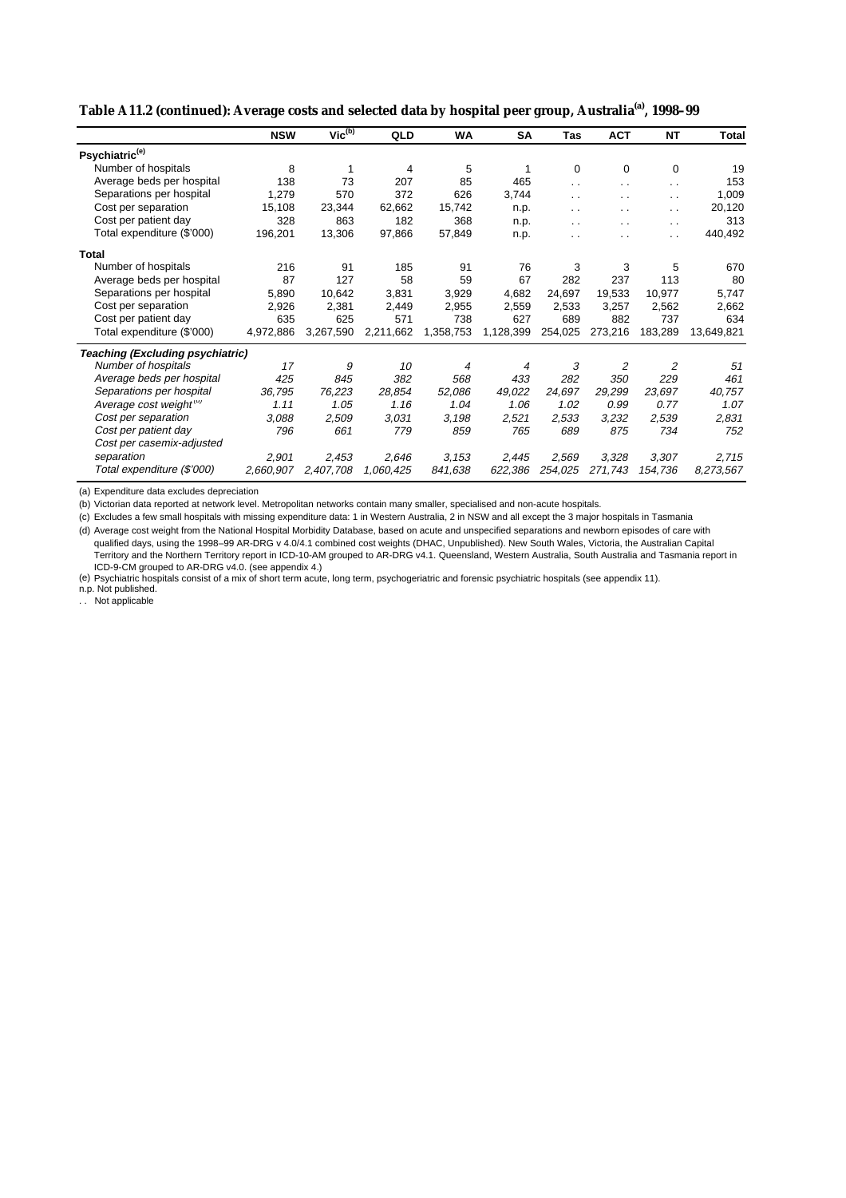| Table A11.2 (continued): Average costs and selected data by hospital peer group, Australia <sup>(a)</sup> , 1998-99 |  |
|---------------------------------------------------------------------------------------------------------------------|--|
|---------------------------------------------------------------------------------------------------------------------|--|

|                                         | <b>NSW</b> | Vic <sup>(b)</sup> | QLD       | <b>WA</b> | SA             | <b>Tas</b> | <b>ACT</b>     | <b>NT</b>            | Total      |
|-----------------------------------------|------------|--------------------|-----------|-----------|----------------|------------|----------------|----------------------|------------|
| Psychiatric <sup>(e)</sup>              |            |                    |           |           |                |            |                |                      |            |
| Number of hospitals                     | 8          | 1                  | 4         | 5         |                | 0          | 0              | 0                    | 19         |
| Average beds per hospital               | 138        | 73                 | 207       | 85        | 465            | . .        | $\cdot$ .      | $\cdot$ .            | 153        |
| Separations per hospital                | 1,279      | 570                | 372       | 626       | 3,744          | . .        | . .            | $\sim$               | 1,009      |
| Cost per separation                     | 15,108     | 23,344             | 62,662    | 15,742    | n.p.           | $\ddotsc$  | . .            | $\ddotsc$            | 20,120     |
| Cost per patient day                    | 328        | 863                | 182       | 368       | n.p.           | $\ddotsc$  | $\sim$         | $\sim$ $\sim$        | 313        |
| Total expenditure (\$'000)              | 196,201    | 13,306             | 97,866    | 57,849    | n.p.           | . .        | . .            | $\ddot{\phantom{0}}$ | 440,492    |
| Total                                   |            |                    |           |           |                |            |                |                      |            |
| Number of hospitals                     | 216        | 91                 | 185       | 91        | 76             | 3          | 3              | 5                    | 670        |
| Average beds per hospital               | 87         | 127                | 58        | 59        | 67             | 282        | 237            | 113                  | 80         |
| Separations per hospital                | 5,890      | 10,642             | 3,831     | 3,929     | 4,682          | 24,697     | 19,533         | 10,977               | 5,747      |
| Cost per separation                     | 2,926      | 2,381              | 2,449     | 2,955     | 2,559          | 2,533      | 3,257          | 2,562                | 2,662      |
| Cost per patient day                    | 635        | 625                | 571       | 738       | 627            | 689        | 882            | 737                  | 634        |
| Total expenditure (\$'000)              | 4,972,886  | 3,267,590          | 2,211,662 | 1,358,753 | 1,128,399      | 254,025    | 273,216        | 183,289              | 13,649,821 |
| <b>Teaching (Excluding psychiatric)</b> |            |                    |           |           |                |            |                |                      |            |
| Number of hospitals                     | 17         | 9                  | 10        | 4         | $\overline{4}$ | 3          | $\overline{c}$ | $\overline{2}$       | 51         |
| Average beds per hospital               | 425        | 845                | 382       | 568       | 433            | 282        | 350            | 229                  | 461        |
| Separations per hospital                | 36,795     | 76,223             | 28,854    | 52,086    | 49,022         | 24,697     | 29,299         | 23,697               | 40,757     |
| Average cost weight <sup>(u)</sup>      | 1.11       | 1.05               | 1.16      | 1.04      | 1.06           | 1.02       | 0.99           | 0.77                 | 1.07       |
| Cost per separation                     | 3,088      | 2,509              | 3.031     | 3.198     | 2,521          | 2,533      | 3,232          | 2,539                | 2,831      |
| Cost per patient day                    | 796        | 661                | 779       | 859       | 765            | 689        | 875            | 734                  | 752        |
| Cost per casemix-adjusted               |            |                    |           |           |                |            |                |                      |            |
| separation                              | 2,901      | 2,453              | 2,646     | 3.153     | 2,445          | 2,569      | 3,328          | 3,307                | 2,715      |
| Total expenditure (\$'000)              | 2,660,907  | 2,407,708          | 1,060,425 | 841,638   | 622,386        | 254,025    | 271,743        | 154,736              | 8,273,567  |

(a) Expenditure data excludes depreciation

(b) Victorian data reported at network level. Metropolitan networks contain many smaller, specialised and non-acute hospitals.

(c) Excludes a few small hospitals with missing expenditure data: 1 in Western Australia, 2 in NSW and all except the 3 major hospitals in Tasmania (d) Average cost weight from the National Hospital Morbidity Database, based on acute and unspecified separations and newborn episodes of care with

qualified days, using the 1998–99 AR-DRG v 4.0/4.1 combined cost weights (DHAC, Unpublished). New South Wales, Victoria, the Australian Capital Territory and the Northern Territory report in ICD-10-AM grouped to AR-DRG v4.1. Queensland, Western Australia, South Australia and Tasmania report in ICD-9-CM grouped to AR-DRG v4.0. (see appendix 4.)

(e) Psychiatric hospitals consist of a mix of short term acute, long term, psychogeriatric and forensic psychiatric hospitals (see appendix 11).

n.p. Not published.

. . Not applicable